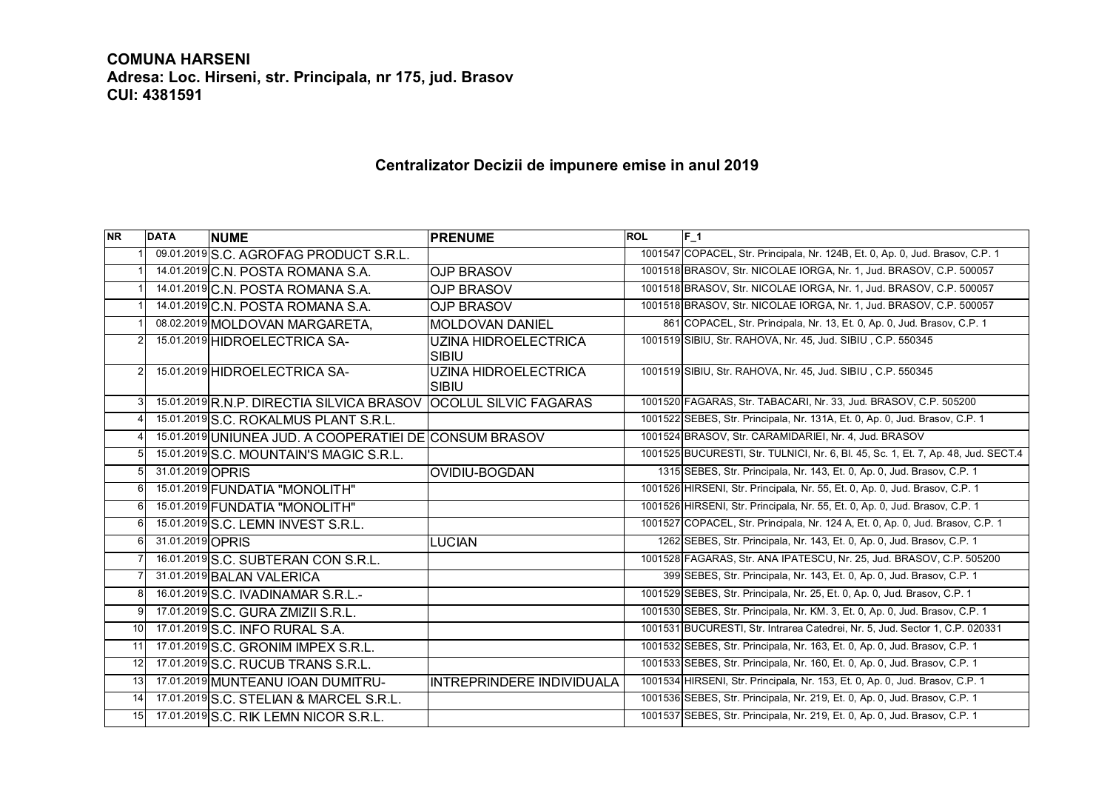## **COMUNA HARSENI**

**Adresa: Loc. Hirseni, str. Principala, nr 175, jud. Brasov CUI: 4381591**

## **Centralizator Decizii de impunere emise in anul 2019**

| <b>NR</b>       | <b>DATA</b>      | <b>NUME</b>                                                     | <b>PRENUME</b>                   | <b>ROL</b> | $F_1$                                                                             |
|-----------------|------------------|-----------------------------------------------------------------|----------------------------------|------------|-----------------------------------------------------------------------------------|
|                 |                  | 09.01.2019 S.C. AGROFAG PRODUCT S.R.L.                          |                                  |            | 1001547 COPACEL, Str. Principala, Nr. 124B, Et. 0, Ap. 0, Jud. Brasov, C.P. 1     |
|                 |                  | 14.01.2019 C.N. POSTA ROMANA S.A.                               | <b>OJP BRASOV</b>                |            | 1001518 BRASOV, Str. NICOLAE IORGA, Nr. 1, Jud. BRASOV, C.P. 500057               |
|                 |                  | 14.01.2019 C.N. POSTA ROMANA S.A.                               | <b>OJP BRASOV</b>                |            | 1001518 BRASOV, Str. NICOLAE IORGA, Nr. 1, Jud. BRASOV, C.P. 500057               |
|                 |                  | 14.01.2019 C.N. POSTA ROMANA S.A.                               | <b>OJP BRASOV</b>                |            | 1001518 BRASOV, Str. NICOLAE IORGA, Nr. 1, Jud. BRASOV, C.P. 500057               |
|                 |                  | 08.02.2019 MOLDOVAN MARGARETA,                                  | <b>MOLDOVAN DANIEL</b>           |            | 861 COPACEL, Str. Principala, Nr. 13, Et. 0, Ap. 0, Jud. Brasov, C.P. 1           |
| 2               |                  | 15.01.2019 HIDROELECTRICA SA-                                   | UZINA HIDROELECTRICA<br>SIBIU    |            | 1001519 SIBIU, Str. RAHOVA, Nr. 45, Jud. SIBIU, C.P. 550345                       |
| $\mathcal{P}$   |                  | 15.01.2019 HIDROELECTRICA SA-                                   | UZINA HIDROELECTRICA<br>SIBIU    |            | 1001519 SIBIU, Str. RAHOVA, Nr. 45, Jud. SIBIU, C.P. 550345                       |
|                 |                  | 15.01.2019 R.N.P. DIRECTIA SILVICA BRASOV OCOLUL SILVIC FAGARAS |                                  |            | 1001520 FAGARAS, Str. TABACARI, Nr. 33, Jud. BRASOV, C.P. 505200                  |
|                 |                  | 15.01.2019 S.C. ROKALMUS PLANT S.R.L.                           |                                  |            | 1001522 SEBES, Str. Principala, Nr. 131A, Et. 0, Ap. 0, Jud. Brasov, C.P. 1       |
|                 |                  | 15.01.2019 UNIUNEA JUD. A COOPERATIEI DE CONSUM BRASOV          |                                  |            | 1001524 BRASOV, Str. CARAMIDARIEI, Nr. 4, Jud. BRASOV                             |
| 5               |                  | 15.01.2019 S.C. MOUNTAIN'S MAGIC S.R.L.                         |                                  |            | 1001525 BUCURESTI, Str. TULNICI, Nr. 6, Bl. 45, Sc. 1, Et. 7, Ap. 48, Jud. SECT.4 |
|                 | 31.01.2019 OPRIS |                                                                 | OVIDIU-BOGDAN                    |            | 1315 SEBES, Str. Principala, Nr. 143, Et. 0, Ap. 0, Jud. Brasov, C.P. 1           |
| 6               |                  | 15.01.2019 FUNDATIA "MONOLITH"                                  |                                  |            | 1001526 HIRSENI, Str. Principala, Nr. 55, Et. 0, Ap. 0, Jud. Brasov, C.P. 1       |
| 6               |                  | 15.01.2019 FUNDATIA "MONOLITH"                                  |                                  |            | 1001526 HIRSENI, Str. Principala, Nr. 55, Et. 0, Ap. 0, Jud. Brasov, C.P. 1       |
| 6               |                  | 15.01.2019 S.C. LEMN INVEST S.R.L.                              |                                  |            | 1001527 COPACEL, Str. Principala, Nr. 124 A, Et. 0, Ap. 0, Jud. Brasov, C.P. 1    |
| 6               | 31.01.2019 OPRIS |                                                                 | <b>LUCIAN</b>                    |            | 1262 SEBES, Str. Principala, Nr. 143, Et. 0, Ap. 0, Jud. Brasov, C.P. 1           |
|                 |                  | 16.01.2019 S.C. SUBTERAN CON S.R.L.                             |                                  |            | 1001528 FAGARAS, Str. ANA IPATESCU, Nr. 25, Jud. BRASOV, C.P. 505200              |
|                 |                  | 31.01.2019 BALAN VALERICA                                       |                                  |            | 399 SEBES, Str. Principala, Nr. 143, Et. 0, Ap. 0, Jud. Brasov, C.P. 1            |
| 8               |                  | 16.01.2019 S.C. IVADINAMAR S.R.L.-                              |                                  |            | 1001529 SEBES, Str. Principala, Nr. 25, Et. 0, Ap. 0, Jud. Brasov, C.P. 1         |
| 9               |                  | 17.01.2019 S.C. GURA ZMIZII S.R.L.                              |                                  |            | 1001530 SEBES, Str. Principala, Nr. KM. 3, Et. 0, Ap. 0, Jud. Brasov, C.P. 1      |
| 10 I            |                  | 17.01.2019 S.C. INFO RURAL S.A.                                 |                                  |            | 1001531 BUCURESTI, Str. Intrarea Catedrei, Nr. 5, Jud. Sector 1, C.P. 020331      |
| 11              |                  | 17.01.2019 S.C. GRONIM IMPEX S.R.L.                             |                                  |            | 1001532 SEBES, Str. Principala, Nr. 163, Et. 0, Ap. 0, Jud. Brasov, C.P. 1        |
| 12              |                  | 17.01.2019 S.C. RUCUB TRANS S.R.L.                              |                                  |            | 1001533 SEBES, Str. Principala, Nr. 160, Et. 0, Ap. 0, Jud. Brasov, C.P. 1        |
| 13 <sub>l</sub> |                  | 17.01.2019 MUNTEANU IOAN DUMITRU-                               | <b>INTREPRINDERE INDIVIDUALA</b> |            | 1001534 HIRSENI, Str. Principala, Nr. 153, Et. 0, Ap. 0, Jud. Brasov, C.P. 1      |
| 14              |                  | 17.01.2019 S.C. STELIAN & MARCEL S.R.L.                         |                                  |            | 1001536 SEBES, Str. Principala, Nr. 219, Et. 0, Ap. 0, Jud. Brasov, C.P. 1        |
| 15              |                  | 17.01.2019 S.C. RIK LEMN NICOR S.R.L.                           |                                  |            | 1001537 SEBES, Str. Principala, Nr. 219, Et. 0, Ap. 0, Jud. Brasov, C.P. 1        |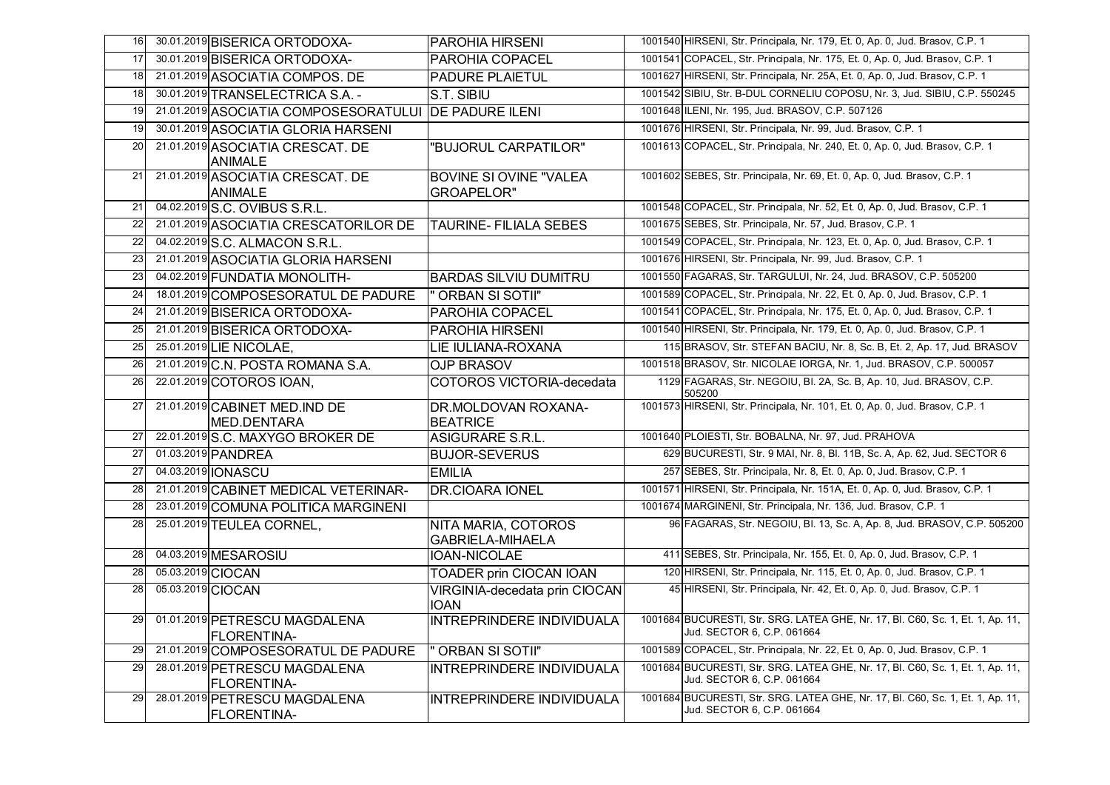| 16              | 30.01.2019 BISERICA ORTODOXA-                         | <b>PAROHIA HIRSENI</b>                             | 1001540 HIRSENI, Str. Principala, Nr. 179, Et. 0, Ap. 0, Jud. Brasov, C.P. 1                                 |
|-----------------|-------------------------------------------------------|----------------------------------------------------|--------------------------------------------------------------------------------------------------------------|
| 17              | 30.01.2019 BISERICA ORTODOXA-                         | <b>PAROHIA COPACEL</b>                             | 1001541 COPACEL, Str. Principala, Nr. 175, Et. 0, Ap. 0, Jud. Brasov, C.P. 1                                 |
| 18              | 21.01.2019 ASOCIATIA COMPOS. DE                       | <b>PADURE PLAIETUL</b>                             | 1001627 HIRSENI, Str. Principala, Nr. 25A, Et. 0, Ap. 0, Jud. Brasov, C.P. 1                                 |
| 18              | 30.01.2019 TRANSELECTRICA S.A. -                      | S.T. SIBIU                                         | 1001542 SIBIU, Str. B-DUL CORNELIU COPOSU, Nr. 3, Jud. SIBIU, C.P. 550245                                    |
| 19              | 21.01.2019 ASOCIATIA COMPOSESORATULUI DE PADURE ILENI |                                                    | 1001648 ILENI, Nr. 195, Jud. BRASOV, C.P. 507126                                                             |
| 19              | 30.01.2019 ASOCIATIA GLORIA HARSENI                   |                                                    | 1001676 HIRSENI, Str. Principala, Nr. 99, Jud. Brasov, C.P. 1                                                |
| 20              | 21.01.2019 ASOCIATIA CRESCAT. DE<br><b>ANIMALE</b>    | "BUJORUL CARPATILOR"                               | 1001613 COPACEL, Str. Principala, Nr. 240, Et. 0, Ap. 0, Jud. Brasov, C.P. 1                                 |
| 21              | 21.01.2019 ASOCIATIA CRESCAT. DE<br>ANIMALE           | <b>BOVINE SI OVINE "VALEA</b><br><b>GROAPELOR"</b> | 1001602 SEBES, Str. Principala, Nr. 69, Et. 0, Ap. 0, Jud. Brasov, C.P. 1                                    |
| 21              | 04.02.2019 S.C. OVIBUS S.R.L.                         |                                                    | 1001548 COPACEL, Str. Principala, Nr. 52, Et. 0, Ap. 0, Jud. Brasov, C.P. 1                                  |
| 22              | 21.01.2019 ASOCIATIA CRESCATORILOR DE                 | <b>TAURINE- FILIALA SEBES</b>                      | 1001675 SEBES, Str. Principala, Nr. 57, Jud. Brasov, C.P. 1                                                  |
| $\overline{22}$ | 04.02.2019 S.C. ALMACON S.R.L.                        |                                                    | 1001549 COPACEL, Str. Principala, Nr. 123, Et. 0, Ap. 0, Jud. Brasov, C.P. 1                                 |
| 23              | 21.01.2019 ASOCIATIA GLORIA HARSENI                   |                                                    | 1001676 HIRSENI, Str. Principala, Nr. 99, Jud. Brasov, C.P. 1                                                |
| 23              | 04.02.2019 FUNDATIA MONOLITH-                         | <b>BARDAS SILVIU DUMITRU</b>                       | 1001550 FAGARAS, Str. TARGULUI, Nr. 24, Jud. BRASOV, C.P. 505200                                             |
| 24              | 18.01.2019 COMPOSESORATUL DE PADURE                   | " ORBAN SI SOTII"                                  | 1001589 COPACEL, Str. Principala, Nr. 22, Et. 0, Ap. 0, Jud. Brasov, C.P. 1                                  |
| 24              | 21.01.2019 BISERICA ORTODOXA-                         | PAROHIA COPACEL                                    | 1001541 COPACEL, Str. Principala, Nr. 175, Et. 0, Ap. 0, Jud. Brasov, C.P. 1                                 |
| 25              | 21.01.2019 BISERICA ORTODOXA-                         | PAROHIA HIRSENI                                    | 1001540 HIRSENI, Str. Principala, Nr. 179, Et. 0, Ap. 0, Jud. Brasov, C.P. 1                                 |
| 25              | 25.01.2019 LIE NICOLAE,                               | LIE IULIANA-ROXANA                                 | 115 BRASOV, Str. STEFAN BACIU, Nr. 8, Sc. B, Et. 2, Ap. 17, Jud. BRASOV                                      |
| 26              | 21.01.2019 C.N. POSTA ROMANA S.A.                     | <b>OJP BRASOV</b>                                  | 1001518 BRASOV, Str. NICOLAE IORGA, Nr. 1, Jud. BRASOV, C.P. 500057                                          |
| 26              | 22.01.2019 COTOROS IOAN,                              | <b>COTOROS VICTORIA-decedata</b>                   | 1129 FAGARAS, Str. NEGOIU, Bl. 2A, Sc. B, Ap. 10, Jud. BRASOV, C.P.<br>505200                                |
| 27              | 21.01.2019 CABINET MED. IND DE<br>MED.DENTARA         | DR.MOLDOVAN ROXANA-<br><b>BEATRICE</b>             | 1001573 HIRSENI, Str. Principala, Nr. 101, Et. 0, Ap. 0, Jud. Brasov, C.P. 1                                 |
| 27              | 22.01.2019 S.C. MAXYGO BROKER DE                      | ASIGURARE S.R.L.                                   | 1001640 PLOIESTI, Str. BOBALNA, Nr. 97, Jud. PRAHOVA                                                         |
| 27              | 01.03.2019 PANDREA                                    | <b>BUJOR-SEVERUS</b>                               | 629 BUCURESTI, Str. 9 MAI, Nr. 8, Bl. 11B, Sc. A, Ap. 62, Jud. SECTOR 6                                      |
| 27              | 04.03.2019 <b>JONASCU</b>                             | <b>EMILIA</b>                                      | 257 SEBES, Str. Principala, Nr. 8, Et. 0, Ap. 0, Jud. Brasov, C.P. 1                                         |
| 28              | 21.01.2019 CABINET MEDICAL VETERINAR-                 | <b>DR.CIOARA IONEL</b>                             | 1001571 HIRSENI, Str. Principala, Nr. 151A, Et. 0, Ap. 0, Jud. Brasov, C.P. 1                                |
| 28              | 23.01.2019 COMUNA POLITICA MARGINENI                  |                                                    | 1001674 MARGINENI, Str. Principala, Nr. 136, Jud. Brasov, C.P. 1                                             |
| 28              | 25.01.2019 TEULEA CORNEL,                             | NITA MARIA, COTOROS<br><b>GABRIELA-MIHAELA</b>     | 96 FAGARAS, Str. NEGOIU, Bl. 13, Sc. A, Ap. 8, Jud. BRASOV, C.P. 505200                                      |
| 28              | 04.03.2019 MESAROSIU                                  | IOAN-NICOLAE                                       | 411 SEBES, Str. Principala, Nr. 155, Et. 0, Ap. 0, Jud. Brasov, C.P. 1                                       |
| 28              | 05.03.2019 CIOCAN                                     | <b>TOADER prin CIOCAN IOAN</b>                     | 120 HIRSENI, Str. Principala, Nr. 115, Et. 0, Ap. 0, Jud. Brasov, C.P. 1                                     |
| 28              | 05.03.2019 CIOCAN                                     | VIRGINIA-decedata prin CIOCAN<br>IOAN              | 45 HIRSENI, Str. Principala, Nr. 42, Et. 0, Ap. 0, Jud. Brasov, C.P. 1                                       |
| 29              | 01.01.2019 PETRESCU MAGDALENA<br><b>FLORENTINA-</b>   | INTREPRINDERE INDIVIDUALA                          | 1001684 BUCURESTI, Str. SRG. LATEA GHE, Nr. 17, Bl. C60, Sc. 1, Et. 1, Ap. 11,<br>Jud. SECTOR 6, C.P. 061664 |
| 29              | 21.01.2019 COMPOSESORATUL DE PADURE                   | " ORBAN SI SOTII"                                  | 1001589 COPACEL, Str. Principala, Nr. 22, Et. 0, Ap. 0, Jud. Brasov, C.P. 1                                  |
| 29              | 28.01.2019 PETRESCU MAGDALENA<br>FLORENTINA-          | INTREPRINDERE INDIVIDUALA                          | 1001684 BUCURESTI, Str. SRG. LATEA GHE, Nr. 17, Bl. C60, Sc. 1, Et. 1, Ap. 11,<br>Jud. SECTOR 6, C.P. 061664 |
| 29              | 28.01.2019 PETRESCU MAGDALENA<br>FLORENTINA-          | INTREPRINDERE INDIVIDUALA                          | 1001684 BUCURESTI, Str. SRG. LATEA GHE, Nr. 17, Bl. C60, Sc. 1, Et. 1, Ap. 11,<br>Jud. SECTOR 6, C.P. 061664 |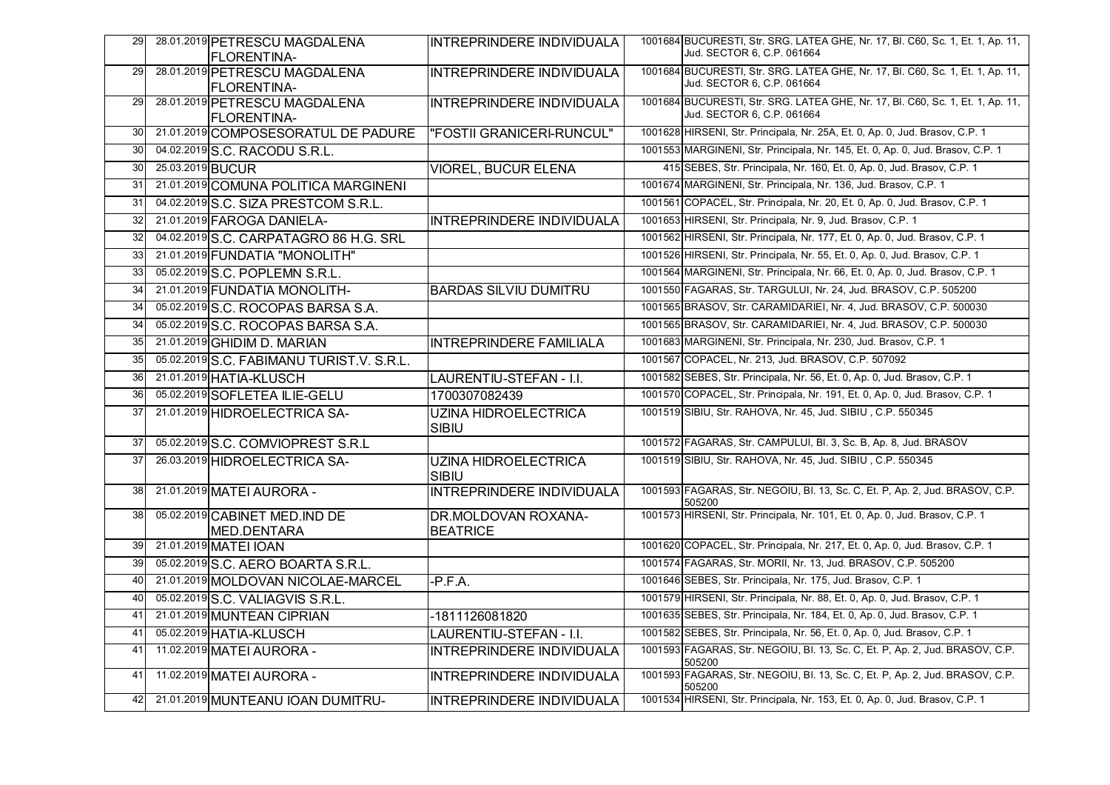| 29 |                  | 28.01.2019 PETRESCU MAGDALENA<br><b>FLORENTINA-</b> | INTREPRINDERE INDIVIDUALA                   | 1001684 BUCURESTI, Str. SRG. LATEA GHE, Nr. 17, Bl. C60, Sc. 1, Et. 1, Ap. 11,<br>Jud. SECTOR 6, C.P. 061664 |
|----|------------------|-----------------------------------------------------|---------------------------------------------|--------------------------------------------------------------------------------------------------------------|
| 29 |                  | 28.01.2019 PETRESCU MAGDALENA<br><b>FLORENTINA-</b> | <b>INTREPRINDERE INDIVIDUALA</b>            | 1001684 BUCURESTI, Str. SRG. LATEA GHE, Nr. 17, Bl. C60, Sc. 1, Et. 1, Ap. 11,<br>Jud. SECTOR 6, C.P. 061664 |
| 29 |                  | 28.01.2019 PETRESCU MAGDALENA<br>FLORENTINA-        | <b>INTREPRINDERE INDIVIDUALA</b>            | 1001684 BUCURESTI, Str. SRG. LATEA GHE, Nr. 17, BI. C60, Sc. 1, Et. 1, Ap. 11,<br>Jud. SECTOR 6, C.P. 061664 |
| 30 |                  | 21.01.2019 COMPOSESORATUL DE PADURE                 | "FOSTII GRANICERI-RUNCUL"                   | 1001628 HIRSENI, Str. Principala, Nr. 25A, Et. 0, Ap. 0, Jud. Brasov, C.P. 1                                 |
| 30 |                  | 04.02.2019 S.C. RACODU S.R.L.                       |                                             | 1001553 MARGINENI, Str. Principala, Nr. 145, Et. 0, Ap. 0, Jud. Brasov, C.P. 1                               |
| 30 | 25.03.2019 BUCUR |                                                     | <b>VIOREL, BUCUR ELENA</b>                  | 415 SEBES, Str. Principala, Nr. 160, Et. 0, Ap. 0, Jud. Brasov, C.P. 1                                       |
| 31 |                  | 21.01.2019 COMUNA POLITICA MARGINENI                |                                             | 1001674 MARGINENI, Str. Principala, Nr. 136, Jud. Brasov, C.P. 1                                             |
| 31 |                  | 04.02.2019 S.C. SIZA PRESTCOM S.R.L.                |                                             | 1001561 COPACEL, Str. Principala, Nr. 20, Et. 0, Ap. 0, Jud. Brasov, C.P. 1                                  |
| 32 |                  | 21.01.2019 FAROGA DANIELA-                          | INTREPRINDERE INDIVIDUALA                   | 1001653 HIRSENI, Str. Principala, Nr. 9, Jud. Brasov, C.P. 1                                                 |
| 32 |                  | 04.02.2019 S.C. CARPATAGRO 86 H.G. SRL              |                                             | 1001562 HIRSENI, Str. Principala, Nr. 177, Et. 0, Ap. 0, Jud. Brasov, C.P. 1                                 |
| 33 |                  | 21.01.2019 FUNDATIA "MONOLITH"                      |                                             | 1001526 HIRSENI, Str. Principala, Nr. 55, Et. 0, Ap. 0, Jud. Brasov, C.P. 1                                  |
| 33 |                  | 05.02.2019 S.C. POPLEMN S.R.L.                      |                                             | 1001564 MARGINENI, Str. Principala, Nr. 66, Et. 0, Ap. 0, Jud. Brasov, C.P. 1                                |
| 34 |                  | 21.01.2019 FUNDATIA MONOLITH-                       | <b>BARDAS SILVIU DUMITRU</b>                | 1001550 FAGARAS, Str. TARGULUI, Nr. 24, Jud. BRASOV, C.P. 505200                                             |
| 34 |                  | 05.02.2019 S.C. ROCOPAS BARSA S.A.                  |                                             | 1001565 BRASOV, Str. CARAMIDARIEI, Nr. 4, Jud. BRASOV, C.P. 500030                                           |
| 34 |                  | 05.02.2019 S.C. ROCOPAS BARSA S.A.                  |                                             | 1001565 BRASOV, Str. CARAMIDARIEI, Nr. 4, Jud. BRASOV, C.P. 500030                                           |
| 35 |                  | 21.01.2019 GHIDIM D. MARIAN                         | <b>INTREPRINDERE FAMILIALA</b>              | 1001683 MARGINENI, Str. Principala, Nr. 230, Jud. Brasov, C.P. 1                                             |
| 35 |                  | 05.02.2019 S.C. FABIMANU TURIST.V. S.R.L.           |                                             | 1001567 COPACEL, Nr. 213, Jud. BRASOV, C.P. 507092                                                           |
| 36 |                  | 21.01.2019 HATIA-KLUSCH                             | LAURENTIU-STEFAN - I.I.                     | 1001582 SEBES, Str. Principala, Nr. 56, Et. 0, Ap. 0, Jud. Brasov, C.P. 1                                    |
| 36 |                  | 05.02.2019 SOFLETEA ILIE-GELU                       | 1700307082439                               | 1001570 COPACEL, Str. Principala, Nr. 191, Et. 0, Ap. 0, Jud. Brasov, C.P. 1                                 |
| 37 |                  | 21.01.2019 HIDROELECTRICA SA-                       | <b>UZINA HIDROELECTRICA</b><br><b>SIBIU</b> | 1001519 SIBIU, Str. RAHOVA, Nr. 45, Jud. SIBIU, C.P. 550345                                                  |
| 37 |                  | 05.02.2019 S.C. COMVIOPREST S.R.L                   |                                             | 1001572 FAGARAS, Str. CAMPULUI, Bl. 3, Sc. B, Ap. 8, Jud. BRASOV                                             |
| 37 |                  | 26.03.2019 HIDROELECTRICA SA-                       | <b>UZINA HIDROELECTRICA</b><br>SIBIU        | 1001519 SIBIU, Str. RAHOVA, Nr. 45, Jud. SIBIU, C.P. 550345                                                  |
| 38 |                  | 21.01.2019 MATEI AURORA -                           | INTREPRINDERE INDIVIDUALA                   | 1001593 FAGARAS, Str. NEGOIU, Bl. 13, Sc. C, Et. P, Ap. 2, Jud. BRASOV, C.P.<br>505200                       |
| 38 |                  | 05.02.2019 CABINET MED.IND DE<br><b>MED.DENTARA</b> | DR.MOLDOVAN ROXANA-<br><b>BEATRICE</b>      | 1001573 HIRSENI, Str. Principala, Nr. 101, Et. 0, Ap. 0, Jud. Brasov, C.P. 1                                 |
| 39 |                  | 21.01.2019 MATEI IOAN                               |                                             | 1001620 COPACEL, Str. Principala, Nr. 217, Et. 0, Ap. 0, Jud. Brasov, C.P. 1                                 |
| 39 |                  | 05.02.2019 S.C. AERO BOARTA S.R.L.                  |                                             | 1001574 FAGARAS, Str. MORII, Nr. 13, Jud. BRASOV, C.P. 505200                                                |
| 40 |                  | 21.01.2019 MOLDOVAN NICOLAE-MARCEL                  | $-P.F.A.$                                   | 1001646 SEBES, Str. Principala, Nr. 175, Jud. Brasov, C.P. 1                                                 |
| 40 |                  | 05.02.2019 S.C. VALIAGVIS S.R.L.                    |                                             | 1001579 HIRSENI, Str. Principala, Nr. 88, Et. 0, Ap. 0, Jud. Brasov, C.P. 1                                  |
| 41 |                  | 21.01.2019 MUNTEAN CIPRIAN                          | -1811126081820                              | 1001635 SEBES, Str. Principala, Nr. 184, Et. 0, Ap. 0, Jud. Brasov, C.P. 1                                   |
| 41 |                  | 05.02.2019 HATIA-KLUSCH                             | LAURENTIU-STEFAN - I.I.                     | 1001582 SEBES, Str. Principala, Nr. 56, Et. 0, Ap. 0, Jud. Brasov, C.P. 1                                    |
| 41 |                  | 11.02.2019 MATEI AURORA -                           | <b>INTREPRINDERE INDIVIDUALA</b>            | 1001593 FAGARAS, Str. NEGOIU, Bl. 13, Sc. C, Et. P, Ap. 2, Jud. BRASOV, C.P.<br>505200                       |
| 41 |                  | 11.02.2019 MATEI AURORA -                           | <b>INTREPRINDERE INDIVIDUALA</b>            | 1001593 FAGARAS, Str. NEGOIU, Bl. 13, Sc. C, Et. P, Ap. 2, Jud. BRASOV, C.P.<br>505200                       |
| 42 |                  | 21.01.2019 MUNTEANU IOAN DUMITRU-                   | <b>INTREPRINDERE INDIVIDUALA</b>            | 1001534 HIRSENI, Str. Principala, Nr. 153, Et. 0, Ap. 0, Jud. Brasov, C.P. 1                                 |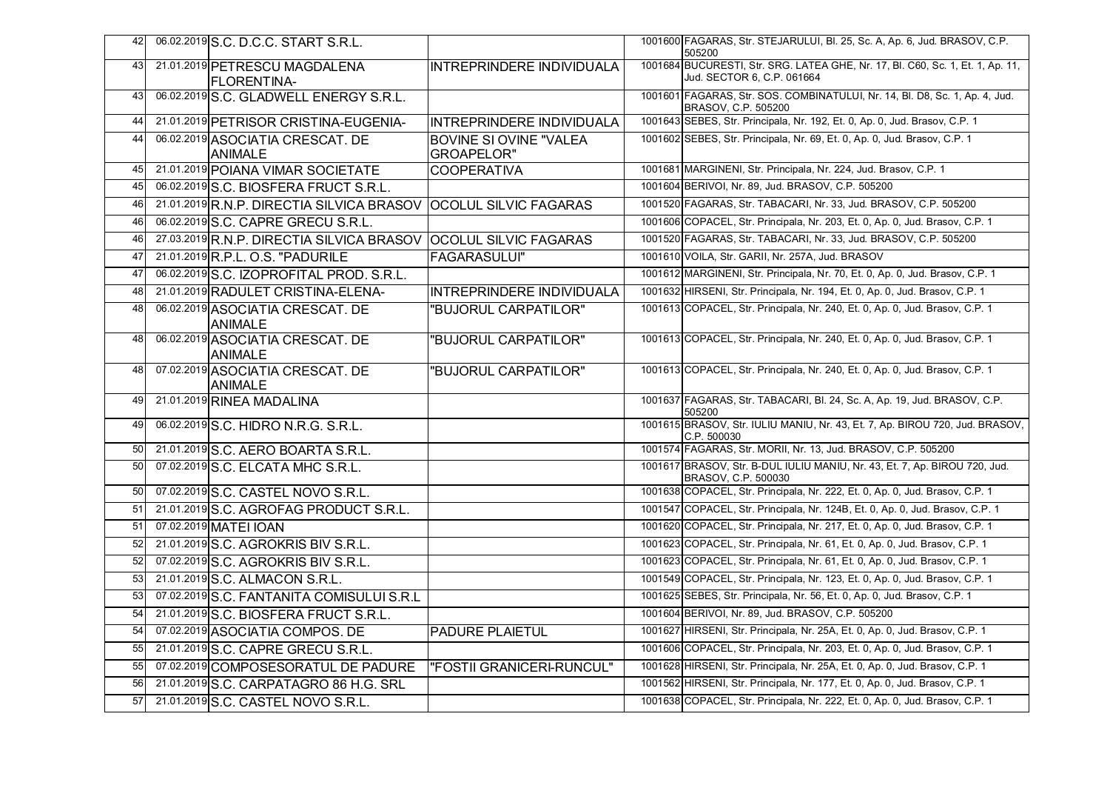| 42 | 06.02.2019 S.C. D.C.C. START S.R.L.                             |                                             | 1001600 FAGARAS, Str. STEJARULUI, Bl. 25, Sc. A, Ap. 6, Jud. BRASOV, C.P.<br>505200                          |
|----|-----------------------------------------------------------------|---------------------------------------------|--------------------------------------------------------------------------------------------------------------|
| 43 | 21.01.2019 PETRESCU MAGDALENA<br>FLORENTINA-                    | INTREPRINDERE INDIVIDUALA                   | 1001684 BUCURESTI, Str. SRG. LATEA GHE, Nr. 17, BI. C60, Sc. 1, Et. 1, Ap. 11,<br>Jud. SECTOR 6, C.P. 061664 |
| 43 | 06.02.2019 S.C. GLADWELL ENERGY S.R.L.                          |                                             | 1001601 FAGARAS, Str. SOS. COMBINATULUI, Nr. 14, Bl. D8, Sc. 1, Ap. 4, Jud.<br>BRASOV, C.P. 505200           |
| 44 | 21.01.2019 PETRISOR CRISTINA-EUGENIA-                           | INTREPRINDERE INDIVIDUALA                   | 1001643 SEBES, Str. Principala, Nr. 192, Et. 0, Ap. 0, Jud. Brasov, C.P. 1                                   |
| 44 | 06.02.2019 ASOCIATIA CRESCAT. DE<br><b>ANIMALE</b>              | <b>BOVINE SI OVINE "VALEA</b><br>GROAPELOR" | 1001602 SEBES, Str. Principala, Nr. 69, Et. 0, Ap. 0, Jud. Brasov, C.P. 1                                    |
| 45 | 21.01.2019 POIANA VIMAR SOCIETATE                               | <b>COOPERATIVA</b>                          | 1001681 MARGINENI, Str. Principala, Nr. 224, Jud. Brasov, C.P. 1                                             |
| 45 | 06.02.2019 S.C. BIOSFERA FRUCT S.R.L.                           |                                             | 1001604 BERIVOI, Nr. 89, Jud. BRASOV, C.P. 505200                                                            |
| 46 | 21.01.2019 R.N.P. DIRECTIA SILVICA BRASOV OCOLUL SILVIC FAGARAS |                                             | 1001520 FAGARAS, Str. TABACARI, Nr. 33, Jud. BRASOV, C.P. 505200                                             |
| 46 | 06.02.2019 S.C. CAPRE GRECU S.R.L.                              |                                             | 1001606 COPACEL, Str. Principala, Nr. 203, Et. 0, Ap. 0, Jud. Brasov, C.P. 1                                 |
| 46 | 27.03.2019 R.N.P. DIRECTIA SILVICA BRASOV OCOLUL SILVIC FAGARAS |                                             | 1001520 FAGARAS, Str. TABACARI, Nr. 33, Jud. BRASOV, C.P. 505200                                             |
| 47 | 21.01.2019 R.P.L. O.S. "PADURILE                                | <b>FAGARASULUI"</b>                         | 1001610 VOILA, Str. GARII, Nr. 257A, Jud. BRASOV                                                             |
| 47 | 06.02.2019 S.C. IZOPROFITAL PROD. S.R.L.                        |                                             | 1001612 MARGINENI, Str. Principala, Nr. 70, Et. 0, Ap. 0, Jud. Brasov, C.P. 1                                |
| 48 | 21.01.2019 RADULET CRISTINA-ELENA-                              | INTREPRINDERE INDIVIDUALA                   | 1001632 HIRSENI, Str. Principala, Nr. 194, Et. 0, Ap. 0, Jud. Brasov, C.P. 1                                 |
| 48 | 06.02.2019 ASOCIATIA CRESCAT. DE<br><b>ANIMALE</b>              | "BUJORUL CARPATILOR"                        | 1001613 COPACEL, Str. Principala, Nr. 240, Et. 0, Ap. 0, Jud. Brasov, C.P. 1                                 |
| 48 | 06.02.2019 ASOCIATIA CRESCAT. DE<br><b>ANIMALE</b>              | "BUJORUL CARPATILOR"                        | 1001613 COPACEL, Str. Principala, Nr. 240, Et. 0, Ap. 0, Jud. Brasov, C.P. 1                                 |
| 48 | 07.02.2019 ASOCIATIA CRESCAT. DE<br><b>ANIMALE</b>              | "BUJORUL CARPATILOR"                        | 1001613 COPACEL, Str. Principala, Nr. 240, Et. 0, Ap. 0, Jud. Brasov, C.P. 1                                 |
| 49 | 21.01.2019 RINEA MADALINA                                       |                                             | 1001637 FAGARAS, Str. TABACARI, Bl. 24, Sc. A, Ap. 19, Jud. BRASOV, C.P.<br>505200                           |
| 49 | 06.02.2019 S.C. HIDRO N.R.G. S.R.L.                             |                                             | 1001615 BRASOV, Str. IULIU MANIU, Nr. 43, Et. 7, Ap. BIROU 720, Jud. BRASOV,<br>C.P. 500030                  |
| 50 | 21.01.2019 S.C. AERO BOARTA S.R.L.                              |                                             | 1001574 FAGARAS, Str. MORII, Nr. 13, Jud. BRASOV, C.P. 505200                                                |
| 50 | 07.02.2019 S.C. ELCATA MHC S.R.L.                               |                                             | 1001617 BRASOV, Str. B-DUL IULIU MANIU, Nr. 43, Et. 7, Ap. BIROU 720, Jud.<br>BRASOV, C.P. 500030            |
| 50 | 07.02.2019 S.C. CASTEL NOVO S.R.L.                              |                                             | 1001638 COPACEL, Str. Principala, Nr. 222, Et. 0, Ap. 0, Jud. Brasov, C.P. 1                                 |
| 51 | 21.01.2019 S.C. AGROFAG PRODUCT S.R.L.                          |                                             | 1001547 COPACEL, Str. Principala, Nr. 124B, Et. 0, Ap. 0, Jud. Brasov, C.P. 1                                |
| 51 | 07.02.2019 MATEI IOAN                                           |                                             | 1001620 COPACEL, Str. Principala, Nr. 217, Et. 0, Ap. 0, Jud. Brasov, C.P. 1                                 |
| 52 | 21.01.2019 S.C. AGROKRIS BIV S.R.L.                             |                                             | 1001623 COPACEL, Str. Principala, Nr. 61, Et. 0, Ap. 0, Jud. Brasov, C.P. 1                                  |
| 52 | 07.02.2019 S.C. AGROKRIS BIV S.R.L.                             |                                             | 1001623 COPACEL, Str. Principala, Nr. 61, Et. 0, Ap. 0, Jud. Brasov, C.P. 1                                  |
| 53 | 21.01.2019 S.C. ALMACON S.R.L.                                  |                                             | 1001549 COPACEL, Str. Principala, Nr. 123, Et. 0, Ap. 0, Jud. Brasov, C.P. 1                                 |
| 53 | 07.02.2019 S.C. FANTANITA COMISULUI S.R.L                       |                                             | 1001625 SEBES, Str. Principala, Nr. 56, Et. 0, Ap. 0, Jud. Brasov, C.P. 1                                    |
| 54 | 21.01.2019 S.C. BIOSFERA FRUCT S.R.L.                           |                                             | 1001604 BERIVOI, Nr. 89, Jud. BRASOV, C.P. 505200                                                            |
| 54 | 07.02.2019 ASOCIATIA COMPOS. DE                                 | <b>PADURE PLAIETUL</b>                      | 1001627 HIRSENI, Str. Principala, Nr. 25A, Et. 0, Ap. 0, Jud. Brasov, C.P. 1                                 |
| 55 | 21.01.2019 S.C. CAPRE GRECU S.R.L.                              |                                             | 1001606 COPACEL, Str. Principala, Nr. 203, Et. 0, Ap. 0, Jud. Brasov, C.P. 1                                 |
| 55 | 07.02.2019 COMPOSESORATUL DE PADURE                             | "FOSTII GRANICERI-RUNCUL"                   | 1001628 HIRSENI, Str. Principala, Nr. 25A, Et. 0, Ap. 0, Jud. Brasov, C.P. 1                                 |
| 56 | 21.01.2019 S.C. CARPATAGRO 86 H.G. SRL                          |                                             | 1001562 HIRSENI, Str. Principala, Nr. 177, Et. 0, Ap. 0, Jud. Brasov, C.P. 1                                 |
| 57 | 21.01.2019 S.C. CASTEL NOVO S.R.L.                              |                                             | 1001638 COPACEL, Str. Principala, Nr. 222, Et. 0, Ap. 0, Jud. Brasov, C.P. 1                                 |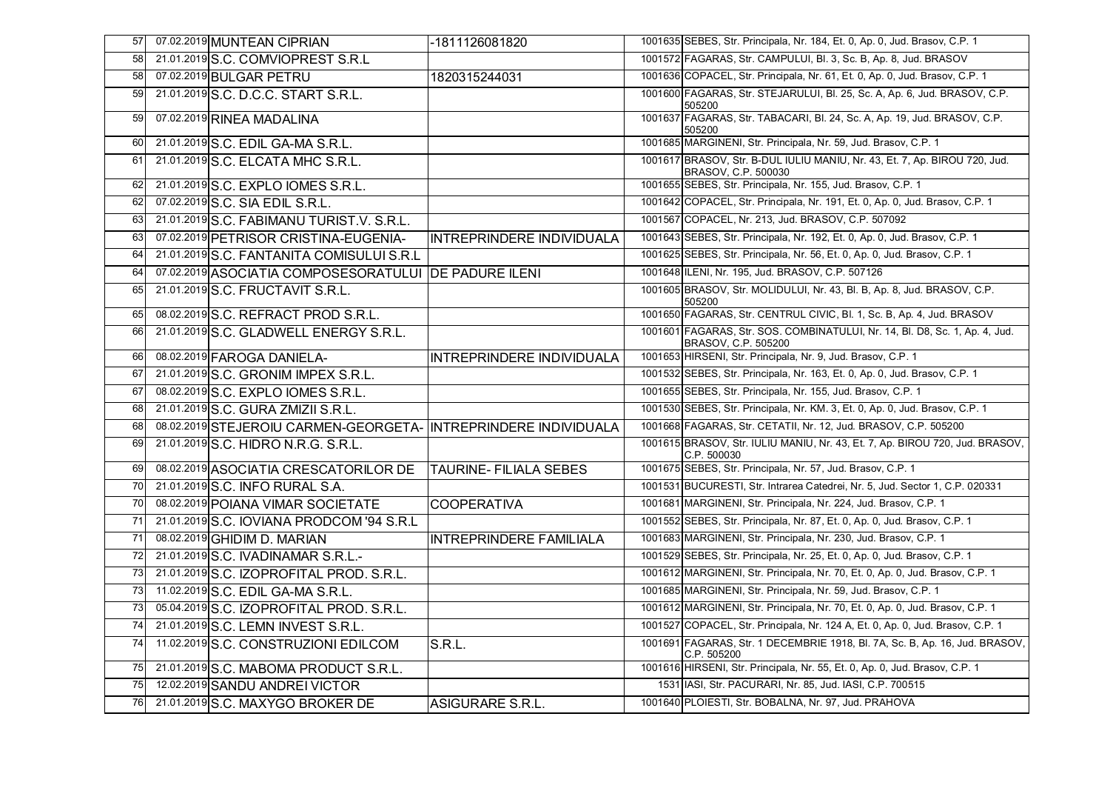| 57 | 07.02.2019 MUNTEAN CIPRIAN                                      | -1811126081820                 | 1001635 SEBES, Str. Principala, Nr. 184, Et. 0, Ap. 0, Jud. Brasov, C.P. 1                         |
|----|-----------------------------------------------------------------|--------------------------------|----------------------------------------------------------------------------------------------------|
| 58 | 21.01.2019 S.C. COMVIOPREST S.R.L                               |                                | 1001572 FAGARAS, Str. CAMPULUI, Bl. 3, Sc. B, Ap. 8, Jud. BRASOV                                   |
| 58 | 07.02.2019 BULGAR PETRU                                         | 1820315244031                  | 1001636 COPACEL, Str. Principala, Nr. 61, Et. 0, Ap. 0, Jud. Brasov, C.P. 1                        |
| 59 | 21.01.2019 S.C. D.C.C. START S.R.L.                             |                                | 1001600 FAGARAS, Str. STEJARULUI, Bl. 25, Sc. A, Ap. 6, Jud. BRASOV, C.P.<br>505200                |
| 59 | 07.02.2019 RINEA MADALINA                                       |                                | 1001637 FAGARAS, Str. TABACARI, Bl. 24, Sc. A, Ap. 19, Jud. BRASOV, C.P.<br>505200                 |
| 60 | 21.01.2019 S.C. EDIL GA-MA S.R.L.                               |                                | 1001685 MARGINENI, Str. Principala, Nr. 59, Jud. Brasov, C.P. 1                                    |
| 61 | 21.01.2019 S.C. ELCATA MHC S.R.L.                               |                                | 1001617 BRASOV, Str. B-DUL IULIU MANIU, Nr. 43, Et. 7, Ap. BIROU 720, Jud.<br>BRASOV, C.P. 500030  |
| 62 | 21.01.2019 S.C. EXPLO IOMES S.R.L.                              |                                | 1001655 SEBES, Str. Principala, Nr. 155, Jud. Brasov, C.P. 1                                       |
| 62 | 07.02.2019 S.C. SIA EDIL S.R.L.                                 |                                | 1001642 COPACEL, Str. Principala, Nr. 191, Et. 0, Ap. 0, Jud. Brasov, C.P. 1                       |
| 63 | 21.01.2019 S.C. FABIMANU TURIST.V. S.R.L.                       |                                | 1001567 COPACEL, Nr. 213, Jud. BRASOV, C.P. 507092                                                 |
| 63 | 07.02.2019 PETRISOR CRISTINA-EUGENIA-                           | INTREPRINDERE INDIVIDUALA      | 1001643 SEBES, Str. Principala, Nr. 192, Et. 0, Ap. 0, Jud. Brasov, C.P. 1                         |
| 64 | 21.01.2019 S.C. FANTANITA COMISULUI S.R.L                       |                                | 1001625 SEBES, Str. Principala, Nr. 56, Et. 0, Ap. 0, Jud. Brasov, C.P. 1                          |
| 64 | 07.02.2019 ASOCIATIA COMPOSESORATULUI DE PADURE ILENI           |                                | 1001648 ILENI, Nr. 195, Jud. BRASOV, C.P. 507126                                                   |
| 65 | 21.01.2019 S.C. FRUCTAVIT S.R.L.                                |                                | 1001605 BRASOV, Str. MOLIDULUI, Nr. 43, Bl. B, Ap. 8, Jud. BRASOV, C.P.<br>505200                  |
| 65 | 08.02.2019 S.C. REFRACT PROD S.R.L.                             |                                | 1001650 FAGARAS, Str. CENTRUL CIVIC, Bl. 1, Sc. B, Ap. 4, Jud. BRASOV                              |
| 66 | 21.01.2019 S.C. GLADWELL ENERGY S.R.L.                          |                                | 1001601 FAGARAS, Str. SOS. COMBINATULUI, Nr. 14, Bl. D8, Sc. 1, Ap. 4, Jud.<br>BRASOV, C.P. 505200 |
| 66 | 08.02.2019 FAROGA DANIELA-                                      | INTREPRINDERE INDIVIDUALA      | 1001653 HIRSENI, Str. Principala, Nr. 9, Jud. Brasov, C.P. 1                                       |
| 67 | 21.01.2019 S.C. GRONIM IMPEX S.R.L.                             |                                | 1001532 SEBES, Str. Principala, Nr. 163, Et. 0, Ap. 0, Jud. Brasov, C.P. 1                         |
| 67 | 08.02.2019 S.C. EXPLO IOMES S.R.L.                              |                                | 1001655 SEBES, Str. Principala, Nr. 155, Jud. Brasov, C.P. 1                                       |
| 68 | 21.01.2019 S.C. GURA ZMIZII S.R.L.                              |                                | 1001530 SEBES, Str. Principala, Nr. KM. 3, Et. 0, Ap. 0, Jud. Brasov, C.P. 1                       |
| 68 | 08.02.2019 STEJEROIU CARMEN-GEORGETA- INTREPRINDERE INDIVIDUALA |                                | 1001668 FAGARAS, Str. CETATII, Nr. 12, Jud. BRASOV, C.P. 505200                                    |
| 69 | 21.01.2019 S.C. HIDRO N.R.G. S.R.L.                             |                                | 1001615 BRASOV, Str. IULIU MANIU, Nr. 43, Et. 7, Ap. BIROU 720, Jud. BRASOV,<br>C.P. 500030        |
| 69 | 08.02.2019 ASOCIATIA CRESCATORILOR DE                           | <b>TAURINE-FILIALA SEBES</b>   | 1001675 SEBES, Str. Principala, Nr. 57, Jud. Brasov, C.P. 1                                        |
| 70 | 21.01.2019 S.C. INFO RURAL S.A.                                 |                                | 1001531 BUCURESTI, Str. Intrarea Catedrei, Nr. 5, Jud. Sector 1, C.P. 020331                       |
| 70 | 08.02.2019 POIANA VIMAR SOCIETATE                               | <b>COOPERATIVA</b>             | 1001681 MARGINENI, Str. Principala, Nr. 224, Jud. Brasov, C.P. 1                                   |
| 71 | 21.01.2019 S.C. IOVIANA PRODCOM '94 S.R.L                       |                                | 1001552 SEBES, Str. Principala, Nr. 87, Et. 0, Ap. 0, Jud. Brasov, C.P. 1                          |
| 71 | 08.02.2019 GHIDIM D. MARIAN                                     | <b>INTREPRINDERE FAMILIALA</b> | 1001683 MARGINENI, Str. Principala, Nr. 230, Jud. Brasov, C.P. 1                                   |
| 72 | 21.01.2019 S.C. IVADINAMAR S.R.L.-                              |                                | 1001529 SEBES, Str. Principala, Nr. 25, Et. 0, Ap. 0, Jud. Brasov, C.P. 1                          |
| 73 | 21.01.2019 S.C. IZOPROFITAL PROD. S.R.L.                        |                                | 1001612 MARGINENI, Str. Principala, Nr. 70, Et. 0, Ap. 0, Jud. Brasov, C.P. 1                      |
| 73 | 11.02.2019 S.C. EDIL GA-MA S.R.L.                               |                                | 1001685 MARGINENI, Str. Principala, Nr. 59, Jud. Brasov, C.P. 1                                    |
| 73 | 05.04.2019 S.C. IZOPROFITAL PROD. S.R.L.                        |                                | 1001612 MARGINENI, Str. Principala, Nr. 70, Et. 0, Ap. 0, Jud. Brasov, C.P. 1                      |
| 74 | 21.01.2019 S.C. LEMN INVEST S.R.L.                              |                                | 1001527 COPACEL, Str. Principala, Nr. 124 A, Et. 0, Ap. 0, Jud. Brasov, C.P. 1                     |
| 74 | 11.02.2019 S.C. CONSTRUZIONI EDILCOM                            | S.R.L.                         | 1001691 FAGARAS, Str. 1 DECEMBRIE 1918, Bl. 7A, Sc. B, Ap. 16, Jud. BRASOV,<br>C.P. 505200         |
| 75 | 21.01.2019 S.C. MABOMA PRODUCT S.R.L.                           |                                | 1001616 HIRSENI, Str. Principala, Nr. 55, Et. 0, Ap. 0, Jud. Brasov, C.P. 1                        |
| 75 | 12.02.2019 SANDU ANDREI VICTOR                                  |                                | 1531 IASI, Str. PACURARI, Nr. 85, Jud. IASI, C.P. 700515                                           |
| 76 | 21.01.2019 S.C. MAXYGO BROKER DE                                | <b>ASIGURARE S.R.L.</b>        | 1001640 PLOIESTI, Str. BOBALNA, Nr. 97, Jud. PRAHOVA                                               |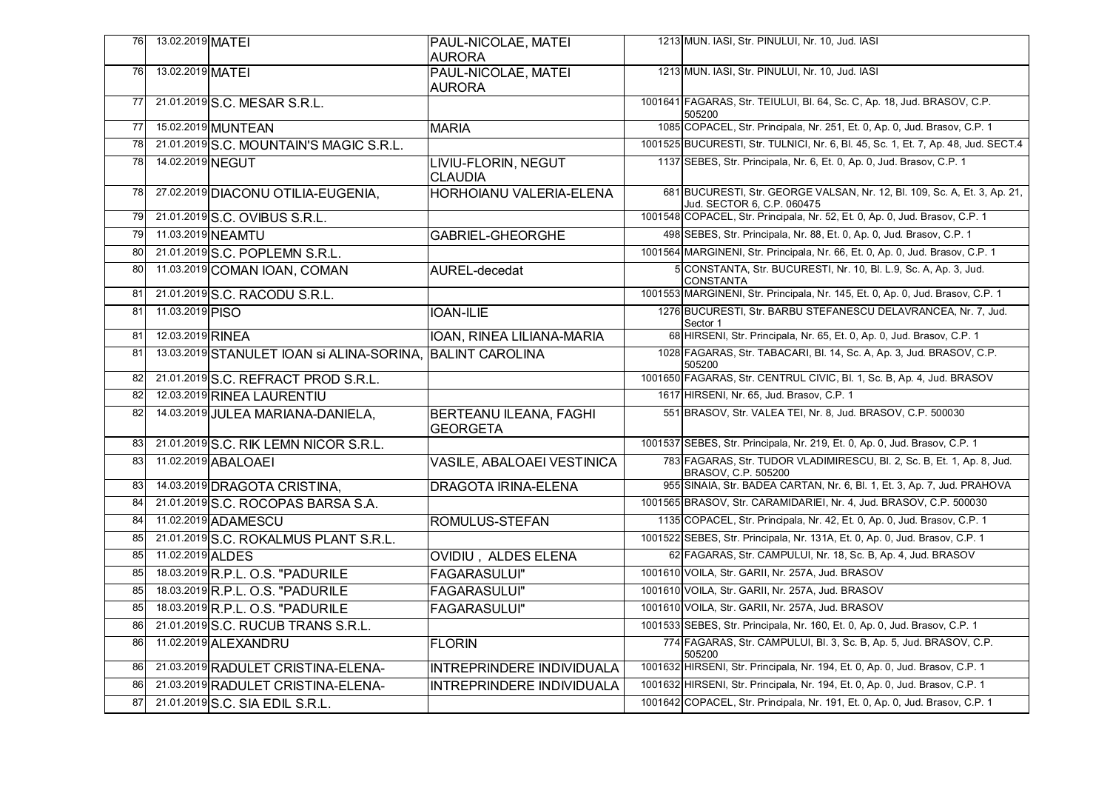| 76 | 13.02.2019 MATEI                                          | PAUL-NICOLAE, MATEI                              | 1213 MUN. IASI, Str. PINULUI, Nr. 10, Jud. IASI                                                         |
|----|-----------------------------------------------------------|--------------------------------------------------|---------------------------------------------------------------------------------------------------------|
|    |                                                           | <b>AURORA</b>                                    | 1213 MUN. IASI, Str. PINULUI, Nr. 10, Jud. IASI                                                         |
| 76 | 13.02.2019 MATEI                                          | PAUL-NICOLAE, MATEI<br><b>AURORA</b>             |                                                                                                         |
| 77 | 21.01.2019 S.C. MESAR S.R.L.                              |                                                  | 1001641 FAGARAS, Str. TEIULUI, Bl. 64, Sc. C, Ap. 18, Jud. BRASOV, C.P.<br>505200                       |
| 77 | 15.02.2019 MUNTEAN                                        | <b>MARIA</b>                                     | 1085 COPACEL, Str. Principala, Nr. 251, Et. 0, Ap. 0, Jud. Brasov, C.P. 1                               |
| 78 | 21.01.2019 S.C. MOUNTAIN'S MAGIC S.R.L.                   |                                                  | 1001525 BUCURESTI, Str. TULNICI, Nr. 6, Bl. 45, Sc. 1, Et. 7, Ap. 48, Jud. SECT.4                       |
| 78 | 14.02.2019 NEGUT                                          | <b>LIVIU-FLORIN, NEGUT</b><br><b>CLAUDIA</b>     | 1137 SEBES, Str. Principala, Nr. 6, Et. 0, Ap. 0, Jud. Brasov, C.P. 1                                   |
| 78 | 27.02.2019 DIACONU OTILIA-EUGENIA,                        | HORHOIANU VALERIA-ELENA                          | 681 BUCURESTI, Str. GEORGE VALSAN, Nr. 12, Bl. 109, Sc. A, Et. 3, Ap. 21,<br>Jud. SECTOR 6, C.P. 060475 |
| 79 | 21.01.2019 S.C. OVIBUS S.R.L.                             |                                                  | 1001548 COPACEL, Str. Principala, Nr. 52, Et. 0, Ap. 0, Jud. Brasov, C.P. 1                             |
| 79 | 11.03.2019 NEAMTU                                         | <b>GABRIEL-GHEORGHE</b>                          | 498 SEBES, Str. Principala, Nr. 88, Et. 0, Ap. 0, Jud. Brasov, C.P. 1                                   |
| 80 | 21.01.2019 S.C. POPLEMN S.R.L.                            |                                                  | 1001564 MARGINENI, Str. Principala, Nr. 66, Et. 0, Ap. 0, Jud. Brasov, C.P. 1                           |
| 80 | 11.03.2019 COMAN IOAN, COMAN                              | AUREL-decedat                                    | 5 CONSTANTA, Str. BUCURESTI, Nr. 10, Bl. L.9, Sc. A, Ap. 3, Jud.<br><b>CONSTANTA</b>                    |
| 81 | 21.01.2019 S.C. RACODU S.R.L.                             |                                                  | 1001553 MARGINENI, Str. Principala, Nr. 145, Et. 0, Ap. 0, Jud. Brasov, C.P. 1                          |
| 81 | 11.03.2019 PISO                                           | <b>IOAN-ILIE</b>                                 | 1276 BUCURESTI, Str. BARBU STEFANESCU DELAVRANCEA, Nr. 7, Jud.<br>Sector 1                              |
| 81 | 12.03.2019 RINEA                                          | IOAN, RINEA LILIANA-MARIA                        | 68 HIRSENI, Str. Principala, Nr. 65, Et. 0, Ap. 0, Jud. Brasov, C.P. 1                                  |
| 81 | 13.03.2019 STANULET IOAN SI ALINA-SORINA, BALINT CAROLINA |                                                  | 1028 FAGARAS, Str. TABACARI, Bl. 14, Sc. A, Ap. 3, Jud. BRASOV, C.P.<br>505200                          |
| 82 | 21.01.2019 S.C. REFRACT PROD S.R.L.                       |                                                  | 1001650 FAGARAS, Str. CENTRUL CIVIC, Bl. 1, Sc. B, Ap. 4, Jud. BRASOV                                   |
| 82 | 12.03.2019 RINEA LAURENTIU                                |                                                  | 1617 HIRSENI, Nr. 65, Jud. Brasov, C.P. 1                                                               |
| 82 | 14.03.2019 JULEA MARIANA-DANIELA,                         | <b>BERTEANU ILEANA, FAGHI</b><br><b>GEORGETA</b> | 551 BRASOV, Str. VALEA TEI, Nr. 8, Jud. BRASOV, C.P. 500030                                             |
| 83 | 21.01.2019 S.C. RIK LEMN NICOR S.R.L.                     |                                                  | 1001537 SEBES, Str. Principala, Nr. 219, Et. 0, Ap. 0, Jud. Brasov, C.P. 1                              |
| 83 | 11.02.2019 ABALOAEI                                       | VASILE, ABALOAEI VESTINICA                       | 783 FAGARAS, Str. TUDOR VLADIMIRESCU, Bl. 2, Sc. B, Et. 1, Ap. 8, Jud.<br>BRASOV, C.P. 505200           |
| 83 | 14.03.2019 DRAGOTA CRISTINA,                              | <b>DRAGOTA IRINA-ELENA</b>                       | 955 SINAIA, Str. BADEA CARTAN, Nr. 6, Bl. 1, Et. 3, Ap. 7, Jud. PRAHOVA                                 |
| 84 | 21.01.2019 S.C. ROCOPAS BARSA S.A.                        |                                                  | 1001565 BRASOV, Str. CARAMIDARIEI, Nr. 4, Jud. BRASOV, C.P. 500030                                      |
| 84 | 11.02.2019 ADAMESCU                                       | ROMULUS-STEFAN                                   | 1135 COPACEL, Str. Principala, Nr. 42, Et. 0, Ap. 0, Jud. Brasov, C.P. 1                                |
| 85 | 21.01.2019 S.C. ROKALMUS PLANT S.R.L.                     |                                                  | 1001522 SEBES, Str. Principala, Nr. 131A, Et. 0, Ap. 0, Jud. Brasov, C.P. 1                             |
| 85 | 11.02.2019 ALDES                                          | <b>OVIDIU, ALDES ELENA</b>                       | 62 FAGARAS, Str. CAMPULUI, Nr. 18, Sc. B, Ap. 4, Jud. BRASOV                                            |
| 85 | 18.03.2019 R.P.L. O.S. "PADURILE                          | <b>FAGARASULUI"</b>                              | 1001610 VOILA, Str. GARII, Nr. 257A, Jud. BRASOV                                                        |
| 85 | 18.03.2019 R.P.L. O.S. "PADURILE                          | <b>FAGARASULUI"</b>                              | 1001610 VOILA, Str. GARII, Nr. 257A, Jud. BRASOV                                                        |
| 85 | 18.03.2019 R.P.L. O.S. "PADURILE                          | <b>FAGARASULUI"</b>                              | 1001610 VOILA, Str. GARII, Nr. 257A, Jud. BRASOV                                                        |
| 86 | 21.01.2019 S.C. RUCUB TRANS S.R.L.                        |                                                  | 1001533 SEBES, Str. Principala, Nr. 160, Et. 0, Ap. 0, Jud. Brasov, C.P. 1                              |
| 86 | 11.02.2019 ALEXANDRU                                      | <b>FLORIN</b>                                    | 774 FAGARAS, Str. CAMPULUI, Bl. 3, Sc. B, Ap. 5, Jud. BRASOV, C.P.<br>505200                            |
| 86 | 21.03.2019 RADULET CRISTINA-ELENA-                        | <b>INTREPRINDERE INDIVIDUALA</b>                 | 1001632 HIRSENI, Str. Principala, Nr. 194, Et. 0, Ap. 0, Jud. Brasov, C.P. 1                            |
| 86 | 21.03.2019 RADULET CRISTINA-ELENA-                        | <b>INTREPRINDERE INDIVIDUALA</b>                 | 1001632 HIRSENI, Str. Principala, Nr. 194, Et. 0, Ap. 0, Jud. Brasov, C.P. 1                            |
| 87 | 21.01.2019 S.C. SIA EDIL S.R.L.                           |                                                  | 1001642 COPACEL, Str. Principala, Nr. 191, Et. 0, Ap. 0, Jud. Brasov, C.P. 1                            |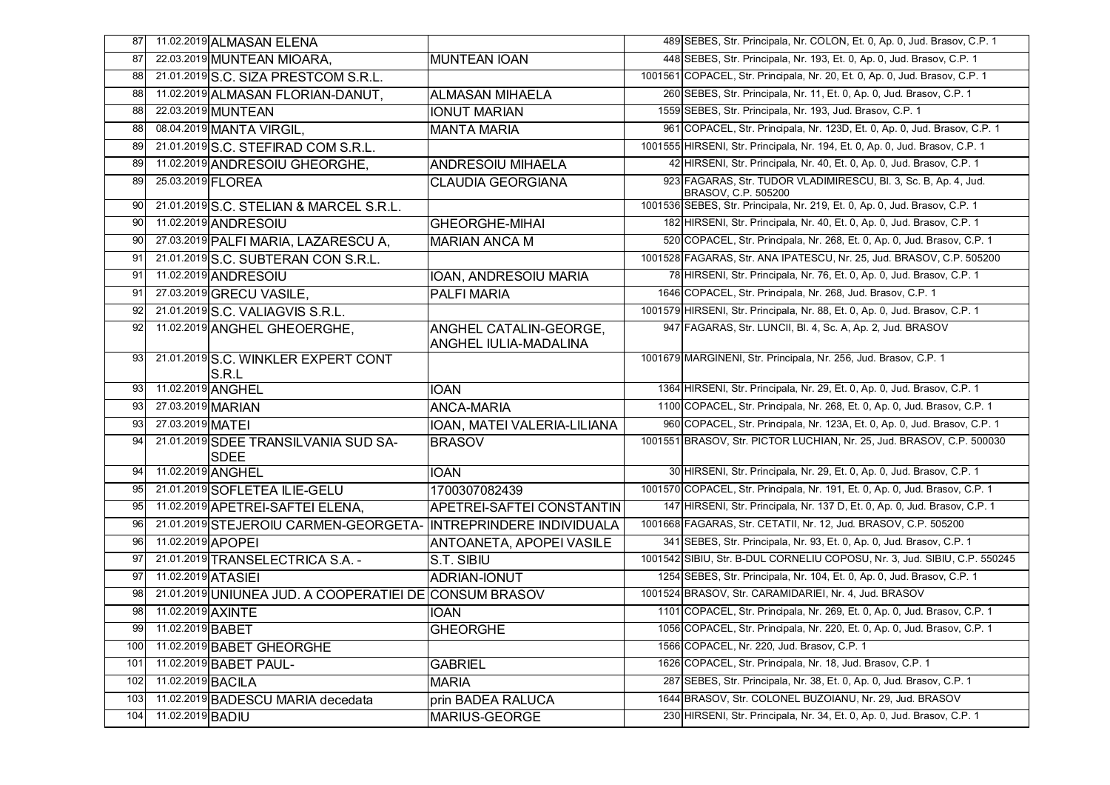| 87  | 11.02.2019 ALMASAN ELENA                               |                                                        | 489 SEBES, Str. Principala, Nr. COLON, Et. 0, Ap. 0, Jud. Brasov, C.P. 1               |
|-----|--------------------------------------------------------|--------------------------------------------------------|----------------------------------------------------------------------------------------|
| 87  | 22.03.2019 MUNTEAN MIOARA,                             | <b>MUNTEAN IOAN</b>                                    | 448 SEBES, Str. Principala, Nr. 193, Et. 0, Ap. 0, Jud. Brasov, C.P. 1                 |
| 88  | 21.01.2019 S.C. SIZA PRESTCOM S.R.L.                   |                                                        | 1001561 COPACEL, Str. Principala, Nr. 20, Et. 0, Ap. 0, Jud. Brasov, C.P. 1            |
| 88  | 11.02.2019 ALMASAN FLORIAN-DANUT,                      | <b>ALMASAN MIHAELA</b>                                 | 260 SEBES, Str. Principala, Nr. 11, Et. 0, Ap. 0, Jud. Brasov, C.P. 1                  |
| 88  | 22.03.2019 MUNTEAN                                     | <b>IONUT MARIAN</b>                                    | 1559 SEBES, Str. Principala, Nr. 193, Jud. Brasov, C.P. 1                              |
| 88  | 08.04.2019 MANTA VIRGIL,                               | <b>MANTA MARIA</b>                                     | 961 COPACEL, Str. Principala, Nr. 123D, Et. 0, Ap. 0, Jud. Brasov, C.P. 1              |
| 89  | 21.01.2019 S.C. STEFIRAD COM S.R.L.                    |                                                        | 1001555 HIRSENI, Str. Principala, Nr. 194, Et. 0, Ap. 0, Jud. Brasov, C.P. 1           |
| 89  | 11.02.2019 ANDRESOIU GHEORGHE,                         | <b>ANDRESOIU MIHAELA</b>                               | 42 HIRSENI, Str. Principala, Nr. 40, Et. 0, Ap. 0, Jud. Brasov, C.P. 1                 |
| 89  | 25.03.2019 FLOREA                                      | <b>CLAUDIA GEORGIANA</b>                               | 923 FAGARAS, Str. TUDOR VLADIMIRESCU, Bl. 3, Sc. B, Ap. 4, Jud.<br>BRASOV, C.P. 505200 |
| 90  | 21.01.2019 S.C. STELIAN & MARCEL S.R.L.                |                                                        | 1001536 SEBES, Str. Principala, Nr. 219, Et. 0, Ap. 0, Jud. Brasov, C.P. 1             |
| 90  | 11.02.2019 ANDRESOIU                                   | <b>GHEORGHE-MIHAI</b>                                  | 182 HIRSENI, Str. Principala, Nr. 40, Et. 0, Ap. 0, Jud. Brasov, C.P. 1                |
| 90  | 27.03.2019 PALFI MARIA, LAZARESCU A,                   | <b>MARIAN ANCA M</b>                                   | 520 COPACEL, Str. Principala, Nr. 268, Et. 0, Ap. 0, Jud. Brasov, C.P. 1               |
| 91  | 21.01.2019 S.C. SUBTERAN CON S.R.L.                    |                                                        | 1001528 FAGARAS, Str. ANA IPATESCU, Nr. 25, Jud. BRASOV, C.P. 505200                   |
| 91  | 11.02.2019 ANDRESOIU                                   | IOAN, ANDRESOIU MARIA                                  | 78 HIRSENI, Str. Principala, Nr. 76, Et. 0, Ap. 0, Jud. Brasov, C.P. 1                 |
| 91  | 27.03.2019 GRECU VASILE,                               | <b>PALFI MARIA</b>                                     | 1646 COPACEL, Str. Principala, Nr. 268, Jud. Brasov, C.P. 1                            |
| 92  | 21.01.2019 S.C. VALIAGVIS S.R.L.                       |                                                        | 1001579 HIRSENI, Str. Principala, Nr. 88, Et. 0, Ap. 0, Jud. Brasov, C.P. 1            |
| 92  | 11.02.2019 ANGHEL GHEOERGHE,                           | ANGHEL CATALIN-GEORGE,<br><b>ANGHEL IULIA-MADALINA</b> | 947 FAGARAS, Str. LUNCII, Bl. 4, Sc. A, Ap. 2, Jud. BRASOV                             |
| 93  | 21.01.2019 S.C. WINKLER EXPERT CONT<br>S.R.L           |                                                        | 1001679 MARGINENI, Str. Principala, Nr. 256, Jud. Brasov, C.P. 1                       |
| 93  | 11.02.2019 ANGHEL                                      | <b>IOAN</b>                                            | 1364 HIRSENI, Str. Principala, Nr. 29, Et. 0, Ap. 0, Jud. Brasov, C.P. 1               |
| 93  | 27.03.2019 MARIAN                                      | <b>ANCA-MARIA</b>                                      | 1100 COPACEL, Str. Principala, Nr. 268, Et. 0, Ap. 0, Jud. Brasov, C.P. 1              |
|     |                                                        |                                                        |                                                                                        |
| 93  | 27.03.2019 MATEI                                       | IOAN, MATEI VALERIA-LILIANA                            | 960 COPACEL, Str. Principala, Nr. 123A, Et. 0, Ap. 0, Jud. Brasov, C.P. 1              |
| 94  | 21.01.2019 SDEE TRANSILVANIA SUD SA-<br>ISDEE          | <b>BRASOV</b>                                          | 1001551 BRASOV, Str. PICTOR LUCHIAN, Nr. 25, Jud. BRASOV, C.P. 500030                  |
| 94  | 11.02.2019 ANGHEL                                      | <b>IOAN</b>                                            | 30 HIRSENI, Str. Principala, Nr. 29, Et. 0, Ap. 0, Jud. Brasov, C.P. 1                 |
| 95  | 21.01.2019 SOFLETEA ILIE-GELU                          | 1700307082439                                          | 1001570 COPACEL, Str. Principala, Nr. 191, Et. 0, Ap. 0, Jud. Brasov, C.P. 1           |
| 95  | 11.02.2019 APETREI-SAFTEI ELENA,                       | APETREI-SAFTEI CONSTANTIN                              | 147 HIRSENI, Str. Principala, Nr. 137 D, Et. 0, Ap. 0, Jud. Brasov, C.P. 1             |
| 96  | 21.01.2019 STEJEROIU CARMEN-GEORGETA-                  | INTREPRINDERE INDIVIDUALA                              | 1001668 FAGARAS, Str. CETATII, Nr. 12, Jud. BRASOV, C.P. 505200                        |
| 96  | 11.02.2019 APOPEI                                      | ANTOANETA, APOPEI VASILE                               | 341 SEBES, Str. Principala, Nr. 93, Et. 0, Ap. 0, Jud. Brasov, C.P. 1                  |
| 97  | 21.01.2019 TRANSELECTRICA S.A. -                       | S.T. SIBIU                                             | 1001542 SIBIU, Str. B-DUL CORNELIU COPOSU, Nr. 3, Jud. SIBIU, C.P. 550245              |
| 97  | 11.02.2019 ATASIEI                                     | <b>ADRIAN-IONUT</b>                                    | 1254 SEBES, Str. Principala, Nr. 104, Et. 0, Ap. 0, Jud. Brasov, C.P. 1                |
| 98  | 21.01.2019 UNIUNEA JUD. A COOPERATIEI DE CONSUM BRASOV |                                                        | 1001524 BRASOV, Str. CARAMIDARIEI, Nr. 4, Jud. BRASOV                                  |
| 98  | 11.02.2019 AXINTE                                      | <b>IOAN</b>                                            | 1101 COPACEL, Str. Principala, Nr. 269, Et. 0, Ap. 0, Jud. Brasov, C.P. 1              |
| 99  | 11.02.2019 BABET                                       | <b>GHEORGHE</b>                                        | 1056 COPACEL, Str. Principala, Nr. 220, Et. 0, Ap. 0, Jud. Brasov, C.P. 1              |
| 100 | 11.02.2019 BABET GHEORGHE                              |                                                        | 1566 COPACEL, Nr. 220, Jud. Brasov, C.P. 1                                             |
| 101 | 11.02.2019 BABET PAUL-                                 | <b>GABRIEL</b>                                         | 1626 COPACEL, Str. Principala, Nr. 18, Jud. Brasov, C.P. 1                             |
| 102 | 11.02.2019 BACILA                                      | <b>MARIA</b>                                           | 287 SEBES, Str. Principala, Nr. 38, Et. 0, Ap. 0, Jud. Brasov, C.P. 1                  |
| 103 | 11.02.2019 BADESCU MARIA decedata                      | prin BADEA RALUCA                                      | 1644 BRASOV, Str. COLONEL BUZOIANU, Nr. 29, Jud. BRASOV                                |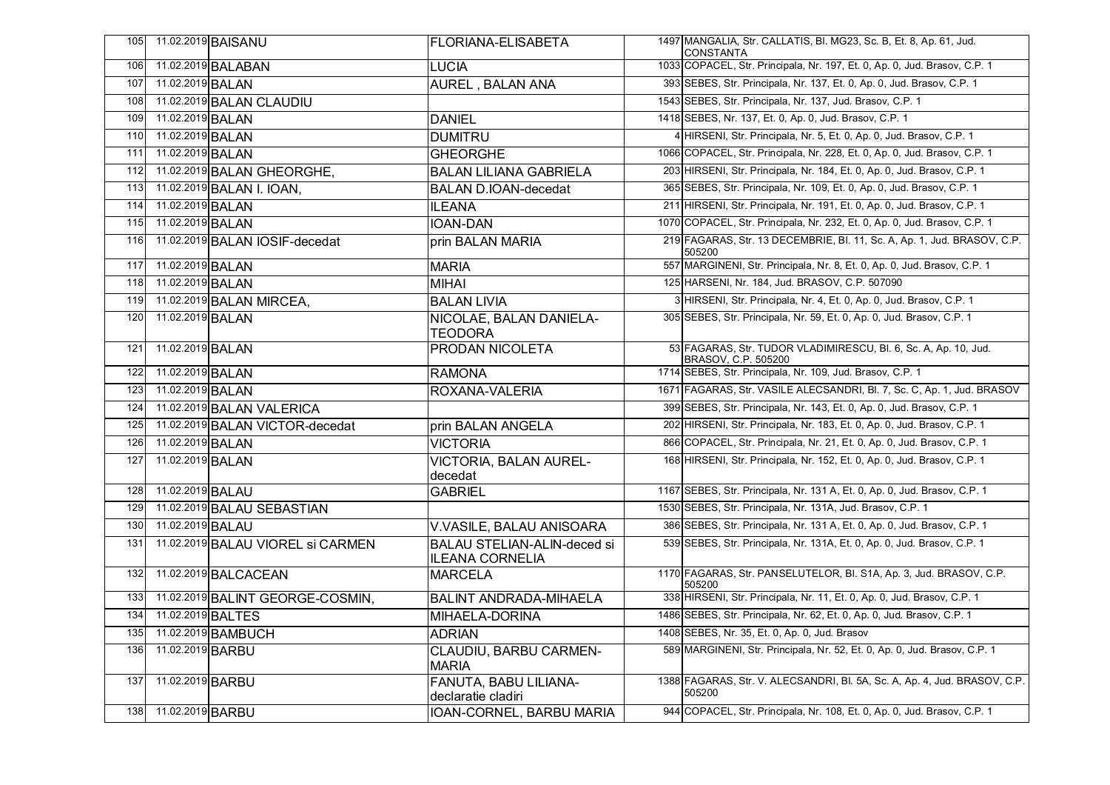| 105 |                      | 11.02.2019 BAISANU                | <b>FLORIANA-ELISABETA</b>                                    | 1497 MANGALIA, Str. CALLATIS, BI. MG23, Sc. B, Et. 8, Ap. 61, Jud.<br>CONSTANTA        |
|-----|----------------------|-----------------------------------|--------------------------------------------------------------|----------------------------------------------------------------------------------------|
| 106 |                      | 11.02.2019 BALABAN                | <b>LUCIA</b>                                                 | 1033 COPACEL, Str. Principala, Nr. 197, Et. 0, Ap. 0, Jud. Brasov, C.P. 1              |
| 107 | 11.02.2019 BALAN     |                                   | <b>AUREL, BALAN ANA</b>                                      | 393 SEBES, Str. Principala, Nr. 137, Et. 0, Ap. 0, Jud. Brasov, C.P. 1                 |
| 108 |                      | 11.02.2019 BALAN CLAUDIU          |                                                              | 1543 SEBES, Str. Principala, Nr. 137, Jud. Brasov, C.P. 1                              |
| 109 | 11.02.2019 BALAN     |                                   | <b>DANIEL</b>                                                | 1418 SEBES, Nr. 137, Et. 0, Ap. 0, Jud. Brasov, C.P. 1                                 |
| 110 | 11.02.2019 BALAN     |                                   | <b>DUMITRU</b>                                               | 4 HIRSENI, Str. Principala, Nr. 5, Et. 0, Ap. 0, Jud. Brasov, C.P. 1                   |
| 111 | 11.02.2019 BALAN     |                                   | <b>GHEORGHE</b>                                              | 1066 COPACEL, Str. Principala, Nr. 228, Et. 0, Ap. 0, Jud. Brasov, C.P. 1              |
| 112 |                      | 11.02.2019 BALAN GHEORGHE,        | <b>BALAN LILIANA GABRIELA</b>                                | 203 HIRSENI, Str. Principala, Nr. 184, Et. 0, Ap. 0, Jud. Brasov, C.P. 1               |
| 113 |                      | 11.02.2019 BALAN I. IOAN,         | <b>BALAN D.IOAN-decedat</b>                                  | 365 SEBES, Str. Principala, Nr. 109, Et. 0, Ap. 0, Jud. Brasov, C.P. 1                 |
| 114 | 11.02.2019 BALAN     |                                   | <b>ILEANA</b>                                                | 211 HIRSENI, Str. Principala, Nr. 191, Et. 0, Ap. 0, Jud. Brasov, C.P. 1               |
| 115 | 11.02.2019 BALAN     |                                   | <b>IOAN-DAN</b>                                              | 1070 COPACEL, Str. Principala, Nr. 232, Et. 0, Ap. 0, Jud. Brasov, C.P. 1              |
| 116 |                      | 11.02.2019 BALAN IOSIF-decedat    | prin BALAN MARIA                                             | 219 FAGARAS, Str. 13 DECEMBRIE, Bl. 11, Sc. A, Ap. 1, Jud. BRASOV, C.P.<br>505200      |
| 117 | 11.02.2019 BALAN     |                                   | <b>MARIA</b>                                                 | 557 MARGINENI, Str. Principala, Nr. 8, Et. 0, Ap. 0, Jud. Brasov, C.P. 1               |
| 118 | 11.02.2019 BALAN     |                                   | <b>MIHAI</b>                                                 | 125 HARSENI, Nr. 184, Jud. BRASOV, C.P. 507090                                         |
| 119 |                      | 11.02.2019 BALAN MIRCEA,          | <b>BALAN LIVIA</b>                                           | 3 HIRSENI, Str. Principala, Nr. 4, Et. 0, Ap. 0, Jud. Brasov, C.P. 1                   |
| 120 | 11.02.2019 BALAN     |                                   | NICOLAE, BALAN DANIELA-<br><b>TEODORA</b>                    | 305 SEBES, Str. Principala, Nr. 59, Et. 0, Ap. 0, Jud. Brasov, C.P. 1                  |
| 121 | 11.02.2019 BALAN     |                                   | <b>PRODAN NICOLETA</b>                                       | 53 FAGARAS, Str. TUDOR VLADIMIRESCU, Bl. 6, Sc. A, Ap. 10, Jud.<br>BRASOV, C.P. 505200 |
| 122 | 11.02.2019 BALAN     |                                   | <b>RAMONA</b>                                                | 1714 SEBES, Str. Principala, Nr. 109, Jud. Brasov, C.P. 1                              |
| 123 | 11.02.2019 BALAN     |                                   | ROXANA-VALERIA                                               | 1671 FAGARAS, Str. VASILE ALECSANDRI, Bl. 7, Sc. C, Ap. 1, Jud. BRASOV                 |
| 124 |                      | 11.02.2019 BALAN VALERICA         |                                                              | 399 SEBES, Str. Principala, Nr. 143, Et. 0, Ap. 0, Jud. Brasov, C.P. 1                 |
| 125 |                      | 11.02.2019 BALAN VICTOR-decedat   | prin BALAN ANGELA                                            | 202 HIRSENI, Str. Principala, Nr. 183, Et. 0, Ap. 0, Jud. Brasov, C.P. 1               |
| 126 | 11.02.2019 BALAN     |                                   | <b>VICTORIA</b>                                              | 866 COPACEL, Str. Principala, Nr. 21, Et. 0, Ap. 0, Jud. Brasov, C.P. 1                |
| 127 | 11.02.2019 BALAN     |                                   | <b>VICTORIA, BALAN AUREL-</b><br>decedat                     | 168 HIRSENI, Str. Principala, Nr. 152, Et. 0, Ap. 0, Jud. Brasov, C.P. 1               |
| 128 | 11.02.2019 BALAU     |                                   | <b>GABRIEL</b>                                               | 1167 SEBES, Str. Principala, Nr. 131 A, Et. 0, Ap. 0, Jud. Brasov, C.P. 1              |
| 129 |                      | 11.02.2019 BALAU SEBASTIAN        |                                                              | 1530 SEBES, Str. Principala, Nr. 131A, Jud. Brasov, C.P. 1                             |
| 130 | 11.02.2019 BALAU     |                                   | V.VASILE, BALAU ANISOARA                                     | 386 SEBES, Str. Principala, Nr. 131 A, Et. 0, Ap. 0, Jud. Brasov, C.P. 1               |
| 131 |                      | 11.02.2019 BALAU VIOREL SI CARMEN | <b>BALAU STELIAN-ALIN-deced si</b><br><b>ILEANA CORNELIA</b> | 539 SEBES, Str. Principala, Nr. 131A, Et. 0, Ap. 0, Jud. Brasov, C.P. 1                |
| 132 |                      | 11.02.2019 BALCACEAN              | <b>MARCELA</b>                                               | 1170 FAGARAS, Str. PANSELUTELOR, Bl. S1A, Ap. 3, Jud. BRASOV, C.P.<br>505200           |
| 133 |                      | 11.02.2019 BALINT GEORGE-COSMIN,  | <b>BALINT ANDRADA-MIHAELA</b>                                | 338 HIRSENI, Str. Principala, Nr. 11, Et. 0, Ap. 0, Jud. Brasov, C.P. 1                |
| 134 | 11.02.2019 BALTES    |                                   | MIHAELA-DORINA                                               | 1486 SEBES, Str. Principala, Nr. 62, Et. 0, Ap. 0, Jud. Brasov, C.P. 1                 |
| 135 |                      | 11.02.2019 BAMBUCH                | <b>ADRIAN</b>                                                | 1408 SEBES, Nr. 35, Et. 0, Ap. 0, Jud. Brasov                                          |
| 136 | 11.02.2019 BARBU     |                                   | CLAUDIU, BARBU CARMEN-<br><b>MARIA</b>                       | 589 MARGINENI, Str. Principala, Nr. 52, Et. 0, Ap. 0, Jud. Brasov, C.P. 1              |
| 137 | 11.02.2019 BARBU     |                                   | <b>FANUTA, BABU LILIANA-</b><br>declaratie cladiri           | 1388 FAGARAS, Str. V. ALECSANDRI, BI. 5A, Sc. A, Ap. 4, Jud. BRASOV, C.P.<br>505200    |
|     | 138 11.02.2019 BARBU |                                   | IOAN-CORNEL, BARBU MARIA                                     | 944 COPACEL, Str. Principala, Nr. 108, Et. 0, Ap. 0, Jud. Brasov, C.P. 1               |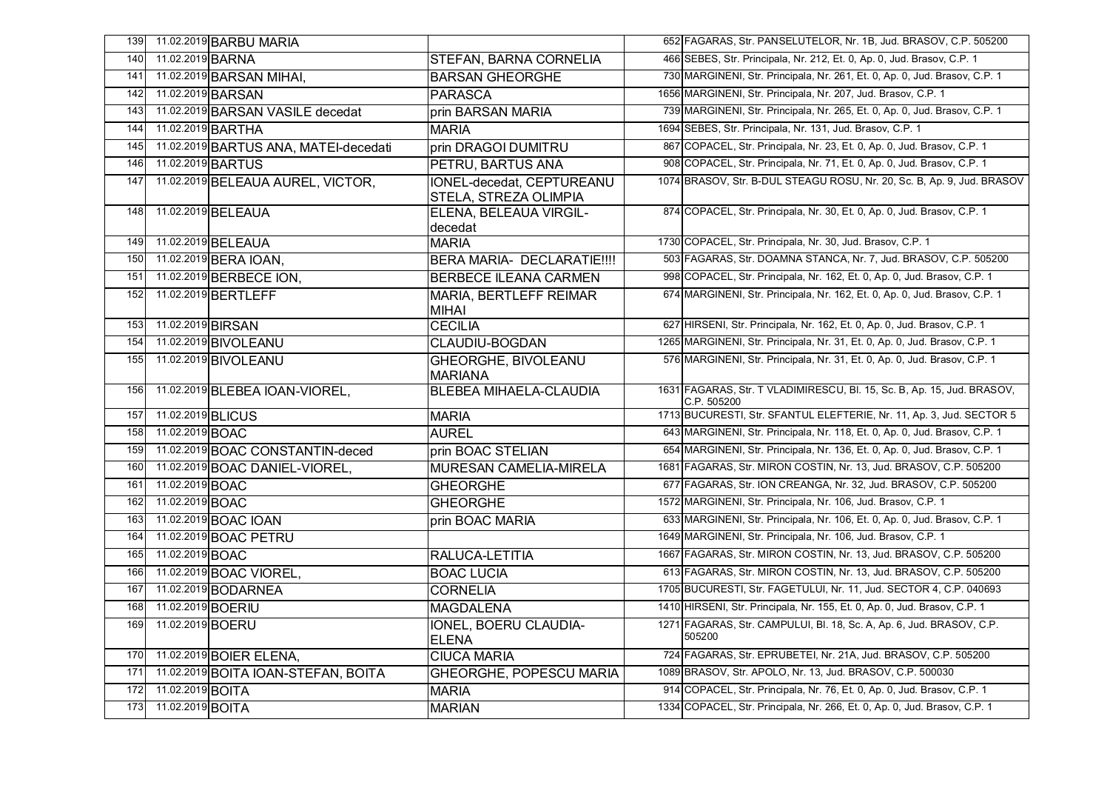| 139 |                   | 11.02.2019 BARBU MARIA                |                                                    | 652 FAGARAS, Str. PANSELUTELOR, Nr. 1B, Jud. BRASOV, C.P. 505200                      |
|-----|-------------------|---------------------------------------|----------------------------------------------------|---------------------------------------------------------------------------------------|
| 140 | 11.02.2019 BARNA  |                                       | STEFAN, BARNA CORNELIA                             | 466 SEBES, Str. Principala, Nr. 212, Et. 0, Ap. 0, Jud. Brasov, C.P. 1                |
| 141 |                   | 11.02.2019 BARSAN MIHAI,              | <b>BARSAN GHEORGHE</b>                             | 730 MARGINENI, Str. Principala, Nr. 261, Et. 0, Ap. 0, Jud. Brasov, C.P. 1            |
| 142 |                   | 11.02.2019 BARSAN                     | <b>PARASCA</b>                                     | 1656 MARGINENI, Str. Principala, Nr. 207, Jud. Brasov, C.P. 1                         |
| 143 |                   | 11.02.2019 BARSAN VASILE decedat      | prin BARSAN MARIA                                  | 739 MARGINENI, Str. Principala, Nr. 265, Et. 0, Ap. 0, Jud. Brasov, C.P. 1            |
| 144 |                   | 11.02.2019 BARTHA                     | <b>MARIA</b>                                       | 1694 SEBES, Str. Principala, Nr. 131, Jud. Brasov, C.P. 1                             |
| 145 |                   | 11.02.2019 BARTUS ANA, MATEI-decedati | prin DRAGOI DUMITRU                                | 867 COPACEL, Str. Principala, Nr. 23, Et. 0, Ap. 0, Jud. Brasov, C.P. 1               |
| 146 |                   | 11.02.2019 BARTUS                     | PETRU, BARTUS ANA                                  | 908 COPACEL, Str. Principala, Nr. 71, Et. 0, Ap. 0, Jud. Brasov, C.P. 1               |
| 147 |                   | 11.02.2019 BELEAUA AUREL, VICTOR,     | IONEL-decedat, CEPTUREANU<br>STELA. STREZA OLIMPIA | 1074 BRASOV, Str. B-DUL STEAGU ROSU, Nr. 20, Sc. B, Ap. 9, Jud. BRASOV                |
| 148 |                   | 11.02.2019 BELEAUA                    | ELENA, BELEAUA VIRGIL-<br>decedat                  | 874 COPACEL, Str. Principala, Nr. 30, Et. 0, Ap. 0, Jud. Brasov, C.P. 1               |
| 149 |                   | 11.02.2019 BELEAUA                    | <b>MARIA</b>                                       | 1730 COPACEL, Str. Principala, Nr. 30, Jud. Brasov, C.P. 1                            |
| 150 |                   | 11.02.2019 BERA IOAN,                 | BERA MARIA- DECLARATIE !!!!                        | 503 FAGARAS, Str. DOAMNA STANCA, Nr. 7, Jud. BRASOV, C.P. 505200                      |
| 151 |                   | 11.02.2019 BERBECE ION,               | <b>BERBECE ILEANA CARMEN</b>                       | 998 COPACEL, Str. Principala, Nr. 162, Et. 0, Ap. 0, Jud. Brasov, C.P. 1              |
| 152 |                   | 11.02.2019 BERTLEFF                   | <b>MARIA, BERTLEFF REIMAR</b><br><b>MIHAI</b>      | 674 MARGINENI, Str. Principala, Nr. 162, Et. 0, Ap. 0, Jud. Brasov, C.P. 1            |
| 153 | 11.02.2019 BIRSAN |                                       | <b>CECILIA</b>                                     | 627 HIRSENI, Str. Principala, Nr. 162, Et. 0, Ap. 0, Jud. Brasov, C.P. 1              |
| 154 |                   | 11.02.2019 BIVOLEANU                  | CLAUDIU-BOGDAN                                     | 1265 MARGINENI, Str. Principala, Nr. 31, Et. 0, Ap. 0, Jud. Brasov, C.P. 1            |
| 155 |                   | 11.02.2019 BIVOLEANU                  | <b>GHEORGHE, BIVOLEANU</b><br><b>MARIANA</b>       | 576 MARGINENI, Str. Principala, Nr. 31, Et. 0, Ap. 0, Jud. Brasov, C.P. 1             |
| 156 |                   | 11.02.2019 BLEBEA IOAN-VIOREL,        | <b>BLEBEA MIHAELA-CLAUDIA</b>                      | 1631 FAGARAS, Str. T VLADIMIRESCU, Bl. 15, Sc. B, Ap. 15, Jud. BRASOV,<br>C.P. 505200 |
| 157 | 11.02.2019 BLICUS |                                       | <b>MARIA</b>                                       | 1713 BUCURESTI, Str. SFANTUL ELEFTERIE, Nr. 11, Ap. 3, Jud. SECTOR 5                  |
| 158 | 11.02.2019 BOAC   |                                       | <b>AUREL</b>                                       | 643 MARGINENI, Str. Principala, Nr. 118, Et. 0, Ap. 0, Jud. Brasov, C.P. 1            |
| 159 |                   | 11.02.2019 BOAC CONSTANTIN-deced      | prin BOAC STELIAN                                  | 654 MARGINENI, Str. Principala, Nr. 136, Et. 0, Ap. 0, Jud. Brasov, C.P. 1            |
| 160 |                   | 11.02.2019 BOAC DANIEL-VIOREL,        | <b>MURESAN CAMELIA-MIRELA</b>                      | 1681 FAGARAS, Str. MIRON COSTIN, Nr. 13, Jud. BRASOV, C.P. 505200                     |
| 161 | 11.02.2019 BOAC   |                                       | <b>GHEORGHE</b>                                    | 677 FAGARAS, Str. ION CREANGA, Nr. 32, Jud. BRASOV, C.P. 505200                       |
| 162 | 11.02.2019 BOAC   |                                       | <b>GHEORGHE</b>                                    | 1572 MARGINENI, Str. Principala, Nr. 106, Jud. Brasov, C.P. 1                         |
| 163 |                   | 11.02.2019 BOAC IOAN                  | prin BOAC MARIA                                    | 633 MARGINENI, Str. Principala, Nr. 106, Et. 0, Ap. 0, Jud. Brasov, C.P. 1            |
| 164 |                   | 11.02.2019 BOAC PETRU                 |                                                    | 1649 MARGINENI, Str. Principala, Nr. 106, Jud. Brasov, C.P. 1                         |
| 165 | 11.02.2019 BOAC   |                                       | RALUCA-LETITIA                                     | 1667 FAGARAS, Str. MIRON COSTIN, Nr. 13, Jud. BRASOV, C.P. 505200                     |
| 166 |                   | 11.02.2019 BOAC VIOREL,               | <b>BOAC LUCIA</b>                                  | 613 FAGARAS, Str. MIRON COSTIN, Nr. 13, Jud. BRASOV, C.P. 505200                      |
| 167 |                   | 11.02.2019 <b>BODARNEA</b>            | <b>CORNELIA</b>                                    | 1705 BUCURESTI, Str. FAGETULUI, Nr. 11, Jud. SECTOR 4, C.P. 040693                    |
| 168 | 11.02.2019 BOERIU |                                       | <b>MAGDALENA</b>                                   | 1410 HIRSENI, Str. Principala, Nr. 155, Et. 0, Ap. 0, Jud. Brasov, C.P. 1             |
| 169 | 11.02.2019 BOERU  |                                       | IONEL, BOERU CLAUDIA-<br><b>ELENA</b>              | 1271 FAGARAS, Str. CAMPULUI, Bl. 18, Sc. A, Ap. 6, Jud. BRASOV, C.P.<br>505200        |
| 170 |                   | 11.02.2019 BOIER ELENA,               | <b>CIUCA MARIA</b>                                 | 724 FAGARAS, Str. EPRUBETEI, Nr. 21A, Jud. BRASOV, C.P. 505200                        |
| 171 |                   | 11.02.2019 BOITA IOAN-STEFAN, BOITA   | <b>GHEORGHE, POPESCU MARIA</b>                     | 1089 BRASOV, Str. APOLO, Nr. 13, Jud. BRASOV, C.P. 500030                             |
| 172 | 11.02.2019 BOITA  |                                       | <b>MARIA</b>                                       | 914 COPACEL, Str. Principala, Nr. 76, Et. 0, Ap. 0, Jud. Brasov, C.P. 1               |
| 173 | 11.02.2019 BOITA  |                                       | <b>MARIAN</b>                                      | 1334 COPACEL, Str. Principala, Nr. 266, Et. 0, Ap. 0, Jud. Brasov, C.P. 1             |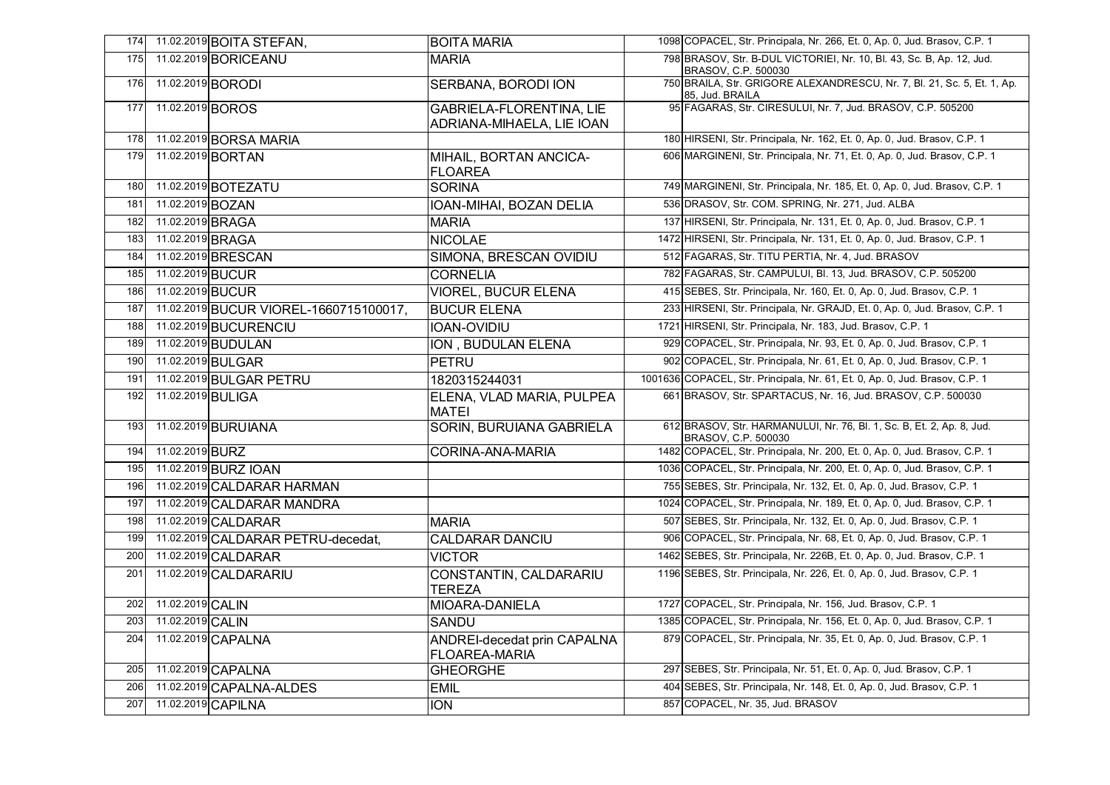| 174 |                   | 11.02.2019 BOITA STEFAN,               | <b>BOITA MARIA</b>                                           | 1098 COPACEL, Str. Principala, Nr. 266, Et. 0, Ap. 0, Jud. Brasov, C.P. 1                    |
|-----|-------------------|----------------------------------------|--------------------------------------------------------------|----------------------------------------------------------------------------------------------|
| 175 |                   | 11.02.2019 <b>BORICEANU</b>            | <b>MARIA</b>                                                 | 798 BRASOV, Str. B-DUL VICTORIEI, Nr. 10, Bl. 43, Sc. B, Ap. 12, Jud.<br>BRASOV, C.P. 500030 |
| 176 |                   | 11.02.2019 BORODI                      | SERBANA, BORODI ION                                          | 750 BRAILA, Str. GRIGORE ALEXANDRESCU, Nr. 7, Bl. 21, Sc. 5, Et. 1, Ap.<br>85, Jud. BRAILA   |
| 177 | 11.02.2019 BOROS  |                                        | <b>GABRIELA-FLORENTINA, LIE</b><br>ADRIANA-MIHAELA, LIE IOAN | 95 FAGARAS, Str. CIRESULUI, Nr. 7, Jud. BRASOV, C.P. 505200                                  |
| 178 |                   | 11.02.2019 BORSA MARIA                 |                                                              | 180 HIRSENI, Str. Principala, Nr. 162, Et. 0, Ap. 0, Jud. Brasov, C.P. 1                     |
| 179 |                   | 11.02.2019 BORTAN                      | MIHAIL, BORTAN ANCICA-<br>FLOAREA                            | 606 MARGINENI, Str. Principala, Nr. 71, Et. 0, Ap. 0, Jud. Brasov, C.P. 1                    |
| 180 |                   | 11.02.2019 BOTEZATU                    | <b>SORINA</b>                                                | 749 MARGINENI, Str. Principala, Nr. 185, Et. 0, Ap. 0, Jud. Brasov, C.P. 1                   |
| 181 | 11.02.2019 BOZAN  |                                        | IOAN-MIHAI, BOZAN DELIA                                      | 536 DRASOV, Str. COM. SPRING, Nr. 271, Jud. ALBA                                             |
| 182 | 11.02.2019 BRAGA  |                                        | <b>MARIA</b>                                                 | 137 HIRSENI, Str. Principala, Nr. 131, Et. 0, Ap. 0, Jud. Brasov, C.P. 1                     |
| 183 | 11.02.2019 BRAGA  |                                        | <b>NICOLAE</b>                                               | 1472 HIRSENI, Str. Principala, Nr. 131, Et. 0, Ap. 0, Jud. Brasov, C.P. 1                    |
| 184 |                   | 11.02.2019 BRESCAN                     | SIMONA, BRESCAN OVIDIU                                       | 512 FAGARAS, Str. TITU PERTIA, Nr. 4, Jud. BRASOV                                            |
| 185 | 11.02.2019 BUCUR  |                                        | <b>CORNELIA</b>                                              | 782 FAGARAS, Str. CAMPULUI, Bl. 13, Jud. BRASOV, C.P. 505200                                 |
| 186 | 11.02.2019 BUCUR  |                                        | <b>VIOREL, BUCUR ELENA</b>                                   | 415 SEBES, Str. Principala, Nr. 160, Et. 0, Ap. 0, Jud. Brasov, C.P. 1                       |
| 187 |                   | 11.02.2019 BUCUR VIOREL-1660715100017, | <b>BUCUR ELENA</b>                                           | 233 HIRSENI, Str. Principala, Nr. GRAJD, Et. 0, Ap. 0, Jud. Brasov, C.P. 1                   |
| 188 |                   | 11.02.2019 BUCURENCIU                  | <b>IOAN-OVIDIU</b>                                           | 1721 HIRSENI, Str. Principala, Nr. 183, Jud. Brasov, C.P. 1                                  |
| 189 |                   | 11.02.2019 BUDULAN                     | ION, BUDULAN ELENA                                           | 929 COPACEL, Str. Principala, Nr. 93, Et. 0, Ap. 0, Jud. Brasov, C.P. 1                      |
| 190 |                   | 11.02.2019 BULGAR                      | <b>PETRU</b>                                                 | 902 COPACEL, Str. Principala, Nr. 61, Et. 0, Ap. 0, Jud. Brasov, C.P. 1                      |
| 191 |                   | 11.02.2019 BULGAR PETRU                | 1820315244031                                                | 1001636 COPACEL, Str. Principala, Nr. 61, Et. 0, Ap. 0, Jud. Brasov, C.P. 1                  |
| 192 | 11.02.2019 BULIGA |                                        | ELENA, VLAD MARIA, PULPEA<br>MATEI                           | 661 BRASOV, Str. SPARTACUS, Nr. 16, Jud. BRASOV, C.P. 500030                                 |
| 193 |                   | 11.02.2019 BURUIANA                    | SORIN, BURUIANA GABRIELA                                     | 612 BRASOV, Str. HARMANULUI, Nr. 76, Bl. 1, Sc. B, Et. 2, Ap. 8, Jud.<br>BRASOV, C.P. 500030 |
| 194 | 11.02.2019 BURZ   |                                        | <b>CORINA-ANA-MARIA</b>                                      | 1482 COPACEL, Str. Principala, Nr. 200, Et. 0, Ap. 0, Jud. Brasov, C.P. 1                    |
| 195 |                   | 11.02.2019 BURZ IOAN                   |                                                              | 1036 COPACEL, Str. Principala, Nr. 200, Et. 0, Ap. 0, Jud. Brasov, C.P. 1                    |
| 196 |                   | 11.02.2019 CALDARAR HARMAN             |                                                              | 755 SEBES, Str. Principala, Nr. 132, Et. 0, Ap. 0, Jud. Brasov, C.P. 1                       |
| 197 |                   | 11.02.2019 CALDARAR MANDRA             |                                                              | 1024 COPACEL, Str. Principala, Nr. 189, Et. 0, Ap. 0, Jud. Brasov, C.P. 1                    |
| 198 |                   | 11.02.2019 CALDARAR                    | <b>MARIA</b>                                                 | 507 SEBES, Str. Principala, Nr. 132, Et. 0, Ap. 0, Jud. Brasov, C.P. 1                       |
| 199 |                   | 11.02.2019 CALDARAR PETRU-decedat,     | <b>CALDARAR DANCIU</b>                                       | 906 COPACEL, Str. Principala, Nr. 68, Et. 0, Ap. 0, Jud. Brasov, C.P. 1                      |
| 200 |                   | 11.02.2019 CALDARAR                    | <b>VICTOR</b>                                                | 1462 SEBES, Str. Principala, Nr. 226B, Et. 0, Ap. 0, Jud. Brasov, C.P. 1                     |
| 201 |                   | 11.02.2019 CALDARARIU                  | CONSTANTIN, CALDARARIU<br><b>TEREZA</b>                      | 1196 SEBES, Str. Principala, Nr. 226, Et. 0, Ap. 0, Jud. Brasov, C.P. 1                      |
| 202 | 11.02.2019 CALIN  |                                        | <b>MIOARA-DANIELA</b>                                        | 1727 COPACEL, Str. Principala, Nr. 156, Jud. Brasov, C.P. 1                                  |
| 203 | 11.02.2019 CALIN  |                                        | <b>SANDU</b>                                                 | 1385 COPACEL, Str. Principala, Nr. 156, Et. 0, Ap. 0, Jud. Brasov, C.P. 1                    |
| 204 |                   | 11.02.2019 CAPALNA                     | <b>ANDREI-decedat prin CAPALNA</b><br><b>FLOAREA-MARIA</b>   | 879 COPACEL, Str. Principala, Nr. 35, Et. 0, Ap. 0, Jud. Brasov, C.P. 1                      |
| 205 |                   | 11.02.2019 CAPALNA                     | <b>GHEORGHE</b>                                              | 297 SEBES, Str. Principala, Nr. 51, Et. 0, Ap. 0, Jud. Brasov, C.P. 1                        |
| 206 |                   | 11.02.2019 CAPALNA-ALDES               | <b>EMIL</b>                                                  | 404 SEBES, Str. Principala, Nr. 148, Et. 0, Ap. 0, Jud. Brasov, C.P. 1                       |
| 207 |                   | 11.02.2019 CAPILNA                     | <b>ION</b>                                                   | 857 COPACEL, Nr. 35, Jud. BRASOV                                                             |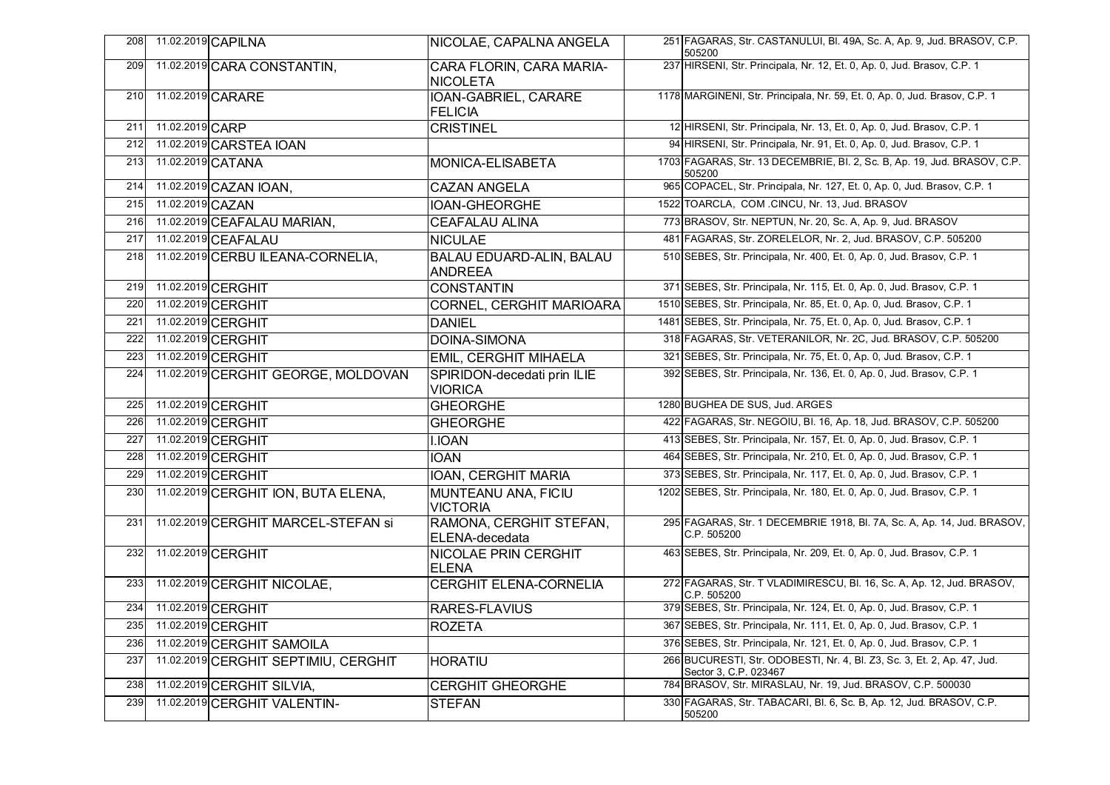| 208 |                  | 11.02.2019 CAPILNA                   | NICOLAE, CAPALNA ANGELA                           | 251 FAGARAS, Str. CASTANULUI, Bl. 49A, Sc. A, Ap. 9, Jud. BRASOV, C.P.<br>505200                 |
|-----|------------------|--------------------------------------|---------------------------------------------------|--------------------------------------------------------------------------------------------------|
| 209 |                  | 11.02.2019 CARA CONSTANTIN,          | CARA FLORIN, CARA MARIA-<br><b>NICOLETA</b>       | 237 HIRSENI, Str. Principala, Nr. 12, Et. 0, Ap. 0, Jud. Brasov, C.P. 1                          |
| 210 |                  | 11.02.2019 CARARE                    | IOAN-GABRIEL, CARARE<br><b>FELICIA</b>            | 1178 MARGINENI, Str. Principala, Nr. 59, Et. 0, Ap. 0, Jud. Brasov, C.P. 1                       |
| 211 | 11.02.2019 CARP  |                                      | <b>CRISTINEL</b>                                  | 12 HIRSENI, Str. Principala, Nr. 13, Et. 0, Ap. 0, Jud. Brasov, C.P. 1                           |
| 212 |                  | 11.02.2019 CARSTEA IOAN              |                                                   | 94 HIRSENI, Str. Principala, Nr. 91, Et. 0, Ap. 0, Jud. Brasov, C.P. 1                           |
| 213 |                  | 11.02.2019 CATANA                    | MONICA-ELISABETA                                  | 1703 FAGARAS, Str. 13 DECEMBRIE, Bl. 2, Sc. B, Ap. 19, Jud. BRASOV, C.P.<br>505200               |
| 214 |                  | 11.02.2019 CAZAN IOAN,               | <b>CAZAN ANGELA</b>                               | 965 COPACEL, Str. Principala, Nr. 127, Et. 0, Ap. 0, Jud. Brasov, C.P. 1                         |
| 215 | 11.02.2019 CAZAN |                                      | IOAN-GHEORGHE                                     | 1522 TOARCLA, COM .CINCU, Nr. 13, Jud. BRASOV                                                    |
| 216 |                  | 11.02.2019 CEAFALAU MARIAN,          | <b>CEAFALAU ALINA</b>                             | 773 BRASOV, Str. NEPTUN, Nr. 20, Sc. A, Ap. 9, Jud. BRASOV                                       |
| 217 |                  | 11.02.2019 CEAFALAU                  | <b>NICULAE</b>                                    | 481 FAGARAS, Str. ZORELELOR, Nr. 2, Jud. BRASOV, C.P. 505200                                     |
| 218 |                  | 11.02.2019 CERBU ILEANA-CORNELIA,    | <b>BALAU EDUARD-ALIN, BALAU</b><br><b>ANDREEA</b> | 510 SEBES, Str. Principala, Nr. 400, Et. 0, Ap. 0, Jud. Brasov, C.P. 1                           |
| 219 |                  | 11.02.2019 CERGHIT                   | <b>CONSTANTIN</b>                                 | 371 SEBES, Str. Principala, Nr. 115, Et. 0, Ap. 0, Jud. Brasov, C.P. 1                           |
| 220 |                  | 11.02.2019 CERGHIT                   | CORNEL, CERGHIT MARIOARA                          | 1510 SEBES, Str. Principala, Nr. 85, Et. 0, Ap. 0, Jud. Brasov, C.P. 1                           |
| 221 |                  | 11.02.2019 CERGHIT                   | <b>DANIEL</b>                                     | 1481 SEBES, Str. Principala, Nr. 75, Et. 0, Ap. 0, Jud. Brasov, C.P. 1                           |
| 222 |                  | 11.02.2019 CERGHIT                   | <b>DOINA-SIMONA</b>                               | 318 FAGARAS, Str. VETERANILOR, Nr. 2C, Jud. BRASOV, C.P. 505200                                  |
| 223 |                  | 11.02.2019 CERGHIT                   | <b>EMIL, CERGHIT MIHAELA</b>                      | 321 SEBES, Str. Principala, Nr. 75, Et. 0, Ap. 0, Jud. Brasov, C.P. 1                            |
| 224 |                  | 11.02.2019 CERGHIT GEORGE, MOLDOVAN  | SPIRIDON-decedati prin ILIE<br><b>VIORICA</b>     | 392 SEBES, Str. Principala, Nr. 136, Et. 0, Ap. 0, Jud. Brasov, C.P. 1                           |
| 225 |                  | 11.02.2019 CERGHIT                   | <b>GHEORGHE</b>                                   | 1280 BUGHEA DE SUS, Jud. ARGES                                                                   |
| 226 |                  | 11.02.2019 CERGHIT                   | <b>GHEORGHE</b>                                   | 422 FAGARAS, Str. NEGOIU, Bl. 16, Ap. 18, Jud. BRASOV, C.P. 505200                               |
| 227 |                  | 11.02.2019 CERGHIT                   | <b>I.IOAN</b>                                     | 413 SEBES, Str. Principala, Nr. 157, Et. 0, Ap. 0, Jud. Brasov, C.P. 1                           |
| 228 |                  | 11.02.2019 CERGHIT                   | <b>IOAN</b>                                       | 464 SEBES, Str. Principala, Nr. 210, Et. 0, Ap. 0, Jud. Brasov, C.P. 1                           |
| 229 |                  | 11.02.2019 CERGHIT                   | IOAN, CERGHIT MARIA                               | 373 SEBES, Str. Principala, Nr. 117, Et. 0, Ap. 0, Jud. Brasov, C.P. 1                           |
| 230 |                  | 11.02.2019 CERGHIT ION, BUTA ELENA,  | <b>MUNTEANU ANA, FICIU</b><br><b>VICTORIA</b>     | 1202 SEBES, Str. Principala, Nr. 180, Et. 0, Ap. 0, Jud. Brasov, C.P. 1                          |
| 231 |                  | 11.02.2019 CERGHIT MARCEL-STEFAN Si  | RAMONA, CERGHIT STEFAN,<br>ELENA-decedata         | 295 FAGARAS, Str. 1 DECEMBRIE 1918, BI. 7A, Sc. A, Ap. 14, Jud. BRASOV,<br>C.P. 505200           |
| 232 |                  | 11.02.2019 CERGHIT                   | <b>NICOLAE PRIN CERGHIT</b><br><b>ELENA</b>       | 463 SEBES, Str. Principala, Nr. 209, Et. 0, Ap. 0, Jud. Brasov, C.P. 1                           |
| 233 |                  | 11.02.2019 CERGHIT NICOLAE,          | <b>CERGHIT ELENA-CORNELIA</b>                     | 272 FAGARAS, Str. T VLADIMIRESCU, Bl. 16, Sc. A, Ap. 12, Jud. BRASOV,<br>C.P. 505200             |
| 234 |                  | 11.02.2019 CERGHIT                   | RARES-FLAVIUS                                     | 379 SEBES, Str. Principala, Nr. 124, Et. 0, Ap. 0, Jud. Brasov, C.P. 1                           |
| 235 |                  | 11.02.2019 CERGHIT                   | <b>ROZETA</b>                                     | 367 SEBES, Str. Principala, Nr. 111, Et. 0, Ap. 0, Jud. Brasov, C.P. 1                           |
| 236 |                  | 11.02.2019 CERGHIT SAMOILA           |                                                   | 376 SEBES, Str. Principala, Nr. 121, Et. 0, Ap. 0, Jud. Brasov, C.P. 1                           |
| 237 |                  | 11.02.2019 CERGHIT SEPTIMIU, CERGHIT | <b>HORATIU</b>                                    | 266 BUCURESTI, Str. ODOBESTI, Nr. 4, Bl. Z3, Sc. 3, Et. 2, Ap. 47, Jud.<br>Sector 3, C.P. 023467 |
| 238 |                  | 11.02.2019 CERGHIT SILVIA,           | <b>CERGHIT GHEORGHE</b>                           | 784 BRASOV, Str. MIRASLAU, Nr. 19, Jud. BRASOV, C.P. 500030                                      |
| 239 |                  | 11.02.2019 CERGHIT VALENTIN-         | <b>STEFAN</b>                                     | 330 FAGARAS, Str. TABACARI, Bl. 6, Sc. B, Ap. 12, Jud. BRASOV, C.P.<br>505200                    |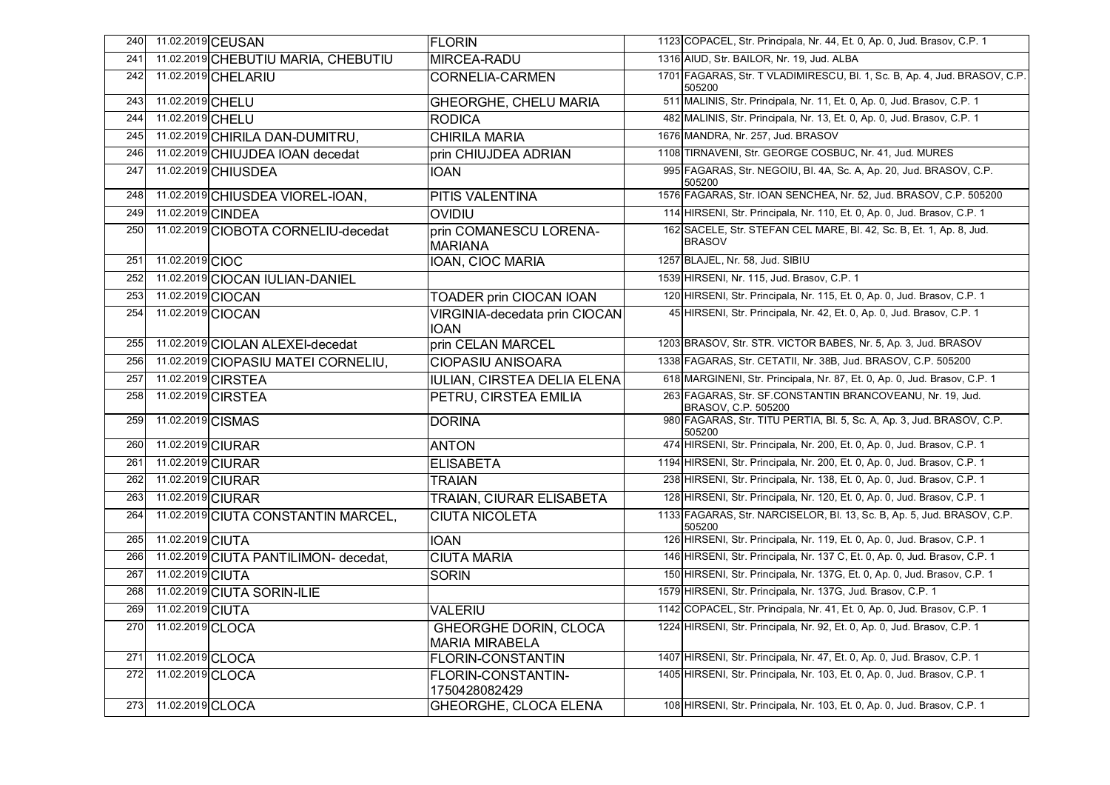| 240 |                   | 11.02.2019 CEUSAN                     | <b>FLORIN</b>                                         | 1123 COPACEL, Str. Principala, Nr. 44, Et. 0, Ap. 0, Jud. Brasov, C.P. 1             |
|-----|-------------------|---------------------------------------|-------------------------------------------------------|--------------------------------------------------------------------------------------|
| 241 |                   | 11.02.2019 CHEBUTIU MARIA, CHEBUTIU   | MIRCEA-RADU                                           | 1316 AIUD, Str. BAILOR, Nr. 19, Jud. ALBA                                            |
| 242 |                   | 11.02.2019 CHELARIU                   | <b>CORNELIA-CARMEN</b>                                | 1701 FAGARAS, Str. T VLADIMIRESCU, Bl. 1, Sc. B, Ap. 4, Jud. BRASOV, C.P.<br>505200  |
| 243 | 11.02.2019 CHELU  |                                       | <b>GHEORGHE, CHELU MARIA</b>                          | 511 MALINIS, Str. Principala, Nr. 11, Et. 0, Ap. 0, Jud. Brasov, C.P. 1              |
| 244 | 11.02.2019 CHELU  |                                       | <b>RODICA</b>                                         | 482 MALINIS, Str. Principala, Nr. 13, Et. 0, Ap. 0, Jud. Brasov, C.P. 1              |
| 245 |                   | 11.02.2019 CHIRILA DAN-DUMITRU,       | <b>CHIRILA MARIA</b>                                  | 1676 MANDRA, Nr. 257, Jud. BRASOV                                                    |
| 246 |                   | 11.02.2019 CHIUJDEA IOAN decedat      | prin CHIUJDEA ADRIAN                                  | 1108 TIRNAVENI, Str. GEORGE COSBUC, Nr. 41, Jud. MURES                               |
| 247 |                   | 11.02.2019 CHIUSDEA                   | <b>IOAN</b>                                           | 995 FAGARAS, Str. NEGOIU, Bl. 4A, Sc. A, Ap. 20, Jud. BRASOV, C.P.<br>505200         |
| 248 |                   | 11.02.2019 CHIUSDEA VIOREL-IOAN,      | <b>PITIS VALENTINA</b>                                | 1576 FAGARAS, Str. IOAN SENCHEA, Nr. 52, Jud. BRASOV, C.P. 505200                    |
| 249 | 11.02.2019 CINDEA |                                       | <b>OVIDIU</b>                                         | 114 HIRSENI, Str. Principala, Nr. 110, Et. 0, Ap. 0, Jud. Brasov, C.P. 1             |
| 250 |                   | 11.02.2019 CIOBOTA CORNELIU-decedat   | prin COMANESCU LORENA-<br><b>MARIANA</b>              | 162 SACELE, Str. STEFAN CEL MARE, Bl. 42, Sc. B, Et. 1, Ap. 8, Jud.<br><b>BRASOV</b> |
| 251 | 11.02.2019 CIOC   |                                       | IOAN, CIOC MARIA                                      | 1257 BLAJEL, Nr. 58, Jud. SIBIU                                                      |
| 252 |                   | 11.02.2019 CIOCAN IULIAN-DANIEL       |                                                       | 1539 HIRSENI, Nr. 115, Jud. Brasov, C.P. 1                                           |
| 253 |                   | 11.02.2019 CIOCAN                     | TOADER prin CIOCAN IOAN                               | 120 HIRSENI, Str. Principala, Nr. 115, Et. 0, Ap. 0, Jud. Brasov, C.P. 1             |
| 254 |                   | 11.02.2019 CIOCAN                     | VIRGINIA-decedata prin CIOCAN<br><b>IOAN</b>          | 45 HIRSENI, Str. Principala, Nr. 42, Et. 0, Ap. 0, Jud. Brasov, C.P. 1               |
| 255 |                   | 11.02.2019 CIOLAN ALEXEI-decedat      | prin CELAN MARCEL                                     | 1203 BRASOV, Str. STR. VICTOR BABES, Nr. 5, Ap. 3, Jud. BRASOV                       |
| 256 |                   | 11.02.2019 CIOPASIU MATEI CORNELIU,   | <b>CIOPASIU ANISOARA</b>                              | 1338 FAGARAS, Str. CETATII, Nr. 38B, Jud. BRASOV, C.P. 505200                        |
| 257 |                   | 11.02.2019 CIRSTEA                    | <b>IULIAN, CIRSTEA DELIA ELENA</b>                    | 618 MARGINENI, Str. Principala, Nr. 87, Et. 0, Ap. 0, Jud. Brasov, C.P. 1            |
| 258 |                   | 11.02.2019 CIRSTEA                    | PETRU, CIRSTEA EMILIA                                 | 263 FAGARAS, Str. SF.CONSTANTIN BRANCOVEANU, Nr. 19, Jud.<br>BRASOV, C.P. 505200     |
| 259 |                   | 11.02.2019 CISMAS                     | <b>DORINA</b>                                         | 980 FAGARAS, Str. TITU PERTIA, Bl. 5, Sc. A, Ap. 3, Jud. BRASOV, C.P.<br>505200      |
| 260 |                   | 11.02.2019 CIURAR                     | <b>ANTON</b>                                          | 474 HIRSENI, Str. Principala, Nr. 200, Et. 0, Ap. 0, Jud. Brasov, C.P. 1             |
| 261 |                   | 11.02.2019 CIURAR                     | ELISABETA                                             | 1194 HIRSENI, Str. Principala, Nr. 200, Et. 0, Ap. 0, Jud. Brasov, C.P. 1            |
| 262 |                   | 11.02.2019 CIURAR                     | <b>TRAIAN</b>                                         | 238 HIRSENI, Str. Principala, Nr. 138, Et. 0, Ap. 0, Jud. Brasov, C.P. 1             |
| 263 |                   | 11.02.2019 CIURAR                     | TRAIAN, CIURAR ELISABETA                              | 128 HIRSENI, Str. Principala, Nr. 120, Et. 0, Ap. 0, Jud. Brasov, C.P. 1             |
| 264 |                   | 11.02.2019 CIUTA CONSTANTIN MARCEL,   | <b>CIUTA NICOLETA</b>                                 | 1133 FAGARAS, Str. NARCISELOR, Bl. 13, Sc. B, Ap. 5, Jud. BRASOV, C.P.<br>505200     |
| 265 | 11.02.2019 CIUTA  |                                       | <b>IOAN</b>                                           | 126 HIRSENI, Str. Principala, Nr. 119, Et. 0, Ap. 0, Jud. Brasov, C.P. 1             |
| 266 |                   | 11.02.2019 CIUTA PANTILIMON- decedat, | <b>CIUTA MARIA</b>                                    | 146 HIRSENI, Str. Principala, Nr. 137 C, Et. 0, Ap. 0, Jud. Brasov, C.P. 1           |
| 267 | 11.02.2019 CIUTA  |                                       | <b>SORIN</b>                                          | 150 HIRSENI, Str. Principala, Nr. 137G, Et. 0, Ap. 0, Jud. Brasov, C.P. 1            |
| 268 |                   | 11.02.2019 CIUTA SORIN-ILIE           |                                                       | 1579 HIRSENI, Str. Principala, Nr. 137G, Jud. Brasov, C.P. 1                         |
| 269 | 11.02.2019 CIUTA  |                                       | <b>VALERIU</b>                                        | 1142 COPACEL, Str. Principala, Nr. 41, Et. 0, Ap. 0, Jud. Brasov, C.P. 1             |
| 270 | 11.02.2019 CLOCA  |                                       | <b>GHEORGHE DORIN, CLOCA</b><br><b>MARIA MIRABELA</b> | 1224 HIRSENI, Str. Principala, Nr. 92, Et. 0, Ap. 0, Jud. Brasov, C.P. 1             |
| 271 | 11.02.2019 CLOCA  |                                       | <b>FLORIN-CONSTANTIN</b>                              | 1407 HIRSENI, Str. Principala, Nr. 47, Et. 0, Ap. 0, Jud. Brasov, C.P. 1             |
| 272 | 11.02.2019 CLOCA  |                                       | FLORIN-CONSTANTIN-<br>1750428082429                   | 1405 HIRSENI, Str. Principala, Nr. 103, Et. 0, Ap. 0, Jud. Brasov, C.P. 1            |
| 273 | 11.02.2019 CLOCA  |                                       | GHEORGHE, CLOCA ELENA                                 | 108 HIRSENI, Str. Principala, Nr. 103, Et. 0, Ap. 0, Jud. Brasov, C.P. 1             |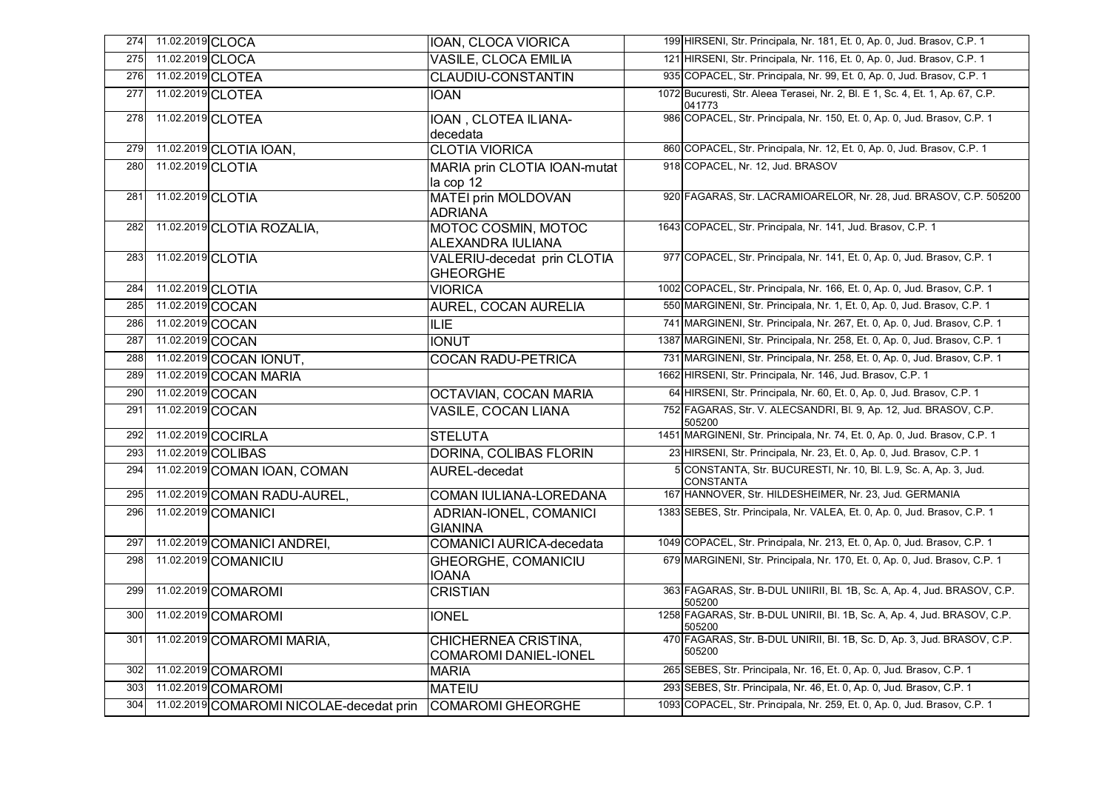| 274 | 11.02.2019 CLOCA  |                                          | <b>IOAN, CLOCA VIORICA</b>                           | 199 HIRSENI, Str. Principala, Nr. 181, Et. 0, Ap. 0, Jud. Brasov, C.P. 1                 |
|-----|-------------------|------------------------------------------|------------------------------------------------------|------------------------------------------------------------------------------------------|
| 275 | 11.02.2019 CLOCA  |                                          | <b>VASILE, CLOCA EMILIA</b>                          | 121 HIRSENI, Str. Principala, Nr. 116, Et. 0, Ap. 0, Jud. Brasov, C.P. 1                 |
| 276 |                   | 11.02.2019 CLOTEA                        | CLAUDIU-CONSTANTIN                                   | 935 COPACEL, Str. Principala, Nr. 99, Et. 0, Ap. 0, Jud. Brasov, C.P. 1                  |
| 277 |                   | 11.02.2019 CLOTEA                        | <b>IOAN</b>                                          | 1072 Bucuresti, Str. Aleea Terasei, Nr. 2, Bl. E 1, Sc. 4, Et. 1, Ap. 67, C.P.<br>041773 |
| 278 | 11.02.2019 CLOTEA |                                          | IOAN, CLOTEA ILIANA-<br>decedata                     | 986 COPACEL, Str. Principala, Nr. 150, Et. 0, Ap. 0, Jud. Brasov, C.P. 1                 |
| 279 |                   | 11.02.2019 CLOTIA IOAN,                  | <b>CLOTIA VIORICA</b>                                | 860 COPACEL, Str. Principala, Nr. 12, Et. 0, Ap. 0, Jud. Brasov, C.P. 1                  |
| 280 | 11.02.2019 CLOTIA |                                          | MARIA prin CLOTIA IOAN-mutat                         | 918 COPACEL, Nr. 12, Jud. BRASOV                                                         |
|     |                   |                                          | la cop 12                                            |                                                                                          |
| 281 | 11.02.2019 CLOTIA |                                          | <b>MATEI prin MOLDOVAN</b><br><b>ADRIANA</b>         | 920 FAGARAS, Str. LACRAMIOARELOR, Nr. 28, Jud. BRASOV, C.P. 505200                       |
| 282 |                   | 11.02.2019 CLOTIA ROZALIA,               | <b>MOTOC COSMIN, MOTOC</b><br>ALEXANDRA IULIANA      | 1643 COPACEL, Str. Principala, Nr. 141, Jud. Brasov, C.P. 1                              |
| 283 | 11.02.2019 CLOTIA |                                          | VALERIU-decedat prin CLOTIA<br><b>GHEORGHE</b>       | 977 COPACEL, Str. Principala, Nr. 141, Et. 0, Ap. 0, Jud. Brasov, C.P. 1                 |
| 284 | 11.02.2019 CLOTIA |                                          | <b>VIORICA</b>                                       | 1002 COPACEL, Str. Principala, Nr. 166, Et. 0, Ap. 0, Jud. Brasov, C.P. 1                |
| 285 | 11.02.2019 COCAN  |                                          | <b>AUREL, COCAN AURELIA</b>                          | 550 MARGINENI, Str. Principala, Nr. 1, Et. 0, Ap. 0, Jud. Brasov, C.P. 1                 |
| 286 | 11.02.2019 COCAN  |                                          | <b>ILIE</b>                                          | 741 MARGINENI, Str. Principala, Nr. 267, Et. 0, Ap. 0, Jud. Brasov, C.P. 1               |
| 287 | 11.02.2019 COCAN  |                                          | <b>IONUT</b>                                         | 1387 MARGINENI, Str. Principala, Nr. 258, Et. 0, Ap. 0, Jud. Brasov, C.P. 1              |
| 288 |                   | 11.02.2019 COCAN IONUT,                  | <b>COCAN RADU-PETRICA</b>                            | 731 MARGINENI, Str. Principala, Nr. 258, Et. 0, Ap. 0, Jud. Brasov, C.P. 1               |
| 289 |                   | 11.02.2019 COCAN MARIA                   |                                                      | 1662 HIRSENI, Str. Principala, Nr. 146, Jud. Brasov, C.P. 1                              |
| 290 | 11.02.2019 COCAN  |                                          | <b>OCTAVIAN, COCAN MARIA</b>                         | 64 HIRSENI, Str. Principala, Nr. 60, Et. 0, Ap. 0, Jud. Brasov, C.P. 1                   |
| 291 | 11.02.2019 COCAN  |                                          | <b>VASILE, COCAN LIANA</b>                           | 752 FAGARAS, Str. V. ALECSANDRI, Bl. 9, Ap. 12, Jud. BRASOV, C.P.<br>505200              |
| 292 |                   | 11.02.2019 COCIRLA                       | <b>STELUTA</b>                                       | 1451 MARGINENI, Str. Principala, Nr. 74, Et. 0, Ap. 0, Jud. Brasov, C.P. 1               |
| 293 |                   | 11.02.2019 COLIBAS                       | <b>DORINA, COLIBAS FLORIN</b>                        | 23 HIRSENI, Str. Principala, Nr. 23, Et. 0, Ap. 0, Jud. Brasov, C.P. 1                   |
| 294 |                   | 11.02.2019 COMAN IOAN, COMAN             | AUREL-decedat                                        | 5 CONSTANTA, Str. BUCURESTI, Nr. 10, Bl. L.9, Sc. A, Ap. 3, Jud.<br><b>CONSTANTA</b>     |
| 295 |                   | 11.02.2019 COMAN RADU-AUREL,             | COMAN IULIANA-LOREDANA                               | 167 HANNOVER, Str. HILDESHEIMER, Nr. 23, Jud. GERMANIA                                   |
| 296 |                   | 11.02.2019 COMANICI                      | ADRIAN-IONEL, COMANICI<br><b>GIANINA</b>             | 1383 SEBES, Str. Principala, Nr. VALEA, Et. 0, Ap. 0, Jud. Brasov, C.P. 1                |
| 297 |                   | 11.02.2019 COMANICI ANDREI,              | <b>COMANICI AURICA-decedata</b>                      | 1049 COPACEL, Str. Principala, Nr. 213, Et. 0, Ap. 0, Jud. Brasov, C.P. 1                |
| 298 |                   | 11.02.2019 COMANICIU                     | <b>GHEORGHE, COMANICIU</b><br><b>IOANA</b>           | 679 MARGINENI, Str. Principala, Nr. 170, Et. 0, Ap. 0, Jud. Brasov, C.P. 1               |
| 299 |                   | 11.02.2019 COMAROMI                      | <b>CRISTIAN</b>                                      | 363 FAGARAS, Str. B-DUL UNIIRII, Bl. 1B, Sc. A, Ap. 4, Jud. BRASOV, C.P.<br>505200       |
| 300 |                   | 11.02.2019 COMAROMI                      | <b>IONEL</b>                                         | 1258 FAGARAS, Str. B-DUL UNIRII, Bl. 1B, Sc. A, Ap. 4, Jud. BRASOV, C.P.<br>505200       |
| 301 |                   | 11.02.2019 COMAROMI MARIA,               | CHICHERNEA CRISTINA,<br><b>COMAROMI DANIEL-IONEL</b> | 470 FAGARAS, Str. B-DUL UNIRII, BI. 1B, Sc. D, Ap. 3, Jud. BRASOV, C.P.<br>505200        |
| 302 |                   | 11.02.2019 COMAROMI                      | <b>MARIA</b>                                         | 265 SEBES, Str. Principala, Nr. 16, Et. 0, Ap. 0, Jud. Brasov, C.P. 1                    |
| 303 |                   | 11.02.2019 COMAROMI                      | <b>MATEIU</b>                                        | 293 SEBES, Str. Principala, Nr. 46, Et. 0, Ap. 0, Jud. Brasov, C.P. 1                    |
| 304 |                   | 11.02.2019 COMAROMI NICOLAE-decedat prin | <b>COMAROMI GHEORGHE</b>                             | 1093 COPACEL, Str. Principala, Nr. 259, Et. 0, Ap. 0, Jud. Brasov, C.P. 1                |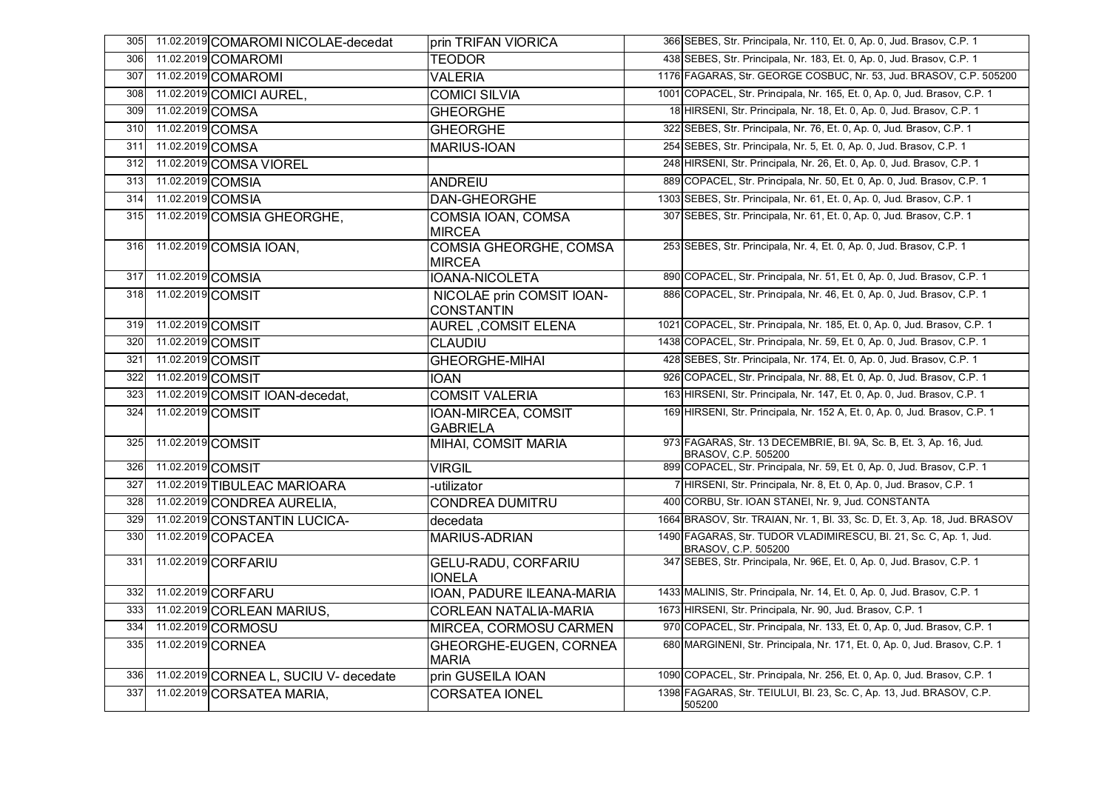| 305 | 11.02.2019 COMAROMI NICOLAE-decedat    | prin TRIFAN VIORICA                            | 366 SEBES, Str. Principala, Nr. 110, Et. 0, Ap. 0, Jud. Brasov, C.P. 1                    |
|-----|----------------------------------------|------------------------------------------------|-------------------------------------------------------------------------------------------|
| 306 | 11.02.2019 COMAROMI                    | <b>TEODOR</b>                                  | 438 SEBES, Str. Principala, Nr. 183, Et. 0, Ap. 0, Jud. Brasov, C.P. 1                    |
| 307 | 11.02.2019 COMAROMI                    | <b>VALERIA</b>                                 | 1176 FAGARAS, Str. GEORGE COSBUC, Nr. 53, Jud. BRASOV, C.P. 505200                        |
| 308 | 11.02.2019 COMICI AUREL,               | <b>COMICI SILVIA</b>                           | 1001 COPACEL, Str. Principala, Nr. 165, Et. 0, Ap. 0, Jud. Brasov, C.P. 1                 |
| 309 | 11.02.2019 COMSA                       | <b>GHEORGHE</b>                                | 18 HIRSENI, Str. Principala, Nr. 18, Et. 0, Ap. 0, Jud. Brasov, C.P. 1                    |
| 310 | 11.02.2019 COMSA                       | <b>GHEORGHE</b>                                | 322 SEBES, Str. Principala, Nr. 76, Et. 0, Ap. 0, Jud. Brasov, C.P. 1                     |
| 311 | 11.02.2019 COMSA                       | <b>MARIUS-IOAN</b>                             | 254 SEBES, Str. Principala, Nr. 5, Et. 0, Ap. 0, Jud. Brasov, C.P. 1                      |
| 312 | 11.02.2019 COMSA VIOREL                |                                                | 248 HIRSENI, Str. Principala, Nr. 26, Et. 0, Ap. 0, Jud. Brasov, C.P. 1                   |
| 313 | 11.02.2019 COMSIA                      | <b>ANDREIU</b>                                 | 889 COPACEL, Str. Principala, Nr. 50, Et. 0, Ap. 0, Jud. Brasov, C.P. 1                   |
| 314 | 11.02.2019 COMSIA                      | DAN-GHEORGHE                                   | 1303 SEBES, Str. Principala, Nr. 61, Et. 0, Ap. 0, Jud. Brasov, C.P. 1                    |
| 315 | 11.02.2019 COMSIA GHEORGHE,            | COMSIA IOAN, COMSA<br><b>MIRCEA</b>            | 307 SEBES, Str. Principala, Nr. 61, Et. 0, Ap. 0, Jud. Brasov, C.P. 1                     |
| 316 | 11.02.2019 COMSIA IOAN,                | COMSIA GHEORGHE, COMSA<br><b>MIRCEA</b>        | 253 SEBES, Str. Principala, Nr. 4, Et. 0, Ap. 0, Jud. Brasov, C.P. 1                      |
| 317 | 11.02.2019 COMSIA                      | <b>IOANA-NICOLETA</b>                          | 890 COPACEL, Str. Principala, Nr. 51, Et. 0, Ap. 0, Jud. Brasov, C.P. 1                   |
| 318 | 11.02.2019 COMSIT                      | NICOLAE prin COMSIT IOAN-<br><b>CONSTANTIN</b> | 886 COPACEL, Str. Principala, Nr. 46, Et. 0, Ap. 0, Jud. Brasov, C.P. 1                   |
| 319 | 11.02.2019 COMSIT                      | <b>AUREL, COMSIT ELENA</b>                     | 1021 COPACEL, Str. Principala, Nr. 185, Et. 0, Ap. 0, Jud. Brasov, C.P. 1                 |
| 320 | 11.02.2019 COMSIT                      | <b>CLAUDIU</b>                                 | 1438 COPACEL, Str. Principala, Nr. 59, Et. 0, Ap. 0, Jud. Brasov, C.P. 1                  |
| 321 | 11.02.2019 COMSIT                      | <b>GHEORGHE-MIHAI</b>                          | 428 SEBES, Str. Principala, Nr. 174, Et. 0, Ap. 0, Jud. Brasov, C.P. 1                    |
| 322 | 11.02.2019 COMSIT                      | <b>IOAN</b>                                    | 926 COPACEL, Str. Principala, Nr. 88, Et. 0, Ap. 0, Jud. Brasov, C.P. 1                   |
| 323 | 11.02.2019 COMSIT IOAN-decedat,        | <b>COMSIT VALERIA</b>                          | 163 HIRSENI, Str. Principala, Nr. 147, Et. 0, Ap. 0, Jud. Brasov, C.P. 1                  |
| 324 | 11.02.2019 COMSIT                      | IOAN-MIRCEA, COMSIT<br><b>GABRIELA</b>         | 169 HIRSENI, Str. Principala, Nr. 152 A, Et. 0, Ap. 0, Jud. Brasov, C.P. 1                |
| 325 | 11.02.2019 COMSIT                      | MIHAI, COMSIT MARIA                            | 973 FAGARAS, Str. 13 DECEMBRIE, Bl. 9A, Sc. B, Et. 3, Ap. 16, Jud.<br>BRASOV, C.P. 505200 |
| 326 | 11.02.2019 COMSIT                      | <b>VIRGIL</b>                                  | 899 COPACEL, Str. Principala, Nr. 59, Et. 0, Ap. 0, Jud. Brasov, C.P. 1                   |
| 327 | 11.02.2019 TIBULEAC MARIOARA           | -utilizator                                    | 7 HIRSENI, Str. Principala, Nr. 8, Et. 0, Ap. 0, Jud. Brasov, C.P. 1                      |
| 328 | 11.02.2019 CONDREA AURELIA,            | <b>CONDREA DUMITRU</b>                         | 400 CORBU, Str. IOAN STANEI, Nr. 9, Jud. CONSTANTA                                        |
| 329 | 11.02.2019 CONSTANTIN LUCICA-          | decedata                                       | 1664 BRASOV, Str. TRAIAN, Nr. 1, Bl. 33, Sc. D, Et. 3, Ap. 18, Jud. BRASOV                |
| 330 | 11.02.2019 COPACEA                     | <b>MARIUS-ADRIAN</b>                           | 1490 FAGARAS, Str. TUDOR VLADIMIRESCU, Bl. 21, Sc. C, Ap. 1, Jud.<br>BRASOV, C.P. 505200  |
| 331 | 11.02.2019 CORFARIU                    | <b>GELU-RADU, CORFARIU</b><br><b>IONELA</b>    | 347 SEBES, Str. Principala, Nr. 96E, Et. 0, Ap. 0, Jud. Brasov, C.P. 1                    |
| 332 | 11.02.2019 CORFARU                     | IOAN, PADURE ILEANA-MARIA                      | 1433 MALINIS, Str. Principala, Nr. 14, Et. 0, Ap. 0, Jud. Brasov, C.P. 1                  |
| 333 | 11.02.2019 CORLEAN MARIUS,             | <b>CORLEAN NATALIA-MARIA</b>                   | 1673 HIRSENI, Str. Principala, Nr. 90, Jud. Brasov, C.P. 1                                |
| 334 | 11.02.2019 CORMOSU                     | MIRCEA, CORMOSU CARMEN                         | 970 COPACEL, Str. Principala, Nr. 133, Et. 0, Ap. 0, Jud. Brasov, C.P. 1                  |
| 335 | 11.02.2019 CORNEA                      | GHEORGHE-EUGEN, CORNEA<br><b>MARIA</b>         | 680 MARGINENI, Str. Principala, Nr. 171, Et. 0, Ap. 0, Jud. Brasov, C.P. 1                |
| 336 | 11.02.2019 CORNEA L, SUCIU V- decedate | prin GUSEILA IOAN                              | 1090 COPACEL, Str. Principala, Nr. 256, Et. 0, Ap. 0, Jud. Brasov, C.P. 1                 |
| 337 | 11.02.2019 CORSATEA MARIA,             | <b>CORSATEA IONEL</b>                          | 1398 FAGARAS, Str. TEIULUI, Bl. 23, Sc. C, Ap. 13, Jud. BRASOV, C.P.<br>505200            |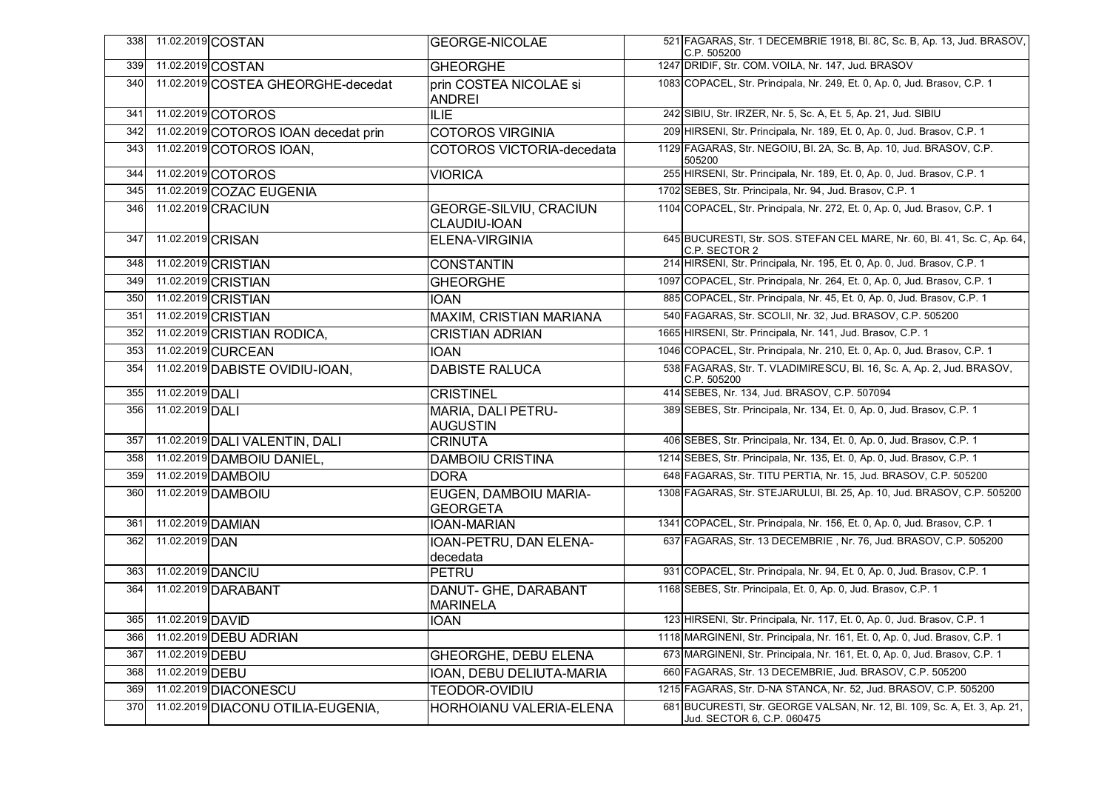| 338 |                      | 11.02.2019 COSTAN                    | <b>GEORGE-NICOLAE</b>                         | 521 FAGARAS, Str. 1 DECEMBRIE 1918, Bl. 8C, Sc. B, Ap. 13, Jud. BRASOV,<br>C.P. 505200                  |
|-----|----------------------|--------------------------------------|-----------------------------------------------|---------------------------------------------------------------------------------------------------------|
| 339 |                      | 11.02.2019 COSTAN                    | <b>GHEORGHE</b>                               | 1247 DRIDIF, Str. COM. VOILA, Nr. 147, Jud. BRASOV                                                      |
| 340 |                      | 11.02.2019 COSTEA GHEORGHE-decedat   | prin COSTEA NICOLAE si<br><b>ANDREI</b>       | 1083 COPACEL, Str. Principala, Nr. 249, Et. 0, Ap. 0, Jud. Brasov, C.P. 1                               |
| 341 |                      | 11.02.2019 COTOROS                   | ILIE                                          | 242 SIBIU, Str. IRZER, Nr. 5, Sc. A, Et. 5, Ap. 21, Jud. SIBIU                                          |
| 342 |                      | 11.02.2019 COTOROS IOAN decedat prin | <b>COTOROS VIRGINIA</b>                       | 209 HIRSENI, Str. Principala, Nr. 189, Et. 0, Ap. 0, Jud. Brasov, C.P. 1                                |
| 343 |                      | 11.02.2019 COTOROS IOAN,             | COTOROS VICTORIA-decedata                     | 1129 FAGARAS, Str. NEGOIU, Bl. 2A, Sc. B, Ap. 10, Jud. BRASOV, C.P.<br>505200                           |
| 344 |                      | 11.02.2019 COTOROS                   | <b>VIORICA</b>                                | 255 HIRSENI, Str. Principala, Nr. 189, Et. 0, Ap. 0, Jud. Brasov, C.P. 1                                |
| 345 |                      | 11.02.2019 COZAC EUGENIA             |                                               | 1702 SEBES, Str. Principala, Nr. 94, Jud. Brasov, C.P. 1                                                |
| 346 |                      | 11.02.2019 CRACIUN                   | <b>GEORGE-SILVIU, CRACIUN</b><br>CLAUDIU-IOAN | 1104 COPACEL, Str. Principala, Nr. 272, Et. 0, Ap. 0, Jud. Brasov, C.P. 1                               |
| 347 | 11.02.2019 CRISAN    |                                      | <b>ELENA-VIRGINIA</b>                         | 645 BUCURESTI, Str. SOS. STEFAN CEL MARE, Nr. 60, Bl. 41, Sc. C, Ap. 64,<br>C.P. SECTOR 2               |
| 348 |                      | 11.02.2019 CRISTIAN                  | <b>CONSTANTIN</b>                             | 214 HIRSENI, Str. Principala, Nr. 195, Et. 0, Ap. 0, Jud. Brasov, C.P. 1                                |
| 349 |                      | 11.02.2019 CRISTIAN                  | <b>GHEORGHE</b>                               | 1097 COPACEL, Str. Principala, Nr. 264, Et. 0, Ap. 0, Jud. Brasov, C.P. 1                               |
| 350 |                      | 11.02.2019 CRISTIAN                  | <b>IOAN</b>                                   | 885 COPACEL, Str. Principala, Nr. 45, Et. 0, Ap. 0, Jud. Brasov, C.P. 1                                 |
| 351 |                      | 11.02.2019 CRISTIAN                  | MAXIM, CRISTIAN MARIANA                       | 540 FAGARAS, Str. SCOLII, Nr. 32, Jud. BRASOV, C.P. 505200                                              |
| 352 |                      | 11.02.2019 CRISTIAN RODICA,          | <b>CRISTIAN ADRIAN</b>                        | 1665 HIRSENI, Str. Principala, Nr. 141, Jud. Brasov, C.P. 1                                             |
| 353 |                      | 11.02.2019 CURCEAN                   | IOAN                                          | 1046 COPACEL, Str. Principala, Nr. 210, Et. 0, Ap. 0, Jud. Brasov, C.P. 1                               |
| 354 |                      | 11.02.2019 DABISTE OVIDIU-IOAN,      | <b>DABISTE RALUCA</b>                         | 538 FAGARAS, Str. T. VLADIMIRESCU, Bl. 16, Sc. A, Ap. 2, Jud. BRASOV,<br>C.P. 505200                    |
| 355 | 11.02.2019 DALI      |                                      | <b>CRISTINEL</b>                              | 414 SEBES, Nr. 134, Jud. BRASOV, C.P. 507094                                                            |
| 356 | 11.02.2019 DALI      |                                      | MARIA, DALI PETRU-<br><b>AUGUSTIN</b>         | 389 SEBES, Str. Principala, Nr. 134, Et. 0, Ap. 0, Jud. Brasov, C.P. 1                                  |
| 357 |                      | 11.02.2019 DALI VALENTIN, DALI       | <b>CRINUTA</b>                                | 406 SEBES, Str. Principala, Nr. 134, Et. 0, Ap. 0, Jud. Brasov, C.P. 1                                  |
| 358 |                      | 11.02.2019 DAMBOIU DANIEL,           | <b>DAMBOIU CRISTINA</b>                       | 1214 SEBES, Str. Principala, Nr. 135, Et. 0, Ap. 0, Jud. Brasov, C.P. 1                                 |
| 359 |                      | 11.02.2019 DAMBOIU                   | <b>DORA</b>                                   | 648 FAGARAS, Str. TITU PERTIA, Nr. 15, Jud. BRASOV, C.P. 505200                                         |
| 360 |                      | 11.02.2019 DAMBOIU                   | EUGEN, DAMBOIU MARIA-<br><b>GEORGETA</b>      | 1308 FAGARAS, Str. STEJARULUI, Bl. 25, Ap. 10, Jud. BRASOV, C.P. 505200                                 |
| 361 | 11.02.2019 DAMIAN    |                                      | IOAN-MARIAN                                   | 1341 COPACEL, Str. Principala, Nr. 156, Et. 0, Ap. 0, Jud. Brasov, C.P. 1                               |
| 362 | 11.02.2019 DAN       |                                      | IOAN-PETRU, DAN ELENA-<br>decedata            | 637 FAGARAS, Str. 13 DECEMBRIE, Nr. 76, Jud. BRASOV, C.P. 505200                                        |
| 363 | 11.02.2019 DANCIU    |                                      | PETRU                                         | 931 COPACEL, Str. Principala, Nr. 94, Et. 0, Ap. 0, Jud. Brasov, C.P. 1                                 |
| 364 |                      | 11.02.2019 DARABANT                  | DANUT- GHE, DARABANT<br><b>MARINELA</b>       | 1168 SEBES, Str. Principala, Et. 0, Ap. 0, Jud. Brasov, C.P. 1                                          |
|     | 365 11.02.2019 DAVID |                                      | <b>IOAN</b>                                   | 123 HIRSENI, Str. Principala, Nr. 117, Et. 0, Ap. 0, Jud. Brasov, C.P. 1                                |
| 366 |                      | 11.02.2019 DEBU ADRIAN               |                                               | 1118 MARGINENI, Str. Principala, Nr. 161, Et. 0, Ap. 0, Jud. Brasov, C.P. 1                             |
| 367 | 11.02.2019 DEBU      |                                      | GHEORGHE, DEBU ELENA                          | 673 MARGINENI, Str. Principala, Nr. 161, Et. 0, Ap. 0, Jud. Brasov, C.P. 1                              |
| 368 | 11.02.2019 DEBU      |                                      | IOAN, DEBU DELIUTA-MARIA                      | 660 FAGARAS, Str. 13 DECEMBRIE, Jud. BRASOV, C.P. 505200                                                |
| 369 |                      | 11.02.2019 DIACONESCU                | TEODOR-OVIDIU                                 | 1215 FAGARAS, Str. D-NA STANCA, Nr. 52, Jud. BRASOV, C.P. 505200                                        |
| 370 |                      | 11.02.2019 DIACONU OTILIA-EUGENIA,   | HORHOIANU VALERIA-ELENA                       | 681 BUCURESTI, Str. GEORGE VALSAN, Nr. 12, Bl. 109, Sc. A, Et. 3, Ap. 21,<br>Jud. SECTOR 6, C.P. 060475 |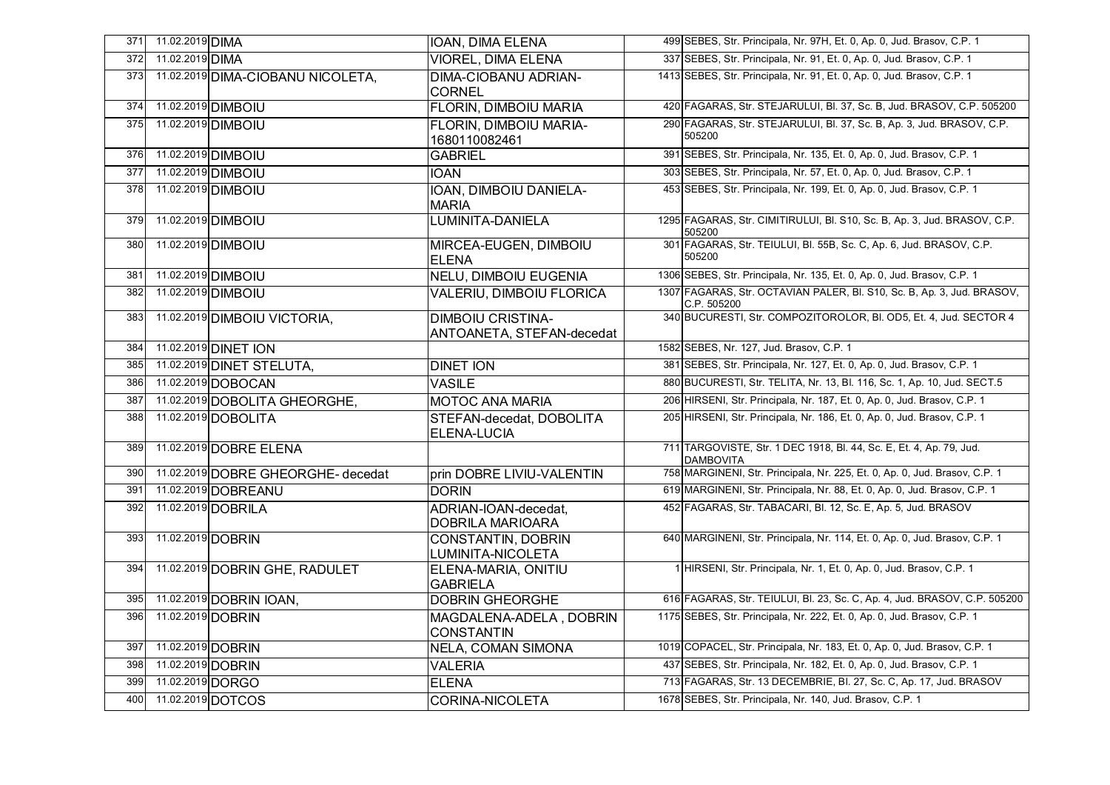| 371 | 11.02.2019 DIMA   |                                    | <b>IOAN, DIMA ELENA</b>                               | 499 SEBES, Str. Principala, Nr. 97H, Et. 0, Ap. 0, Jud. Brasov, C.P. 1                  |
|-----|-------------------|------------------------------------|-------------------------------------------------------|-----------------------------------------------------------------------------------------|
| 372 | 11.02.2019 DIMA   |                                    | <b>VIOREL, DIMA ELENA</b>                             | 337 SEBES, Str. Principala, Nr. 91, Et. 0, Ap. 0, Jud. Brasov, C.P. 1                   |
| 373 |                   | 11.02.2019 DIMA-CIOBANU NICOLETA,  | <b>DIMA-CIOBANU ADRIAN-</b><br><b>CORNEL</b>          | 1413 SEBES, Str. Principala, Nr. 91, Et. 0, Ap. 0, Jud. Brasov, C.P. 1                  |
| 374 |                   | 11.02.2019 DIMBOIU                 | <b>FLORIN, DIMBOIU MARIA</b>                          | 420 FAGARAS, Str. STEJARULUI, Bl. 37, Sc. B, Jud. BRASOV, C.P. 505200                   |
| 375 |                   | 11.02.2019 DIMBOIU                 | FLORIN, DIMBOIU MARIA-<br>1680110082461               | 290 FAGARAS, Str. STEJARULUI, Bl. 37, Sc. B, Ap. 3, Jud. BRASOV, C.P.<br>505200         |
| 376 |                   | 11.02.2019 DIMBOIU                 | <b>GABRIEL</b>                                        | 391 SEBES, Str. Principala, Nr. 135, Et. 0, Ap. 0, Jud. Brasov, C.P. 1                  |
| 377 |                   | 11.02.2019 <b>DIMBOIU</b>          | <b>IOAN</b>                                           | 303 SEBES, Str. Principala, Nr. 57, Et. 0, Ap. 0, Jud. Brasov, C.P. 1                   |
| 378 |                   | 11.02.2019 DIMBOIU                 | IOAN, DIMBOIU DANIELA-<br><b>MARIA</b>                | 453 SEBES, Str. Principala, Nr. 199, Et. 0, Ap. 0, Jud. Brasov, C.P. 1                  |
| 379 |                   | 11.02.2019 DIMBOIU                 | LUMINITA-DANIELA                                      | 1295 FAGARAS, Str. CIMITIRULUI, Bl. S10, Sc. B, Ap. 3, Jud. BRASOV, C.P.<br>505200      |
| 380 |                   | 11.02.2019 DIMBOIU                 | MIRCEA-EUGEN, DIMBOIU<br><b>ELENA</b>                 | 301 FAGARAS, Str. TEIULUI, Bl. 55B, Sc. C, Ap. 6, Jud. BRASOV, C.P.<br>505200           |
| 381 |                   | 11.02.2019 DIMBOIU                 | <b>NELU, DIMBOIU EUGENIA</b>                          | 1306 SEBES, Str. Principala, Nr. 135, Et. 0, Ap. 0, Jud. Brasov, C.P. 1                 |
| 382 |                   | 11.02.2019 DIMBOIU                 | VALERIU, DIMBOIU FLORICA                              | 1307 FAGARAS, Str. OCTAVIAN PALER, Bl. S10, Sc. B, Ap. 3, Jud. BRASOV,<br>C.P. 505200   |
| 383 |                   | 11.02.2019 DIMBOIU VICTORIA,       | <b>DIMBOIU CRISTINA-</b><br>ANTOANETA, STEFAN-decedat | 340 BUCURESTI, Str. COMPOZITOROLOR, BI. OD5, Et. 4, Jud. SECTOR 4                       |
| 384 |                   | 11.02.2019 DINET ION               |                                                       | 1582 SEBES, Nr. 127, Jud. Brasov, C.P. 1                                                |
| 385 |                   | 11.02.2019 DINET STELUTA,          | <b>DINET ION</b>                                      | 381 SEBES, Str. Principala, Nr. 127, Et. 0, Ap. 0, Jud. Brasov, C.P. 1                  |
| 386 |                   | 11.02.2019 DOBOCAN                 | <b>VASILE</b>                                         | 880 BUCURESTI, Str. TELITA, Nr. 13, Bl. 116, Sc. 1, Ap. 10, Jud. SECT.5                 |
| 387 |                   | 11.02.2019 DOBOLITA GHEORGHE,      | <b>MOTOC ANA MARIA</b>                                | 206 HIRSENI, Str. Principala, Nr. 187, Et. 0, Ap. 0, Jud. Brasov, C.P. 1                |
| 388 |                   | 11.02.2019 DOBOLITA                | STEFAN-decedat, DOBOLITA<br>ELENA-LUCIA               | 205 HIRSENI, Str. Principala, Nr. 186, Et. 0, Ap. 0, Jud. Brasov, C.P. 1                |
| 389 |                   | 11.02.2019 DOBRE ELENA             |                                                       | 711 TARGOVISTE, Str. 1 DEC 1918, Bl. 44, Sc. E, Et. 4, Ap. 79, Jud.<br><b>DAMBOVITA</b> |
| 390 |                   | 11.02.2019 DOBRE GHEORGHE- decedat | prin DOBRE LIVIU-VALENTIN                             | 758 MARGINENI, Str. Principala, Nr. 225, Et. 0, Ap. 0, Jud. Brasov, C.P. 1              |
| 391 |                   | 11.02.2019 DOBREANU                | <b>DORIN</b>                                          | 619 MARGINENI, Str. Principala, Nr. 88, Et. 0, Ap. 0, Jud. Brasov, C.P. 1               |
| 392 |                   | 11.02.2019 DOBRILA                 | ADRIAN-IOAN-decedat,<br><b>DOBRILA MARIOARA</b>       | 452 FAGARAS, Str. TABACARI, Bl. 12, Sc. E, Ap. 5, Jud. BRASOV                           |
| 393 | 11.02.2019 DOBRIN |                                    | <b>CONSTANTIN, DOBRIN</b><br>LUMINITA-NICOLETA        | 640 MARGINENI, Str. Principala, Nr. 114, Et. 0, Ap. 0, Jud. Brasov, C.P. 1              |
| 394 |                   | 11.02.2019 DOBRIN GHE, RADULET     | ELENA-MARIA, ONITIU<br><b>GABRIELA</b>                | 1 HIRSENI, Str. Principala, Nr. 1, Et. 0, Ap. 0, Jud. Brasov, C.P. 1                    |
| 395 |                   | 11.02.2019 DOBRIN IOAN,            | <b>DOBRIN GHEORGHE</b>                                | 616 FAGARAS, Str. TEIULUI, Bl. 23, Sc. C, Ap. 4, Jud. BRASOV, C.P. 505200               |
| 396 | 11.02.2019 DOBRIN |                                    | MAGDALENA-ADELA, DOBRIN<br><b>CONSTANTIN</b>          | 1175 SEBES, Str. Principala, Nr. 222, Et. 0, Ap. 0, Jud. Brasov, C.P. 1                 |
| 397 | 11.02.2019 DOBRIN |                                    | <b>NELA, COMAN SIMONA</b>                             | 1019 COPACEL, Str. Principala, Nr. 183, Et. 0, Ap. 0, Jud. Brasov, C.P. 1               |
| 398 | 11.02.2019 DOBRIN |                                    | <b>VALERIA</b>                                        | 437 SEBES, Str. Principala, Nr. 182, Et. 0, Ap. 0, Jud. Brasov, C.P. 1                  |
| 399 | 11.02.2019 DORGO  |                                    | <b>ELENA</b>                                          | 713 FAGARAS, Str. 13 DECEMBRIE, BI. 27, Sc. C, Ap. 17, Jud. BRASOV                      |
| 400 |                   | 11.02.2019 DOTCOS                  | <b>CORINA-NICOLETA</b>                                | 1678 SEBES, Str. Principala, Nr. 140, Jud. Brasov, C.P. 1                               |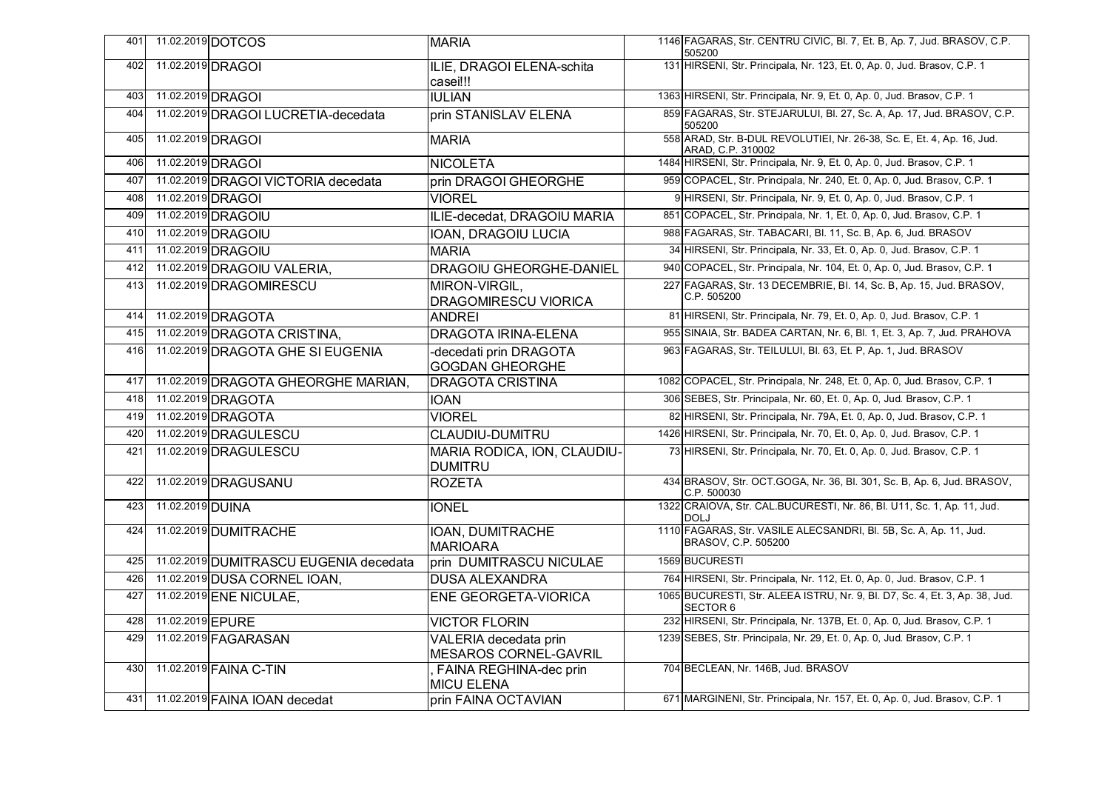| 401 |                  | 11.02.2019 DOTCOS                      | <b>MARIA</b>                                    | 1146 FAGARAS, Str. CENTRU CIVIC, Bl. 7, Et. B, Ap. 7, Jud. BRASOV, C.P.<br>505200           |
|-----|------------------|----------------------------------------|-------------------------------------------------|---------------------------------------------------------------------------------------------|
| 402 |                  | 11.02.2019 DRAGOI                      | ILIE, DRAGOI ELENA-schita<br>casei!!!           | 131 HIRSENI, Str. Principala, Nr. 123, Et. 0, Ap. 0, Jud. Brasov, C.P. 1                    |
| 403 |                  | 11.02.2019 DRAGOI                      | IULIAN                                          | 1363 HIRSENI, Str. Principala, Nr. 9, Et. 0, Ap. 0, Jud. Brasov, C.P. 1                     |
| 404 |                  | 11.02.2019 DRAGOI LUCRETIA-decedata    | prin STANISLAV ELENA                            | 859 FAGARAS, Str. STEJARULUI, Bl. 27, Sc. A, Ap. 17, Jud. BRASOV, C.P.<br>505200            |
| 405 |                  | 11.02.2019 DRAGOI                      | <b>MARIA</b>                                    | 558 ARAD, Str. B-DUL REVOLUTIEI, Nr. 26-38, Sc. E, Et. 4, Ap. 16, Jud.<br>ARAD, C.P. 310002 |
| 406 |                  | 11.02.2019 DRAGOI                      | <b>NICOLETA</b>                                 | 1484 HIRSENI, Str. Principala, Nr. 9, Et. 0, Ap. 0, Jud. Brasov, C.P. 1                     |
| 407 |                  | 11.02.2019 DRAGOI VICTORIA decedata    | prin DRAGOI GHEORGHE                            | 959 COPACEL, Str. Principala, Nr. 240, Et. 0, Ap. 0, Jud. Brasov, C.P. 1                    |
| 408 |                  | 11.02.2019 DRAGOI                      | <b>VIOREL</b>                                   | 9 HIRSENI, Str. Principala, Nr. 9, Et. 0, Ap. 0, Jud. Brasov, C.P. 1                        |
| 409 |                  | 11.02.2019 DRAGOIU                     | ILIE-decedat, DRAGOIU MARIA                     | 851 COPACEL, Str. Principala, Nr. 1, Et. 0, Ap. 0, Jud. Brasov, C.P. 1                      |
| 410 |                  | 11.02.2019 DRAGOIU                     | IOAN, DRAGOIU LUCIA                             | 988 FAGARAS, Str. TABACARI, Bl. 11, Sc. B, Ap. 6, Jud. BRASOV                               |
| 411 |                  | 11.02.2019 DRAGOIU                     | <b>MARIA</b>                                    | 34 HIRSENI, Str. Principala, Nr. 33, Et. 0, Ap. 0, Jud. Brasov, C.P. 1                      |
| 412 |                  | 11.02.2019 DRAGOIU VALERIA,            | DRAGOIU GHEORGHE-DANIEL                         | 940 COPACEL, Str. Principala, Nr. 104, Et. 0, Ap. 0, Jud. Brasov, C.P. 1                    |
| 413 |                  | 11.02.2019 DRAGOMIRESCU                | MIRON-VIRGIL,<br><b>DRAGOMIRESCU VIORICA</b>    | 227 FAGARAS, Str. 13 DECEMBRIE, Bl. 14, Sc. B, Ap. 15, Jud. BRASOV,<br>C.P. 505200          |
| 414 |                  | 11.02.2019 DRAGOTA                     | <b>ANDREI</b>                                   | 81 HIRSENI, Str. Principala, Nr. 79, Et. 0, Ap. 0, Jud. Brasov, C.P. 1                      |
| 415 |                  | 11.02.2019 DRAGOTA CRISTINA,           | <b>DRAGOTA IRINA-ELENA</b>                      | 955 SINAIA, Str. BADEA CARTAN, Nr. 6, Bl. 1, Et. 3, Ap. 7, Jud. PRAHOVA                     |
| 416 |                  | 11.02.2019 DRAGOTA GHE SI EUGENIA      | decedati prin DRAGOTA<br><b>GOGDAN GHEORGHE</b> | 963 FAGARAS, Str. TEILULUI, Bl. 63, Et. P, Ap. 1, Jud. BRASOV                               |
| 417 |                  | 11.02.2019 DRAGOTA GHEORGHE MARIAN,    | <b>DRAGOTA CRISTINA</b>                         | 1082 COPACEL, Str. Principala, Nr. 248, Et. 0, Ap. 0, Jud. Brasov, C.P. 1                   |
| 418 |                  | 11.02.2019 DRAGOTA                     | <b>IOAN</b>                                     | 306 SEBES, Str. Principala, Nr. 60, Et. 0, Ap. 0, Jud. Brasov, C.P. 1                       |
| 419 |                  | 11.02.2019 DRAGOTA                     | <b>VIOREL</b>                                   | 82 HIRSENI, Str. Principala, Nr. 79A, Et. 0, Ap. 0, Jud. Brasov, C.P. 1                     |
| 420 |                  | 11.02.2019 DRAGULESCU                  | <b>CLAUDIU-DUMITRU</b>                          | 1426 HIRSENI, Str. Principala, Nr. 70, Et. 0, Ap. 0, Jud. Brasov, C.P. 1                    |
| 421 |                  | 11.02.2019 DRAGULESCU                  | MARIA RODICA, ION, CLAUDIU-<br><b>DUMITRU</b>   | 73 HIRSENI, Str. Principala, Nr. 70, Et. 0, Ap. 0, Jud. Brasov, C.P. 1                      |
| 422 |                  | 11.02.2019 DRAGUSANU                   | <b>ROZETA</b>                                   | 434 BRASOV, Str. OCT.GOGA, Nr. 36, Bl. 301, Sc. B, Ap. 6, Jud. BRASOV,<br>C.P. 500030       |
| 423 | 11.02.2019 DUINA |                                        | <b>IONEL</b>                                    | 1322 CRAIOVA, Str. CAL.BUCURESTI, Nr. 86, Bl. U11, Sc. 1, Ap. 11, Jud.<br><b>DOLJ</b>       |
| 424 |                  | 11.02.2019 DUMITRACHE                  | IOAN, DUMITRACHE<br><b>MARIOARA</b>             | 1110 FAGARAS, Str. VASILE ALECSANDRI, Bl. 5B, Sc. A, Ap. 11, Jud.<br>BRASOV, C.P. 505200    |
| 425 |                  | 11.02.2019 DUMITRASCU EUGENIA decedata | prin DUMITRASCU NICULAE                         | 1569 BUCURESTI                                                                              |
| 426 |                  | 11.02.2019 DUSA CORNEL IOAN,           | <b>DUSA ALEXANDRA</b>                           | 764 HIRSENI, Str. Principala, Nr. 112, Et. 0, Ap. 0, Jud. Brasov, C.P. 1                    |
| 427 |                  | 11.02.2019 ENE NICULAE,                | <b>ENE GEORGETA-VIORICA</b>                     | 1065 BUCURESTI, Str. ALEEA ISTRU, Nr. 9, Bl. D7, Sc. 4, Et. 3, Ap. 38, Jud.<br>SECTOR 6     |
| 428 | 11.02.2019 EPURE |                                        | <b>VICTOR FLORIN</b>                            | 232 HIRSENI, Str. Principala, Nr. 137B, Et. 0, Ap. 0, Jud. Brasov, C.P. 1                   |
| 429 |                  | 11.02.2019 FAGARASAN                   | VALERIA decedata prin<br>MESAROS CORNEL-GAVRIL  | 1239 SEBES, Str. Principala, Nr. 29, Et. 0, Ap. 0, Jud. Brasov, C.P. 1                      |
| 430 |                  | 11.02.2019 FAINA C-TIN                 | FAINA REGHINA-dec prin<br><b>MICU ELENA</b>     | 704 BECLEAN, Nr. 146B, Jud. BRASOV                                                          |
| 431 |                  | 11.02.2019 FAINA IOAN decedat          | prin FAINA OCTAVIAN                             | 671 MARGINENI, Str. Principala, Nr. 157, Et. 0, Ap. 0, Jud. Brasov, C.P. 1                  |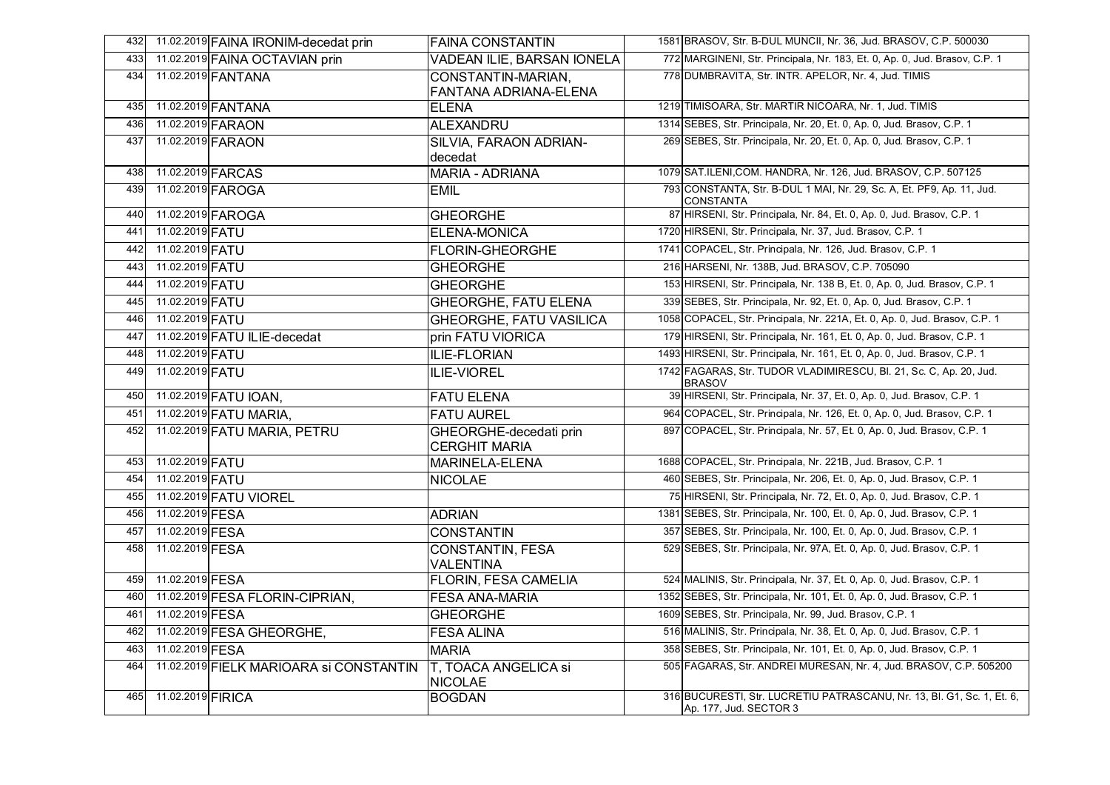| 432 | 11.02.2019 FAINA IRONIM-decedat prin    | <b>FAINA CONSTANTIN</b>                         | 1581 BRASOV, Str. B-DUL MUNCII, Nr. 36, Jud. BRASOV, C.P. 500030                                 |
|-----|-----------------------------------------|-------------------------------------------------|--------------------------------------------------------------------------------------------------|
| 433 | 11.02.2019 FAINA OCTAVIAN prin          | <b>VADEAN ILIE, BARSAN IONELA</b>               | 772 MARGINENI, Str. Principala, Nr. 183, Et. 0, Ap. 0, Jud. Brasov, C.P. 1                       |
| 434 | 11.02.2019 FANTANA                      | CONSTANTIN-MARIAN,                              | 778 DUMBRAVITA, Str. INTR. APELOR, Nr. 4, Jud. TIMIS                                             |
|     |                                         | FANTANA ADRIANA-ELENA                           |                                                                                                  |
| 435 | 11.02.2019 FANTANA                      | <b>ELENA</b>                                    | 1219 TIMISOARA, Str. MARTIR NICOARA, Nr. 1, Jud. TIMIS                                           |
| 436 | 11.02.2019 FARAON                       | ALEXANDRU                                       | 1314 SEBES, Str. Principala, Nr. 20, Et. 0, Ap. 0, Jud. Brasov, C.P. 1                           |
| 437 | 11.02.2019 FARAON                       | SILVIA, FARAON ADRIAN-                          | 269 SEBES, Str. Principala, Nr. 20, Et. 0, Ap. 0, Jud. Brasov, C.P. 1                            |
|     |                                         | decedat                                         |                                                                                                  |
| 438 | 11.02.2019 FARCAS                       | <b>MARIA - ADRIANA</b>                          | 1079 SAT.ILENI, COM. HANDRA, Nr. 126, Jud. BRASOV, C.P. 507125                                   |
| 439 | 11.02.2019 FAROGA                       | <b>EMIL</b>                                     | 793 CONSTANTA, Str. B-DUL 1 MAI, Nr. 29, Sc. A, Et. PF9, Ap. 11, Jud.<br><b>CONSTANTA</b>        |
| 440 | 11.02.2019 FAROGA                       | <b>GHEORGHE</b>                                 | 87 HIRSENI, Str. Principala, Nr. 84, Et. 0, Ap. 0, Jud. Brasov, C.P. 1                           |
| 441 | 11.02.2019 FATU                         | ELENA-MONICA                                    | 1720 HIRSENI, Str. Principala, Nr. 37, Jud. Brasov, C.P. 1                                       |
| 442 | 11.02.2019 FATU                         | <b>FLORIN-GHEORGHE</b>                          | 1741 COPACEL, Str. Principala, Nr. 126, Jud. Brasov, C.P. 1                                      |
| 443 | 11.02.2019 FATU                         | <b>GHEORGHE</b>                                 | 216 HARSENI, Nr. 138B, Jud. BRASOV, C.P. 705090                                                  |
| 444 | 11.02.2019 FATU                         | <b>GHEORGHE</b>                                 | 153 HIRSENI, Str. Principala, Nr. 138 B, Et. 0, Ap. 0, Jud. Brasov, C.P. 1                       |
| 445 | 11.02.2019 FATU                         | <b>GHEORGHE, FATU ELENA</b>                     | 339 SEBES, Str. Principala, Nr. 92, Et. 0, Ap. 0, Jud. Brasov, C.P. 1                            |
| 446 | 11.02.2019 FATU                         | <b>GHEORGHE, FATU VASILICA</b>                  | 1058 COPACEL, Str. Principala, Nr. 221A, Et. 0, Ap. 0, Jud. Brasov, C.P. 1                       |
| 447 | 11.02.2019 FATU ILIE-decedat            | prin FATU VIORICA                               | 179 HIRSENI, Str. Principala, Nr. 161, Et. 0, Ap. 0, Jud. Brasov, C.P. 1                         |
| 448 | 11.02.2019 FATU                         | <b>ILIE-FLORIAN</b>                             | 1493 HIRSENI, Str. Principala, Nr. 161, Et. 0, Ap. 0, Jud. Brasov, C.P. 1                        |
| 449 | 11.02.2019 FATU                         | ILIE-VIOREL                                     | 1742 FAGARAS, Str. TUDOR VLADIMIRESCU, Bl. 21, Sc. C, Ap. 20, Jud.<br><b>BRASOV</b>              |
| 450 | 11.02.2019 FATU IOAN,                   | <b>FATU ELENA</b>                               | 39 HIRSENI, Str. Principala, Nr. 37, Et. 0, Ap. 0, Jud. Brasov, C.P. 1                           |
| 451 | 11.02.2019 FATU MARIA,                  | <b>FATU AUREL</b>                               | 964 COPACEL, Str. Principala, Nr. 126, Et. 0, Ap. 0, Jud. Brasov, C.P. 1                         |
| 452 | 11.02.2019 FATU MARIA, PETRU            | GHEORGHE-decedati prin<br>CERGHIT MARIA         | 897 COPACEL, Str. Principala, Nr. 57, Et. 0, Ap. 0, Jud. Brasov, C.P. 1                          |
| 453 | 11.02.2019 FATU                         | MARINELA-ELENA                                  | 1688 COPACEL, Str. Principala, Nr. 221B, Jud. Brasov, C.P. 1                                     |
| 454 | 11.02.2019 FATU                         | <b>NICOLAE</b>                                  | 460 SEBES, Str. Principala, Nr. 206, Et. 0, Ap. 0, Jud. Brasov, C.P. 1                           |
| 455 | 11.02.2019 FATU VIOREL                  |                                                 | 75 HIRSENI, Str. Principala, Nr. 72, Et. 0, Ap. 0, Jud. Brasov, C.P. 1                           |
| 456 | 11.02.2019 FESA                         | <b>ADRIAN</b>                                   | 1381 SEBES, Str. Principala, Nr. 100, Et. 0, Ap. 0, Jud. Brasov, C.P. 1                          |
| 457 | 11.02.2019 FESA                         | <b>CONSTANTIN</b>                               | 357 SEBES, Str. Principala, Nr. 100, Et. 0, Ap. 0, Jud. Brasov, C.P. 1                           |
| 458 | 11.02.2019 FESA                         | <b>CONSTANTIN, FESA</b>                         | 529 SEBES, Str. Principala, Nr. 97A, Et. 0, Ap. 0, Jud. Brasov, C.P. 1                           |
| 459 | 11.02.2019 FESA                         | <b>VALENTINA</b><br><b>FLORIN, FESA CAMELIA</b> | 524 MALINIS, Str. Principala, Nr. 37, Et. 0, Ap. 0, Jud. Brasov, C.P. 1                          |
| 460 | 11.02.2019 FESA FLORIN-CIPRIAN,         | <b>FESA ANA-MARIA</b>                           | 1352 SEBES, Str. Principala, Nr. 101, Et. 0, Ap. 0, Jud. Brasov, C.P. 1                          |
| 461 | 11.02.2019 FESA                         | <b>GHEORGHE</b>                                 | 1609 SEBES, Str. Principala, Nr. 99, Jud. Brasov, C.P. 1                                         |
| 462 |                                         |                                                 | 516 MALINIS, Str. Principala, Nr. 38, Et. 0, Ap. 0, Jud. Brasov, C.P. 1                          |
|     | 11.02.2019 FESA GHEORGHE,               | <b>FESA ALINA</b>                               | 358 SEBES, Str. Principala, Nr. 101, Et. 0, Ap. 0, Jud. Brasov, C.P. 1                           |
| 463 | 11.02.2019 FESA                         | <b>MARIA</b>                                    |                                                                                                  |
| 464 | 11.02.2019 FIELK MARIOARA Si CONSTANTIN | T, TOACA ANGELICA si<br><b>NICOLAE</b>          | 505 FAGARAS, Str. ANDREI MURESAN, Nr. 4, Jud. BRASOV, C.P. 505200                                |
| 465 | 11.02.2019 FIRICA                       | <b>BOGDAN</b>                                   | 316 BUCURESTI, Str. LUCRETIU PATRASCANU, Nr. 13, BI, G1, Sc. 1, Et, 6,<br>Ap. 177, Jud. SECTOR 3 |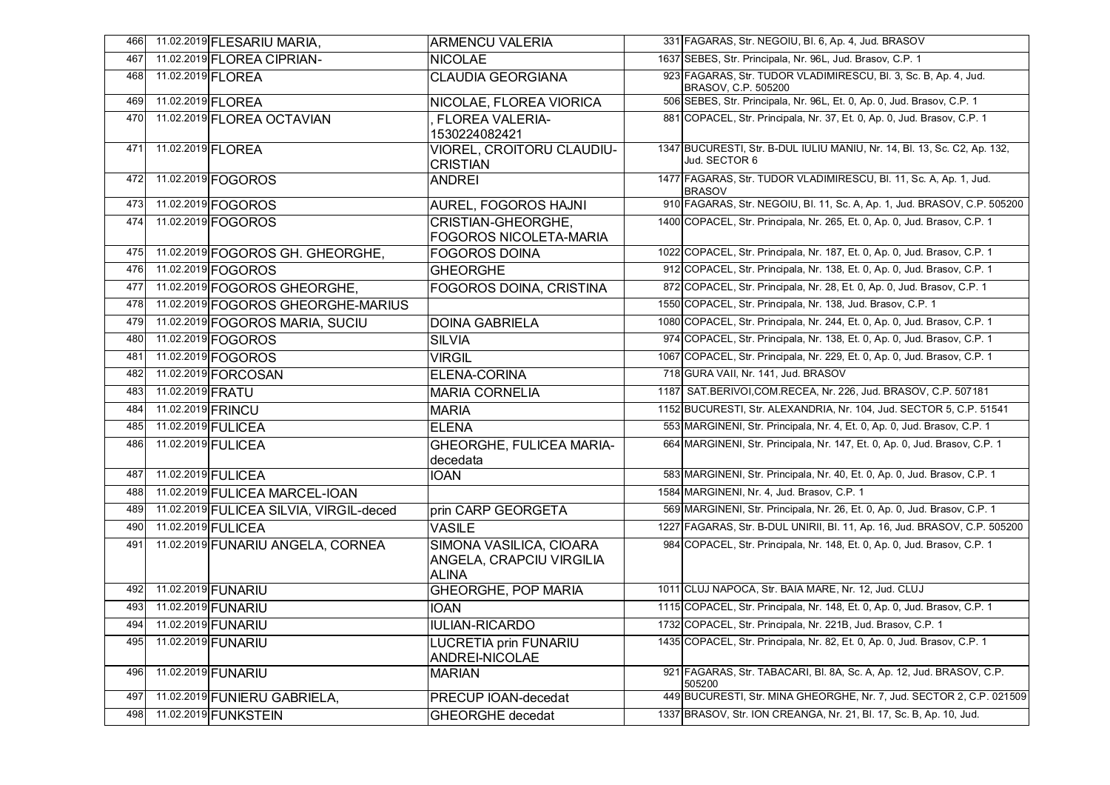| 466 |                   | 11.02.2019 FLESARIU MARIA,              | <b>ARMENCU VALERIA</b>                                              | 331 FAGARAS, Str. NEGOIU, Bl. 6, Ap. 4, Jud. BRASOV                                    |
|-----|-------------------|-----------------------------------------|---------------------------------------------------------------------|----------------------------------------------------------------------------------------|
| 467 |                   | 11.02.2019 FLOREA CIPRIAN-              | <b>NICOLAE</b>                                                      | 1637 SEBES, Str. Principala, Nr. 96L, Jud. Brasov, C.P. 1                              |
| 468 | 11.02.2019 FLOREA |                                         | <b>CLAUDIA GEORGIANA</b>                                            | 923 FAGARAS, Str. TUDOR VLADIMIRESCU, Bl. 3, Sc. B, Ap. 4, Jud.<br>BRASOV, C.P. 505200 |
| 469 |                   | 11.02.2019 FLOREA                       | NICOLAE, FLOREA VIORICA                                             | 506 SEBES, Str. Principala, Nr. 96L, Et. 0, Ap. 0, Jud. Brasov, C.P. 1                 |
| 470 |                   | 11.02.2019 FLOREA OCTAVIAN              | <b>FLOREA VALERIA-</b><br>1530224082421                             | 881 COPACEL, Str. Principala, Nr. 37, Et. 0, Ap. 0, Jud. Brasov, C.P. 1                |
| 471 | 11.02.2019 FLOREA |                                         | VIOREL, CROITORU CLAUDIU-                                           | 1347 BUCURESTI, Str. B-DUL IULIU MANIU, Nr. 14, Bl. 13, Sc. C2, Ap. 132,               |
|     |                   |                                         | <b>CRISTIAN</b>                                                     | Jud. SECTOR 6                                                                          |
| 472 |                   | 11.02.2019 FOGOROS                      | <b>ANDREI</b>                                                       | 1477 FAGARAS, Str. TUDOR VLADIMIRESCU, Bl. 11, Sc. A, Ap. 1, Jud.<br><b>BRASOV</b>     |
| 473 |                   | 11.02.2019 FOGOROS                      | AUREL, FOGOROS HAJNI                                                | 910 FAGARAS, Str. NEGOIU, Bl. 11, Sc. A, Ap. 1, Jud. BRASOV, C.P. 505200               |
| 474 |                   | 11.02.2019 FOGOROS                      | CRISTIAN-GHEORGHE,<br><b>FOGOROS NICOLETA-MARIA</b>                 | 1400 COPACEL, Str. Principala, Nr. 265, Et. 0, Ap. 0, Jud. Brasov, C.P. 1              |
| 475 |                   | 11.02.2019 FOGOROS GH. GHEORGHE,        | <b>FOGOROS DOINA</b>                                                | 1022 COPACEL, Str. Principala, Nr. 187, Et. 0, Ap. 0, Jud. Brasov, C.P. 1              |
| 476 |                   | 11.02.2019 FOGOROS                      | <b>GHEORGHE</b>                                                     | 912 COPACEL, Str. Principala, Nr. 138, Et. 0, Ap. 0, Jud. Brasov, C.P. 1               |
| 477 |                   | 11.02.2019 FOGOROS GHEORGHE,            | FOGOROS DOINA, CRISTINA                                             | 872 COPACEL, Str. Principala, Nr. 28, Et. 0, Ap. 0, Jud. Brasov, C.P. 1                |
| 478 |                   | 11.02.2019 FOGOROS GHEORGHE-MARIUS      |                                                                     | 1550 COPACEL, Str. Principala, Nr. 138, Jud. Brasov, C.P. 1                            |
| 479 |                   | 11.02.2019 FOGOROS MARIA, SUCIU         | <b>DOINA GABRIELA</b>                                               | 1080 COPACEL, Str. Principala, Nr. 244, Et. 0, Ap. 0, Jud. Brasov, C.P. 1              |
| 480 |                   | 11.02.2019 FOGOROS                      | <b>SILVIA</b>                                                       | 974 COPACEL, Str. Principala, Nr. 138, Et. 0, Ap. 0, Jud. Brasov, C.P. 1               |
| 481 |                   | 11.02.2019 FOGOROS                      | <b>VIRGIL</b>                                                       | 1067 COPACEL, Str. Principala, Nr. 229, Et. 0, Ap. 0, Jud. Brasov, C.P. 1              |
| 482 |                   | 11.02.2019 FORCOSAN                     | ELENA-CORINA                                                        | 718 GURA VAII, Nr. 141, Jud. BRASOV                                                    |
| 483 | 11.02.2019 FRATU  |                                         | <b>MARIA CORNELIA</b>                                               | 1187 SAT.BERIVOI, COM.RECEA, Nr. 226, Jud. BRASOV, C.P. 507181                         |
| 484 | 11.02.2019 FRINCU |                                         | <b>MARIA</b>                                                        | 1152 BUCURESTI, Str. ALEXANDRIA, Nr. 104, Jud. SECTOR 5, C.P. 51541                    |
| 485 |                   | 11.02.2019 FULICEA                      | <b>ELENA</b>                                                        | 553 MARGINENI, Str. Principala, Nr. 4, Et. 0, Ap. 0, Jud. Brasov, C.P. 1               |
| 486 |                   | 11.02.2019 FULICEA                      | <b>GHEORGHE, FULICEA MARIA-</b><br>decedata                         | 664 MARGINENI, Str. Principala, Nr. 147, Et. 0, Ap. 0, Jud. Brasov, C.P. 1             |
| 487 |                   | 11.02.2019 FULICEA                      | <b>IOAN</b>                                                         | 583 MARGINENI, Str. Principala, Nr. 40, Et. 0, Ap. 0, Jud. Brasov, C.P. 1              |
| 488 |                   | 11.02.2019 FULICEA MARCEL-IOAN          |                                                                     | 1584 MARGINENI, Nr. 4, Jud. Brasov, C.P. 1                                             |
| 489 |                   | 11.02.2019 FULICEA SILVIA, VIRGIL-deced | prin CARP GEORGETA                                                  | 569 MARGINENI, Str. Principala, Nr. 26, Et. 0, Ap. 0, Jud. Brasov, C.P. 1              |
| 490 |                   | 11.02.2019 FULICEA                      | <b>VASILE</b>                                                       | 1227 FAGARAS, Str. B-DUL UNIRII, Bl. 11, Ap. 16, Jud. BRASOV, C.P. 505200              |
| 491 |                   | 11.02.2019 FUNARIU ANGELA, CORNEA       | SIMONA VASILICA, CIOARA<br>ANGELA, CRAPCIU VIRGILIA<br><b>ALINA</b> | 984 COPACEL, Str. Principala, Nr. 148, Et. 0, Ap. 0, Jud. Brasov, C.P. 1               |
| 492 |                   | 11.02.2019 FUNARIU                      | <b>GHEORGHE, POP MARIA</b>                                          | 1011 CLUJ NAPOCA, Str. BAIA MARE, Nr. 12, Jud. CLUJ                                    |
| 493 |                   | 11.02.2019 FUNARIU                      | <b>IOAN</b>                                                         | 1115 COPACEL, Str. Principala, Nr. 148, Et. 0, Ap. 0, Jud. Brasov, C.P. 1              |
|     |                   | 494 11.02.2019 FUNARIU                  | <b>IULIAN-RICARDO</b>                                               | 1732 COPACEL, Str. Principala, Nr. 221B, Jud. Brasov, C.P. 1                           |
| 495 |                   | 11.02.2019 FUNARIU                      | <b>LUCRETIA prin FUNARIU</b><br>ANDREI-NICOLAE                      | 1435 COPACEL, Str. Principala, Nr. 82, Et. 0, Ap. 0, Jud. Brasov, C.P. 1               |
| 496 |                   | 11.02.2019 FUNARIU                      | <b>MARIAN</b>                                                       | 921 FAGARAS, Str. TABACARI, Bl. 8A, Sc. A, Ap. 12, Jud. BRASOV, C.P.<br>505200         |
| 497 |                   | 11.02.2019 FUNIERU GABRIELA,            | PRECUP IOAN-decedat                                                 | 449 BUCURESTI, Str. MINA GHEORGHE, Nr. 7, Jud. SECTOR 2, C.P. 021509                   |
| 498 |                   | 11.02.2019 FUNKSTEIN                    | <b>GHEORGHE</b> decedat                                             | 1337 BRASOV, Str. ION CREANGA, Nr. 21, Bl. 17, Sc. B, Ap. 10, Jud.                     |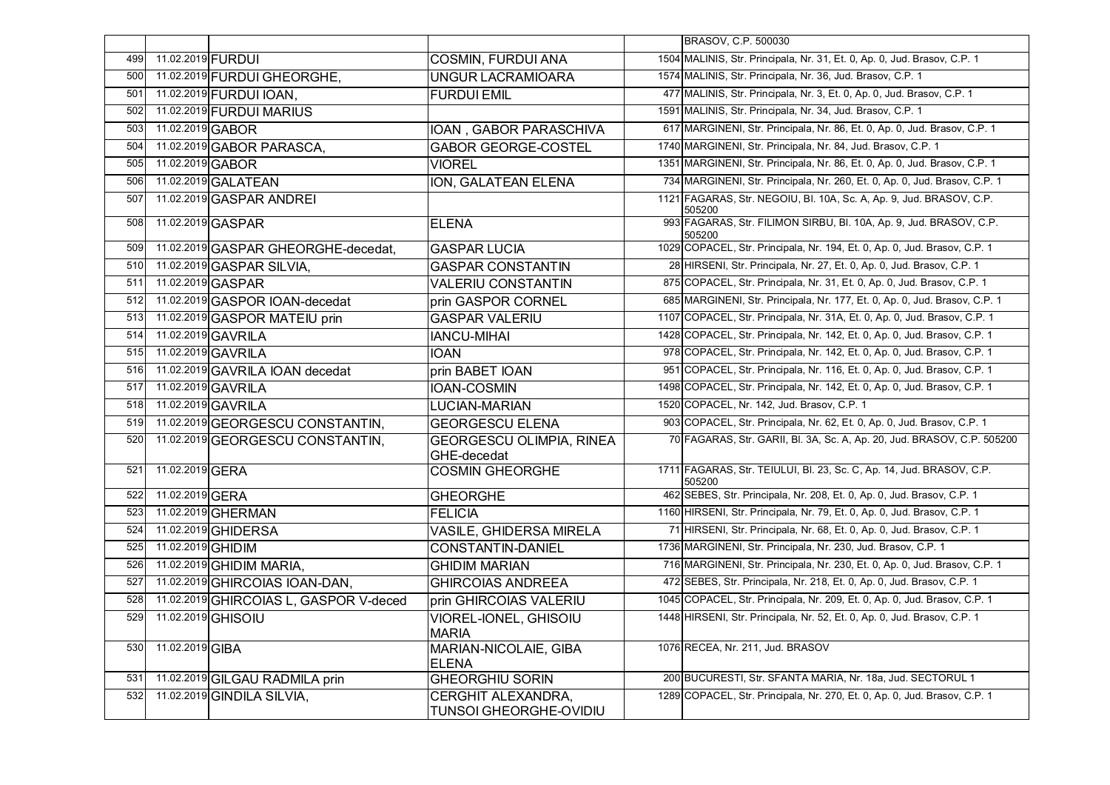|     |                   |                                        |                                                     | BRASOV, C.P. 500030                                                            |
|-----|-------------------|----------------------------------------|-----------------------------------------------------|--------------------------------------------------------------------------------|
| 499 | 11.02.2019 FURDUI |                                        | COSMIN, FURDUI ANA                                  | 1504 MALINIS, Str. Principala, Nr. 31, Et. 0, Ap. 0, Jud. Brasov, C.P. 1       |
| 500 |                   | 11.02.2019 FURDUI GHEORGHE,            | <b>UNGUR LACRAMIOARA</b>                            | 1574 MALINIS, Str. Principala, Nr. 36, Jud. Brasov, C.P. 1                     |
| 501 |                   | 11.02.2019 FURDUI IOAN.                | <b>FURDUI EMIL</b>                                  | 477 MALINIS, Str. Principala, Nr. 3, Et. 0, Ap. 0, Jud. Brasov, C.P. 1         |
| 502 |                   | 11.02.2019 FURDUI MARIUS               |                                                     | 1591 MALINIS, Str. Principala, Nr. 34, Jud. Brasov, C.P. 1                     |
| 503 | 11.02.2019 GABOR  |                                        | IOAN, GABOR PARASCHIVA                              | 617 MARGINENI, Str. Principala, Nr. 86, Et. 0, Ap. 0, Jud. Brasov, C.P. 1      |
| 504 |                   | 11.02.2019 GABOR PARASCA,              | <b>GABOR GEORGE-COSTEL</b>                          | 1740 MARGINENI, Str. Principala, Nr. 84, Jud. Brasov, C.P. 1                   |
| 505 | 11.02.2019 GABOR  |                                        | <b>VIOREL</b>                                       | 1351 MARGINENI, Str. Principala, Nr. 86, Et. 0, Ap. 0, Jud. Brasov, C.P. 1     |
| 506 |                   | 11.02.2019 GALATEAN                    | ION, GALATEAN ELENA                                 | 734 MARGINENI, Str. Principala, Nr. 260, Et. 0, Ap. 0, Jud. Brasov, C.P. 1     |
| 507 |                   | 11.02.2019 GASPAR ANDREI               |                                                     | 1121 FAGARAS, Str. NEGOIU, Bl. 10A, Sc. A, Ap. 9, Jud. BRASOV, C.P.<br>505200  |
| 508 |                   | 11.02.2019 GASPAR                      | <b>ELENA</b>                                        | 993 FAGARAS, Str. FILIMON SIRBU, BI. 10A, Ap. 9, Jud. BRASOV, C.P.<br>505200   |
| 509 |                   | 11.02.2019 GASPAR GHEORGHE-decedat,    | <b>GASPAR LUCIA</b>                                 | 1029 COPACEL, Str. Principala, Nr. 194, Et. 0, Ap. 0, Jud. Brasov, C.P. 1      |
| 510 |                   | 11.02.2019 GASPAR SILVIA,              | <b>GASPAR CONSTANTIN</b>                            | 28 HIRSENI, Str. Principala, Nr. 27, Et. 0, Ap. 0, Jud. Brasov, C.P. 1         |
| 511 |                   | 11.02.2019 GASPAR                      | <b>VALERIU CONSTANTIN</b>                           | 875 COPACEL, Str. Principala, Nr. 31, Et. 0, Ap. 0, Jud. Brasov, C.P. 1        |
| 512 |                   | 11.02.2019 GASPOR IOAN-decedat         | prin GASPOR CORNEL                                  | 685 MARGINENI, Str. Principala, Nr. 177, Et. 0, Ap. 0, Jud. Brasov, C.P. 1     |
| 513 |                   | 11.02.2019 GASPOR MATEIU prin          | <b>GASPAR VALERIU</b>                               | 1107 COPACEL, Str. Principala, Nr. 31A, Et. 0, Ap. 0, Jud. Brasov, C.P. 1      |
| 514 |                   | 11.02.2019 GAVRILA                     | <b>IANCU-MIHAI</b>                                  | 1428 COPACEL, Str. Principala, Nr. 142, Et. 0, Ap. 0, Jud. Brasov, C.P. 1      |
| 515 |                   | 11.02.2019 GAVRILA                     | <b>IOAN</b>                                         | 978 COPACEL, Str. Principala, Nr. 142, Et. 0, Ap. 0, Jud. Brasov, C.P. 1       |
| 516 |                   | 11.02.2019 GAVRILA IOAN decedat        | prin BABET IOAN                                     | 951 COPACEL, Str. Principala, Nr. 116, Et. 0, Ap. 0, Jud. Brasov, C.P. 1       |
| 517 |                   | 11.02.2019 GAVRILA                     | <b>IOAN-COSMIN</b>                                  | 1498 COPACEL, Str. Principala, Nr. 142, Et. 0, Ap. 0, Jud. Brasov, C.P. 1      |
| 518 |                   | 11.02.2019 GAVRILA                     | <b>LUCIAN-MARIAN</b>                                | 1520 COPACEL, Nr. 142, Jud. Brasov, C.P. 1                                     |
| 519 |                   | 11.02.2019 GEORGESCU CONSTANTIN,       | <b>GEORGESCU ELENA</b>                              | 903 COPACEL, Str. Principala, Nr. 62, Et. 0, Ap. 0, Jud. Brasov, C.P. 1        |
| 520 |                   | 11.02.2019 GEORGESCU CONSTANTIN,       | <b>GEORGESCU OLIMPIA, RINEA</b><br>GHE-decedat      | 70 FAGARAS, Str. GARII, Bl. 3A, Sc. A, Ap. 20, Jud. BRASOV, C.P. 505200        |
| 521 | 11.02.2019 GERA   |                                        | <b>COSMIN GHEORGHE</b>                              | 1711 FAGARAS, Str. TEIULUI, Bl. 23, Sc. C, Ap. 14, Jud. BRASOV, C.P.<br>505200 |
| 522 | 11.02.2019 GERA   |                                        | <b>GHEORGHE</b>                                     | 462 SEBES, Str. Principala, Nr. 208, Et. 0, Ap. 0, Jud. Brasov, C.P. 1         |
| 523 |                   | 11.02.2019 GHERMAN                     | <b>FELICIA</b>                                      | 1160 HIRSENI, Str. Principala, Nr. 79, Et. 0, Ap. 0, Jud. Brasov, C.P. 1       |
| 524 |                   | 11.02.2019 GHIDERSA                    | VASILE, GHIDERSA MIRELA                             | 71 HIRSENI, Str. Principala, Nr. 68, Et. 0, Ap. 0, Jud. Brasov, C.P. 1         |
| 525 | 11.02.2019 GHIDIM |                                        | <b>CONSTANTIN-DANIEL</b>                            | 1736 MARGINENI, Str. Principala, Nr. 230, Jud. Brasov, C.P. 1                  |
| 526 |                   | 11.02.2019 GHIDIM MARIA,               | <b>GHIDIM MARIAN</b>                                | 716 MARGINENI, Str. Principala, Nr. 230, Et. 0, Ap. 0, Jud. Brasov, C.P. 1     |
| 527 |                   | 11.02.2019 GHIRCOIAS IOAN-DAN,         | <b>GHIRCOIAS ANDREEA</b>                            | 472 SEBES, Str. Principala, Nr. 218, Et. 0, Ap. 0, Jud. Brasov, C.P. 1         |
| 528 |                   | 11.02.2019 GHIRCOIAS L, GASPOR V-deced | prin GHIRCOIAS VALERIU                              | 1045 COPACEL, Str. Principala, Nr. 209, Et. 0, Ap. 0, Jud. Brasov, C.P. 1      |
| 529 |                   | 11.02.2019 GHISOIU                     | <b>VIOREL-IONEL, GHISOIU</b><br><b>MARIA</b>        | 1448 HIRSENI, Str. Principala, Nr. 52, Et. 0, Ap. 0, Jud. Brasov, C.P. 1       |
| 530 | 11.02.2019 GIBA   |                                        | MARIAN-NICOLAIE, GIBA<br><b>ELENA</b>               | 1076 RECEA, Nr. 211, Jud. BRASOV                                               |
| 531 |                   | 11.02.2019 GILGAU RADMILA prin         | <b>GHEORGHIU SORIN</b>                              | 200 BUCURESTI, Str. SFANTA MARIA, Nr. 18a, Jud. SECTORUL 1                     |
| 532 |                   | 11.02.2019 GINDILA SILVIA,             | <b>CERGHIT ALEXANDRA,</b><br>TUNSOI GHEORGHE-OVIDIU | 1289 COPACEL, Str. Principala, Nr. 270, Et. 0, Ap. 0, Jud. Brasov, C.P. 1      |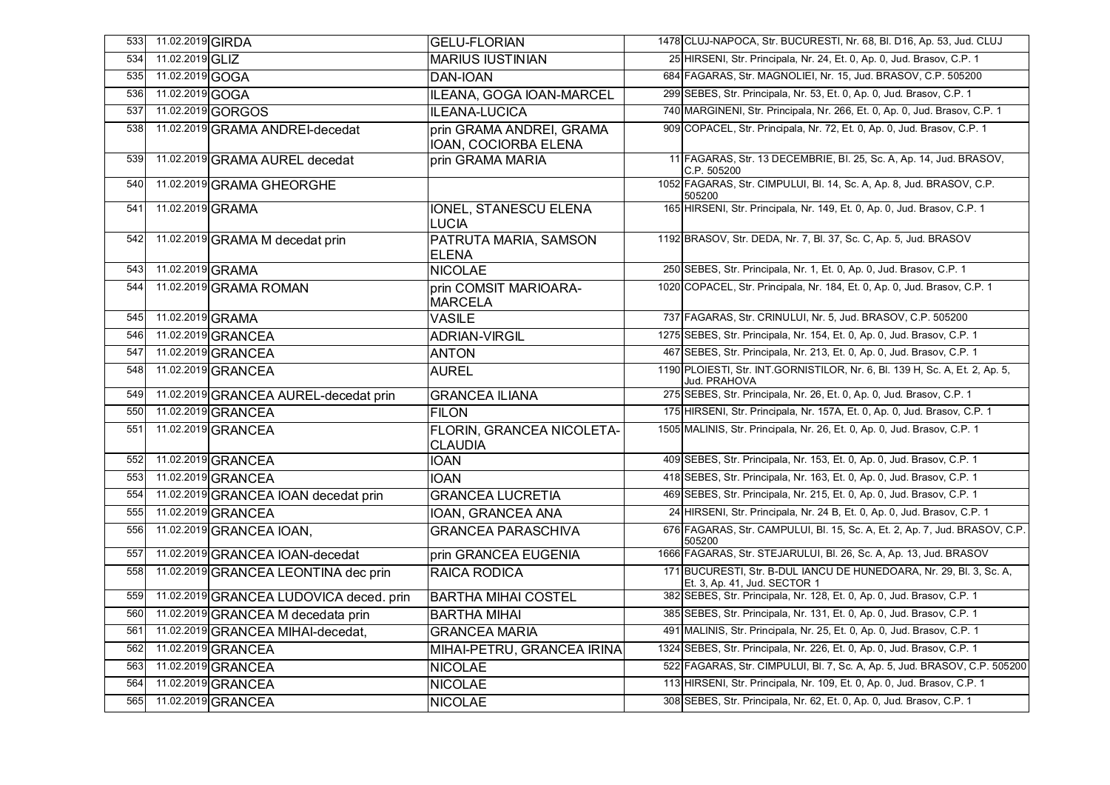| 533 | 11.02.2019 GIRDA |                                         | <b>GELU-FLORIAN</b>                              | 1478 CLUJ-NAPOCA, Str. BUCURESTI, Nr. 68, Bl. D16, Ap. 53, Jud. CLUJ                                |
|-----|------------------|-----------------------------------------|--------------------------------------------------|-----------------------------------------------------------------------------------------------------|
| 534 | 11.02.2019 GLIZ  |                                         | <b>MARIUS IUSTINIAN</b>                          | 25 HIRSENI, Str. Principala, Nr. 24, Et. 0, Ap. 0, Jud. Brasov, C.P. 1                              |
| 535 | 11.02.2019 GOGA  |                                         | DAN-IOAN                                         | 684 FAGARAS, Str. MAGNOLIEI, Nr. 15, Jud. BRASOV, C.P. 505200                                       |
| 536 | 11.02.2019 GOGA  |                                         | ILEANA, GOGA IOAN-MARCEL                         | 299 SEBES, Str. Principala, Nr. 53, Et. 0, Ap. 0, Jud. Brasov, C.P. 1                               |
| 537 |                  | 11.02.2019 GORGOS                       | <b>ILEANA-LUCICA</b>                             | 740 MARGINENI, Str. Principala, Nr. 266, Et. 0, Ap. 0, Jud. Brasov, C.P. 1                          |
| 538 |                  | 11.02.2019 GRAMA ANDREI-decedat         | prin GRAMA ANDREI, GRAMA<br>IOAN, COCIORBA ELENA | 909 COPACEL, Str. Principala, Nr. 72, Et. 0, Ap. 0, Jud. Brasov, C.P. 1                             |
| 539 |                  | 11.02.2019 GRAMA AUREL decedat          | prin GRAMA MARIA                                 | 11 FAGARAS, Str. 13 DECEMBRIE, Bl. 25, Sc. A, Ap. 14, Jud. BRASOV,<br>C.P. 505200                   |
| 540 |                  | 11.02.2019 GRAMA GHEORGHE               |                                                  | 1052 FAGARAS, Str. CIMPULUI, Bl. 14, Sc. A, Ap. 8, Jud. BRASOV, C.P.<br>505200                      |
| 541 | 11.02.2019 GRAMA |                                         | <b>IONEL, STANESCU ELENA</b><br><b>LUCIA</b>     | 165 HIRSENI, Str. Principala, Nr. 149, Et. 0, Ap. 0, Jud. Brasov, C.P. 1                            |
| 542 |                  | 11.02.2019 GRAMA M decedat prin         | PATRUTA MARIA, SAMSON<br><b>ELENA</b>            | 1192 BRASOV, Str. DEDA, Nr. 7, Bl. 37, Sc. C, Ap. 5, Jud. BRASOV                                    |
| 543 | 11.02.2019 GRAMA |                                         | <b>NICOLAE</b>                                   | 250 SEBES, Str. Principala, Nr. 1, Et. 0, Ap. 0, Jud. Brasov, C.P. 1                                |
| 544 |                  | 11.02.2019 GRAMA ROMAN                  | prin COMSIT MARIOARA-<br><b>MARCELA</b>          | 1020 COPACEL, Str. Principala, Nr. 184, Et. 0, Ap. 0, Jud. Brasov, C.P. 1                           |
| 545 | 11.02.2019 GRAMA |                                         | <b>VASILE</b>                                    | 737 FAGARAS, Str. CRINULUI, Nr. 5, Jud. BRASOV, C.P. 505200                                         |
| 546 |                  | 11.02.2019 GRANCEA                      | <b>ADRIAN-VIRGIL</b>                             | 1275 SEBES, Str. Principala, Nr. 154, Et. 0, Ap. 0, Jud. Brasov, C.P. 1                             |
| 547 |                  | 11.02.2019 GRANCEA                      | <b>ANTON</b>                                     | 467 SEBES, Str. Principala, Nr. 213, Et. 0, Ap. 0, Jud. Brasov, C.P. 1                              |
| 548 |                  | 11.02.2019 GRANCEA                      | <b>AUREL</b>                                     | 1190 PLOIESTI, Str. INT.GORNISTILOR, Nr. 6, Bl. 139 H, Sc. A, Et. 2, Ap. 5,<br>Jud. PRAHOVA         |
| 549 |                  | 11.02.2019 GRANCEA AUREL-decedat prin   | <b>GRANCEA ILIANA</b>                            | 275 SEBES, Str. Principala, Nr. 26, Et. 0, Ap. 0, Jud. Brasov, C.P. 1                               |
| 550 |                  | 11.02.2019 GRANCEA                      | <b>FILON</b>                                     | 175 HIRSENI, Str. Principala, Nr. 157A, Et. 0, Ap. 0, Jud. Brasov, C.P. 1                           |
| 551 |                  | 11.02.2019 GRANCEA                      | FLORIN, GRANCEA NICOLETA-<br><b>CLAUDIA</b>      | 1505 MALINIS, Str. Principala, Nr. 26, Et. 0, Ap. 0, Jud. Brasov, C.P. 1                            |
| 552 |                  | 11.02.2019 GRANCEA                      | <b>IOAN</b>                                      | 409 SEBES, Str. Principala, Nr. 153, Et. 0, Ap. 0, Jud. Brasov, C.P. 1                              |
| 553 |                  | 11.02.2019 GRANCEA                      | <b>IOAN</b>                                      | 418 SEBES, Str. Principala, Nr. 163, Et. 0, Ap. 0, Jud. Brasov, C.P. 1                              |
| 554 |                  | 11.02.2019 GRANCEA IOAN decedat prin    | <b>GRANCEA LUCRETIA</b>                          | 469 SEBES, Str. Principala, Nr. 215, Et. 0, Ap. 0, Jud. Brasov, C.P. 1                              |
| 555 |                  | 11.02.2019 GRANCEA                      | IOAN, GRANCEA ANA                                | 24 HIRSENI, Str. Principala, Nr. 24 B, Et. 0, Ap. 0, Jud. Brasov, C.P. 1                            |
| 556 |                  | 11.02.2019 GRANCEA IOAN,                | <b>GRANCEA PARASCHIVA</b>                        | 676 FAGARAS, Str. CAMPULUI, Bl. 15, Sc. A, Et. 2, Ap. 7, Jud. BRASOV, C.P.<br>505200                |
| 557 |                  | 11.02.2019 GRANCEA IOAN-decedat         | prin GRANCEA EUGENIA                             | 1666 FAGARAS, Str. STEJARULUI, Bl. 26, Sc. A, Ap. 13, Jud. BRASOV                                   |
| 558 |                  | 11.02.2019 GRANCEA LEONTINA dec prin    | RAICA RODICA                                     | 171 BUCURESTI, Str. B-DUL IANCU DE HUNEDOARA, Nr. 29, Bl. 3, Sc. A,<br>Et. 3, Ap. 41, Jud. SECTOR 1 |
| 559 |                  | 11.02.2019 GRANCEA LUDOVICA deced. prin | <b>BARTHA MIHAI COSTEL</b>                       | 382 SEBES, Str. Principala, Nr. 128, Et. 0, Ap. 0, Jud. Brasov, C.P. 1                              |
| 560 |                  | 11.02.2019 GRANCEA M decedata prin      | <b>BARTHA MIHAI</b>                              | 385 SEBES, Str. Principala, Nr. 131, Et. 0, Ap. 0, Jud. Brasov, C.P. 1                              |
| 561 |                  | 11.02.2019 GRANCEA MIHAI-decedat,       | <b>GRANCEA MARIA</b>                             | 491 MALINIS, Str. Principala, Nr. 25, Et. 0, Ap. 0, Jud. Brasov, C.P. 1                             |
| 562 |                  | 11.02.2019 GRANCEA                      | MIHAI-PETRU, GRANCEA IRINA                       | 1324 SEBES, Str. Principala, Nr. 226, Et. 0, Ap. 0, Jud. Brasov, C.P. 1                             |
| 563 |                  | 11.02.2019 GRANCEA                      | <b>NICOLAE</b>                                   | 522 FAGARAS, Str. CIMPULUI, Bl. 7, Sc. A, Ap. 5, Jud. BRASOV, C.P. 505200                           |
| 564 |                  | 11.02.2019 GRANCEA                      | <b>NICOLAE</b>                                   | 113 HIRSENI, Str. Principala, Nr. 109, Et. 0, Ap. 0, Jud. Brasov, C.P. 1                            |
| 565 |                  | 11.02.2019 GRANCEA                      | <b>NICOLAE</b>                                   | 308 SEBES, Str. Principala, Nr. 62, Et. 0, Ap. 0, Jud. Brasov, C.P. 1                               |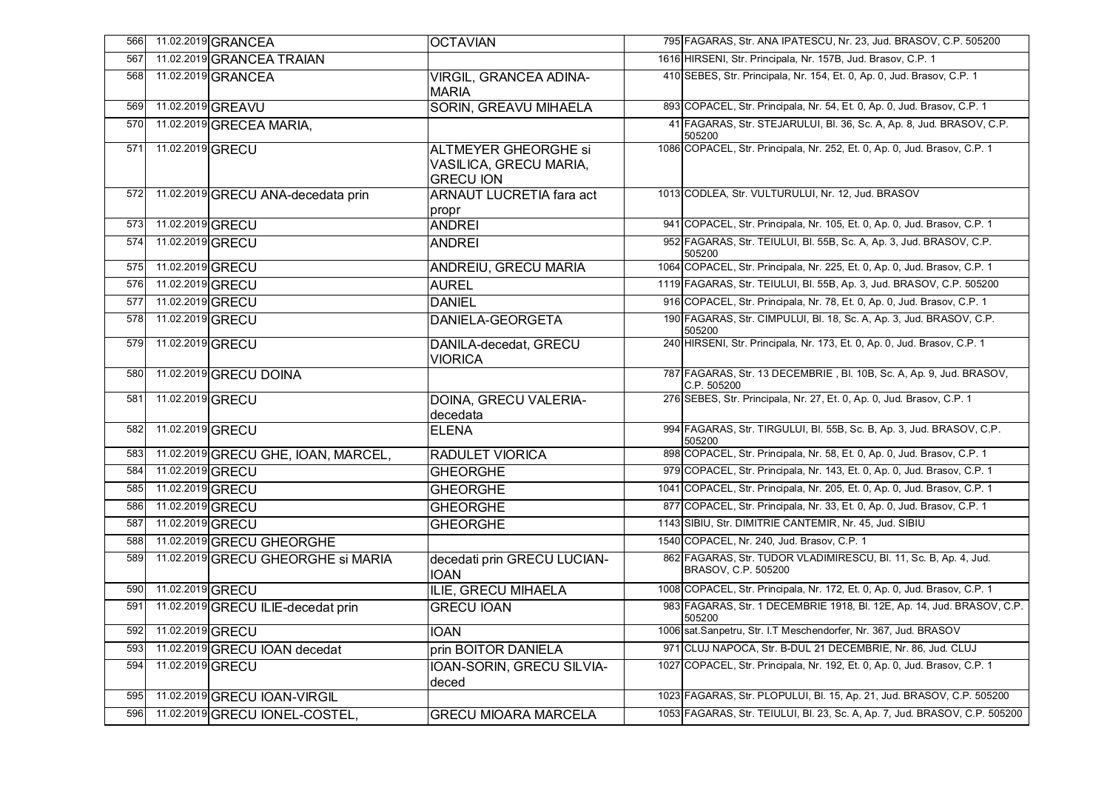| 566 |                  | 11.02.2019 GRANCEA                  | <b>OCTAVIAN</b>                                                           | 795 FAGARAS, Str. ANA IPATESCU, Nr. 23, Jud. BRASOV, C.P. 505200                        |
|-----|------------------|-------------------------------------|---------------------------------------------------------------------------|-----------------------------------------------------------------------------------------|
| 567 |                  | 11.02.2019 GRANCEA TRAIAN           |                                                                           | 1616 HIRSENI, Str. Principala, Nr. 157B, Jud. Brasov, C.P. 1                            |
| 568 |                  | 11.02.2019 GRANCEA                  | <b>VIRGIL, GRANCEA ADINA-</b><br><b>MARIA</b>                             | 410 SEBES, Str. Principala, Nr. 154, Et. 0, Ap. 0, Jud. Brasov, C.P. 1                  |
| 569 |                  | 11.02.2019 GREAVU                   | SORIN, GREAVU MIHAELA                                                     | 893 COPACEL, Str. Principala, Nr. 54, Et. 0, Ap. 0, Jud. Brasov, C.P. 1                 |
| 570 |                  | 11.02.2019 GRECEA MARIA,            |                                                                           | 41 FAGARAS, Str. STEJARULUI, Bl. 36, Sc. A, Ap. 8, Jud. BRASOV, C.P.<br>505200          |
| 571 | 11.02.2019 GRECU |                                     | <b>ALTMEYER GHEORGHE Si</b><br>VASILICA, GRECU MARIA,<br><b>GRECU ION</b> | 1086 COPACEL, Str. Principala, Nr. 252, Et. 0, Ap. 0, Jud. Brasov, C.P. 1               |
| 572 |                  | 11.02.2019 GRECU ANA-decedata prin  | <b>ARNAUT LUCRETIA fara act</b><br>propr                                  | 1013 CODLEA, Str. VULTURULUI, Nr. 12, Jud. BRASOV                                       |
| 573 | 11.02.2019 GRECU |                                     | <b>ANDREI</b>                                                             | 941 COPACEL, Str. Principala, Nr. 105, Et. 0, Ap. 0, Jud. Brasov, C.P. 1                |
| 574 | 11.02.2019 GRECU |                                     | <b>ANDREI</b>                                                             | 952 FAGARAS, Str. TEIULUI, Bl. 55B, Sc. A, Ap. 3, Jud. BRASOV, C.P.<br>505200           |
| 575 | 11.02.2019 GRECU |                                     | ANDREIU, GRECU MARIA                                                      | 1064 COPACEL, Str. Principala, Nr. 225, Et. 0, Ap. 0, Jud. Brasov, C.P. 1               |
| 576 | 11.02.2019 GRECU |                                     | <b>AUREL</b>                                                              | 1119 FAGARAS, Str. TEIULUI, Bl. 55B, Ap. 3, Jud. BRASOV, C.P. 505200                    |
| 577 | 11.02.2019 GRECU |                                     | <b>DANIEL</b>                                                             | 916 COPACEL, Str. Principala, Nr. 78, Et. 0, Ap. 0, Jud. Brasov, C.P. 1                 |
| 578 | 11.02.2019 GRECU |                                     | DANIELA-GEORGETA                                                          | 190 FAGARAS, Str. CIMPULUI, Bl. 18, Sc. A, Ap. 3, Jud. BRASOV, C.P.<br>505200           |
| 579 | 11.02.2019 GRECU |                                     | DANILA-decedat, GRECU<br>VIORICA                                          | 240 HIRSENI, Str. Principala, Nr. 173, Et. 0, Ap. 0, Jud. Brasov, C.P. 1                |
| 580 |                  | 11.02.2019 GRECU DOINA              |                                                                           | 787 FAGARAS, Str. 13 DECEMBRIE, Bl. 10B, Sc. A, Ap. 9, Jud. BRASOV,<br>C.P. 505200      |
| 581 | 11.02.2019 GRECU |                                     | DOINA, GRECU VALERIA-<br>decedata                                         | 276 SEBES, Str. Principala, Nr. 27, Et. 0, Ap. 0, Jud. Brasov, C.P. 1                   |
| 582 | 11.02.2019 GRECU |                                     | <b>ELENA</b>                                                              | 994 FAGARAS, Str. TIRGULUI, Bl. 55B, Sc. B, Ap. 3, Jud. BRASOV, C.P.<br>505200          |
| 583 |                  | 11.02.2019 GRECU GHE, IOAN, MARCEL, | <b>RADULET VIORICA</b>                                                    | 898 COPACEL, Str. Principala, Nr. 58, Et. 0, Ap. 0, Jud. Brasov, C.P. 1                 |
| 584 | 11.02.2019 GRECU |                                     | <b>GHEORGHE</b>                                                           | 979 COPACEL, Str. Principala, Nr. 143, Et. 0, Ap. 0, Jud. Brasov, C.P. 1                |
| 585 | 11.02.2019 GRECU |                                     | <b>GHEORGHE</b>                                                           | 1041 COPACEL, Str. Principala, Nr. 205, Et. 0, Ap. 0, Jud. Brasov, C.P. 1               |
| 586 | 11.02.2019 GRECU |                                     | <b>GHEORGHE</b>                                                           | 877 COPACEL, Str. Principala, Nr. 33, Et. 0, Ap. 0, Jud. Brasov, C.P. 1                 |
| 587 | 11.02.2019 GRECU |                                     | <b>GHEORGHE</b>                                                           | 1143 SIBIU, Str. DIMITRIE CANTEMIR, Nr. 45, Jud. SIBIU                                  |
| 588 |                  | 11.02.2019 GRECU GHEORGHE           |                                                                           | 1540 COPACEL, Nr. 240, Jud. Brasov, C.P. 1                                              |
| 589 |                  | 11.02.2019 GRECU GHEORGHE Si MARIA  | decedati prin GRECU LUCIAN-<br><b>IOAN</b>                                | 862 FAGARAS, Str. TUDOR VLADIMIRESCU, Bl. 11, Sc. B, Ap. 4, Jud.<br>BRASOV, C.P. 505200 |
| 590 | 11.02.2019 GRECU |                                     | ILIE, GRECU MIHAELA                                                       | 1008 COPACEL, Str. Principala, Nr. 172, Et. 0, Ap. 0, Jud. Brasov, C.P. 1               |
| 591 |                  | 11.02.2019 GRECU ILIE-decedat prin  | <b>GRECU IOAN</b>                                                         | 983 FAGARAS, Str. 1 DECEMBRIE 1918, Bl. 12E, Ap. 14, Jud. BRASOV, C.P.<br>505200        |
| 592 | 11.02.2019 GRECU |                                     | <b>IOAN</b>                                                               | 1006 sat.Sanpetru, Str. I.T Meschendorfer, Nr. 367, Jud. BRASOV                         |
| 593 |                  | 11.02.2019 GRECU IOAN decedat       | prin BOITOR DANIELA                                                       | 971 CLUJ NAPOCA, Str. B-DUL 21 DECEMBRIE, Nr. 86, Jud. CLUJ                             |
| 594 | 11.02.2019 GRECU |                                     | IOAN-SORIN, GRECU SILVIA-<br>deced                                        | 1027 COPACEL, Str. Principala, Nr. 192, Et. 0, Ap. 0, Jud. Brasov, C.P. 1               |
| 595 |                  | 11.02.2019 GRECU IOAN-VIRGIL        |                                                                           | 1023 FAGARAS, Str. PLOPULUI, Bl. 15, Ap. 21, Jud. BRASOV, C.P. 505200                   |
| 596 |                  | 11.02.2019 GRECU IONEL-COSTEL,      | <b>GRECU MIOARA MARCELA</b>                                               | 1053 FAGARAS, Str. TEIULUI, Bl. 23, Sc. A, Ap. 7, Jud. BRASOV, C.P. 505200              |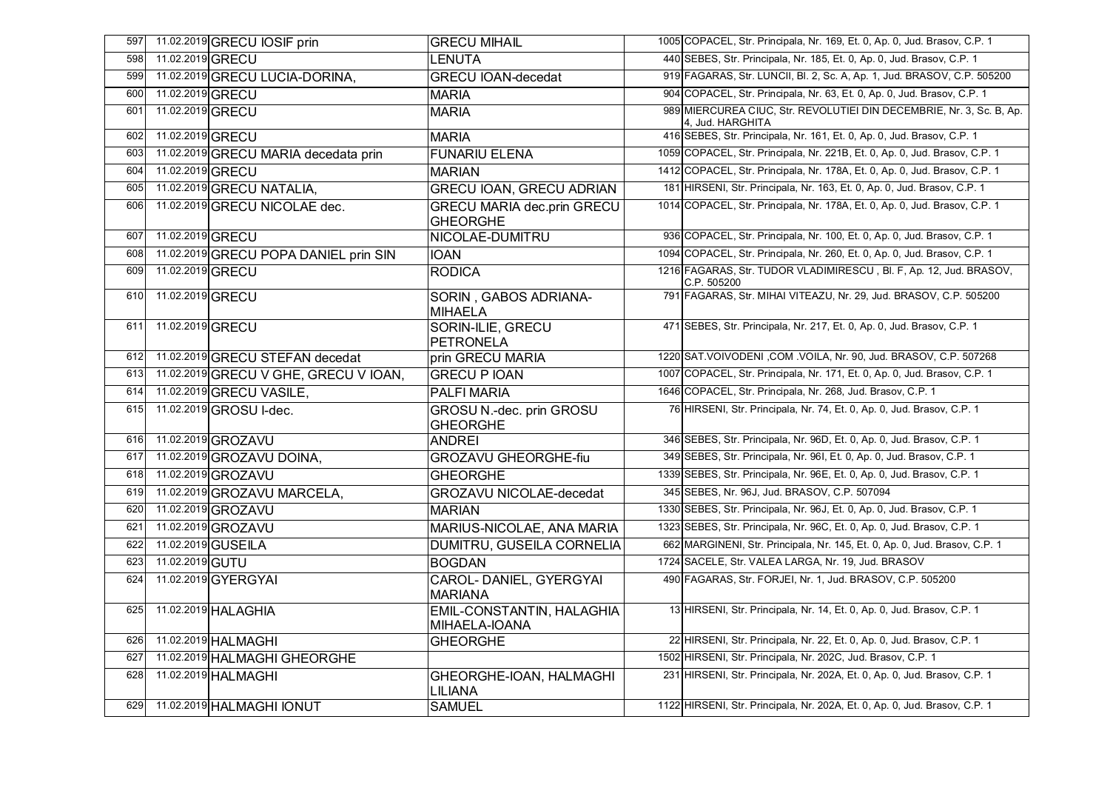| 597 |                  | 11.02.2019 GRECU IOSIF prin           | <b>GRECU MIHAIL</b>                                  | 1005 COPACEL, Str. Principala, Nr. 169, Et. 0, Ap. 0, Jud. Brasov, C.P. 1                |
|-----|------------------|---------------------------------------|------------------------------------------------------|------------------------------------------------------------------------------------------|
| 598 | 11.02.2019 GRECU |                                       | <b>LENUTA</b>                                        | 440 SEBES, Str. Principala, Nr. 185, Et. 0, Ap. 0, Jud. Brasov, C.P. 1                   |
| 599 |                  | 11.02.2019 GRECU LUCIA-DORINA,        | <b>GRECU IOAN-decedat</b>                            | 919 FAGARAS, Str. LUNCII, Bl. 2, Sc. A, Ap. 1, Jud. BRASOV, C.P. 505200                  |
| 600 | 11.02.2019 GRECU |                                       | <b>MARIA</b>                                         | 904 COPACEL, Str. Principala, Nr. 63, Et. 0, Ap. 0, Jud. Brasov, C.P. 1                  |
| 601 | 11.02.2019 GRECU |                                       | <b>MARIA</b>                                         | 989 MIERCUREA CIUC, Str. REVOLUTIEI DIN DECEMBRIE, Nr. 3, Sc. B, Ap.<br>4, Jud. HARGHITA |
| 602 | 11.02.2019 GRECU |                                       | <b>MARIA</b>                                         | 416 SEBES, Str. Principala, Nr. 161, Et. 0, Ap. 0, Jud. Brasov, C.P. 1                   |
| 603 |                  | 11.02.2019 GRECU MARIA decedata prin  | <b>FUNARIU ELENA</b>                                 | 1059 COPACEL, Str. Principala, Nr. 221B, Et. 0, Ap. 0, Jud. Brasov, C.P. 1               |
| 604 | 11.02.2019 GRECU |                                       | <b>MARIAN</b>                                        | 1412 COPACEL, Str. Principala, Nr. 178A, Et. 0, Ap. 0, Jud. Brasov, C.P. 1               |
| 605 |                  | 11.02.2019 GRECU NATALIA,             | <b>GRECU IOAN, GRECU ADRIAN</b>                      | 181 HIRSENI, Str. Principala, Nr. 163, Et. 0, Ap. 0, Jud. Brasov, C.P. 1                 |
| 606 |                  | 11.02.2019 GRECU NICOLAE dec.         | <b>GRECU MARIA dec.prin GRECU</b><br><b>GHEORGHE</b> | 1014 COPACEL, Str. Principala, Nr. 178A, Et. 0, Ap. 0, Jud. Brasov, C.P. 1               |
| 607 | 11.02.2019 GRECU |                                       | NICOLAE-DUMITRU                                      | 936 COPACEL, Str. Principala, Nr. 100, Et. 0, Ap. 0, Jud. Brasov, C.P. 1                 |
| 608 |                  | 11.02.2019 GRECU POPA DANIEL prin SIN | <b>IOAN</b>                                          | 1094 COPACEL, Str. Principala, Nr. 260, Et. 0, Ap. 0, Jud. Brasov, C.P. 1                |
| 609 | 11.02.2019 GRECU |                                       | <b>RODICA</b>                                        | 1216 FAGARAS, Str. TUDOR VLADIMIRESCU, Bl. F, Ap. 12, Jud. BRASOV,<br>C.P. 505200        |
| 610 | 11.02.2019 GRECU |                                       | SORIN, GABOS ADRIANA-<br>MIHAELA                     | 791 FAGARAS, Str. MIHAI VITEAZU, Nr. 29, Jud. BRASOV, C.P. 505200                        |
| 611 | 11.02.2019 GRECU |                                       | SORIN-ILIE, GRECU<br><b>PETRONELA</b>                | 471 SEBES, Str. Principala, Nr. 217, Et. 0, Ap. 0, Jud. Brasov, C.P. 1                   |
| 612 |                  | 11.02.2019 GRECU STEFAN decedat       | prin GRECU MARIA                                     | 1220 SAT. VOIVODENI, COM. VOILA, Nr. 90, Jud. BRASOV, C.P. 507268                        |
| 613 |                  | 11.02.2019 GRECU V GHE, GRECU V IOAN, | <b>GRECU P IOAN</b>                                  | 1007 COPACEL, Str. Principala, Nr. 171, Et. 0, Ap. 0, Jud. Brasov, C.P. 1                |
| 614 |                  | 11.02.2019 GRECU VASILE,              | <b>PALFIMARIA</b>                                    | 1646 COPACEL, Str. Principala, Nr. 268, Jud. Brasov, C.P. 1                              |
| 615 |                  | 11.02.2019 GROSU I-dec.               | GROSU N.-dec. prin GROSU<br><b>GHEORGHE</b>          | 76 HIRSENI, Str. Principala, Nr. 74, Et. 0, Ap. 0, Jud. Brasov, C.P. 1                   |
| 616 |                  | 11.02.2019 GROZAVU                    | <b>ANDREI</b>                                        | 346 SEBES, Str. Principala, Nr. 96D, Et. 0, Ap. 0, Jud. Brasov, C.P. 1                   |
| 617 |                  | 11.02.2019 GROZAVU DOINA,             | <b>GROZAVU GHEORGHE-fiu</b>                          | 349 SEBES, Str. Principala, Nr. 961, Et. 0, Ap. 0, Jud. Brasov, C.P. 1                   |
| 618 |                  | 11.02.2019 GROZAVU                    | <b>GHEORGHE</b>                                      | 1339 SEBES, Str. Principala, Nr. 96E, Et. 0, Ap. 0, Jud. Brasov, C.P. 1                  |
| 619 |                  | 11.02.2019 GROZAVU MARCELA,           | <b>GROZAVU NICOLAE-decedat</b>                       | 345 SEBES, Nr. 96J, Jud. BRASOV, C.P. 507094                                             |
| 620 |                  | 11.02.2019 GROZAVU                    | <b>MARIAN</b>                                        | 1330 SEBES, Str. Principala, Nr. 96J, Et. 0, Ap. 0, Jud. Brasov, C.P. 1                  |
| 621 |                  | 11.02.2019 GROZAVU                    | MARIUS-NICOLAE, ANA MARIA                            | 1323 SEBES, Str. Principala, Nr. 96C, Et. 0, Ap. 0, Jud. Brasov, C.P. 1                  |
| 622 |                  | 11.02.2019 GUSEILA                    | DUMITRU, GUSEILA CORNELIA                            | 662 MARGINENI, Str. Principala, Nr. 145, Et. 0, Ap. 0, Jud. Brasov, C.P. 1               |
| 623 | 11.02.2019 GUTU  |                                       | <b>BOGDAN</b>                                        | 1724 SACELE, Str. VALEA LARGA, Nr. 19, Jud. BRASOV                                       |
| 624 |                  | 11.02.2019 GYERGYAI                   | CAROL- DANIEL, GYERGYAI<br><b>MARIANA</b>            | 490 FAGARAS, Str. FORJEI, Nr. 1, Jud. BRASOV, C.P. 505200                                |
| 625 |                  | 11.02.2019 HALAGHIA                   | EMIL-CONSTANTIN, HALAGHIA<br>MIHAELA-IOANA           | 13 HIRSENI, Str. Principala, Nr. 14, Et. 0, Ap. 0, Jud. Brasov, C.P. 1                   |
| 626 |                  | 11.02.2019 HALMAGHI                   | <b>GHEORGHE</b>                                      | 22 HIRSENI, Str. Principala, Nr. 22, Et. 0, Ap. 0, Jud. Brasov, C.P. 1                   |
| 627 |                  | 11.02.2019 HALMAGHI GHEORGHE          |                                                      | 1502 HIRSENI, Str. Principala, Nr. 202C, Jud. Brasov, C.P. 1                             |
| 628 |                  | 11.02.2019 HALMAGHI                   | GHEORGHE-IOAN, HALMAGHI<br><b>LILIANA</b>            | 231 HIRSENI, Str. Principala, Nr. 202A, Et. 0, Ap. 0, Jud. Brasov, C.P. 1                |
| 629 |                  | 11.02.2019 HALMAGHI IONUT             | <b>SAMUEL</b>                                        | 1122 HIRSENI, Str. Principala, Nr. 202A, Et. 0, Ap. 0, Jud. Brasov, C.P. 1               |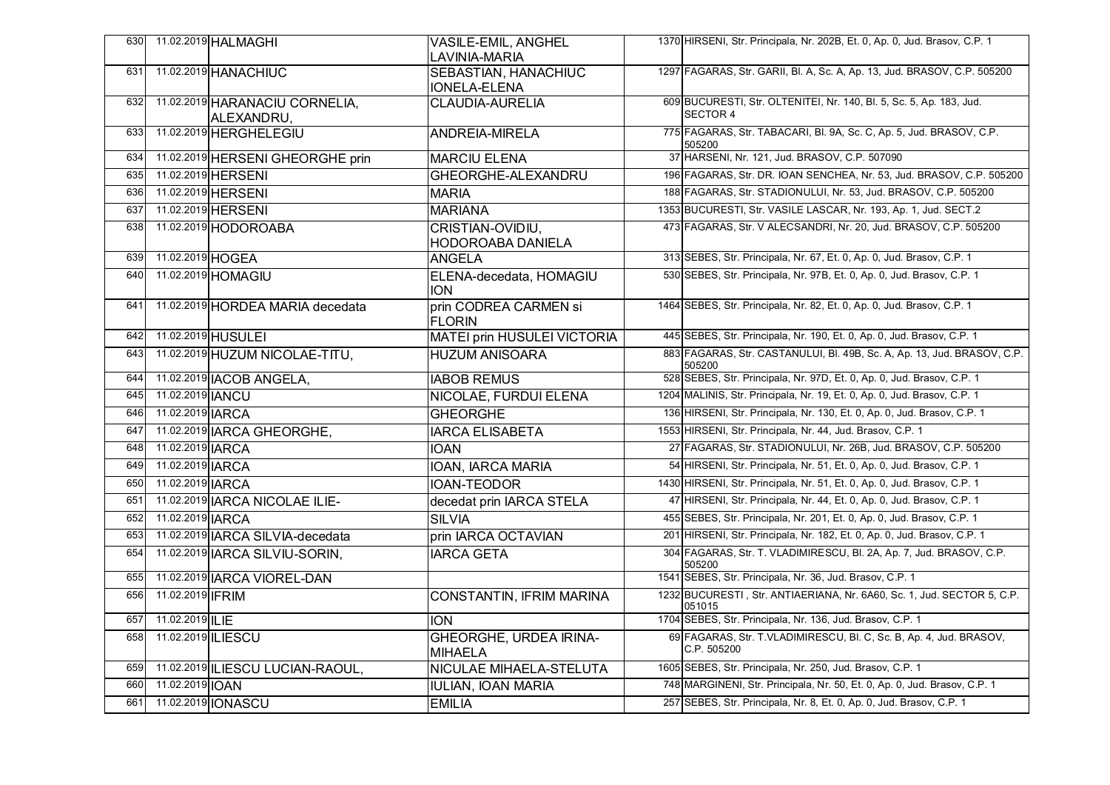|     |                         | 630 11.02.2019 HALMAGHI                      | <b>VASILE-EMIL, ANGHEL</b><br><b>LAVINIA-MARIA</b> | 1370 HIRSENI, Str. Principala, Nr. 202B, Et. 0, Ap. 0, Jud. Brasov, C.P. 1             |
|-----|-------------------------|----------------------------------------------|----------------------------------------------------|----------------------------------------------------------------------------------------|
| 631 |                         | 11.02.2019 HANACHIUC                         | SEBASTIAN, HANACHIUC<br><b>IONELA-ELENA</b>        | 1297 FAGARAS, Str. GARII, Bl. A, Sc. A, Ap. 13, Jud. BRASOV, C.P. 505200               |
| 632 |                         | 11.02.2019 HARANACIU CORNELIA,<br>ALEXANDRU, | <b>CLAUDIA-AURELIA</b>                             | 609 BUCURESTI, Str. OLTENITEI, Nr. 140, Bl. 5, Sc. 5, Ap. 183, Jud.<br><b>SECTOR 4</b> |
| 633 |                         | 11.02.2019 HERGHELEGIU                       | <b>ANDREIA-MIRELA</b>                              | 775 FAGARAS, Str. TABACARI, Bl. 9A, Sc. C, Ap. 5, Jud. BRASOV, C.P.<br>505200          |
| 634 |                         | 11.02.2019 HERSENI GHEORGHE prin             | <b>MARCIU ELENA</b>                                | 37 HARSENI, Nr. 121, Jud. BRASOV, C.P. 507090                                          |
| 635 |                         | 11.02.2019 HERSENI                           | GHEORGHE-ALEXANDRU                                 | 196 FAGARAS, Str. DR. IOAN SENCHEA, Nr. 53, Jud. BRASOV, C.P. 505200                   |
| 636 |                         | 11.02.2019 HERSENI                           | <b>MARIA</b>                                       | 188 FAGARAS, Str. STADIONULUI, Nr. 53, Jud. BRASOV, C.P. 505200                        |
| 637 |                         | 11.02.2019 HERSENI                           | <b>MARIANA</b>                                     | 1353 BUCURESTI, Str. VASILE LASCAR, Nr. 193, Ap. 1, Jud. SECT.2                        |
| 638 |                         | 11.02.2019 HODOROABA                         | <b>CRISTIAN-OVIDIU,</b><br>HODOROABA DANIELA       | 473 FAGARAS, Str. V ALECSANDRI, Nr. 20, Jud. BRASOV, C.P. 505200                       |
| 639 | 11.02.2019 HOGEA        |                                              | <b>ANGELA</b>                                      | 313 SEBES, Str. Principala, Nr. 67, Et. 0, Ap. 0, Jud. Brasov, C.P. 1                  |
| 640 |                         | 11.02.2019 HOMAGIU                           | ELENA-decedata, HOMAGIU<br><b>ION</b>              | 530 SEBES, Str. Principala, Nr. 97B, Et. 0, Ap. 0, Jud. Brasov, C.P. 1                 |
| 641 |                         | 11.02.2019 HORDEA MARIA decedata             | prin CODREA CARMEN si<br><b>FLORIN</b>             | 1464 SEBES, Str. Principala, Nr. 82, Et. 0, Ap. 0, Jud. Brasov, C.P. 1                 |
| 642 |                         | 11.02.2019 HUSULEI                           | <b>MATEI prin HUSULEI VICTORIA</b>                 | 445 SEBES, Str. Principala, Nr. 190, Et. 0, Ap. 0, Jud. Brasov, C.P. 1                 |
| 643 |                         | 11.02.2019 HUZUM NICOLAE-TITU,               | <b>HUZUM ANISOARA</b>                              | 883 FAGARAS, Str. CASTANULUI, BI. 49B, Sc. A, Ap. 13, Jud. BRASOV, C.P.<br>505200      |
| 644 |                         | 11.02.2019   ACOB ANGELA,                    | <b>IABOB REMUS</b>                                 | 528 SEBES, Str. Principala, Nr. 97D, Et. 0, Ap. 0, Jud. Brasov, C.P. 1                 |
| 645 | 11.02.2019 <b>IANCU</b> |                                              | <b>NICOLAE, FURDUI ELENA</b>                       | 1204 MALINIS, Str. Principala, Nr. 19, Et. 0, Ap. 0, Jud. Brasov, C.P. 1               |
| 646 | 11.02.2019 JARCA        |                                              | <b>GHEORGHE</b>                                    | 136 HIRSENI, Str. Principala, Nr. 130, Et. 0, Ap. 0, Jud. Brasov, C.P. 1               |
| 647 |                         | 11.02.2019 IARCA GHEORGHE,                   | <b>IARCA ELISABETA</b>                             | 1553 HIRSENI, Str. Principala, Nr. 44, Jud. Brasov, C.P. 1                             |
| 648 | 11.02.2019 IARCA        |                                              | <b>IOAN</b>                                        | 27 FAGARAS, Str. STADIONULUI, Nr. 26B, Jud. BRASOV, C.P. 505200                        |
| 649 | 11.02.2019 IARCA        |                                              | IOAN, IARCA MARIA                                  | 54 HIRSENI, Str. Principala, Nr. 51, Et. 0, Ap. 0, Jud. Brasov, C.P. 1                 |
| 650 | 11.02.2019 JARCA        |                                              | <b>IOAN-TEODOR</b>                                 | 1430 HIRSENI, Str. Principala, Nr. 51, Et. 0, Ap. 0, Jud. Brasov, C.P. 1               |
| 651 |                         | 11.02.2019 IARCA NICOLAE ILIE-               | decedat prin IARCA STELA                           | 47 HIRSENI, Str. Principala, Nr. 44, Et. 0, Ap. 0, Jud. Brasov, C.P. 1                 |
| 652 | 11.02.2019 JARCA        |                                              | <b>SILVIA</b>                                      | 455 SEBES, Str. Principala, Nr. 201, Et. 0, Ap. 0, Jud. Brasov, C.P. 1                 |
| 653 |                         | 11.02.2019 IARCA SILVIA-decedata             | prin IARCA OCTAVIAN                                | 201 HIRSENI, Str. Principala, Nr. 182, Et. 0, Ap. 0, Jud. Brasov, C.P. 1               |
| 654 |                         | 11.02.2019   JARCA SILVIU-SORIN,             | <b>IARCA GETA</b>                                  | 304 FAGARAS, Str. T. VLADIMIRESCU, Bl. 2A, Ap. 7, Jud. BRASOV, C.P.<br>505200          |
| 655 |                         | 11.02.2019   ARCA VIOREL-DAN                 |                                                    | 1541 SEBES, Str. Principala, Nr. 36, Jud. Brasov, C.P. 1                               |
| 656 | 11.02.2019 IFRIM        |                                              | <b>CONSTANTIN, IFRIM MARINA</b>                    | 1232 BUCURESTI, Str. ANTIAERIANA, Nr. 6A60, Sc. 1, Jud. SECTOR 5, C.P.<br>051015       |
| 657 | 11.02.2019 ILIE         |                                              | <b>ION</b>                                         | 1704 SEBES, Str. Principala, Nr. 136, Jud. Brasov, C.P. 1                              |
| 658 | 11.02.2019 ILIESCU      |                                              | <b>GHEORGHE, URDEA IRINA-</b><br><b>MIHAELA</b>    | 69 FAGARAS, Str. T. VLADIMIRESCU, Bl. C, Sc. B, Ap. 4, Jud. BRASOV,<br>C.P. 505200     |
| 659 |                         | 11.02.2019 ILIESCU LUCIAN-RAOUL,             | NICULAE MIHAELA-STELUTA                            | 1605 SEBES, Str. Principala, Nr. 250, Jud. Brasov, C.P. 1                              |
| 660 | 11.02.2019 IOAN         |                                              | <b>IULIAN, IOAN MARIA</b>                          | 748 MARGINENI, Str. Principala, Nr. 50, Et. 0, Ap. 0, Jud. Brasov, C.P. 1              |
| 661 |                         | 11.02.2019 <b>IONASCU</b>                    | <b>EMILIA</b>                                      | 257 SEBES, Str. Principala, Nr. 8, Et. 0, Ap. 0, Jud. Brasov, C.P. 1                   |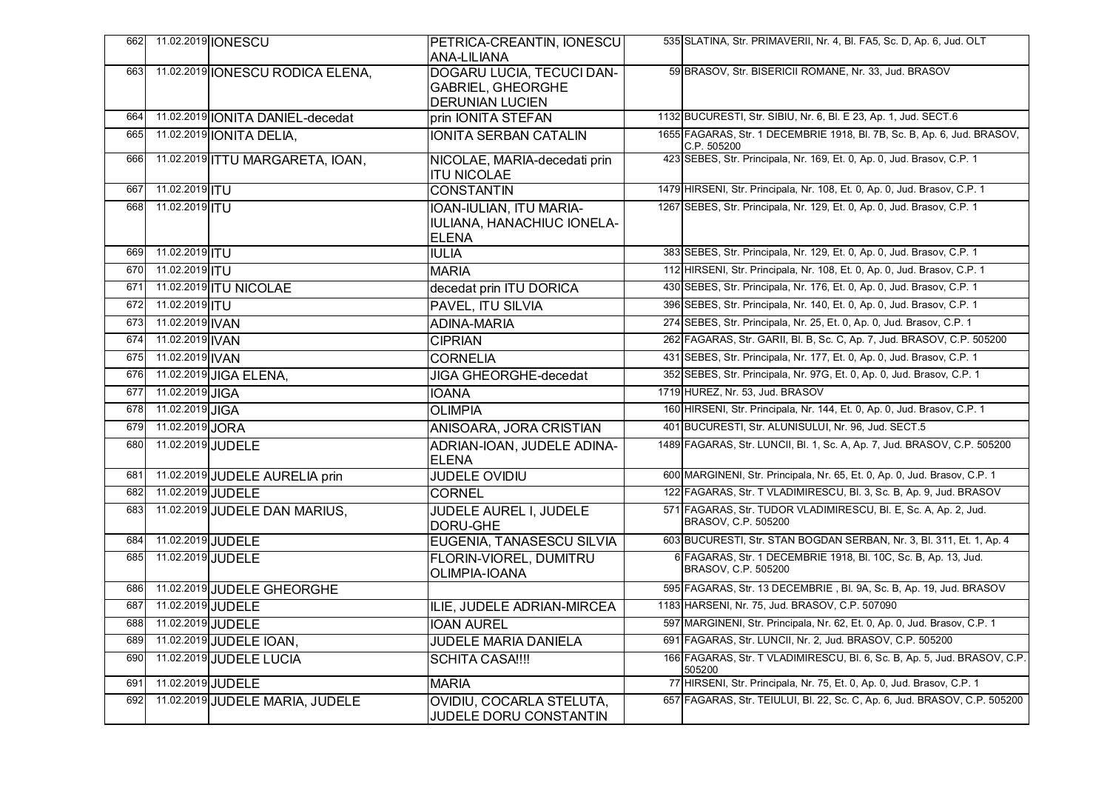| 662 |                   | 11.02.2019 <b>IONESCU</b>        | PETRICA-CREANTIN, IONESCU<br><b>ANA-LILIANA</b>                                 | 535 SLATINA, Str. PRIMAVERII, Nr. 4, Bl. FA5, Sc. D, Ap. 6, Jud. OLT                   |
|-----|-------------------|----------------------------------|---------------------------------------------------------------------------------|----------------------------------------------------------------------------------------|
| 663 |                   | 11.02.2019 IONESCU RODICA ELENA, | DOGARU LUCIA, TECUCI DAN-<br><b>GABRIEL, GHEORGHE</b><br><b>DERUNIAN LUCIEN</b> | 59 BRASOV, Str. BISERICII ROMANE, Nr. 33, Jud. BRASOV                                  |
| 664 |                   | 11.02.2019 IONITA DANIEL-decedat | prin IONITA STEFAN                                                              | 1132 BUCURESTI, Str. SIBIU, Nr. 6, Bl. E 23, Ap. 1, Jud. SECT.6                        |
| 665 |                   | 11.02.2019 <b>JONITA DELIA</b> , | IONITA SERBAN CATALIN                                                           | 1655 FAGARAS, Str. 1 DECEMBRIE 1918, Bl. 7B, Sc. B, Ap. 6, Jud. BRASOV,<br>C.P. 505200 |
| 666 |                   | 11.02.2019 ITTU MARGARETA, IOAN, | NICOLAE, MARIA-decedati prin<br><b>ITU NICOLAE</b>                              | 423 SEBES, Str. Principala, Nr. 169, Et. 0, Ap. 0, Jud. Brasov, C.P. 1                 |
| 667 | 11.02.2019   TU   |                                  | <b>CONSTANTIN</b>                                                               | 1479 HIRSENI, Str. Principala, Nr. 108, Et. 0, Ap. 0, Jud. Brasov, C.P. 1              |
| 668 | 11.02.2019 ITU    |                                  | IOAN-IULIAN, ITU MARIA-<br>IULIANA, HANACHIUC IONELA-<br><b>ELENA</b>           | 1267 SEBES, Str. Principala, Nr. 129, Et. 0, Ap. 0, Jud. Brasov, C.P. 1                |
| 669 | 11.02.2019 ITU    |                                  | <b>IULIA</b>                                                                    | 383 SEBES, Str. Principala, Nr. 129, Et. 0, Ap. 0, Jud. Brasov, C.P. 1                 |
| 670 | 11.02.2019 ITU    |                                  | <b>MARIA</b>                                                                    | 112 HIRSENI, Str. Principala, Nr. 108, Et. 0, Ap. 0, Jud. Brasov, C.P. 1               |
| 671 |                   | 11.02.2019 ITU NICOLAE           | decedat prin ITU DORICA                                                         | 430 SEBES, Str. Principala, Nr. 176, Et. 0, Ap. 0, Jud. Brasov, C.P. 1                 |
| 672 | 11.02.2019  TU    |                                  | <b>PAVEL, ITU SILVIA</b>                                                        | 396 SEBES, Str. Principala, Nr. 140, Et. 0, Ap. 0, Jud. Brasov, C.P. 1                 |
| 673 | 11.02.2019 IVAN   |                                  | <b>ADINA-MARIA</b>                                                              | 274 SEBES, Str. Principala, Nr. 25, Et. 0, Ap. 0, Jud. Brasov, C.P. 1                  |
| 674 | 11.02.2019 IVAN   |                                  | <b>CIPRIAN</b>                                                                  | 262 FAGARAS, Str. GARII, Bl. B, Sc. C, Ap. 7, Jud. BRASOV, C.P. 505200                 |
| 675 | 11.02.2019 IVAN   |                                  | <b>CORNELIA</b>                                                                 | 431 SEBES, Str. Principala, Nr. 177, Et. 0, Ap. 0, Jud. Brasov, C.P. 1                 |
| 676 |                   | 11.02.2019 JIGA ELENA,           | <b>JIGA GHEORGHE-decedat</b>                                                    | 352 SEBES, Str. Principala, Nr. 97G, Et. 0, Ap. 0, Jud. Brasov, C.P. 1                 |
| 677 | 11.02.2019 JIGA   |                                  | <b>IOANA</b>                                                                    | 1719 HUREZ, Nr. 53, Jud. BRASOV                                                        |
| 678 | 11.02.2019 JIGA   |                                  | <b>OLIMPIA</b>                                                                  | 160 HIRSENI, Str. Principala, Nr. 144, Et. 0, Ap. 0, Jud. Brasov, C.P. 1               |
| 679 | 11.02.2019 JORA   |                                  | ANISOARA, JORA CRISTIAN                                                         | 401 BUCURESTI, Str. ALUNISULUI, Nr. 96, Jud. SECT.5                                    |
| 680 | 11.02.2019 JUDELE |                                  | ADRIAN-IOAN, JUDELE ADINA-<br><b>ELENA</b>                                      | 1489 FAGARAS, Str. LUNCII, Bl. 1, Sc. A, Ap. 7, Jud. BRASOV, C.P. 505200               |
| 681 |                   | 11.02.2019 JUDELE AURELIA prin   | JUDELE OVIDIU                                                                   | 600 MARGINENI, Str. Principala, Nr. 65, Et. 0, Ap. 0, Jud. Brasov, C.P. 1              |
| 682 | 11.02.2019 JUDELE |                                  | <b>CORNEL</b>                                                                   | 122 FAGARAS, Str. T VLADIMIRESCU, Bl. 3, Sc. B, Ap. 9, Jud. BRASOV                     |
| 683 |                   | 11.02.2019 JUDELE DAN MARIUS,    | JUDELE AUREL I, JUDELE<br>DORU-GHE                                              | 571 FAGARAS, Str. TUDOR VLADIMIRESCU, Bl. E, Sc. A, Ap. 2, Jud.<br>BRASOV, C.P. 505200 |
| 684 | 11.02.2019 JUDELE |                                  | EUGENIA, TANASESCU SILVIA                                                       | 603 BUCURESTI, Str. STAN BOGDAN SERBAN, Nr. 3, Bl. 311, Et. 1, Ap. 4                   |
| 685 | 11.02.2019 JUDELE |                                  | <b>FLORIN-VIOREL, DUMITRU</b><br>OLIMPIA-IOANA                                  | 6 FAGARAS, Str. 1 DECEMBRIE 1918, Bl. 10C, Sc. B, Ap. 13, Jud.<br>BRASOV, C.P. 505200  |
| 686 |                   | 11.02.2019 JUDELE GHEORGHE       |                                                                                 | 595 FAGARAS, Str. 13 DECEMBRIE, Bl. 9A, Sc. B, Ap. 19, Jud. BRASOV                     |
| 687 | 11.02.2019 JUDELE |                                  | ILIE, JUDELE ADRIAN-MIRCEA                                                      | 1183 HARSENI, Nr. 75, Jud. BRASOV, C.P. 507090                                         |
| 688 | 11.02.2019 JUDELE |                                  | <b>IOAN AUREL</b>                                                               | 597 MARGINENI, Str. Principala, Nr. 62, Et. 0, Ap. 0, Jud. Brasov, C.P. 1              |
| 689 |                   | 11.02.2019 JUDELE IOAN,          | JUDELE MARIA DANIELA                                                            | 691 FAGARAS, Str. LUNCII, Nr. 2, Jud. BRASOV, C.P. 505200                              |
| 690 |                   | 11.02.2019 JUDELE LUCIA          | <b>SCHITA CASA!!!!</b>                                                          | 166 FAGARAS, Str. T VLADIMIRESCU, Bl. 6, Sc. B, Ap. 5, Jud. BRASOV, C.P.<br>505200     |
| 691 | 11.02.2019 JUDELE |                                  | <b>MARIA</b>                                                                    | 77 HIRSENI, Str. Principala, Nr. 75, Et. 0, Ap. 0, Jud. Brasov, C.P. 1                 |
| 692 |                   | 11.02.2019 JUDELE MARIA, JUDELE  | OVIDIU, COCARLA STELUTA,<br>JUDELE DORU CONSTANTIN                              | 657 FAGARAS, Str. TEIULUI, Bl. 22, Sc. C, Ap. 6, Jud. BRASOV, C.P. 505200              |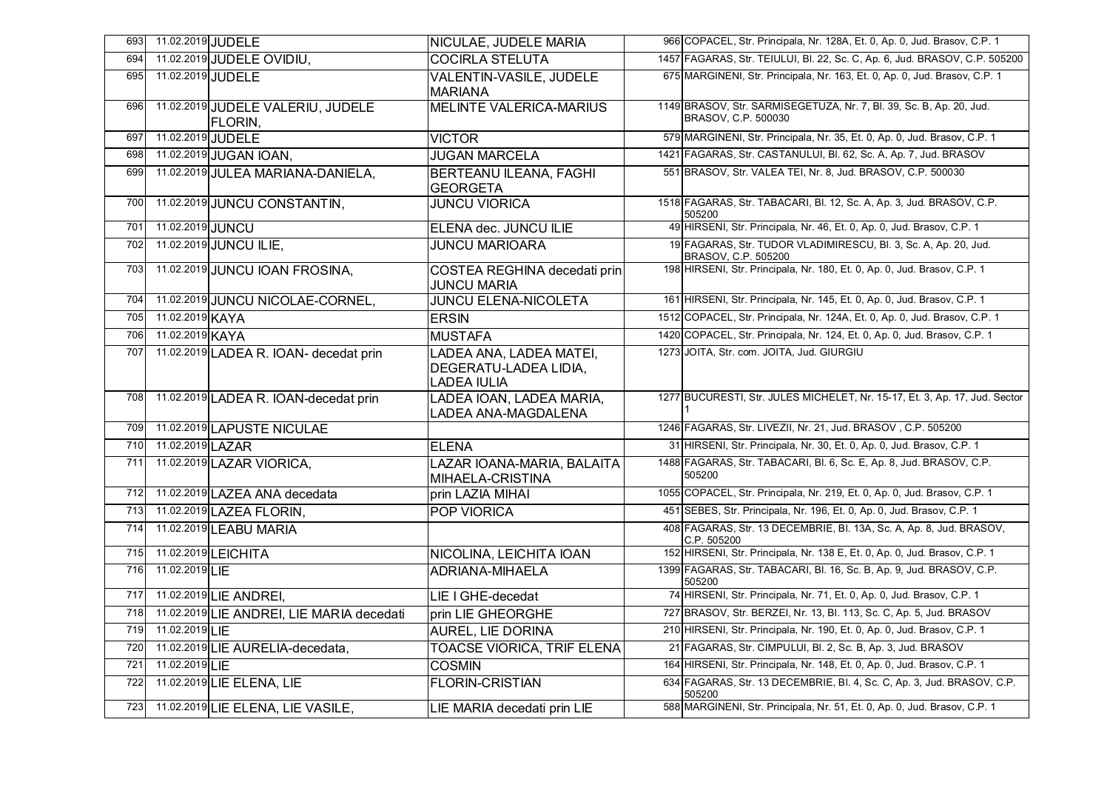| 693 | 11.02.2019 JUDELE                            | NICULAE, JUDELE MARIA                                                  | 966 COPACEL, Str. Principala, Nr. 128A, Et. 0, Ap. 0, Jud. Brasov, C.P. 1                  |
|-----|----------------------------------------------|------------------------------------------------------------------------|--------------------------------------------------------------------------------------------|
| 694 | 11.02.2019 JUDELE OVIDIU,                    | <b>COCIRLA STELUTA</b>                                                 | 1457 FAGARAS, Str. TEIULUI, Bl. 22, Sc. C, Ap. 6, Jud. BRASOV, C.P. 505200                 |
| 695 | 11.02.2019 JUDELE                            | VALENTIN-VASILE, JUDELE<br><b>MARIANA</b>                              | 675 MARGINENI, Str. Principala, Nr. 163, Et. 0, Ap. 0, Jud. Brasov, C.P. 1                 |
| 696 | 11.02.2019 JUDELE VALERIU, JUDELE<br>FLORIN. | <b>MELINTE VALERICA-MARIUS</b>                                         | 1149 BRASOV, Str. SARMISEGETUZA, Nr. 7, Bl. 39, Sc. B, Ap. 20, Jud.<br>BRASOV, C.P. 500030 |
| 697 | 11.02.2019 JUDELE                            | <b>VICTOR</b>                                                          | 579 MARGINENI, Str. Principala, Nr. 35, Et. 0, Ap. 0, Jud. Brasov, C.P. 1                  |
| 698 | 11.02.2019 JUGAN IOAN,                       | <b>JUGAN MARCELA</b>                                                   | 1421 FAGARAS, Str. CASTANULUI, Bl. 62, Sc. A, Ap. 7, Jud. BRASOV                           |
| 699 | 11.02.2019 JULEA MARIANA-DANIELA,            | BERTEANU ILEANA, FAGHI<br><b>GEORGETA</b>                              | 551 BRASOV, Str. VALEA TEI, Nr. 8, Jud. BRASOV, C.P. 500030                                |
| 700 | 11.02.2019 JUNCU CONSTANTIN,                 | <b>JUNCU VIORICA</b>                                                   | 1518 FAGARAS, Str. TABACARI, Bl. 12, Sc. A, Ap. 3, Jud. BRASOV, C.P.<br>505200             |
| 701 | 11.02.2019 JUNCU                             | ELENA dec. JUNCU ILIE                                                  | 49 HIRSENI, Str. Principala, Nr. 46, Et. 0, Ap. 0, Jud. Brasov, C.P. 1                     |
| 702 | 11.02.2019 JUNCU ILIE,                       | <b>JUNCU MARIOARA</b>                                                  | 19 FAGARAS, Str. TUDOR VLADIMIRESCU, Bl. 3, Sc. A, Ap. 20, Jud.<br>BRASOV, C.P. 505200     |
| 703 | 11.02.2019 JUNCU IOAN FROSINA,               | COSTEA REGHINA decedati prin<br><b>JUNCU MARIA</b>                     | 198 HIRSENI, Str. Principala, Nr. 180, Et. 0, Ap. 0, Jud. Brasov, C.P. 1                   |
| 704 | 11.02.2019 JUNCU NICOLAE-CORNEL,             | <b>JUNCU ELENA-NICOLETA</b>                                            | 161 HIRSENI, Str. Principala, Nr. 145, Et. 0, Ap. 0, Jud. Brasov, C.P. 1                   |
| 705 | 11.02.2019 KAYA                              | <b>ERSIN</b>                                                           | 1512 COPACEL, Str. Principala, Nr. 124A, Et. 0, Ap. 0, Jud. Brasov, C.P. 1                 |
| 706 | 11.02.2019 KAYA                              | <b>MUSTAFA</b>                                                         | 1420 COPACEL, Str. Principala, Nr. 124, Et. 0, Ap. 0, Jud. Brasov, C.P. 1                  |
| 707 | 11.02.2019 LADEA R. IOAN- decedat prin       | LADEA ANA, LADEA MATEI,<br>DEGERATU-LADEA LIDIA,<br><b>LADEA IULIA</b> | 1273 JOITA, Str. com. JOITA, Jud. GIURGIU                                                  |
| 708 | 11.02.2019 LADEA R. IOAN-decedat prin        | LADEA IOAN, LADEA MARIA,<br>LADEA ANA-MAGDALENA                        | 1277 BUCURESTI, Str. JULES MICHELET, Nr. 15-17, Et. 3, Ap. 17, Jud. Sector                 |
| 709 | 11.02.2019 LAPUSTE NICULAE                   |                                                                        | 1246 FAGARAS, Str. LIVEZII, Nr. 21, Jud. BRASOV, C.P. 505200                               |
| 710 | 11.02.2019 LAZAR                             | <b>ELENA</b>                                                           | 31 HIRSENI, Str. Principala, Nr. 30, Et. 0, Ap. 0, Jud. Brasov, C.P. 1                     |
| 711 | 11.02.2019 LAZAR VIORICA,                    | LAZAR IOANA-MARIA, BALAITA<br>MIHAELA-CRISTINA                         | 1488 FAGARAS, Str. TABACARI, Bl. 6, Sc. E, Ap. 8, Jud. BRASOV, C.P.<br>505200              |
| 712 | 11.02.2019 LAZEA ANA decedata                | prin LAZIA MIHAI                                                       | 1055 COPACEL, Str. Principala, Nr. 219, Et. 0, Ap. 0, Jud. Brasov, C.P. 1                  |
| 713 | 11.02.2019 LAZEA FLORIN,                     | <b>POP VIORICA</b>                                                     | 451 SEBES, Str. Principala, Nr. 196, Et. 0, Ap. 0, Jud. Brasov, C.P. 1                     |
| 714 | 11.02.2019 LEABU MARIA                       |                                                                        | 408 FAGARAS, Str. 13 DECEMBRIE, Bl. 13A, Sc. A, Ap. 8, Jud. BRASOV,<br>C.P. 505200         |
| 715 | 11.02.2019 LEICHITA                          | NICOLINA, LEICHITA IOAN                                                | 152 HIRSENI, Str. Principala, Nr. 138 E, Et. 0, Ap. 0, Jud. Brasov, C.P. 1                 |
| 716 | 11.02.2019 LIE                               | ADRIANA-MIHAELA                                                        | 1399 FAGARAS, Str. TABACARI, Bl. 16, Sc. B, Ap. 9, Jud. BRASOV, C.P.<br>505200             |
| 717 | 11.02.2019 LIE ANDREI,                       | LIE I GHE-decedat                                                      | 74 HIRSENI, Str. Principala, Nr. 71, Et. 0, Ap. 0, Jud. Brasov, C.P. 1                     |
| 718 | 11.02.2019 LIE ANDREI, LIE MARIA decedati    | prin LIE GHEORGHE                                                      | 727 BRASOV, Str. BERZEI, Nr. 13, Bl. 113, Sc. C, Ap. 5, Jud. BRASOV                        |
| 719 | 11.02.2019 LIE                               | AUREL, LIE DORINA                                                      | 210 HIRSENI, Str. Principala, Nr. 190, Et. 0, Ap. 0, Jud. Brasov, C.P. 1                   |
| 720 | 11.02.2019 LIE AURELIA-decedata,             | <b>TOACSE VIORICA, TRIF ELENA</b>                                      | 21 FAGARAS, Str. CIMPULUI, Bl. 2, Sc. B, Ap. 3, Jud. BRASOV                                |
| 721 | 11.02.2019 LIE                               | <b>COSMIN</b>                                                          | 164 HIRSENI, Str. Principala, Nr. 148, Et. 0, Ap. 0, Jud. Brasov, C.P. 1                   |
| 722 | 11.02.2019 LIE ELENA, LIE                    | <b>FLORIN-CRISTIAN</b>                                                 | 634 FAGARAS, Str. 13 DECEMBRIE, Bl. 4, Sc. C, Ap. 3, Jud. BRASOV, C.P.<br>505200           |
| 723 | 11.02.2019 LIE ELENA, LIE VASILE,            | LIE MARIA decedati prin LIE                                            | 588 MARGINENI, Str. Principala, Nr. 51, Et. 0, Ap. 0, Jud. Brasov, C.P. 1                  |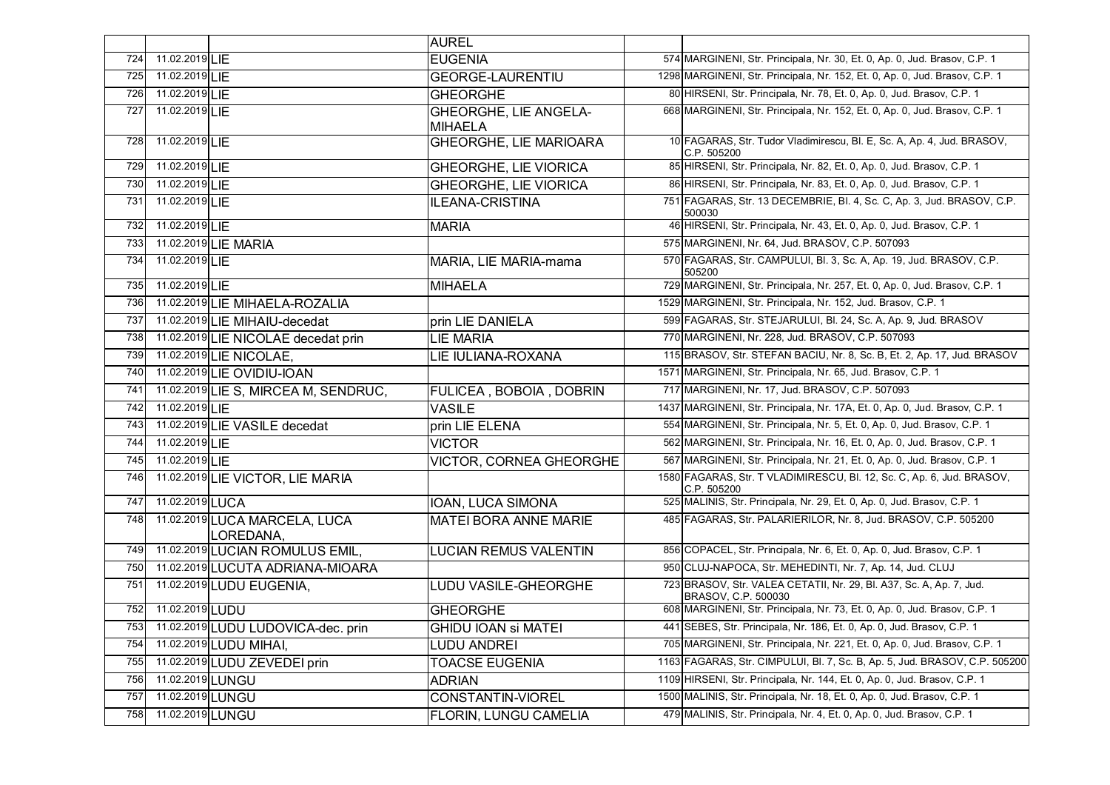|     |                  |                                            | <b>AUREL</b>                                   |                                                                                            |
|-----|------------------|--------------------------------------------|------------------------------------------------|--------------------------------------------------------------------------------------------|
| 724 | 11.02.2019 LIE   |                                            | <b>EUGENIA</b>                                 | 574 MARGINENI, Str. Principala, Nr. 30, Et. 0, Ap. 0, Jud. Brasov, C.P. 1                  |
| 725 | 11.02.2019 LIE   |                                            | <b>GEORGE-LAURENTIU</b>                        | 1298 MARGINENI, Str. Principala, Nr. 152, Et. 0, Ap. 0, Jud. Brasov, C.P. 1                |
| 726 | 11.02.2019 LIE   |                                            | <b>GHEORGHE</b>                                | 80 HIRSENI, Str. Principala, Nr. 78, Et. 0, Ap. 0, Jud. Brasov, C.P. 1                     |
| 727 | 11.02.2019 LIE   |                                            | <b>GHEORGHE, LIE ANGELA-</b><br><b>MIHAELA</b> | 668 MARGINENI, Str. Principala, Nr. 152, Et. 0, Ap. 0, Jud. Brasov, C.P. 1                 |
| 728 | 11.02.2019 LIE   |                                            | <b>GHEORGHE, LIE MARIOARA</b>                  | 10 FAGARAS, Str. Tudor Vladimirescu, Bl. E, Sc. A, Ap. 4, Jud. BRASOV,<br>C.P. 505200      |
| 729 | 11.02.2019 LIE   |                                            | <b>GHEORGHE, LIE VIORICA</b>                   | 85 HIRSENI, Str. Principala, Nr. 82, Et. 0, Ap. 0, Jud. Brasov, C.P. 1                     |
| 730 | 11.02.2019 LIE   |                                            | <b>GHEORGHE, LIE VIORICA</b>                   | 86 HIRSENI, Str. Principala, Nr. 83, Et. 0, Ap. 0, Jud. Brasov, C.P. 1                     |
| 731 | 11.02.2019LIE    |                                            | ILEANA-CRISTINA                                | 751 FAGARAS, Str. 13 DECEMBRIE, Bl. 4, Sc. C, Ap. 3, Jud. BRASOV, C.P.<br>500030           |
| 732 | 11.02.2019 LIE   |                                            | <b>MARIA</b>                                   | 46 HIRSENI, Str. Principala, Nr. 43, Et. 0, Ap. 0, Jud. Brasov, C.P. 1                     |
| 733 |                  | 11.02.2019 LIE MARIA                       |                                                | 575 MARGINENI, Nr. 64, Jud. BRASOV, C.P. 507093                                            |
| 734 | 11.02.2019 LIF   |                                            | MARIA, LIE MARIA-mama                          | 570 FAGARAS, Str. CAMPULUI, Bl. 3, Sc. A, Ap. 19, Jud. BRASOV, C.P.<br>505200              |
| 735 | 11.02.2019 LIE   |                                            | <b>MIHAELA</b>                                 | 729 MARGINENI, Str. Principala, Nr. 257, Et. 0, Ap. 0, Jud. Brasov, C.P. 1                 |
| 736 |                  | 11.02.2019 LIE MIHAELA-ROZALIA             |                                                | 1529 MARGINENI, Str. Principala, Nr. 152, Jud. Brasov, C.P. 1                              |
| 737 |                  | 11.02.2019 LIE MIHAIU-decedat              | prin LIE DANIELA                               | 599 FAGARAS, Str. STEJARULUI, Bl. 24, Sc. A, Ap. 9, Jud. BRASOV                            |
| 738 |                  | 11.02.2019 LIE NICOLAE decedat prin        | <b>LIE MARIA</b>                               | 770 MARGINENI, Nr. 228, Jud. BRASOV, C.P. 507093                                           |
| 739 |                  | 11.02.2019 LIE NICOLAE,                    | <b>LIE IULIANA-ROXANA</b>                      | 115 BRASOV, Str. STEFAN BACIU, Nr. 8, Sc. B, Et. 2, Ap. 17, Jud. BRASOV                    |
| 740 |                  | 11.02.2019 LIE OVIDIU-IOAN                 |                                                | 1571 MARGINENI, Str. Principala, Nr. 65, Jud. Brasov, C.P. 1                               |
| 741 |                  | 11.02.2019 LIE S, MIRCEA M, SENDRUC,       | <b>FULICEA, BOBOIA, DOBRIN</b>                 | 717 MARGINENI, Nr. 17, Jud. BRASOV, C.P. 507093                                            |
| 742 | 11.02.2019 LIE   |                                            | <b>VASILE</b>                                  | 1437 MARGINENI, Str. Principala, Nr. 17A, Et. 0, Ap. 0, Jud. Brasov, C.P. 1                |
| 743 |                  | 11.02.2019 LIE VASILE decedat              | prin LIE ELENA                                 | 554 MARGINENI, Str. Principala, Nr. 5, Et. 0, Ap. 0, Jud. Brasov, C.P. 1                   |
| 744 | 11.02.2019 LIE   |                                            | <b>VICTOR</b>                                  | 562 MARGINENI, Str. Principala, Nr. 16, Et. 0, Ap. 0, Jud. Brasov, C.P. 1                  |
| 745 | 11.02.2019 LIE   |                                            | VICTOR, CORNEA GHEORGHE                        | 567 MARGINENI, Str. Principala, Nr. 21, Et. 0, Ap. 0, Jud. Brasov, C.P. 1                  |
| 746 |                  | 11.02.2019 LIE VICTOR, LIE MARIA           |                                                | 1580 FAGARAS, Str. T VLADIMIRESCU, Bl. 12, Sc. C, Ap. 6, Jud. BRASOV,<br>C.P. 505200       |
| 747 | 11.02.2019 LUCA  |                                            | <b>IOAN, LUCA SIMONA</b>                       | 525 MALINIS, Str. Principala, Nr. 29, Et. 0, Ap. 0, Jud. Brasov, C.P. 1                    |
| 748 |                  | 11.02.2019 LUCA MARCELA, LUCA<br>LOREDANA, | <b>MATEI BORA ANNE MARIE</b>                   | 485 FAGARAS, Str. PALARIERILOR, Nr. 8, Jud. BRASOV, C.P. 505200                            |
| 749 |                  | 11.02.2019 LUCIAN ROMULUS EMIL,            | <b>LUCIAN REMUS VALENTIN</b>                   | 856 COPACEL, Str. Principala, Nr. 6, Et. 0, Ap. 0, Jud. Brasov, C.P. 1                     |
| 750 |                  | 11.02.2019 LUCUTA ADRIANA-MIOARA           |                                                | 950 CLUJ-NAPOCA, Str. MEHEDINTI, Nr. 7, Ap. 14, Jud. CLUJ                                  |
| 751 |                  | 11.02.2019 LUDU EUGENIA,                   | <b>LUDU VASILE-GHEORGHE</b>                    | 723 BRASOV, Str. VALEA CETATII, Nr. 29, Bl. A37, Sc. A, Ap. 7, Jud.<br>BRASOV, C.P. 500030 |
| 752 | 11.02.2019 LUDU  |                                            | <b>GHEORGHE</b>                                | 608 MARGINENI, Str. Principala, Nr. 73, Et. 0, Ap. 0, Jud. Brasov, C.P. 1                  |
| 753 |                  | 11.02.2019 LUDU LUDOVICA-dec. prin         | <b>GHIDU IOAN Si MATEI</b>                     | 441 SEBES, Str. Principala, Nr. 186, Et. 0, Ap. 0, Jud. Brasov, C.P. 1                     |
| 754 |                  | 11.02.2019 LUDU MIHAI,                     | <b>LUDU ANDREI</b>                             | 705 MARGINENI, Str. Principala, Nr. 221, Et. 0, Ap. 0, Jud. Brasov, C.P. 1                 |
| 755 |                  | 11.02.2019 LUDU ZEVEDEI prin               | <b>TOACSE EUGENIA</b>                          | 1163 FAGARAS, Str. CIMPULUI, Bl. 7, Sc. B, Ap. 5, Jud. BRASOV, C.P. 505200                 |
| 756 | 11.02.2019 LUNGU |                                            | <b>ADRIAN</b>                                  | 1109 HIRSENI, Str. Principala, Nr. 144, Et. 0, Ap. 0, Jud. Brasov, C.P. 1                  |
| 757 | 11.02.2019 LUNGU |                                            | <b>CONSTANTIN-VIOREL</b>                       | 1500 MALINIS, Str. Principala, Nr. 18, Et. 0, Ap. 0, Jud. Brasov, C.P. 1                   |
| 758 | 11.02.2019 LUNGU |                                            | FLORIN, LUNGU CAMELIA                          | 479 MALINIS, Str. Principala, Nr. 4, Et. 0, Ap. 0, Jud. Brasov, C.P. 1                     |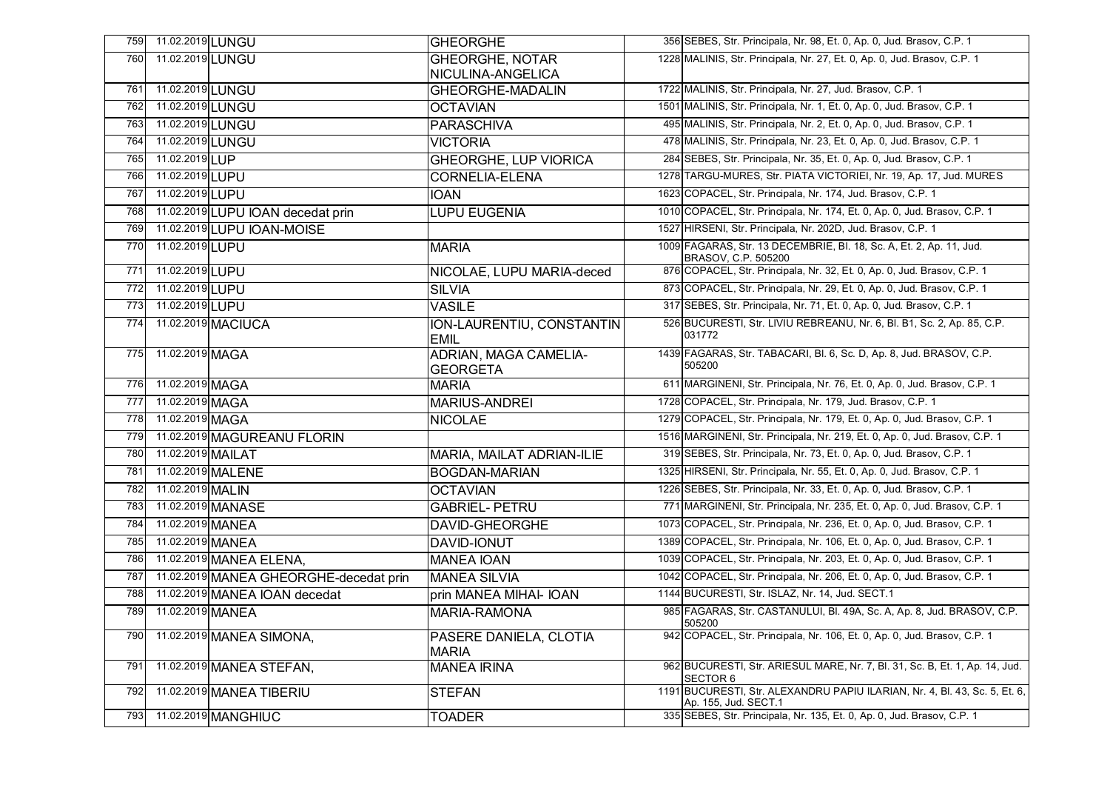| 759 | 11.02.2019 LUNGU  |                                        | <b>GHEORGHE</b>                                 | 356 SEBES, Str. Principala, Nr. 98, Et. 0, Ap. 0, Jud. Brasov, C.P. 1                              |
|-----|-------------------|----------------------------------------|-------------------------------------------------|----------------------------------------------------------------------------------------------------|
| 760 | 11.02.2019LUNGU   |                                        | <b>GHEORGHE, NOTAR</b>                          | 1228 MALINIS, Str. Principala, Nr. 27, Et. 0, Ap. 0, Jud. Brasov, C.P. 1                           |
|     |                   |                                        | NICULINA-ANGELICA                               |                                                                                                    |
| 761 | 11.02.2019 LUNGU  |                                        | <b>GHEORGHE-MADALIN</b>                         | 1722 MALINIS, Str. Principala, Nr. 27, Jud. Brasov, C.P. 1                                         |
| 762 | 11.02.2019 LUNGU  |                                        | <b>OCTAVIAN</b>                                 | 1501 MALINIS, Str. Principala, Nr. 1, Et. 0, Ap. 0, Jud. Brasov, C.P. 1                            |
| 763 | 11.02.2019 LUNGU  |                                        | <b>PARASCHIVA</b>                               | 495 MALINIS, Str. Principala, Nr. 2, Et. 0, Ap. 0, Jud. Brasov, C.P. 1                             |
| 764 | 11.02.2019 LUNGU  |                                        | <b>VICTORIA</b>                                 | 478 MALINIS, Str. Principala, Nr. 23, Et. 0, Ap. 0, Jud. Brasov, C.P. 1                            |
| 765 | 11.02.2019 LUP    |                                        | <b>GHEORGHE, LUP VIORICA</b>                    | 284 SEBES, Str. Principala, Nr. 35, Et. 0, Ap. 0, Jud. Brasov, C.P. 1                              |
| 766 | 11.02.2019 LUPU   |                                        | <b>CORNELIA-ELENA</b>                           | 1278 TARGU-MURES, Str. PIATA VICTORIEI, Nr. 19, Ap. 17, Jud. MURES                                 |
| 767 | 11.02.2019 LUPU   |                                        | <b>IOAN</b>                                     | 1623 COPACEL, Str. Principala, Nr. 174, Jud. Brasov, C.P. 1                                        |
| 768 |                   | 11.02.2019 LUPU IOAN decedat prin      | <b>LUPU EUGENIA</b>                             | 1010 COPACEL, Str. Principala, Nr. 174, Et. 0, Ap. 0, Jud. Brasov, C.P. 1                          |
| 769 |                   | 11.02.2019 LUPU IOAN-MOISE             |                                                 | 1527 HIRSENI, Str. Principala, Nr. 202D, Jud. Brasov, C.P. 1                                       |
| 770 | 11.02.2019 LUPU   |                                        | <b>MARIA</b>                                    | 1009 FAGARAS, Str. 13 DECEMBRIE, Bl. 18, Sc. A, Et. 2, Ap. 11, Jud.<br>BRASOV, C.P. 505200         |
| 771 | 11.02.2019 LUPU   |                                        | NICOLAE, LUPU MARIA-deced                       | 876 COPACEL, Str. Principala, Nr. 32, Et. 0, Ap. 0, Jud. Brasov, C.P. 1                            |
| 772 | 11.02.2019 LUPU   |                                        | <b>SILVIA</b>                                   | 873 COPACEL, Str. Principala, Nr. 29, Et. 0, Ap. 0, Jud. Brasov, C.P. 1                            |
| 773 | 11.02.2019LUPU    |                                        | <b>VASILE</b>                                   | 317 SEBES, Str. Principala, Nr. 71, Et. 0, Ap. 0, Jud. Brasov, C.P. 1                              |
| 774 |                   | 11.02.2019 MACIUCA                     | ION-LAURENTIU, CONSTANTIN<br><b>EMIL</b>        | 526 BUCURESTI, Str. LIVIU REBREANU, Nr. 6, Bl. B1, Sc. 2, Ap. 85, C.P.<br>031772                   |
| 775 | 11.02.2019 MAGA   |                                        | <b>ADRIAN, MAGA CAMELIA-</b><br><b>GEORGETA</b> | 1439 FAGARAS, Str. TABACARI, Bl. 6, Sc. D, Ap. 8, Jud. BRASOV, C.P.<br>505200                      |
| 776 | 11.02.2019 MAGA   |                                        | <b>MARIA</b>                                    | 611 MARGINENI, Str. Principala, Nr. 76, Et. 0, Ap. 0, Jud. Brasov, C.P. 1                          |
| 777 | 11.02.2019 MAGA   |                                        | MARIUS-ANDREI                                   | 1728 COPACEL, Str. Principala, Nr. 179, Jud. Brasov, C.P. 1                                        |
| 778 | 11.02.2019 MAGA   |                                        | <b>NICOLAE</b>                                  | 1279 COPACEL, Str. Principala, Nr. 179, Et. 0, Ap. 0, Jud. Brasov, C.P. 1                          |
| 779 |                   | 11.02.2019 MAGUREANU FLORIN            |                                                 | 1516 MARGINENI, Str. Principala, Nr. 219, Et. 0, Ap. 0, Jud. Brasov, C.P. 1                        |
| 780 | 11.02.2019 MAILAT |                                        | MARIA, MAILAT ADRIAN-ILIE                       | 319 SEBES, Str. Principala, Nr. 73, Et. 0, Ap. 0, Jud. Brasov, C.P. 1                              |
| 781 |                   | 11.02.2019 MALENE                      | <b>BOGDAN-MARIAN</b>                            | 1325 HIRSENI, Str. Principala, Nr. 55, Et. 0, Ap. 0, Jud. Brasov, C.P. 1                           |
| 782 | 11.02.2019 MALIN  |                                        | <b>OCTAVIAN</b>                                 | 1226 SEBES, Str. Principala, Nr. 33, Et. 0, Ap. 0, Jud. Brasov, C.P. 1                             |
| 783 |                   | 11.02.2019 MANASE                      | <b>GABRIEL- PETRU</b>                           | 771 MARGINENI, Str. Principala, Nr. 235, Et. 0, Ap. 0, Jud. Brasov, C.P. 1                         |
| 784 | 11.02.2019 MANEA  |                                        | DAVID-GHEORGHE                                  | 1073 COPACEL, Str. Principala, Nr. 236, Et. 0, Ap. 0, Jud. Brasov, C.P. 1                          |
| 785 | 11.02.2019 MANEA  |                                        | <b>DAVID-IONUT</b>                              | 1389 COPACEL, Str. Principala, Nr. 106, Et. 0, Ap. 0, Jud. Brasov, C.P. 1                          |
| 786 |                   | 11.02.2019 MANEA ELENA,                | <b>MANEA IOAN</b>                               | 1039 COPACEL, Str. Principala, Nr. 203, Et. 0, Ap. 0, Jud. Brasov, C.P. 1                          |
| 787 |                   | 11.02.2019 MANEA GHEORGHE-decedat prin | <b>MANEA SILVIA</b>                             | 1042 COPACEL, Str. Principala, Nr. 206, Et. 0, Ap. 0, Jud. Brasov, C.P. 1                          |
| 788 |                   | 11.02.2019 MANEA IOAN decedat          | prin MANEA MIHAI- IOAN                          | 1144 BUCURESTI, Str. ISLAZ, Nr. 14, Jud. SECT.1                                                    |
| 789 | 11.02.2019 MANEA  |                                        | MARIA-RAMONA                                    | 985 FAGARAS, Str. CASTANULUI, Bl. 49A, Sc. A, Ap. 8, Jud. BRASOV, C.P.<br>505200                   |
| 790 |                   | 11.02.2019 MANEA SIMONA,               | PASERE DANIELA, CLOTIA<br><b>MARIA</b>          | 942 COPACEL, Str. Principala, Nr. 106, Et. 0, Ap. 0, Jud. Brasov, C.P. 1                           |
| 791 |                   | 11.02.2019 MANEA STEFAN,               | <b>MANEA IRINA</b>                              | 962 BUCURESTI, Str. ARIESUL MARE, Nr. 7, Bl. 31, Sc. B, Et. 1, Ap. 14, Jud.<br><b>SECTOR 6</b>     |
| 792 |                   | 11.02.2019 MANEA TIBERIU               | <b>STEFAN</b>                                   | 1191 BUCURESTI, Str. ALEXANDRU PAPIU ILARIAN, Nr. 4, Bl. 43, Sc. 5, Et. 6,<br>Ap. 155, Jud. SECT.1 |
| 793 |                   | 11.02.2019 MANGHIUC                    | <b>TOADER</b>                                   | 335 SEBES, Str. Principala, Nr. 135, Et. 0, Ap. 0, Jud. Brasov, C.P. 1                             |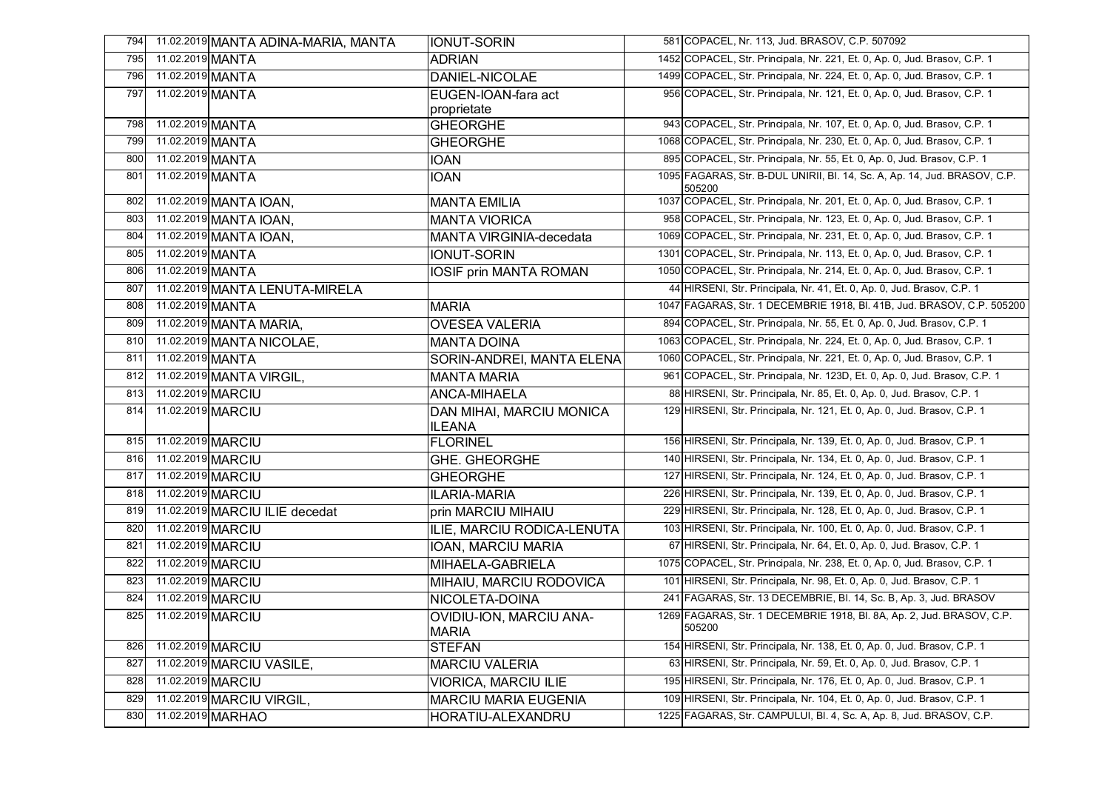| 794 | 11.02.2019 MANTA ADINA-MARIA, MANTA | <b>IONUT-SORIN</b>                        | 581 COPACEL, Nr. 113, Jud. BRASOV, C.P. 507092                                      |
|-----|-------------------------------------|-------------------------------------------|-------------------------------------------------------------------------------------|
| 795 | 11.02.2019 MANTA                    | <b>ADRIAN</b>                             | 1452 COPACEL, Str. Principala, Nr. 221, Et. 0, Ap. 0, Jud. Brasov, C.P. 1           |
| 796 | 11.02.2019 MANTA                    | DANIEL-NICOLAE                            | 1499 COPACEL, Str. Principala, Nr. 224, Et. 0, Ap. 0, Jud. Brasov, C.P. 1           |
| 797 | 11.02.2019 MANTA                    | EUGEN-IOAN-fara act<br>proprietate        | 956 COPACEL, Str. Principala, Nr. 121, Et. 0, Ap. 0, Jud. Brasov, C.P. 1            |
| 798 | 11.02.2019 MANTA                    | <b>GHEORGHE</b>                           | 943 COPACEL, Str. Principala, Nr. 107, Et. 0, Ap. 0, Jud. Brasov, C.P. 1            |
| 799 | 11.02.2019 MANTA                    | <b>GHEORGHE</b>                           | 1068 COPACEL, Str. Principala, Nr. 230, Et. 0, Ap. 0, Jud. Brasov, C.P. 1           |
| 800 | 11.02.2019 MANTA                    | <b>IOAN</b>                               | 895 COPACEL, Str. Principala, Nr. 55, Et. 0, Ap. 0, Jud. Brasov, C.P. 1             |
| 801 | 11.02.2019 MANTA                    | <b>IOAN</b>                               | 1095 FAGARAS, Str. B-DUL UNIRII, Bl. 14, Sc. A, Ap. 14, Jud. BRASOV, C.P.<br>505200 |
| 802 | 11.02.2019 MANTA IOAN,              | <b>MANTA EMILIA</b>                       | 1037 COPACEL, Str. Principala, Nr. 201, Et. 0, Ap. 0, Jud. Brasov, C.P. 1           |
| 803 | 11.02.2019 MANTA IOAN,              | <b>MANTA VIORICA</b>                      | 958 COPACEL, Str. Principala, Nr. 123, Et. 0, Ap. 0, Jud. Brasov, C.P. 1            |
| 804 | 11.02.2019 MANTA IOAN,              | MANTA VIRGINIA-decedata                   | 1069 COPACEL, Str. Principala, Nr. 231, Et. 0, Ap. 0, Jud. Brasov, C.P. 1           |
| 805 | 11.02.2019 MANTA                    | <b>IONUT-SORIN</b>                        | 1301 COPACEL, Str. Principala, Nr. 113, Et. 0, Ap. 0, Jud. Brasov, C.P. 1           |
| 806 | 11.02.2019 MANTA                    | <b>IOSIF prin MANTA ROMAN</b>             | 1050 COPACEL, Str. Principala, Nr. 214, Et. 0, Ap. 0, Jud. Brasov, C.P. 1           |
| 807 | 11.02.2019 MANTA LENUTA-MIRELA      |                                           | 44 HIRSENI, Str. Principala, Nr. 41, Et. 0, Ap. 0, Jud. Brasov, C.P. 1              |
| 808 | 11.02.2019 MANTA                    | <b>MARIA</b>                              | 1047 FAGARAS, Str. 1 DECEMBRIE 1918, BI. 41B, Jud. BRASOV, C.P. 505200              |
| 809 | 11.02.2019 MANTA MARIA,             | <b>OVESEA VALERIA</b>                     | 894 COPACEL, Str. Principala, Nr. 55, Et. 0, Ap. 0, Jud. Brasov, C.P. 1             |
| 810 | 11.02.2019 MANTA NICOLAE,           | <b>MANTA DOINA</b>                        | 1063 COPACEL, Str. Principala, Nr. 224, Et. 0, Ap. 0, Jud. Brasov, C.P. 1           |
| 811 | 11.02.2019 MANTA                    | SORIN-ANDREI, MANTA ELENA                 | 1060 COPACEL, Str. Principala, Nr. 221, Et. 0, Ap. 0, Jud. Brasov, C.P. 1           |
| 812 | 11.02.2019 MANTA VIRGIL,            | <b>MANTA MARIA</b>                        | 961 COPACEL, Str. Principala, Nr. 123D, Et. 0, Ap. 0, Jud. Brasov, C.P. 1           |
| 813 | 11.02.2019 MARCIU                   | ANCA-MIHAELA                              | 88 HIRSENI, Str. Principala, Nr. 85, Et. 0, Ap. 0, Jud. Brasov, C.P. 1              |
| 814 | 11.02.2019 MARCIU                   | DAN MIHAI, MARCIU MONICA<br><b>ILEANA</b> | 129 HIRSENI, Str. Principala, Nr. 121, Et. 0, Ap. 0, Jud. Brasov, C.P. 1            |
| 815 | 11.02.2019 MARCIU                   | FLORINEL                                  | 156 HIRSENI, Str. Principala, Nr. 139, Et. 0, Ap. 0, Jud. Brasov, C.P. 1            |
| 816 | 11.02.2019 MARCIU                   | <b>GHE. GHEORGHE</b>                      | 140 HIRSENI, Str. Principala, Nr. 134, Et. 0, Ap. 0, Jud. Brasov, C.P. 1            |
| 817 | 11.02.2019 MARCIU                   | <b>GHEORGHE</b>                           | 127 HIRSENI, Str. Principala, Nr. 124, Et. 0, Ap. 0, Jud. Brasov, C.P. 1            |
| 818 | 11.02.2019 MARCIU                   | <b>ILARIA-MARIA</b>                       | 226 HIRSENI, Str. Principala, Nr. 139, Et. 0, Ap. 0, Jud. Brasov, C.P. 1            |
| 819 | 11.02.2019 MARCIU ILIE decedat      | prin MARCIU MIHAIU                        | 229 HIRSENI, Str. Principala, Nr. 128, Et. 0, Ap. 0, Jud. Brasov, C.P. 1            |
| 820 | 11.02.2019 MARCIU                   | ILIE, MARCIU RODICA-LENUTA                | 103 HIRSENI, Str. Principala, Nr. 100, Et. 0, Ap. 0, Jud. Brasov, C.P. 1            |
| 821 | 11.02.2019 MARCIU                   | IOAN, MARCIU MARIA                        | 67 HIRSENI, Str. Principala, Nr. 64, Et. 0, Ap. 0, Jud. Brasov, C.P. 1              |
| 822 | 11.02.2019 MARCIU                   | MIHAELA-GABRIELA                          | 1075 COPACEL, Str. Principala, Nr. 238, Et. 0, Ap. 0, Jud. Brasov, C.P. 1           |
| 823 | 11.02.2019 MARCIU                   | MIHAIU, MARCIU RODOVICA                   | 101 HIRSENI, Str. Principala, Nr. 98, Et. 0, Ap. 0, Jud. Brasov, C.P. 1             |
| 824 | 11.02.2019 MARCIU                   | NICOLETA-DOINA                            | 241 FAGARAS, Str. 13 DECEMBRIE, Bl. 14, Sc. B, Ap. 3, Jud. BRASOV                   |
| 825 | 11.02.2019 MARCIU                   | OVIDIU-ION, MARCIU ANA-<br><b>MARIA</b>   | 1269 FAGARAS, Str. 1 DECEMBRIE 1918, Bl. 8A, Ap. 2, Jud. BRASOV, C.P.<br>505200     |
| 826 | 11.02.2019 MARCIU                   | <b>STEFAN</b>                             | 154 HIRSENI, Str. Principala, Nr. 138, Et. 0, Ap. 0, Jud. Brasov, C.P. 1            |
| 827 | 11.02.2019 MARCIU VASILE,           | <b>MARCIU VALERIA</b>                     | 63 HIRSENI, Str. Principala, Nr. 59, Et. 0, Ap. 0, Jud. Brasov, C.P. 1              |
| 828 | 11.02.2019 MARCIU                   | <b>VIORICA, MARCIU ILIE</b>               | 195 HIRSENI, Str. Principala, Nr. 176, Et. 0, Ap. 0, Jud. Brasov, C.P. 1            |
| 829 | 11.02.2019 MARCIU VIRGIL,           | <b>MARCIU MARIA EUGENIA</b>               | 109 HIRSENI, Str. Principala, Nr. 104, Et. 0, Ap. 0, Jud. Brasov, C.P. 1            |
| 830 | 11.02.2019 MARHAO                   | HORATIU-ALEXANDRU                         | 1225 FAGARAS, Str. CAMPULUI, Bl. 4, Sc. A, Ap. 8, Jud. BRASOV, C.P.                 |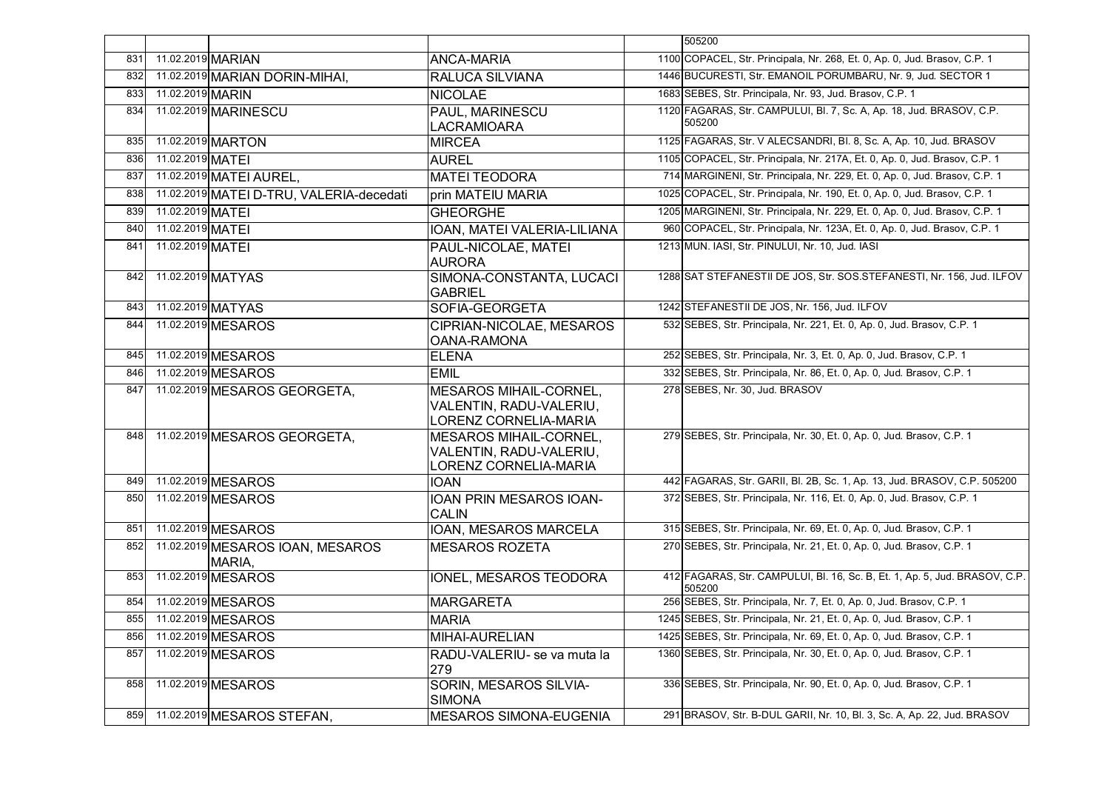|     |                   |                                            |                                                                                   | 505200                                                                               |
|-----|-------------------|--------------------------------------------|-----------------------------------------------------------------------------------|--------------------------------------------------------------------------------------|
| 831 | 11.02.2019 MARIAN |                                            | <b>ANCA-MARIA</b>                                                                 | 1100 COPACEL, Str. Principala, Nr. 268, Et. 0, Ap. 0, Jud. Brasov, C.P. 1            |
| 832 |                   | 11.02.2019 MARIAN DORIN-MIHAI,             | RALUCA SILVIANA                                                                   | 1446 BUCURESTI, Str. EMANOIL PORUMBARU, Nr. 9, Jud. SECTOR 1                         |
| 833 | 11.02.2019 MARIN  |                                            | <b>NICOLAE</b>                                                                    | 1683 SEBES, Str. Principala, Nr. 93, Jud. Brasov, C.P. 1                             |
| 834 |                   | 11.02.2019 MARINESCU                       | <b>PAUL, MARINESCU</b><br><b>LACRAMIOARA</b>                                      | 1120 FAGARAS, Str. CAMPULUI, Bl. 7, Sc. A, Ap. 18, Jud. BRASOV, C.P.<br>505200       |
| 835 |                   | 11.02.2019 MARTON                          | <b>MIRCEA</b>                                                                     | 1125 FAGARAS, Str. V ALECSANDRI, Bl. 8, Sc. A, Ap. 10, Jud. BRASOV                   |
| 836 | 11.02.2019 MATEI  |                                            | <b>AUREL</b>                                                                      | 1105 COPACEL, Str. Principala, Nr. 217A, Et. 0, Ap. 0, Jud. Brasov, C.P. 1           |
| 837 |                   | 11.02.2019 MATEI AUREL,                    | <b>MATEI TEODORA</b>                                                              | 714 MARGINENI, Str. Principala, Nr. 229, Et. 0, Ap. 0, Jud. Brasov, C.P. 1           |
| 838 |                   | 11.02.2019 MATEI D-TRU, VALERIA-decedati   | prin MATEIU MARIA                                                                 | 1025 COPACEL, Str. Principala, Nr. 190, Et. 0, Ap. 0, Jud. Brasov, C.P. 1            |
| 839 | 11.02.2019 MATEI  |                                            | <b>GHEORGHE</b>                                                                   | 1205 MARGINENI, Str. Principala, Nr. 229, Et. 0, Ap. 0, Jud. Brasov, C.P. 1          |
| 840 | 11.02.2019 MATEI  |                                            | IOAN, MATEI VALERIA-LILIANA                                                       | 960 COPACEL, Str. Principala, Nr. 123A, Et. 0, Ap. 0, Jud. Brasov, C.P. 1            |
| 841 | 11.02.2019 MATEI  |                                            | PAUL-NICOLAE, MATEI<br><b>AURORA</b>                                              | 1213 MUN. IASI, Str. PINULUI, Nr. 10, Jud. IASI                                      |
| 842 |                   | 11.02.2019 MATYAS                          | SIMONA-CONSTANTA, LUCACI<br><b>GABRIEL</b>                                        | 1288 SAT STEFANESTII DE JOS, Str. SOS. STEFANESTI, Nr. 156, Jud. ILFOV               |
| 843 |                   | 11.02.2019 MATYAS                          | SOFIA-GEORGETA                                                                    | 1242 STEFANESTII DE JOS, Nr. 156, Jud. ILFOV                                         |
| 844 |                   | 11.02.2019 MESAROS                         | CIPRIAN-NICOLAE, MESAROS<br>OANA-RAMONA                                           | 532 SEBES, Str. Principala, Nr. 221, Et. 0, Ap. 0, Jud. Brasov, C.P. 1               |
| 845 |                   | 11.02.2019 MESAROS                         | <b>ELENA</b>                                                                      | 252 SEBES, Str. Principala, Nr. 3, Et. 0, Ap. 0, Jud. Brasov, C.P. 1                 |
| 846 |                   | 11.02.2019 MESAROS                         | <b>EMIL</b>                                                                       | 332 SEBES, Str. Principala, Nr. 86, Et. 0, Ap. 0, Jud. Brasov, C.P. 1                |
| 847 |                   | 11.02.2019 MESAROS GEORGETA,               | <b>MESAROS MIHAIL-CORNEL,</b><br>VALENTIN, RADU-VALERIU,<br>LORENZ CORNELIA-MARIA | 278 SEBES, Nr. 30, Jud. BRASOV                                                       |
| 848 |                   | 11.02.2019 MESAROS GEORGETA.               | <b>MESAROS MIHAIL-CORNEL.</b><br>VALENTIN, RADU-VALERIU,<br>LORENZ CORNELIA-MARIA | 279 SEBES, Str. Principala, Nr. 30, Et. 0, Ap. 0, Jud. Brasov, C.P. 1                |
| 849 |                   | 11.02.2019 MESAROS                         | <b>IOAN</b>                                                                       | 442 FAGARAS, Str. GARII, Bl. 2B, Sc. 1, Ap. 13, Jud. BRASOV, C.P. 505200             |
| 850 |                   | 11.02.2019 MESAROS                         | <b>IOAN PRIN MESAROS IOAN-</b><br><b>CALIN</b>                                    | 372 SEBES, Str. Principala, Nr. 116, Et. 0, Ap. 0, Jud. Brasov, C.P. 1               |
| 851 |                   | 11.02.2019 MESAROS                         | IOAN, MESAROS MARCELA                                                             | 315 SEBES, Str. Principala, Nr. 69, Et. 0, Ap. 0, Jud. Brasov, C.P. 1                |
| 852 |                   | 11.02.2019 MESAROS IOAN, MESAROS<br>MARIA. | <b>MESAROS ROZETA</b>                                                             | 270 SEBES, Str. Principala, Nr. 21, Et. 0, Ap. 0, Jud. Brasov, C.P. 1                |
| 853 |                   | 11.02.2019 MESAROS                         | IONEL, MESAROS TEODORA                                                            | 412 FAGARAS, Str. CAMPULUI, Bl. 16, Sc. B, Et. 1, Ap. 5, Jud. BRASOV, C.P.<br>505200 |
| 854 |                   | 11.02.2019 MESAROS                         | <b>MARGARETA</b>                                                                  | 256 SEBES, Str. Principala, Nr. 7, Et. 0, Ap. 0, Jud. Brasov, C.P. 1                 |
| 855 |                   | 11.02.2019 MESAROS                         | <b>MARIA</b>                                                                      | 1245 SEBES, Str. Principala, Nr. 21, Et. 0, Ap. 0, Jud. Brasov, C.P. 1               |
| 856 |                   | 11.02.2019 MESAROS                         | <b>MIHAI-AURELIAN</b>                                                             | 1425 SEBES, Str. Principala, Nr. 69, Et. 0, Ap. 0, Jud. Brasov, C.P. 1               |
| 857 |                   | 11.02.2019 MESAROS                         | RADU-VALERIU- se va muta la<br>279                                                | 1360 SEBES, Str. Principala, Nr. 30, Et. 0, Ap. 0, Jud. Brasov, C.P. 1               |
| 858 |                   | 11.02.2019 MESAROS                         | SORIN, MESAROS SILVIA-<br><b>SIMONA</b>                                           | 336 SEBES, Str. Principala, Nr. 90, Et. 0, Ap. 0, Jud. Brasov, C.P. 1                |
|     |                   | 859 11.02.2019 MESAROS STEFAN,             | <b>MESAROS SIMONA-EUGENIA</b>                                                     | 291 BRASOV, Str. B-DUL GARII, Nr. 10, Bl. 3, Sc. A, Ap. 22, Jud. BRASOV              |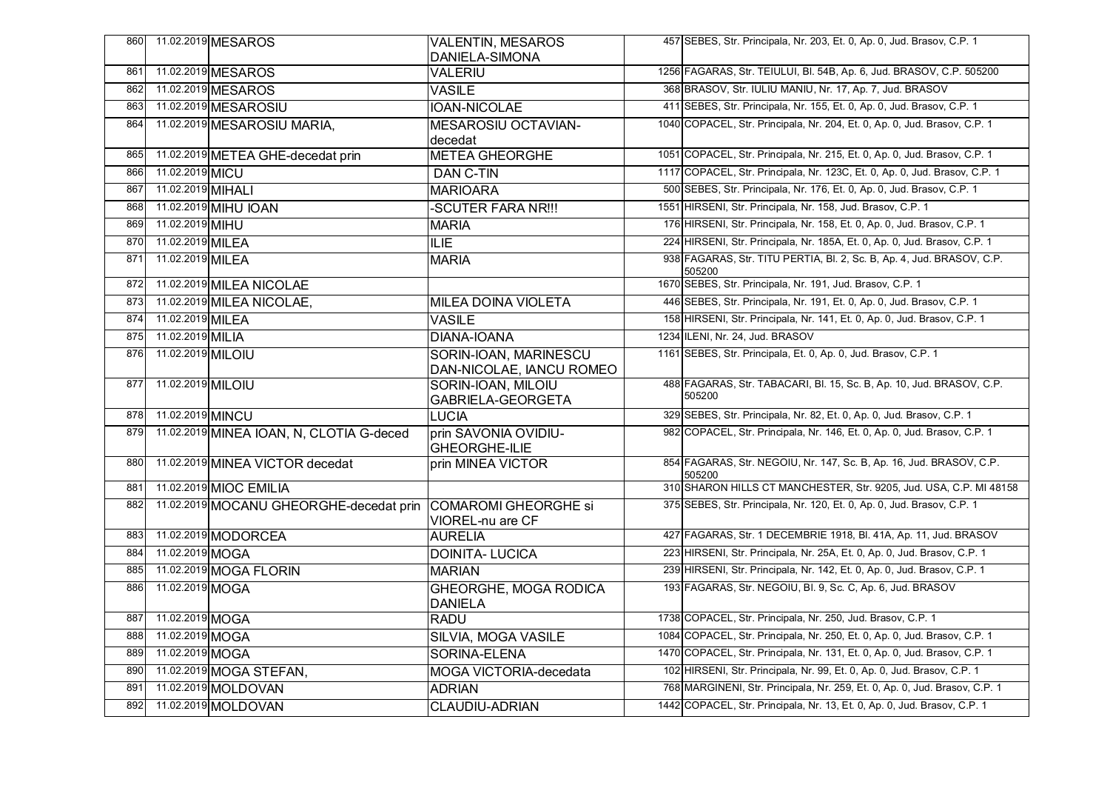| 860 |                   | 11.02.2019 MESAROS                                           | <b>VALENTIN, MESAROS</b><br>DANIELA-SIMONA        | 457 SEBES, Str. Principala, Nr. 203, Et. 0, Ap. 0, Jud. Brasov, C.P. 1          |
|-----|-------------------|--------------------------------------------------------------|---------------------------------------------------|---------------------------------------------------------------------------------|
| 861 |                   | 11.02.2019 MESAROS                                           | <b>VALERIU</b>                                    | 1256 FAGARAS, Str. TEIULUI, Bl. 54B, Ap. 6, Jud. BRASOV, C.P. 505200            |
| 862 |                   | 11.02.2019 MESAROS                                           | <b>VASILE</b>                                     | 368 BRASOV, Str. IULIU MANIU, Nr. 17, Ap. 7, Jud. BRASOV                        |
| 863 |                   | 11.02.2019 MESAROSIU                                         | <b>IOAN-NICOLAE</b>                               | 411 SEBES, Str. Principala, Nr. 155, Et. 0, Ap. 0, Jud. Brasov, C.P. 1          |
| 864 |                   | 11.02.2019 MESAROSIU MARIA,                                  | MESAROSIU OCTAVIAN-<br>decedat                    | 1040 COPACEL, Str. Principala, Nr. 204, Et. 0, Ap. 0, Jud. Brasov, C.P. 1       |
| 865 |                   | 11.02.2019 METEA GHE-decedat prin                            | <b>METEA GHEORGHE</b>                             | 1051 COPACEL, Str. Principala, Nr. 215, Et. 0, Ap. 0, Jud. Brasov, C.P. 1       |
| 866 | 11.02.2019 MICU   |                                                              | DAN C-TIN                                         | 1117 COPACEL, Str. Principala, Nr. 123C, Et. 0, Ap. 0, Jud. Brasov, C.P. 1      |
| 867 | 11.02.2019 MIHALI |                                                              | <b>MARIOARA</b>                                   | 500 SEBES, Str. Principala, Nr. 176, Et. 0, Ap. 0, Jud. Brasov, C.P. 1          |
| 868 |                   | 11.02.2019 MIHU IOAN                                         | -SCUTER FARA NR !!!                               | 1551 HIRSENI, Str. Principala, Nr. 158, Jud. Brasov, C.P. 1                     |
| 869 | 11.02.2019 MIHU   |                                                              | <b>MARIA</b>                                      | 176 HIRSENI, Str. Principala, Nr. 158, Et. 0, Ap. 0, Jud. Brasov, C.P. 1        |
| 870 | 11.02.2019 MILEA  |                                                              | <b>ILIE</b>                                       | 224 HIRSENI, Str. Principala, Nr. 185A, Et. 0, Ap. 0, Jud. Brasov, C.P. 1       |
| 871 | 11.02.2019 MILEA  |                                                              | <b>MARIA</b>                                      | 938 FAGARAS, Str. TITU PERTIA, Bl. 2, Sc. B, Ap. 4, Jud. BRASOV, C.P.<br>505200 |
| 872 |                   | 11.02.2019 MILEA NICOLAE                                     |                                                   | 1670 SEBES, Str. Principala, Nr. 191, Jud. Brasov, C.P. 1                       |
| 873 |                   | 11.02.2019 MILEA NICOLAE,                                    | MILEA DOINA VIOLETA                               | 446 SEBES, Str. Principala, Nr. 191, Et. 0, Ap. 0, Jud. Brasov, C.P. 1          |
| 874 | 11.02.2019 MILEA  |                                                              | <b>VASILE</b>                                     | 158 HIRSENI, Str. Principala, Nr. 141, Et. 0, Ap. 0, Jud. Brasov, C.P. 1        |
| 875 | 11.02.2019 MILIA  |                                                              | <b>DIANA-IOANA</b>                                | 1234 ILENI, Nr. 24, Jud. BRASOV                                                 |
| 876 | 11.02.2019 MILOIU |                                                              | SORIN-IOAN, MARINESCU<br>DAN-NICOLAE, IANCU ROMEO | 1161 SEBES, Str. Principala, Et. 0, Ap. 0, Jud. Brasov, C.P. 1                  |
| 877 | 11.02.2019 MILOIU |                                                              | SORIN-IOAN, MILOIU<br>GABRIELA-GEORGETA           | 488 FAGARAS, Str. TABACARI, Bl. 15, Sc. B, Ap. 10, Jud. BRASOV, C.P.<br>505200  |
| 878 | 11.02.2019 MINCU  |                                                              | <b>LUCIA</b>                                      | 329 SEBES, Str. Principala, Nr. 82, Et. 0, Ap. 0, Jud. Brasov, C.P. 1           |
| 879 |                   | 11.02.2019 MINEA IOAN, N, CLOTIA G-deced                     | prin SAVONIA OVIDIU-<br><b>GHEORGHE-ILIE</b>      | 982 COPACEL, Str. Principala, Nr. 146, Et. 0, Ap. 0, Jud. Brasov, C.P. 1        |
| 880 |                   | 11.02.2019 MINEA VICTOR decedat                              | prin MINEA VICTOR                                 | 854 FAGARAS, Str. NEGOIU, Nr. 147, Sc. B, Ap. 16, Jud. BRASOV, C.P.<br>505200   |
| 881 |                   | 11.02.2019 MIOC EMILIA                                       |                                                   | 310 SHARON HILLS CT MANCHESTER, Str. 9205, Jud. USA, C.P. MI 48158              |
| 882 |                   | 11.02.2019 MOCANU GHEORGHE-decedat prin COMAROMI GHEORGHE si | VIOREL-nu are CF                                  | 375 SEBES, Str. Principala, Nr. 120, Et. 0, Ap. 0, Jud. Brasov, C.P. 1          |
| 883 |                   | 11.02.2019 MODORCEA                                          | <b>AURELIA</b>                                    | 427 FAGARAS, Str. 1 DECEMBRIE 1918, Bl. 41A, Ap. 11, Jud. BRASOV                |
| 884 | 11.02.2019 MOGA   |                                                              | <b>DOINITA- LUCICA</b>                            | 223 HIRSENI, Str. Principala, Nr. 25A, Et. 0, Ap. 0, Jud. Brasov, C.P. 1        |
| 885 |                   | 11.02.2019 MOGA FLORIN                                       | <b>MARIAN</b>                                     | 239 HIRSENI, Str. Principala, Nr. 142, Et. 0, Ap. 0, Jud. Brasov, C.P. 1        |
| 886 | 11.02.2019 MOGA   |                                                              | <b>GHEORGHE, MOGA RODICA</b><br><b>DANIELA</b>    | 193 FAGARAS, Str. NEGOIU, Bl. 9, Sc. C, Ap. 6, Jud. BRASOV                      |
| 887 | 11.02.2019 MOGA   |                                                              | <b>RADU</b>                                       | 1738 COPACEL, Str. Principala, Nr. 250, Jud. Brasov, C.P. 1                     |
| 888 | 11.02.2019 MOGA   |                                                              | SILVIA, MOGA VASILE                               | 1084 COPACEL, Str. Principala, Nr. 250, Et. 0, Ap. 0, Jud. Brasov, C.P. 1       |
| 889 | 11.02.2019 MOGA   |                                                              | SORINA-ELENA                                      | 1470 COPACEL, Str. Principala, Nr. 131, Et. 0, Ap. 0, Jud. Brasov, C.P. 1       |
| 890 |                   | 11.02.2019 MOGA STEFAN,                                      | MOGA VICTORIA-decedata                            | 102 HIRSENI, Str. Principala, Nr. 99, Et. 0, Ap. 0, Jud. Brasov, C.P. 1         |
| 891 |                   | 11.02.2019 MOLDOVAN                                          | <b>ADRIAN</b>                                     | 768 MARGINENI, Str. Principala, Nr. 259, Et. 0, Ap. 0, Jud. Brasov, C.P. 1      |
| 892 |                   | 11.02.2019 MOLDOVAN                                          | <b>CLAUDIU-ADRIAN</b>                             | 1442 COPACEL, Str. Principala, Nr. 13, Et. 0, Ap. 0, Jud. Brasov, C.P. 1        |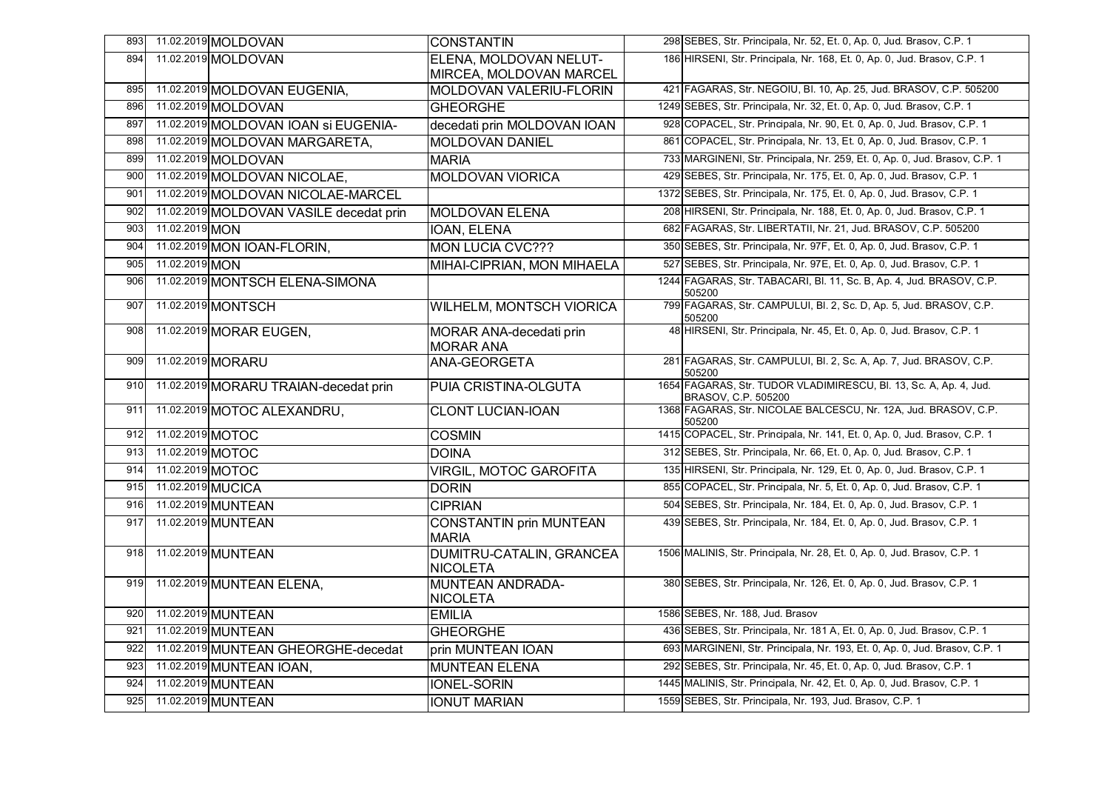| 893 |                   | 11.02.2019 MOLDOVAN                     | <b>CONSTANTIN</b>                              | 298 SEBES, Str. Principala, Nr. 52, Et. 0, Ap. 0, Jud. Brasov, C.P. 1                                        |
|-----|-------------------|-----------------------------------------|------------------------------------------------|--------------------------------------------------------------------------------------------------------------|
| 894 |                   | 11.02.2019 MOLDOVAN                     | ELENA, MOLDOVAN NELUT-                         | 186 HIRSENI, Str. Principala, Nr. 168, Et. 0, Ap. 0, Jud. Brasov, C.P. 1                                     |
|     |                   |                                         | MIRCEA, MOLDOVAN MARCEL                        |                                                                                                              |
| 895 |                   | 11.02.2019 MOLDOVAN EUGENIA,            | MOLDOVAN VALERIU-FLORIN                        | 421 FAGARAS, Str. NEGOIU, Bl. 10, Ap. 25, Jud. BRASOV, C.P. 505200                                           |
| 896 |                   | 11.02.2019 MOLDOVAN                     | <b>GHEORGHE</b>                                | 1249 SEBES, Str. Principala, Nr. 32, Et. 0, Ap. 0, Jud. Brasov, C.P. 1                                       |
| 897 |                   | 11.02.2019 MOLDOVAN IOAN SI EUGENIA-    | decedati prin MOLDOVAN IOAN                    | 928 COPACEL, Str. Principala, Nr. 90, Et. 0, Ap. 0, Jud. Brasov, C.P. 1                                      |
| 898 |                   | 11.02.2019 MOLDOVAN MARGARETA,          | <b>MOLDOVAN DANIEL</b>                         | 861 COPACEL, Str. Principala, Nr. 13, Et. 0, Ap. 0, Jud. Brasov, C.P. 1                                      |
| 899 |                   | 11.02.2019 MOLDOVAN                     | <b>MARIA</b>                                   | 733 MARGINENI, Str. Principala, Nr. 259, Et. 0, Ap. 0, Jud. Brasov, C.P. 1                                   |
| 900 |                   | 11.02.2019 MOLDOVAN NICOLAE,            | <b>MOLDOVAN VIORICA</b>                        | 429 SEBES, Str. Principala, Nr. 175, Et. 0, Ap. 0, Jud. Brasov, C.P. 1                                       |
| 901 |                   | 11.02.2019 MOLDOVAN NICOLAE-MARCEL      |                                                | 1372 SEBES, Str. Principala, Nr. 175, Et. 0, Ap. 0, Jud. Brasov, C.P. 1                                      |
| 902 |                   | 11.02.2019 MOLDOVAN VASILE decedat prin | <b>MOLDOVAN ELENA</b>                          | 208 HIRSENI, Str. Principala, Nr. 188, Et. 0, Ap. 0, Jud. Brasov, C.P. 1                                     |
| 903 | 11.02.2019 MON    |                                         | <b>IOAN, ELENA</b>                             | 682 FAGARAS, Str. LIBERTATII, Nr. 21, Jud. BRASOV, C.P. 505200                                               |
| 904 |                   | 11.02.2019 MON IOAN-FLORIN,             | <b>MON LUCIA CVC???</b>                        | 350 SEBES, Str. Principala, Nr. 97F, Et. 0, Ap. 0, Jud. Brasov, C.P. 1                                       |
| 905 | 11.02.2019 MON    |                                         | MIHAI-CIPRIAN, MON MIHAELA                     | 527 SEBES, Str. Principala, Nr. 97E, Et. 0, Ap. 0, Jud. Brasov, C.P. 1                                       |
| 906 |                   | 11.02.2019 MONTSCH ELENA-SIMONA         |                                                | 1244 FAGARAS, Str. TABACARI, Bl. 11, Sc. B, Ap. 4, Jud. BRASOV, C.P.<br>505200                               |
| 907 |                   | 11.02.2019 MONTSCH                      | <b>WILHELM, MONTSCH VIORICA</b>                | 799 FAGARAS, Str. CAMPULUI, Bl. 2, Sc. D, Ap. 5, Jud. BRASOV, C.P.<br>505200                                 |
| 908 |                   | 11.02.2019 MORAR EUGEN,                 | MORAR ANA-decedati prin<br><b>MORAR ANA</b>    | 48 HIRSENI, Str. Principala, Nr. 45, Et. 0, Ap. 0, Jud. Brasov, C.P. 1                                       |
| 909 |                   | 11.02.2019 MORARU                       | ANA-GEORGETA                                   | 281 FAGARAS, Str. CAMPULUI, Bl. 2, Sc. A, Ap. 7, Jud. BRASOV, C.P.<br>505200                                 |
| 910 |                   | 11.02.2019 MORARU TRAIAN-decedat prin   | PUIA CRISTINA-OLGUTA                           | 1654 FAGARAS, Str. TUDOR VLADIMIRESCU, Bl. 13, Sc. A, Ap. 4, Jud.<br>BRASOV, C.P. 505200                     |
| 911 |                   | 11.02.2019 MOTOC ALEXANDRU,             | <b>CLONT LUCIAN-IOAN</b>                       | 1368 FAGARAS, Str. NICOLAE BALCESCU, Nr. 12A, Jud. BRASOV, C.P.<br>505200                                    |
| 912 | 11.02.2019 MOTOC  |                                         | <b>COSMIN</b>                                  | 1415 COPACEL, Str. Principala, Nr. 141, Et. 0, Ap. 0, Jud. Brasov, C.P. 1                                    |
| 913 | 11.02.2019 MOTOC  |                                         | <b>DOINA</b>                                   | 312 SEBES, Str. Principala, Nr. 66, Et. 0, Ap. 0, Jud. Brasov, C.P. 1                                        |
| 914 | 11.02.2019 MOTOC  |                                         | <b>VIRGIL, MOTOC GAROFITA</b>                  | 135 HIRSENI, Str. Principala, Nr. 129, Et. 0, Ap. 0, Jud. Brasov, C.P. 1                                     |
| 915 | 11.02.2019 MUCICA |                                         | <b>DORIN</b>                                   | 855 COPACEL, Str. Principala, Nr. 5, Et. 0, Ap. 0, Jud. Brasov, C.P. 1                                       |
| 916 |                   | 11.02.2019 MUNTEAN                      | <b>CIPRIAN</b>                                 | 504 SEBES, Str. Principala, Nr. 184, Et. 0, Ap. 0, Jud. Brasov, C.P. 1                                       |
| 917 |                   | 11.02.2019 MUNTEAN                      | <b>CONSTANTIN prin MUNTEAN</b><br><b>MARIA</b> | 439 SEBES, Str. Principala, Nr. 184, Et. 0, Ap. 0, Jud. Brasov, C.P. 1                                       |
| 918 |                   | 11.02.2019 MUNTEAN                      | DUMITRU-CATALIN, GRANCEA<br><b>NICOLETA</b>    | 1506 MALINIS, Str. Principala, Nr. 28, Et. 0, Ap. 0, Jud. Brasov, C.P. 1                                     |
| 919 |                   | 11.02.2019 MUNTEAN ELENA,               | <b>MUNTEAN ANDRADA-</b>                        | 380 SEBES, Str. Principala, Nr. 126, Et. 0, Ap. 0, Jud. Brasov, C.P. 1                                       |
|     |                   |                                         | <b>NICOLETA</b>                                |                                                                                                              |
| 920 |                   | 11.02.2019 MUNTEAN                      | <b>EMILIA</b>                                  | 1586 SEBES, Nr. 188, Jud. Brasov<br>436 SEBES, Str. Principala, Nr. 181 A, Et. 0, Ap. 0, Jud. Brasov, C.P. 1 |
| 921 |                   | 11.02.2019 MUNTEAN                      | <b>GHEORGHE</b>                                |                                                                                                              |
| 922 |                   | 11.02.2019 MUNTEAN GHEORGHE-decedat     | prin MUNTEAN IOAN                              | 693 MARGINENI, Str. Principala, Nr. 193, Et. 0, Ap. 0, Jud. Brasov, C.P. 1                                   |
| 923 |                   | 11.02.2019 MUNTEAN IOAN,                | <b>MUNTEAN ELENA</b>                           | 292 SEBES, Str. Principala, Nr. 45, Et. 0, Ap. 0, Jud. Brasov, C.P. 1                                        |
| 924 |                   | 11.02.2019 MUNTEAN                      | <b>IONEL-SORIN</b>                             | 1445 MALINIS, Str. Principala, Nr. 42, Et. 0, Ap. 0, Jud. Brasov, C.P. 1                                     |
| 925 |                   | 11.02.2019 MUNTEAN                      | <b>IONUT MARIAN</b>                            | 1559 SEBES, Str. Principala, Nr. 193, Jud. Brasov, C.P. 1                                                    |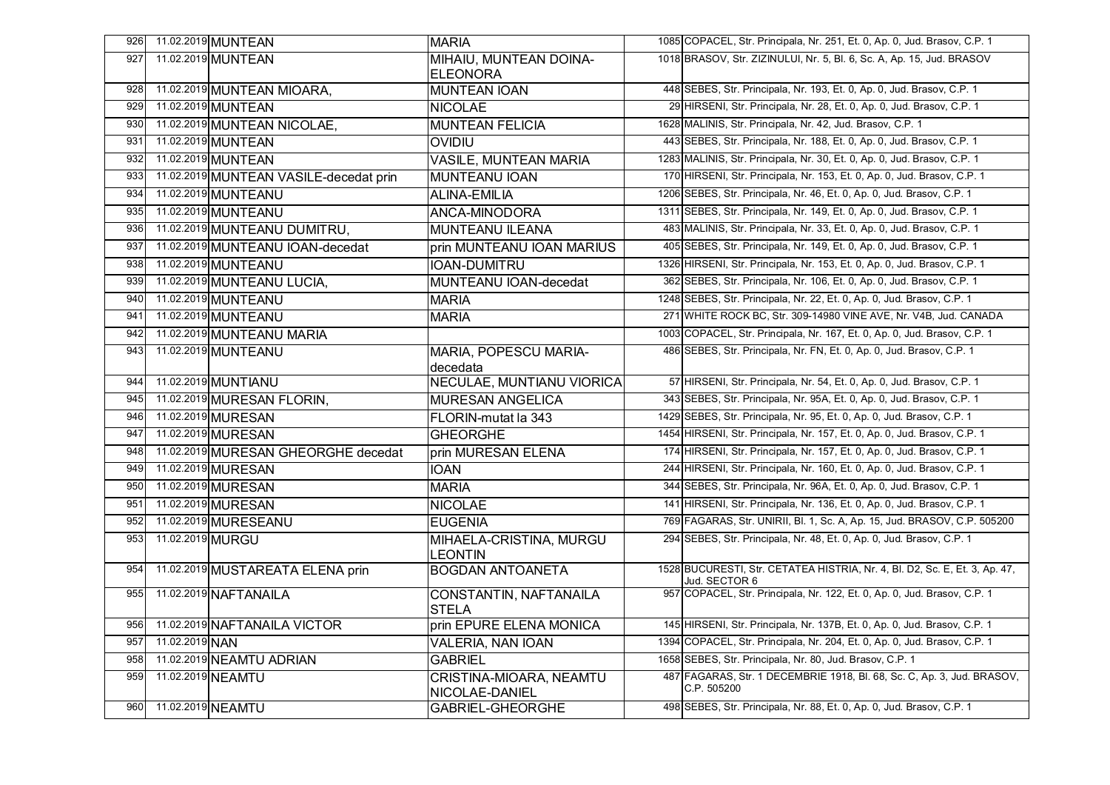| 926 |                   | 11.02.2019 MUNTEAN                     | <b>MARIA</b>                                     | 1085 COPACEL, Str. Principala, Nr. 251, Et. 0, Ap. 0, Jud. Brasov, C.P. 1                   |
|-----|-------------------|----------------------------------------|--------------------------------------------------|---------------------------------------------------------------------------------------------|
| 927 |                   | 11.02.2019 MUNTEAN                     | MIHAIU, MUNTEAN DOINA-                           | 1018 BRASOV, Str. ZIZINULUI, Nr. 5, Bl. 6, Sc. A, Ap. 15, Jud. BRASOV                       |
|     |                   |                                        | <b>ELEONORA</b>                                  |                                                                                             |
| 928 |                   | 11.02.2019 MUNTEAN MIOARA,             | <b>MUNTEAN IOAN</b>                              | 448 SEBES, Str. Principala, Nr. 193, Et. 0, Ap. 0, Jud. Brasov, C.P. 1                      |
| 929 |                   | 11.02.2019 MUNTEAN                     | <b>NICOLAE</b>                                   | 29 HIRSENI, Str. Principala, Nr. 28, Et. 0, Ap. 0, Jud. Brasov, C.P. 1                      |
| 930 |                   | 11.02.2019 MUNTEAN NICOLAE,            | <b>MUNTEAN FELICIA</b>                           | 1628 MALINIS, Str. Principala, Nr. 42, Jud. Brasov, C.P. 1                                  |
| 931 |                   | 11.02.2019 MUNTEAN                     | OVIDIU                                           | 443 SEBES, Str. Principala, Nr. 188, Et. 0, Ap. 0, Jud. Brasov, C.P. 1                      |
| 932 |                   | 11.02.2019 MUNTEAN                     | <b>VASILE, MUNTEAN MARIA</b>                     | 1283 MALINIS, Str. Principala, Nr. 30, Et. 0, Ap. 0, Jud. Brasov, C.P. 1                    |
| 933 |                   | 11.02.2019 MUNTEAN VASILE-decedat prin | <b>MUNTEANU IOAN</b>                             | 170 HIRSENI, Str. Principala, Nr. 153, Et. 0, Ap. 0, Jud. Brasov, C.P. 1                    |
| 934 |                   | 11.02.2019 MUNTEANU                    | <b>ALINA-EMILIA</b>                              | 1206 SEBES, Str. Principala, Nr. 46, Et. 0, Ap. 0, Jud. Brasov, C.P. 1                      |
| 935 |                   | 11.02.2019 MUNTEANU                    | ANCA-MINODORA                                    | 1311 SEBES, Str. Principala, Nr. 149, Et. 0, Ap. 0, Jud. Brasov, C.P. 1                     |
| 936 |                   | 11.02.2019 MUNTEANU DUMITRU,           | <b>MUNTEANU ILEANA</b>                           | 483 MALINIS, Str. Principala, Nr. 33, Et. 0, Ap. 0, Jud. Brasov, C.P. 1                     |
| 937 |                   | 11.02.2019 MUNTEANU IOAN-decedat       | prin MUNTEANU IOAN MARIUS                        | 405 SEBES, Str. Principala, Nr. 149, Et. 0, Ap. 0, Jud. Brasov, C.P. 1                      |
| 938 |                   | 11.02.2019 MUNTEANU                    | <b>IOAN-DUMITRU</b>                              | 1326 HIRSENI, Str. Principala, Nr. 153, Et. 0, Ap. 0, Jud. Brasov, C.P. 1                   |
| 939 |                   | 11.02.2019 MUNTEANU LUCIA,             | MUNTEANU IOAN-decedat                            | 362 SEBES, Str. Principala, Nr. 106, Et. 0, Ap. 0, Jud. Brasov, C.P. 1                      |
| 940 |                   | 11.02.2019 MUNTEANU                    | <b>MARIA</b>                                     | 1248 SEBES, Str. Principala, Nr. 22, Et. 0, Ap. 0, Jud. Brasov, C.P. 1                      |
| 941 |                   | 11.02.2019 MUNTEANU                    | <b>MARIA</b>                                     | 271 WHITE ROCK BC, Str. 309-14980 VINE AVE, Nr. V4B, Jud. CANADA                            |
| 942 |                   | 11.02.2019 MUNTEANU MARIA              |                                                  | 1003 COPACEL, Str. Principala, Nr. 167, Et. 0, Ap. 0, Jud. Brasov, C.P. 1                   |
| 943 |                   | 11.02.2019 MUNTEANU                    | <b>MARIA, POPESCU MARIA-</b>                     | 486 SEBES, Str. Principala, Nr. FN, Et. 0, Ap. 0, Jud. Brasov, C.P. 1                       |
|     |                   |                                        | decedata                                         |                                                                                             |
| 944 |                   | 11.02.2019 MUNTIANU                    | <b>NECULAE, MUNTIANU VIORICA</b>                 | 57 HIRSENI, Str. Principala, Nr. 54, Et. 0, Ap. 0, Jud. Brasov, C.P. 1                      |
| 945 |                   | 11.02.2019 MURESAN FLORIN,             | <b>MURESAN ANGELICA</b>                          | 343 SEBES, Str. Principala, Nr. 95A, Et. 0, Ap. 0, Jud. Brasov, C.P. 1                      |
| 946 |                   | 11.02.2019 MURESAN                     | FLORIN-mutat la 343                              | 1429 SEBES, Str. Principala, Nr. 95, Et. 0, Ap. 0, Jud. Brasov, C.P. 1                      |
| 947 |                   | 11.02.2019 MURESAN                     | <b>GHEORGHE</b>                                  | 1454 HIRSENI, Str. Principala, Nr. 157, Et. 0, Ap. 0, Jud. Brasov, C.P. 1                   |
| 948 |                   | 11.02.2019 MURESAN GHEORGHE decedat    | prin MURESAN ELENA                               | 174 HIRSENI, Str. Principala, Nr. 157, Et. 0, Ap. 0, Jud. Brasov, C.P. 1                    |
| 949 |                   | 11.02.2019 MURESAN                     | <b>IOAN</b>                                      | 244 HIRSENI, Str. Principala, Nr. 160, Et. 0, Ap. 0, Jud. Brasov, C.P. 1                    |
| 950 |                   | 11.02.2019 MURESAN                     | <b>MARIA</b>                                     | 344 SEBES, Str. Principala, Nr. 96A, Et. 0, Ap. 0, Jud. Brasov, C.P. 1                      |
| 951 |                   | 11.02.2019 MURESAN                     | <b>NICOLAE</b>                                   | 141 HIRSENI, Str. Principala, Nr. 136, Et. 0, Ap. 0, Jud. Brasov, C.P. 1                    |
| 952 |                   | 11.02.2019 MURESEANU                   | <b>EUGENIA</b>                                   | 769 FAGARAS, Str. UNIRII, Bl. 1, Sc. A, Ap. 15, Jud. BRASOV, C.P. 505200                    |
| 953 | 11.02.2019 MURGU  |                                        | MIHAELA-CRISTINA, MURGU                          | 294 SEBES, Str. Principala, Nr. 48, Et. 0, Ap. 0, Jud. Brasov, C.P. 1                       |
|     |                   |                                        | LEONTIN                                          |                                                                                             |
| 954 |                   | 11.02.2019 MUSTAREATA ELENA prin       | <b>BOGDAN ANTOANETA</b>                          | 1528 BUCURESTI, Str. CETATEA HISTRIA, Nr. 4, BI. D2, Sc. E, Et. 3, Ap. 47,<br>Jud. SECTOR 6 |
| 955 |                   | 11.02.2019 NAFTANAILA                  | CONSTANTIN, NAFTANAILA                           | 957 COPACEL, Str. Principala, Nr. 122, Et. 0, Ap. 0, Jud. Brasov, C.P. 1                    |
|     |                   |                                        | <b>STELA</b>                                     |                                                                                             |
| 956 |                   | 11.02.2019 NAFTANAILA VICTOR           | prin EPURE ELENA MONICA                          | 145 HIRSENI, Str. Principala, Nr. 137B, Et. 0, Ap. 0, Jud. Brasov, C.P. 1                   |
| 957 | 11.02.2019 NAN    |                                        | <b>VALERIA, NAN IOAN</b>                         | 1394 COPACEL, Str. Principala, Nr. 204, Et. 0, Ap. 0, Jud. Brasov, C.P. 1                   |
| 958 |                   | 11.02.2019 NEAMTU ADRIAN               | <b>GABRIEL</b>                                   | 1658 SEBES, Str. Principala, Nr. 80, Jud. Brasov, C.P. 1                                    |
| 959 |                   | 11.02.2019 NEAMTU                      | <b>CRISTINA-MIOARA, NEAMTU</b><br>NICOLAE-DANIEL | 487 FAGARAS, Str. 1 DECEMBRIE 1918, Bl. 68, Sc. C, Ap. 3, Jud. BRASOV,<br>C.P. 505200       |
| 960 | 11.02.2019 NEAMTU |                                        | GABRIEL-GHEORGHE                                 | 498 SEBES, Str. Principala, Nr. 88, Et. 0, Ap. 0, Jud. Brasov, C.P. 1                       |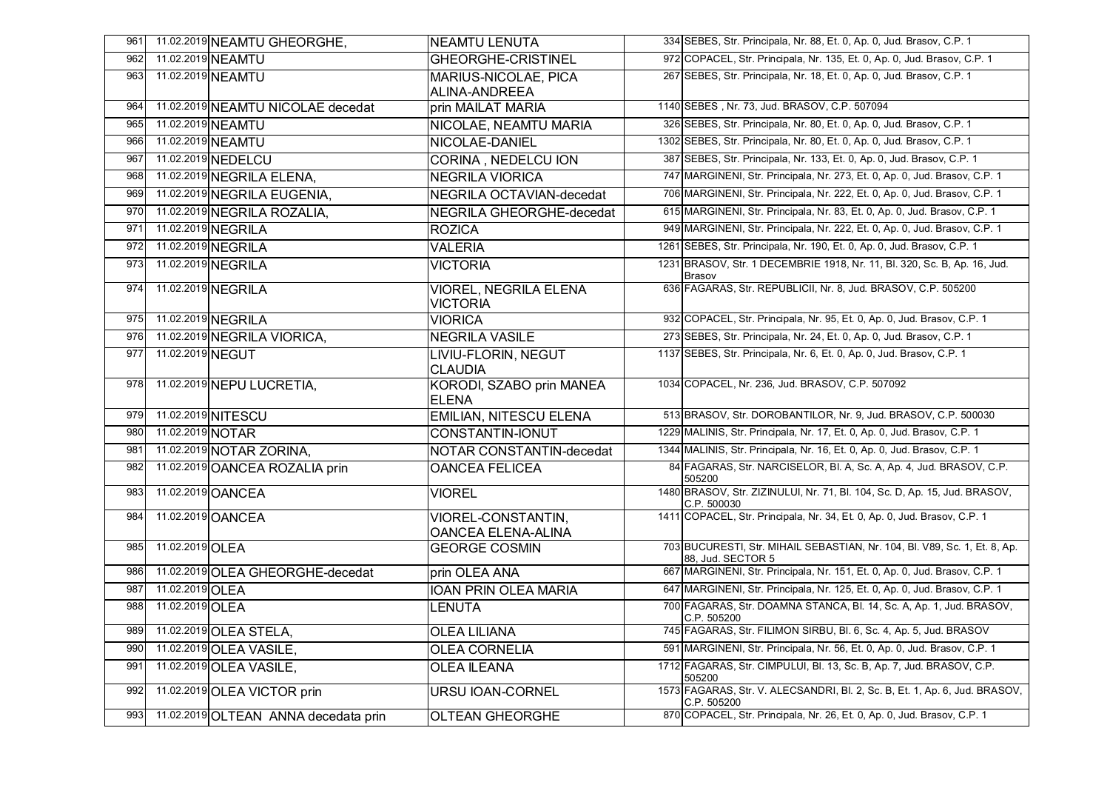| 961 |                   | 11.02.2019 NEAMTU GHEORGHE,          | <b>NEAMTU LENUTA</b>                     | 334 SEBES, Str. Principala, Nr. 88, Et. 0, Ap. 0, Jud. Brasov, C.P. 1                          |
|-----|-------------------|--------------------------------------|------------------------------------------|------------------------------------------------------------------------------------------------|
| 962 |                   | 11.02.2019 NEAMTU                    | <b>GHEORGHE-CRISTINEL</b>                | 972 COPACEL, Str. Principala, Nr. 135, Et. 0, Ap. 0, Jud. Brasov, C.P. 1                       |
| 963 |                   | 11.02.2019 NEAMTU                    | MARIUS-NICOLAE, PICA<br>ALINA-ANDREEA    | 267 SEBES, Str. Principala, Nr. 18, Et. 0, Ap. 0, Jud. Brasov, C.P. 1                          |
| 964 |                   | 11.02.2019 NEAMTU NICOLAE decedat    | prin MAILAT MARIA                        | 1140 SEBES, Nr. 73, Jud. BRASOV, C.P. 507094                                                   |
| 965 |                   | 11.02.2019 NEAMTU                    | NICOLAE, NEAMTU MARIA                    | 326 SEBES, Str. Principala, Nr. 80, Et. 0, Ap. 0, Jud. Brasov, C.P. 1                          |
| 966 |                   | 11.02.2019 NEAMTU                    | NICOLAE-DANIEL                           | 1302 SEBES, Str. Principala, Nr. 80, Et. 0, Ap. 0, Jud. Brasov, C.P. 1                         |
| 967 |                   | 11.02.2019 NEDELCU                   | CORINA, NEDELCU ION                      | 387 SEBES, Str. Principala, Nr. 133, Et. 0, Ap. 0, Jud. Brasov, C.P. 1                         |
| 968 |                   | 11.02.2019 NEGRILA ELENA,            | <b>NEGRILA VIORICA</b>                   | 747 MARGINENI, Str. Principala, Nr. 273, Et. 0, Ap. 0, Jud. Brasov, C.P. 1                     |
| 969 |                   | 11.02.2019 NEGRILA EUGENIA,          | NEGRILA OCTAVIAN-decedat                 | 706 MARGINENI, Str. Principala, Nr. 222, Et. 0, Ap. 0, Jud. Brasov, C.P. 1                     |
| 970 |                   | 11.02.2019 NEGRILA ROZALIA,          | NEGRILA GHEORGHE-decedat                 | 615 MARGINENI, Str. Principala, Nr. 83, Et. 0, Ap. 0, Jud. Brasov, C.P. 1                      |
| 971 |                   | 11.02.2019 NEGRILA                   | <b>ROZICA</b>                            | 949 MARGINENI, Str. Principala, Nr. 222, Et. 0, Ap. 0, Jud. Brasov, C.P. 1                     |
| 972 |                   | 11.02.2019 NEGRILA                   | <b>VALERIA</b>                           | 1261 SEBES, Str. Principala, Nr. 190, Et. 0, Ap. 0, Jud. Brasov, C.P. 1                        |
| 973 |                   | 11.02.2019 NEGRILA                   | <b>VICTORIA</b>                          | 1231 BRASOV, Str. 1 DECEMBRIE 1918, Nr. 11, Bl. 320, Sc. B, Ap. 16, Jud.<br><b>Brasov</b>      |
| 974 |                   | 11.02.2019 NEGRILA                   | VIOREL, NEGRILA ELENA<br><b>VICTORIA</b> | 636 FAGARAS, Str. REPUBLICII, Nr. 8, Jud. BRASOV, C.P. 505200                                  |
| 975 |                   | 11.02.2019 NEGRILA                   | <b>VIORICA</b>                           | 932 COPACEL, Str. Principala, Nr. 95, Et. 0, Ap. 0, Jud. Brasov, C.P. 1                        |
| 976 |                   | 11.02.2019 NEGRILA VIORICA,          | <b>NEGRILA VASILE</b>                    | 273 SEBES, Str. Principala, Nr. 24, Et. 0, Ap. 0, Jud. Brasov, C.P. 1                          |
| 977 | 11.02.2019 NEGUT  |                                      | LIVIU-FLORIN, NEGUT<br><b>CLAUDIA</b>    | 1137 SEBES, Str. Principala, Nr. 6, Et. 0, Ap. 0, Jud. Brasov, C.P. 1                          |
| 978 |                   | 11.02.2019 NEPU LUCRETIA,            | KORODI, SZABO prin MANEA<br><b>ELENA</b> | 1034 COPACEL, Nr. 236, Jud. BRASOV, C.P. 507092                                                |
| 979 |                   | 11.02.2019 NITESCU                   | <b>EMILIAN, NITESCU ELENA</b>            | 513 BRASOV, Str. DOROBANTILOR, Nr. 9, Jud. BRASOV, C.P. 500030                                 |
| 980 | 11.02.2019 NOTAR  |                                      | CONSTANTIN-IONUT                         | 1229 MALINIS, Str. Principala, Nr. 17, Et. 0, Ap. 0, Jud. Brasov, C.P. 1                       |
| 981 |                   | 11.02.2019 NOTAR ZORINA,             | NOTAR CONSTANTIN-decedat                 | 1344 MALINIS, Str. Principala, Nr. 16, Et. 0, Ap. 0, Jud. Brasov, C.P. 1                       |
| 982 |                   | 11.02.2019 OANCEA ROZALIA prin       | <b>OANCEA FELICEA</b>                    | 84 FAGARAS, Str. NARCISELOR, Bl. A, Sc. A, Ap. 4, Jud. BRASOV, C.P.<br>505200                  |
| 983 | 11.02.2019 OANCEA |                                      | <b>VIOREL</b>                            | 1480 BRASOV, Str. ZIZINULUI, Nr. 71, Bl. 104, Sc. D, Ap. 15, Jud. BRASOV,<br>C.P. 500030       |
| 984 |                   | 11.02.2019 OANCEA                    | VIOREL-CONSTANTIN,<br>OANCEA ELENA-ALINA | 1411 COPACEL, Str. Principala, Nr. 34, Et. 0, Ap. 0, Jud. Brasov, C.P. 1                       |
| 985 | 11.02.2019 OLEA   |                                      | <b>GEORGE COSMIN</b>                     | 703 BUCURESTI, Str. MIHAIL SEBASTIAN, Nr. 104, Bl. V89, Sc. 1, Et. 8, Ap.<br>88, Jud. SECTOR 5 |
| 986 |                   | 11.02.2019 OLEA GHEORGHE-decedat     | prin OLEA ANA                            | 667 MARGINENI, Str. Principala, Nr. 151, Et. 0, Ap. 0, Jud. Brasov, C.P. 1                     |
| 987 | 11.02.2019 OLEA   |                                      | <b>IOAN PRIN OLEA MARIA</b>              | 647 MARGINENI, Str. Principala, Nr. 125, Et. 0, Ap. 0, Jud. Brasov, C.P. 1                     |
| 988 | 11.02.2019 OLEA   |                                      | LENUTA                                   | 700 FAGARAS, Str. DOAMNA STANCA, Bl. 14, Sc. A, Ap. 1, Jud. BRASOV,<br>C.P. 505200             |
| 989 |                   | 11.02.2019 OLEA STELA,               | <b>OLEA LILIANA</b>                      | 745 FAGARAS, Str. FILIMON SIRBU, Bl. 6, Sc. 4, Ap. 5, Jud. BRASOV                              |
| 990 |                   | 11.02.2019 OLEA VASILE,              | <b>OLEA CORNELIA</b>                     | 591 MARGINENI, Str. Principala, Nr. 56, Et. 0, Ap. 0, Jud. Brasov, C.P. 1                      |
| 991 |                   | 11.02.2019 OLEA VASILE,              | <b>OLEA ILEANA</b>                       | 1712 FAGARAS, Str. CIMPULUI, Bl. 13, Sc. B, Ap. 7, Jud. BRASOV, C.P.<br>505200                 |
| 992 |                   | 11.02.2019 OLEA VICTOR prin          | <b>URSU IOAN-CORNEL</b>                  | 1573 FAGARAS, Str. V. ALECSANDRI, Bl. 2, Sc. B, Et. 1, Ap. 6, Jud. BRASOV,<br>C.P. 505200      |
| 993 |                   | 11.02.2019 OLTEAN ANNA decedata prin | <b>OLTEAN GHEORGHE</b>                   | 870 COPACEL, Str. Principala, Nr. 26, Et. 0, Ap. 0, Jud. Brasov, C.P. 1                        |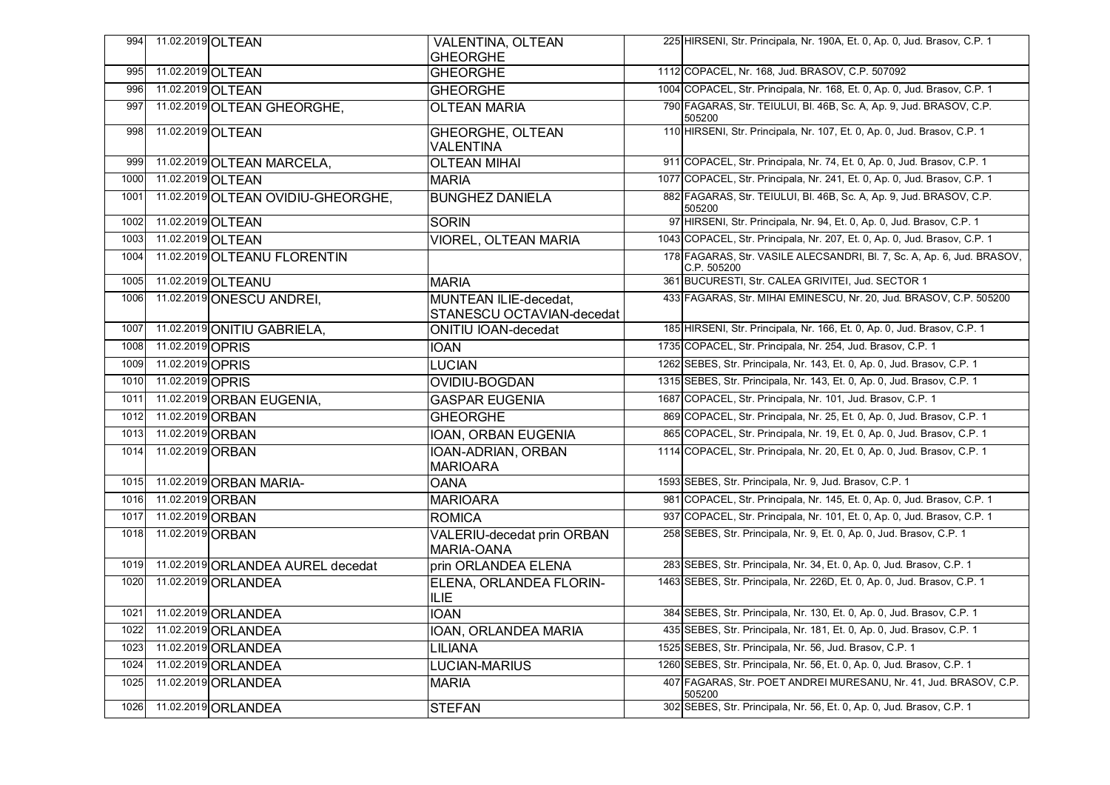| 994  | 11.02.2019 OLTEAN |                                    | <b>VALENTINA, OLTEAN</b><br><b>GHEORGHE</b>        | 225 HIRSENI, Str. Principala, Nr. 190A, Et. 0, Ap. 0, Jud. Brasov, C.P. 1             |
|------|-------------------|------------------------------------|----------------------------------------------------|---------------------------------------------------------------------------------------|
| 995  | 11.02.2019 OLTEAN |                                    | <b>GHEORGHE</b>                                    | 1112 COPACEL, Nr. 168, Jud. BRASOV, C.P. 507092                                       |
| 996  | 11.02.2019 OLTEAN |                                    | <b>GHEORGHE</b>                                    | 1004 COPACEL, Str. Principala, Nr. 168, Et. 0, Ap. 0, Jud. Brasov, C.P. 1             |
| 997  |                   | 11.02.2019 OLTEAN GHEORGHE,        | <b>OLTEAN MARIA</b>                                | 790 FAGARAS, Str. TEIULUI, Bl. 46B, Sc. A, Ap. 9, Jud. BRASOV, C.P.<br>505200         |
| 998  | 11.02.2019 OLTEAN |                                    | <b>GHEORGHE, OLTEAN</b><br>VALENTINA               | 110 HIRSENI, Str. Principala, Nr. 107, Et. 0, Ap. 0, Jud. Brasov, C.P. 1              |
| 999  |                   | 11.02.2019 OLTEAN MARCELA,         | <b>OLTEAN MIHAI</b>                                | 911 COPACEL, Str. Principala, Nr. 74, Et. 0, Ap. 0, Jud. Brasov, C.P. 1               |
| 1000 | 11.02.2019 OLTEAN |                                    | <b>MARIA</b>                                       | 1077 COPACEL, Str. Principala, Nr. 241, Et. 0, Ap. 0, Jud. Brasov, C.P. 1             |
| 1001 |                   | 11.02.2019 OLTEAN OVIDIU-GHEORGHE, | <b>BUNGHEZ DANIELA</b>                             | 882 FAGARAS, Str. TEIULUI, Bl. 46B, Sc. A, Ap. 9, Jud. BRASOV, C.P.<br>505200         |
| 1002 | 11.02.2019 OLTEAN |                                    | <b>SORIN</b>                                       | 97 HIRSENI, Str. Principala, Nr. 94, Et. 0, Ap. 0, Jud. Brasov, C.P. 1                |
| 1003 | 11.02.2019 OLTEAN |                                    | <b>VIOREL, OLTEAN MARIA</b>                        | 1043 COPACEL, Str. Principala, Nr. 207, Et. 0, Ap. 0, Jud. Brasov, C.P. 1             |
| 1004 |                   | 11.02.2019 OLTEANU FLORENTIN       |                                                    | 178 FAGARAS, Str. VASILE ALECSANDRI, Bl. 7, Sc. A, Ap. 6, Jud. BRASOV,<br>C.P. 505200 |
| 1005 |                   | 11.02.2019 OLTEANU                 | <b>MARIA</b>                                       | 361 BUCURESTI, Str. CALEA GRIVITEI, Jud. SECTOR 1                                     |
| 1006 |                   | 11.02.2019 ONESCU ANDREI,          | MUNTEAN ILIE-decedat,<br>STANESCU OCTAVIAN-decedat | 433 FAGARAS, Str. MIHAI EMINESCU, Nr. 20, Jud. BRASOV, C.P. 505200                    |
| 1007 |                   | 11.02.2019 ONITIU GABRIELA,        | <b>ONITIU IOAN-decedat</b>                         | 185 HIRSENI, Str. Principala, Nr. 166, Et. 0, Ap. 0, Jud. Brasov, C.P. 1              |
| 1008 | 11.02.2019 OPRIS  |                                    | <b>IOAN</b>                                        | 1735 COPACEL, Str. Principala, Nr. 254, Jud. Brasov, C.P. 1                           |
| 1009 | 11.02.2019 OPRIS  |                                    | <b>LUCIAN</b>                                      | 1262 SEBES, Str. Principala, Nr. 143, Et. 0, Ap. 0, Jud. Brasov, C.P. 1               |
| 1010 | 11.02.2019 OPRIS  |                                    | OVIDIU-BOGDAN                                      | 1315 SEBES, Str. Principala, Nr. 143, Et. 0, Ap. 0, Jud. Brasov, C.P. 1               |
| 1011 |                   | 11.02.2019 ORBAN EUGENIA,          | <b>GASPAR EUGENIA</b>                              | 1687 COPACEL, Str. Principala, Nr. 101, Jud. Brasov, C.P. 1                           |
| 1012 | 11.02.2019 ORBAN  |                                    | <b>GHEORGHE</b>                                    | 869 COPACEL, Str. Principala, Nr. 25, Et. 0, Ap. 0, Jud. Brasov, C.P. 1               |
| 1013 | 11.02.2019 ORBAN  |                                    | IOAN, ORBAN EUGENIA                                | 865 COPACEL, Str. Principala, Nr. 19, Et. 0, Ap. 0, Jud. Brasov, C.P. 1               |
| 1014 | 11.02.2019 ORBAN  |                                    | IOAN-ADRIAN, ORBAN<br><b>MARIOARA</b>              | 1114 COPACEL, Str. Principala, Nr. 20, Et. 0, Ap. 0, Jud. Brasov, C.P. 1              |
| 1015 |                   | 11.02.2019 ORBAN MARIA-            | <b>OANA</b>                                        | 1593 SEBES, Str. Principala, Nr. 9, Jud. Brasov, C.P. 1                               |
| 1016 | 11.02.2019 ORBAN  |                                    | <b>MARIOARA</b>                                    | 981 COPACEL, Str. Principala, Nr. 145, Et. 0, Ap. 0, Jud. Brasov, C.P. 1              |
| 1017 | 11.02.2019 ORBAN  |                                    | <b>ROMICA</b>                                      | 937 COPACEL, Str. Principala, Nr. 101, Et. 0, Ap. 0, Jud. Brasov, C.P. 1              |
| 1018 | 11.02.2019 ORBAN  |                                    | <b>VALERIU-decedat prin ORBAN</b><br>MARIA-OANA    | 258 SEBES, Str. Principala, Nr. 9, Et. 0, Ap. 0, Jud. Brasov, C.P. 1                  |
| 1019 |                   | 11.02.2019 ORLANDEA AUREL decedat  | prin ORLANDEA ELENA                                | 283 SEBES, Str. Principala, Nr. 34, Et. 0, Ap. 0, Jud. Brasov, C.P. 1                 |
| 1020 |                   | 11.02.2019 ORLANDEA                | ELENA, ORLANDEA FLORIN-<br>ILIE                    | 1463 SEBES, Str. Principala, Nr. 226D, Et. 0, Ap. 0, Jud. Brasov, C.P. 1              |
| 1021 |                   | 11.02.2019 ORLANDEA                | <b>IOAN</b>                                        | 384 SEBES, Str. Principala, Nr. 130, Et. 0, Ap. 0, Jud. Brasov, C.P. 1                |
| 1022 |                   | 11.02.2019 ORLANDEA                | IOAN, ORLANDEA MARIA                               | 435 SEBES, Str. Principala, Nr. 181, Et. 0, Ap. 0, Jud. Brasov, C.P. 1                |
| 1023 |                   | 11.02.2019 ORLANDEA                | <b>LILIANA</b>                                     | 1525 SEBES, Str. Principala, Nr. 56, Jud. Brasov, C.P. 1                              |
| 1024 |                   | 11.02.2019 ORLANDEA                | <b>LUCIAN-MARIUS</b>                               | 1260 SEBES, Str. Principala, Nr. 56, Et. 0, Ap. 0, Jud. Brasov, C.P. 1                |
| 1025 |                   | 11.02.2019 ORLANDEA                | <b>MARIA</b>                                       | 407 FAGARAS, Str. POET ANDREI MURESANU, Nr. 41, Jud. BRASOV, C.P.<br>505200           |
| 1026 |                   | 11.02.2019 ORLANDEA                | <b>STEFAN</b>                                      | 302 SEBES, Str. Principala, Nr. 56, Et. 0, Ap. 0, Jud. Brasov, C.P. 1                 |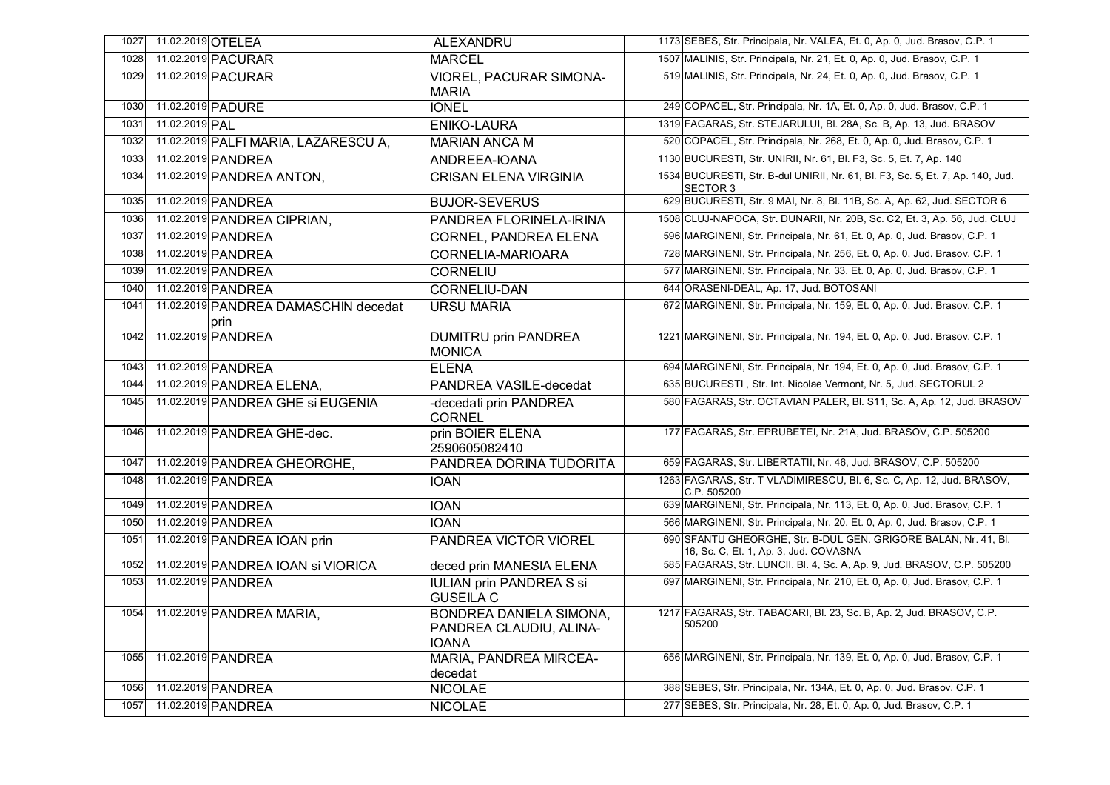| 1027 | 11.02.2019 OTELEA |                                              | <b>ALEXANDRU</b>                                                          | 1173 SEBES, Str. Principala, Nr. VALEA, Et. 0, Ap. 0, Jud. Brasov, C.P. 1                                |
|------|-------------------|----------------------------------------------|---------------------------------------------------------------------------|----------------------------------------------------------------------------------------------------------|
| 1028 |                   | 11.02.2019 PACURAR                           | <b>MARCEL</b>                                                             | 1507 MALINIS, Str. Principala, Nr. 21, Et. 0, Ap. 0, Jud. Brasov, C.P. 1                                 |
| 1029 |                   | 11.02.2019 PACURAR                           | VIOREL, PACURAR SIMONA-<br><b>MARIA</b>                                   | 519 MALINIS, Str. Principala, Nr. 24, Et. 0, Ap. 0, Jud. Brasov, C.P. 1                                  |
| 1030 |                   | 11.02.2019 PADURE                            | <b>IONEL</b>                                                              | 249 COPACEL, Str. Principala, Nr. 1A, Et. 0, Ap. 0, Jud. Brasov, C.P. 1                                  |
| 1031 | 11.02.2019 PAL    |                                              | <b>ENIKO-LAURA</b>                                                        | 1319 FAGARAS, Str. STEJARULUI, Bl. 28A, Sc. B, Ap. 13, Jud. BRASOV                                       |
| 1032 |                   | 11.02.2019 PALFI MARIA, LAZARESCU A,         | <b>MARIAN ANCA M</b>                                                      | 520 COPACEL, Str. Principala, Nr. 268, Et. 0, Ap. 0, Jud. Brasov, C.P. 1                                 |
| 1033 |                   | 11.02.2019 PANDREA                           | ANDREEA-IOANA                                                             | 1130 BUCURESTI, Str. UNIRII, Nr. 61, Bl. F3, Sc. 5, Et. 7, Ap. 140                                       |
| 1034 |                   | 11.02.2019 PANDREA ANTON,                    | <b>CRISAN ELENA VIRGINIA</b>                                              | 1534 BUCURESTI, Str. B-dul UNIRII, Nr. 61, Bl. F3, Sc. 5, Et. 7, Ap. 140, Jud.<br><b>SECTOR 3</b>        |
| 1035 |                   | 11.02.2019 PANDREA                           | <b>BUJOR-SEVERUS</b>                                                      | 629 BUCURESTI, Str. 9 MAI, Nr. 8, Bl. 11B, Sc. A, Ap. 62, Jud. SECTOR 6                                  |
| 1036 |                   | 11.02.2019 PANDREA CIPRIAN,                  | PANDREA FLORINELA-IRINA                                                   | 1508 CLUJ-NAPOCA, Str. DUNARII, Nr. 20B, Sc. C2, Et. 3, Ap. 56, Jud. CLUJ                                |
| 1037 |                   | 11.02.2019 PANDREA                           | <b>CORNEL, PANDREA ELENA</b>                                              | 596 MARGINENI, Str. Principala, Nr. 61, Et. 0, Ap. 0, Jud. Brasov, C.P. 1                                |
| 1038 |                   | 11.02.2019 PANDREA                           | CORNELIA-MARIOARA                                                         | 728 MARGINENI, Str. Principala, Nr. 256, Et. 0, Ap. 0, Jud. Brasov, C.P. 1                               |
| 1039 |                   | 11.02.2019 PANDREA                           | CORNELIU                                                                  | 577 MARGINENI, Str. Principala, Nr. 33, Et. 0, Ap. 0, Jud. Brasov, C.P. 1                                |
| 1040 |                   | 11.02.2019 PANDREA                           | <b>CORNELIU-DAN</b>                                                       | 644 ORASENI-DEAL, Ap. 17, Jud. BOTOSANI                                                                  |
| 1041 |                   | 11.02.2019 PANDREA DAMASCHIN decedat<br>prin | <b>URSU MARIA</b>                                                         | 672 MARGINENI, Str. Principala, Nr. 159, Et. 0, Ap. 0, Jud. Brasov, C.P. 1                               |
| 1042 |                   | 11.02.2019 PANDREA                           | <b>DUMITRU prin PANDREA</b><br><b>MONICA</b>                              | 1221 MARGINENI, Str. Principala, Nr. 194, Et. 0, Ap. 0, Jud. Brasov, C.P. 1                              |
| 1043 |                   | 11.02.2019 PANDREA                           | <b>ELENA</b>                                                              | 694 MARGINENI, Str. Principala, Nr. 194, Et. 0, Ap. 0, Jud. Brasov, C.P. 1                               |
| 1044 |                   | 11.02.2019 PANDREA ELENA,                    | PANDREA VASILE-decedat                                                    | 635 BUCURESTI, Str. Int. Nicolae Vermont, Nr. 5, Jud. SECTORUL 2                                         |
| 1045 |                   | 11.02.2019 PANDREA GHE Si EUGENIA            | -decedati prin PANDREA<br><b>CORNEL</b>                                   | 580 FAGARAS, Str. OCTAVIAN PALER, Bl. S11, Sc. A, Ap. 12, Jud. BRASOV                                    |
| 1046 |                   | 11.02.2019 PANDREA GHE-dec.                  | prin BOIER ELENA<br>2590605082410                                         | 177 FAGARAS, Str. EPRUBETEI, Nr. 21A, Jud. BRASOV, C.P. 505200                                           |
| 1047 |                   | 11.02.2019 PANDREA GHEORGHE,                 | PANDREA DORINA TUDORITA                                                   | 659 FAGARAS, Str. LIBERTATII, Nr. 46, Jud. BRASOV, C.P. 505200                                           |
| 1048 |                   | 11.02.2019 PANDREA                           | <b>IOAN</b>                                                               | 1263 FAGARAS, Str. T VLADIMIRESCU, Bl. 6, Sc. C, Ap. 12, Jud. BRASOV,<br>C.P. 505200                     |
| 1049 |                   | 11.02.2019 PANDREA                           | <b>IOAN</b>                                                               | 639 MARGINENI, Str. Principala, Nr. 113, Et. 0, Ap. 0, Jud. Brasov, C.P. 1                               |
| 1050 |                   | 11.02.2019 PANDREA                           | <b>IOAN</b>                                                               | 566 MARGINENI, Str. Principala, Nr. 20, Et. 0, Ap. 0, Jud. Brasov, C.P. 1                                |
| 1051 |                   | 11.02.2019 PANDREA IOAN prin                 | PANDREA VICTOR VIOREL                                                     | 690 SFANTU GHEORGHE, Str. B-DUL GEN. GRIGORE BALAN, Nr. 41, BI.<br>16, Sc. C, Et. 1, Ap. 3, Jud. COVASNA |
| 1052 |                   | 11.02.2019 PANDREA IOAN SI VIORICA           | deced prin MANESIA ELENA                                                  | 585 FAGARAS, Str. LUNCII, Bl. 4, Sc. A, Ap. 9, Jud. BRASOV, C.P. 505200                                  |
| 1053 |                   | 11.02.2019 PANDREA                           | <b>IULIAN prin PANDREA S si</b><br><b>GUSEILA C</b>                       | 697 MARGINENI, Str. Principala, Nr. 210, Et. 0, Ap. 0, Jud. Brasov, C.P. 1                               |
| 1054 |                   | 11.02.2019 PANDREA MARIA,                    | <b>BONDREA DANIELA SIMONA,</b><br>PANDREA CLAUDIU, ALINA-<br><b>IOANA</b> | 1217 FAGARAS, Str. TABACARI, Bl. 23, Sc. B, Ap. 2, Jud. BRASOV, C.P.<br>505200                           |
| 1055 |                   | 11.02.2019 PANDREA                           | <b>MARIA, PANDREA MIRCEA-</b><br>decedat                                  | 656 MARGINENI, Str. Principala, Nr. 139, Et. 0, Ap. 0, Jud. Brasov, C.P. 1                               |
| 1056 |                   | 11.02.2019 PANDREA                           | <b>NICOLAE</b>                                                            | 388 SEBES, Str. Principala, Nr. 134A, Et. 0, Ap. 0, Jud. Brasov, C.P. 1                                  |
| 1057 |                   | 11.02.2019 PANDREA                           | <b>NICOLAE</b>                                                            | 277 SEBES, Str. Principala, Nr. 28, Et. 0, Ap. 0, Jud. Brasov, C.P. 1                                    |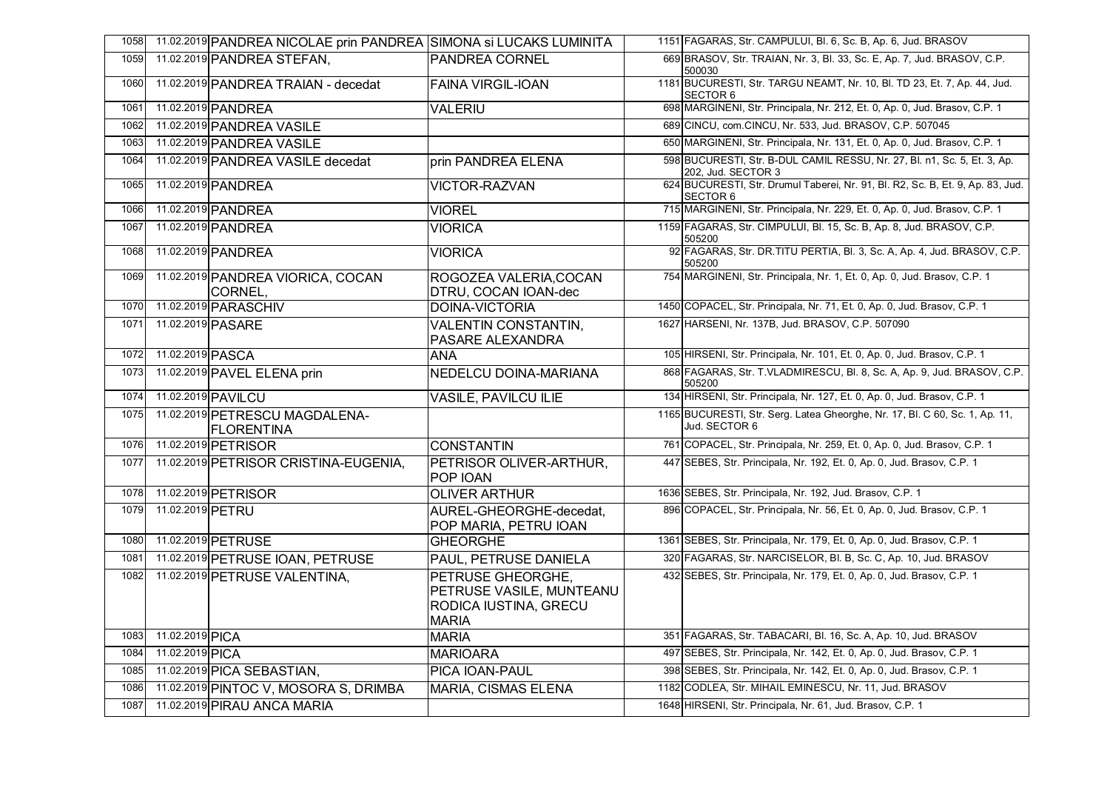| 1058 |                  | 11.02.2019 PANDREA NICOLAE prin PANDREA SIMONA si LUCAKS LUMINITA |                                                                                        | 1151 FAGARAS, Str. CAMPULUI, Bl. 6, Sc. B, Ap. 6, Jud. BRASOV                                  |
|------|------------------|-------------------------------------------------------------------|----------------------------------------------------------------------------------------|------------------------------------------------------------------------------------------------|
| 1059 |                  | 11.02.2019 PANDREA STEFAN,                                        | PANDREA CORNEL                                                                         | 669 BRASOV, Str. TRAIAN, Nr. 3, Bl. 33, Sc. E, Ap. 7, Jud. BRASOV, C.P.<br>500030              |
| 1060 |                  | 11.02.2019 PANDREA TRAIAN - decedat                               | <b>FAINA VIRGIL-IOAN</b>                                                               | 1181 BUCURESTI, Str. TARGU NEAMT, Nr. 10, Bl. TD 23, Et. 7, Ap. 44, Jud.<br><b>SECTOR 6</b>    |
| 1061 |                  | 11.02.2019 PANDREA                                                | <b>VALERIU</b>                                                                         | 698 MARGINENI, Str. Principala, Nr. 212, Et. 0, Ap. 0, Jud. Brasov, C.P. 1                     |
| 1062 |                  | 11.02.2019 PANDREA VASILE                                         |                                                                                        | 689 CINCU, com.CINCU, Nr. 533, Jud. BRASOV, C.P. 507045                                        |
| 1063 |                  | 11.02.2019 PANDREA VASILE                                         |                                                                                        | 650 MARGINENI, Str. Principala, Nr. 131, Et. 0, Ap. 0, Jud. Brasov, C.P. 1                     |
| 1064 |                  | 11.02.2019 PANDREA VASILE decedat                                 | prin PANDREA ELENA                                                                     | 598 BUCURESTI, Str. B-DUL CAMIL RESSU, Nr. 27, Bl. n1, Sc. 5, Et. 3, Ap.<br>202, Jud. SECTOR 3 |
| 1065 |                  | 11.02.2019 PANDREA                                                | <b>VICTOR-RAZVAN</b>                                                                   | 624 BUCURESTI, Str. Drumul Taberei, Nr. 91, Bl. R2, Sc. B, Et. 9, Ap. 83, Jud.<br>SECTOR 6     |
| 1066 |                  | 11.02.2019 PANDREA                                                | <b>VIOREL</b>                                                                          | 715 MARGINENI, Str. Principala, Nr. 229, Et. 0, Ap. 0, Jud. Brasov, C.P. 1                     |
| 1067 |                  | 11.02.2019 PANDREA                                                | <b>VIORICA</b>                                                                         | 1159 FAGARAS, Str. CIMPULUI, Bl. 15, Sc. B, Ap. 8, Jud. BRASOV, C.P.<br>505200                 |
| 1068 |                  | 11.02.2019 PANDREA                                                | <b>VIORICA</b>                                                                         | 92 FAGARAS, Str. DR. TITU PERTIA, Bl. 3, Sc. A, Ap. 4, Jud. BRASOV, C.P.<br>505200             |
| 1069 |                  | 11.02.2019 PANDREA VIORICA, COCAN<br>CORNEL,                      | ROGOZEA VALERIA, COCAN<br>DTRU, COCAN IOAN-dec                                         | 754 MARGINENI, Str. Principala, Nr. 1, Et. 0, Ap. 0, Jud. Brasov, C.P. 1                       |
| 1070 |                  | 11.02.2019 PARASCHIV                                              | <b>DOINA-VICTORIA</b>                                                                  | 1450 COPACEL, Str. Principala, Nr. 71, Et. 0, Ap. 0, Jud. Brasov, C.P. 1                       |
| 1071 |                  | 11.02.2019 PASARE                                                 | <b>VALENTIN CONSTANTIN,</b><br>PASARE ALEXANDRA                                        | 1627 HARSENI, Nr. 137B, Jud. BRASOV, C.P. 507090                                               |
| 1072 | 11.02.2019 PASCA |                                                                   | ANA                                                                                    | 105 HIRSENI, Str. Principala, Nr. 101, Et. 0, Ap. 0, Jud. Brasov, C.P. 1                       |
| 1073 |                  | 11.02.2019 PAVEL ELENA prin                                       | NEDELCU DOINA-MARIANA                                                                  | 868 FAGARAS, Str. T.VLADMIRESCU, Bl. 8, Sc. A, Ap. 9, Jud. BRASOV, C.P.<br>505200              |
| 1074 |                  | 11.02.2019 PAVILCU                                                | <b>VASILE, PAVILCU ILIE</b>                                                            | 134 HIRSENI, Str. Principala, Nr. 127, Et. 0, Ap. 0, Jud. Brasov, C.P. 1                       |
| 1075 |                  | 11.02.2019 PETRESCU MAGDALENA-<br>FLORENTINA                      |                                                                                        | 1165 BUCURESTI, Str. Serg. Latea Gheorghe, Nr. 17, Bl. C 60, Sc. 1, Ap. 11,<br>Jud. SECTOR 6   |
| 1076 |                  | 11.02.2019 PETRISOR                                               | <b>CONSTANTIN</b>                                                                      | 761 COPACEL, Str. Principala, Nr. 259, Et. 0, Ap. 0, Jud. Brasov, C.P. 1                       |
| 1077 |                  | 11.02.2019 PETRISOR CRISTINA-EUGENIA,                             | PETRISOR OLIVER-ARTHUR,<br>POP IOAN                                                    | 447 SEBES, Str. Principala, Nr. 192, Et. 0, Ap. 0, Jud. Brasov, C.P. 1                         |
| 1078 |                  | 11.02.2019 PETRISOR                                               | <b>OLIVER ARTHUR</b>                                                                   | 1636 SEBES, Str. Principala, Nr. 192, Jud. Brasov, C.P. 1                                      |
| 1079 | 11.02.2019 PETRU |                                                                   | AUREL-GHEORGHE-decedat,<br>POP MARIA, PETRU IOAN                                       | 896 COPACEL, Str. Principala, Nr. 56, Et. 0, Ap. 0, Jud. Brasov, C.P. 1                        |
| 1080 |                  | 11.02.2019 PETRUSE                                                | <b>GHEORGHE</b>                                                                        | 1361 SEBES, Str. Principala, Nr. 179, Et. 0, Ap. 0, Jud. Brasov, C.P. 1                        |
| 1081 |                  | 11.02.2019 PETRUSE IOAN, PETRUSE                                  | PAUL, PETRUSE DANIELA                                                                  | 320 FAGARAS, Str. NARCISELOR, Bl. B, Sc. C, Ap. 10, Jud. BRASOV                                |
| 1082 |                  | 11.02.2019 PETRUSE VALENTINA,                                     | PETRUSE GHEORGHE.<br>PETRUSE VASILE, MUNTEANU<br>RODICA IUSTINA, GRECU<br><b>MARIA</b> | 432 SEBES, Str. Principala, Nr. 179, Et. 0, Ap. 0, Jud. Brasov, C.P. 1                         |
| 1083 | 11.02.2019 PICA  |                                                                   | <b>MARIA</b>                                                                           | 351 FAGARAS, Str. TABACARI, Bl. 16, Sc. A, Ap. 10, Jud. BRASOV                                 |
| 1084 | 11.02.2019 PICA  |                                                                   | <b>MARIOARA</b>                                                                        | 497 SEBES, Str. Principala, Nr. 142, Et. 0, Ap. 0, Jud. Brasov, C.P. 1                         |
| 1085 |                  | 11.02.2019 PICA SEBASTIAN,                                        | PICA IOAN-PAUL                                                                         | 398 SEBES, Str. Principala, Nr. 142, Et. 0, Ap. 0, Jud. Brasov, C.P. 1                         |
| 1086 |                  | 11.02.2019 PINTOC V, MOSORA S, DRIMBA                             | <b>MARIA, CISMAS ELENA</b>                                                             | 1182 CODLEA, Str. MIHAIL EMINESCU, Nr. 11, Jud. BRASOV                                         |
| 1087 |                  | 11.02.2019 PIRAU ANCA MARIA                                       |                                                                                        | 1648 HIRSENI, Str. Principala, Nr. 61, Jud. Brasov, C.P. 1                                     |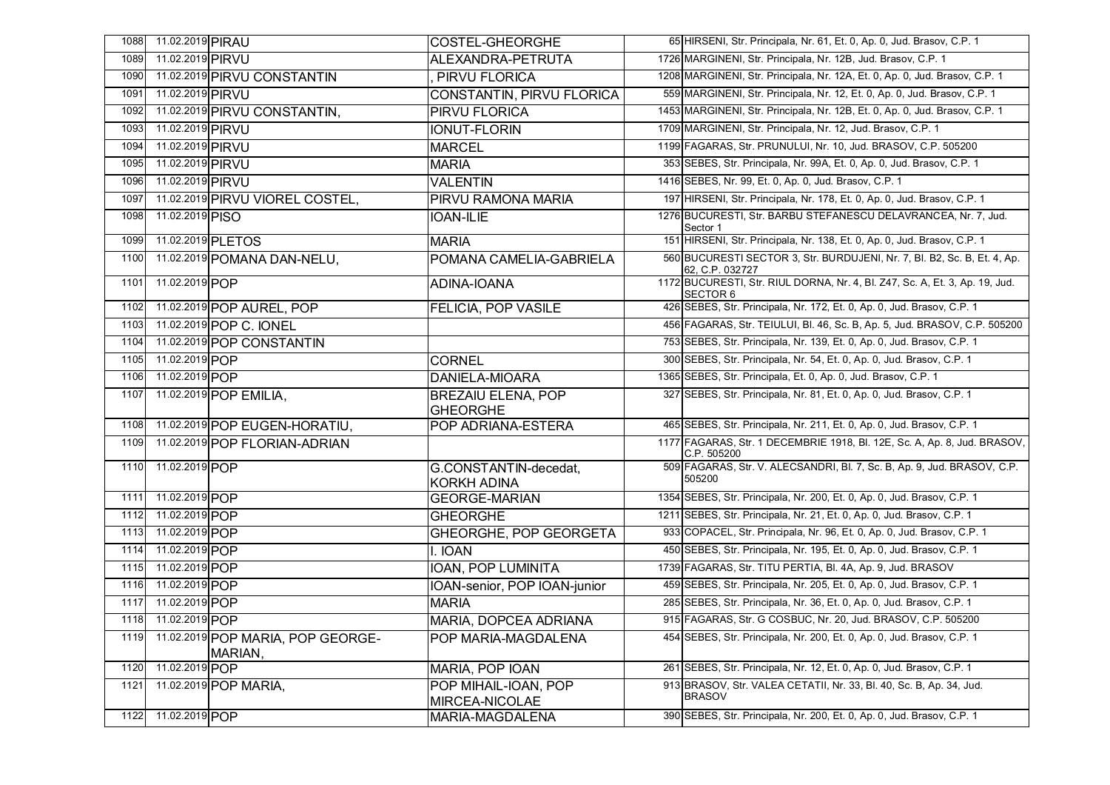| 1088 | 11.02.2019 PIRAU    |                                              | <b>COSTEL-GHEORGHE</b>                       | 65 HIRSENI, Str. Principala, Nr. 61, Et. 0, Ap. 0, Jud. Brasov, C.P. 1                         |
|------|---------------------|----------------------------------------------|----------------------------------------------|------------------------------------------------------------------------------------------------|
| 1089 | 11.02.2019 PIRVU    |                                              | ALEXANDRA-PETRUTA                            | 1726 MARGINENI, Str. Principala, Nr. 12B, Jud. Brasov, C.P. 1                                  |
| 1090 |                     | 11.02.2019 PIRVU CONSTANTIN                  | PIRVU FLORICA                                | 1208 MARGINENI, Str. Principala, Nr. 12A, Et. 0, Ap. 0, Jud. Brasov, C.P. 1                    |
| 1091 | 11.02.2019 PIRVU    |                                              | CONSTANTIN, PIRVU FLORICA                    | 559 MARGINENI, Str. Principala, Nr. 12, Et. 0, Ap. 0, Jud. Brasov, C.P. 1                      |
| 1092 |                     | 11.02.2019 PIRVU CONSTANTIN,                 | <b>PIRVU FLORICA</b>                         | 1453 MARGINENI, Str. Principala, Nr. 12B, Et. 0, Ap. 0, Jud. Brasov, C.P. 1                    |
| 1093 | 11.02.2019 PIRVU    |                                              | <b>IONUT-FLORIN</b>                          | 1709 MARGINENI, Str. Principala, Nr. 12, Jud. Brasov, C.P. 1                                   |
| 1094 | 11.02.2019 PIRVU    |                                              | <b>MARCEL</b>                                | 1199 FAGARAS, Str. PRUNULUI, Nr. 10, Jud. BRASOV, C.P. 505200                                  |
| 1095 | 11.02.2019 PIRVU    |                                              | <b>MARIA</b>                                 | 353 SEBES, Str. Principala, Nr. 99A, Et. 0, Ap. 0, Jud. Brasov, C.P. 1                         |
| 1096 | 11.02.2019 PIRVU    |                                              | <b>VALENTIN</b>                              | 1416 SEBES, Nr. 99, Et. 0, Ap. 0, Jud. Brasov, C.P. 1                                          |
| 1097 |                     | 11.02.2019 PIRVU VIOREL COSTEL,              | PIRVU RAMONA MARIA                           | 197 HIRSENI, Str. Principala, Nr. 178, Et. 0, Ap. 0, Jud. Brasov, C.P. 1                       |
| 1098 | 11.02.2019 PISO     |                                              | <b>IOAN-ILIE</b>                             | 1276 BUCURESTI, Str. BARBU STEFANESCU DELAVRANCEA, Nr. 7, Jud.<br>Sector 1                     |
| 1099 |                     | 11.02.2019 PLETOS                            | <b>MARIA</b>                                 | 151 HIRSENI, Str. Principala, Nr. 138, Et. 0, Ap. 0, Jud. Brasov, C.P. 1                       |
| 1100 |                     | 11.02.2019 POMANA DAN-NELU,                  | POMANA CAMELIA-GABRIELA                      | 560 BUCURESTI SECTOR 3, Str. BURDUJENI, Nr. 7, Bl. B2, Sc. B, Et. 4, Ap.<br>62, C.P. 032727    |
| 1101 | 11.02.2019 POP      |                                              | ADINA-IOANA                                  | 1172 BUCURESTI, Str. RIUL DORNA, Nr. 4, Bl. Z47, Sc. A, Et. 3, Ap. 19, Jud.<br><b>SECTOR 6</b> |
| 1102 |                     | 11.02.2019 POP AUREL, POP                    | FELICIA, POP VASILE                          | 426 SEBES, Str. Principala, Nr. 172, Et. 0, Ap. 0, Jud. Brasov, C.P. 1                         |
| 1103 |                     | 11.02.2019 POP C. IONEL                      |                                              | 456 FAGARAS, Str. TEIULUI, Bl. 46, Sc. B, Ap. 5, Jud. BRASOV, C.P. 505200                      |
| 1104 |                     | 11.02.2019 POP CONSTANTIN                    |                                              | 753 SEBES, Str. Principala, Nr. 139, Et. 0, Ap. 0, Jud. Brasov, C.P. 1                         |
| 1105 | 11.02.2019 POP      |                                              | <b>CORNEL</b>                                | 300 SEBES, Str. Principala, Nr. 54, Et. 0, Ap. 0, Jud. Brasov, C.P. 1                          |
| 1106 | 11.02.2019 POP      |                                              | <b>DANIELA-MIOARA</b>                        | 1365 SEBES, Str. Principala, Et. 0, Ap. 0, Jud. Brasov, C.P. 1                                 |
| 1107 |                     | 11.02.2019 POP EMILIA.                       | <b>BREZAIU ELENA, POP</b><br><b>GHEORGHE</b> | 327 SEBES, Str. Principala, Nr. 81, Et. 0, Ap. 0, Jud. Brasov, C.P. 1                          |
| 1108 |                     | 11.02.2019 POP EUGEN-HORATIU,                | POP ADRIANA-ESTERA                           | 465 SEBES, Str. Principala, Nr. 211, Et. 0, Ap. 0, Jud. Brasov, C.P. 1                         |
| 1109 |                     | 11.02.2019 POP FLORIAN-ADRIAN                |                                              | 1177 FAGARAS, Str. 1 DECEMBRIE 1918, Bl. 12E, Sc. A, Ap. 8, Jud. BRASOV,<br>C.P. 505200        |
| 1110 | 11.02.2019 POP      |                                              | G.CONSTANTIN-decedat,<br><b>KORKH ADINA</b>  | 509 FAGARAS, Str. V. ALECSANDRI, Bl. 7, Sc. B, Ap. 9, Jud. BRASOV, C.P.<br>505200              |
| 1111 | 11.02.2019 POP      |                                              | <b>GEORGE-MARIAN</b>                         | 1354 SEBES, Str. Principala, Nr. 200, Et. 0, Ap. 0, Jud. Brasov, C.P. 1                        |
| 1112 | 11.02.2019 POP      |                                              | <b>GHEORGHE</b>                              | 1211 SEBES, Str. Principala, Nr. 21, Et. 0, Ap. 0, Jud. Brasov, C.P. 1                         |
| 1113 | 11.02.2019 POP      |                                              | GHEORGHE, POP GEORGETA                       | 933 COPACEL, Str. Principala, Nr. 96, Et. 0, Ap. 0, Jud. Brasov, C.P. 1                        |
| 1114 | 11.02.2019 POP      |                                              | I. IOAN                                      | 450 SEBES, Str. Principala, Nr. 195, Et. 0, Ap. 0, Jud. Brasov, C.P. 1                         |
| 1115 | 11.02.2019 POP      |                                              | IOAN, POP LUMINITA                           | 1739 FAGARAS, Str. TITU PERTIA, Bl. 4A, Ap. 9, Jud. BRASOV                                     |
| 1116 | 11.02.2019 POP      |                                              | IOAN-senior, POP IOAN-junior                 | 459 SEBES, Str. Principala, Nr. 205, Et. 0, Ap. 0, Jud. Brasov, C.P. 1                         |
| 1117 | 11.02.2019 POP      |                                              | <b>MARIA</b>                                 | 285 SEBES, Str. Principala, Nr. 36, Et. 0, Ap. 0, Jud. Brasov, C.P. 1                          |
|      | 1118 11.02.2019 POP |                                              | MARIA, DOPCEA ADRIANA                        | 915 FAGARAS, Str. G COSBUC, Nr. 20, Jud. BRASOV, C.P. 505200                                   |
| 1119 |                     | 11.02.2019 POP MARIA, POP GEORGE-<br>MARIAN, | POP MARIA-MAGDALENA                          | 454 SEBES, Str. Principala, Nr. 200, Et. 0, Ap. 0, Jud. Brasov, C.P. 1                         |
| 1120 | 11.02.2019 POP      |                                              | MARIA, POP IOAN                              | 261 SEBES, Str. Principala, Nr. 12, Et. 0, Ap. 0, Jud. Brasov, C.P. 1                          |
| 1121 |                     | 11.02.2019 POP MARIA,                        | POP MIHAIL-IOAN, POP<br>MIRCEA-NICOLAE       | 913 BRASOV, Str. VALEA CETATII, Nr. 33, Bl. 40, Sc. B, Ap. 34, Jud.<br><b>BRASOV</b>           |
| 1122 | 11.02.2019 POP      |                                              | MARIA-MAGDALENA                              | 390 SEBES, Str. Principala, Nr. 200, Et. 0, Ap. 0, Jud. Brasov, C.P. 1                         |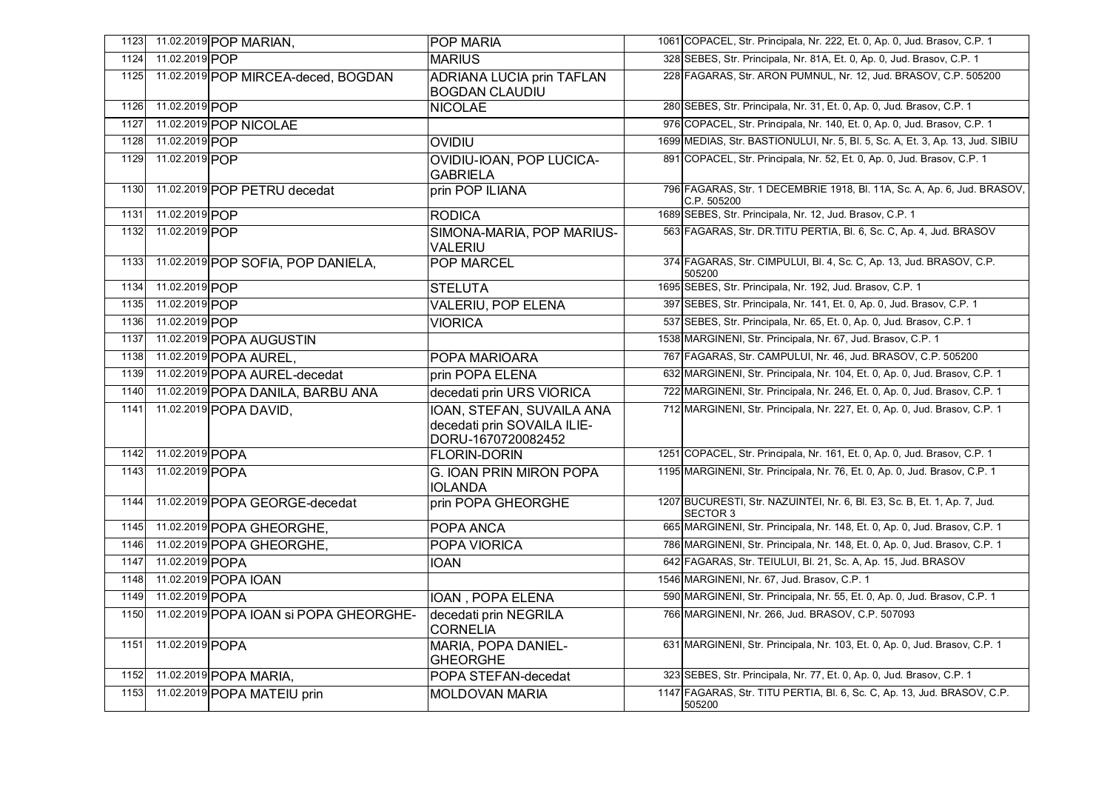| 1123 |                 | 11.02.2019 POP MARIAN,                 | <b>POP MARIA</b>                                                               | 1061 COPACEL, Str. Principala, Nr. 222, Et. 0, Ap. 0, Jud. Brasov, C.P. 1                   |
|------|-----------------|----------------------------------------|--------------------------------------------------------------------------------|---------------------------------------------------------------------------------------------|
| 1124 | 11.02.2019 POP  |                                        | <b>MARIUS</b>                                                                  | 328 SEBES, Str. Principala, Nr. 81A, Et. 0, Ap. 0, Jud. Brasov, C.P. 1                      |
| 1125 |                 | 11.02.2019 POP MIRCEA-deced, BOGDAN    | <b>ADRIANA LUCIA prin TAFLAN</b><br><b>BOGDAN CLAUDIU</b>                      | 228 FAGARAS, Str. ARON PUMNUL, Nr. 12, Jud. BRASOV, C.P. 505200                             |
| 1126 | 11.02.2019 POP  |                                        | <b>NICOLAE</b>                                                                 | 280 SEBES, Str. Principala, Nr. 31, Et. 0, Ap. 0, Jud. Brasov, C.P. 1                       |
| 1127 |                 | 11.02.2019 POP NICOLAE                 |                                                                                | 976 COPACEL, Str. Principala, Nr. 140, Et. 0, Ap. 0, Jud. Brasov, C.P. 1                    |
| 1128 | 11.02.2019 POP  |                                        | <b>OVIDIU</b>                                                                  | 1699 MEDIAS, Str. BASTIONULUI, Nr. 5, Bl. 5, Sc. A, Et. 3, Ap. 13, Jud. SIBIU               |
| 1129 | 11.02.2019 POP  |                                        | OVIDIU-IOAN, POP LUCICA-<br><b>GABRIELA</b>                                    | 891 COPACEL, Str. Principala, Nr. 52, Et. 0, Ap. 0, Jud. Brasov, C.P. 1                     |
| 1130 |                 | 11.02.2019 POP PETRU decedat           | prin POP ILIANA                                                                | 796 FAGARAS, Str. 1 DECEMBRIE 1918, Bl. 11A, Sc. A, Ap. 6, Jud. BRASOV,<br>C.P. 505200      |
| 1131 | 11.02.2019 POP  |                                        | <b>RODICA</b>                                                                  | 1689 SEBES, Str. Principala, Nr. 12, Jud. Brasov, C.P. 1                                    |
| 1132 | 11.02.2019 POP  |                                        | SIMONA-MARIA, POP MARIUS-<br><b>VALERIU</b>                                    | 563 FAGARAS, Str. DR. TITU PERTIA, Bl. 6, Sc. C, Ap. 4, Jud. BRASOV                         |
| 1133 |                 | 11.02.2019 POP SOFIA, POP DANIELA,     | <b>POP MARCEL</b>                                                              | 374 FAGARAS, Str. CIMPULUI, Bl. 4, Sc. C, Ap. 13, Jud. BRASOV, C.P.<br>505200               |
| 1134 | 11.02.2019 POP  |                                        | <b>STELUTA</b>                                                                 | 1695 SEBES, Str. Principala, Nr. 192, Jud. Brasov, C.P. 1                                   |
| 1135 | 11.02.2019 POP  |                                        | <b>VALERIU, POP ELENA</b>                                                      | 397 SEBES, Str. Principala, Nr. 141, Et. 0, Ap. 0, Jud. Brasov, C.P. 1                      |
| 1136 | 11.02.2019 POP  |                                        | <b>VIORICA</b>                                                                 | 537 SEBES, Str. Principala, Nr. 65, Et. 0, Ap. 0, Jud. Brasov, C.P. 1                       |
| 1137 |                 | 11.02.2019 POPA AUGUSTIN               |                                                                                | 1538 MARGINENI, Str. Principala, Nr. 67, Jud. Brasov, C.P. 1                                |
| 1138 |                 | 11.02.2019 POPA AUREL,                 | POPA MARIOARA                                                                  | 767 FAGARAS, Str. CAMPULUI, Nr. 46, Jud. BRASOV, C.P. 505200                                |
| 1139 |                 | 11.02.2019 POPA AUREL-decedat          | prin POPA ELENA                                                                | 632 MARGINENI, Str. Principala, Nr. 104, Et. 0, Ap. 0, Jud. Brasov, C.P. 1                  |
| 1140 |                 | 11.02.2019 POPA DANILA, BARBU ANA      | decedati prin URS VIORICA                                                      | 722 MARGINENI, Str. Principala, Nr. 246, Et. 0, Ap. 0, Jud. Brasov, C.P. 1                  |
| 1141 |                 | 11.02.2019 POPA DAVID.                 | IOAN, STEFAN, SUVAILA ANA<br>decedati prin SOVAILA ILIE-<br>DORU-1670720082452 | 712 MARGINENI, Str. Principala, Nr. 227, Et. 0, Ap. 0, Jud. Brasov, C.P. 1                  |
| 1142 | 11.02.2019 POPA |                                        | <b>FLORIN-DORIN</b>                                                            | 1251 COPACEL, Str. Principala, Nr. 161, Et. 0, Ap. 0, Jud. Brasov, C.P. 1                   |
| 1143 | 11.02.2019 POPA |                                        | <b>G. IOAN PRIN MIRON POPA</b><br><b>IOLANDA</b>                               | 1195 MARGINENI, Str. Principala, Nr. 76, Et. 0, Ap. 0, Jud. Brasov, C.P. 1                  |
| 1144 |                 | 11.02.2019 POPA GEORGE-decedat         | prin POPA GHEORGHE                                                             | 1207 BUCURESTI, Str. NAZUINTEI, Nr. 6, Bl. E3, Sc. B, Et. 1, Ap. 7, Jud.<br><b>SECTOR 3</b> |
| 1145 |                 | 11.02.2019 POPA GHEORGHE,              | <b>POPA ANCA</b>                                                               | 665 MARGINENI, Str. Principala, Nr. 148, Et. 0, Ap. 0, Jud. Brasov, C.P. 1                  |
| 1146 |                 | 11.02.2019 POPA GHEORGHE.              | POPA VIORICA                                                                   | 786 MARGINENI, Str. Principala, Nr. 148, Et. 0, Ap. 0, Jud. Brasov, C.P. 1                  |
| 1147 | 11.02.2019 POPA |                                        | <b>IOAN</b>                                                                    | 642 FAGARAS, Str. TEIULUI, Bl. 21, Sc. A, Ap. 15, Jud. BRASOV                               |
| 1148 |                 | 11.02.2019 POPA IOAN                   |                                                                                | 1546 MARGINENI, Nr. 67, Jud. Brasov, C.P. 1                                                 |
| 1149 | 11.02.2019 POPA |                                        | <b>IOAN, POPA ELENA</b>                                                        | 590 MARGINENI, Str. Principala, Nr. 55, Et. 0, Ap. 0, Jud. Brasov, C.P. 1                   |
| 1150 |                 | 11.02.2019 POPA IOAN SI POPA GHEORGHE- | decedati prin NEGRILA<br><b>CORNELIA</b>                                       | 766 MARGINENI, Nr. 266, Jud. BRASOV, C.P. 507093                                            |
| 1151 | 11.02.2019 POPA |                                        | MARIA, POPA DANIEL-<br><b>GHEORGHE</b>                                         | 631 MARGINENI, Str. Principala, Nr. 103, Et. 0, Ap. 0, Jud. Brasov, C.P. 1                  |
| 1152 |                 | 11.02.2019 POPA MARIA,                 | POPA STEFAN-decedat                                                            | 323 SEBES, Str. Principala, Nr. 77, Et. 0, Ap. 0, Jud. Brasov, C.P. 1                       |
| 1153 |                 | 11.02.2019 POPA MATEIU prin            | <b>MOLDOVAN MARIA</b>                                                          | 1147 FAGARAS, Str. TITU PERTIA, Bl. 6, Sc. C, Ap. 13, Jud. BRASOV, C.P.<br>505200           |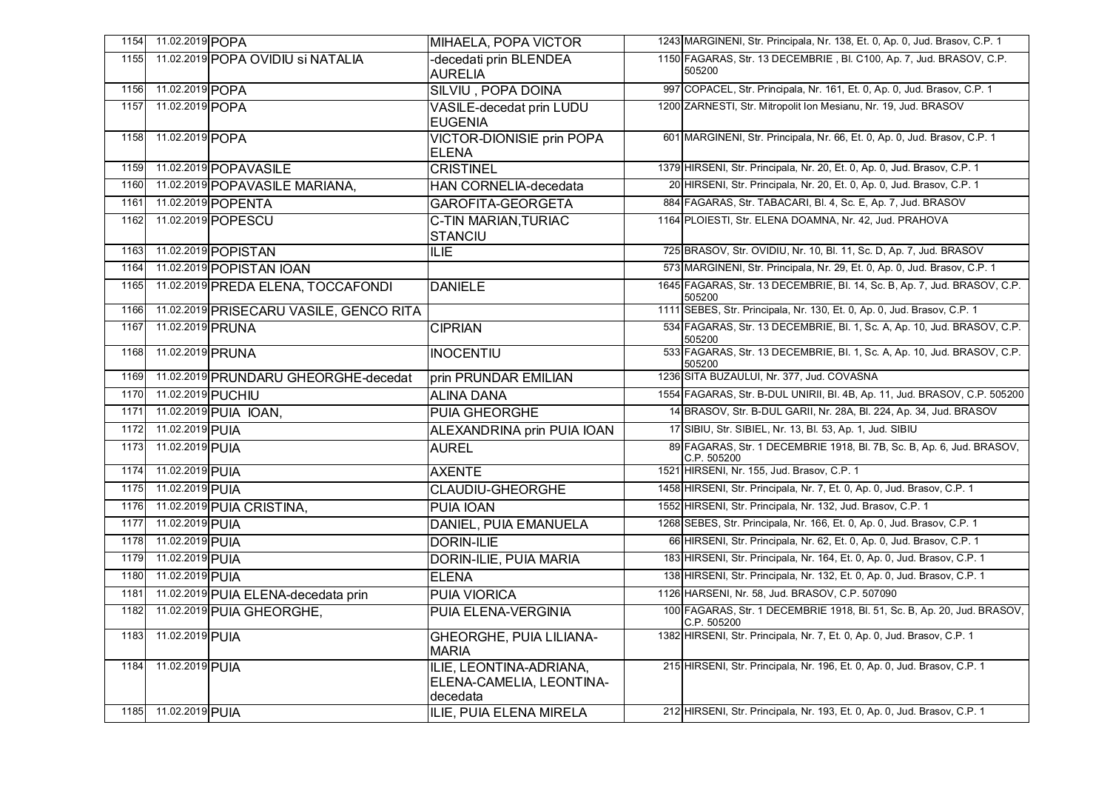| 1154 | 11.02.2019 POPA      |                                         | MIHAELA, POPA VICTOR                                            | 1243 MARGINENI, Str. Principala, Nr. 138, Et. 0, Ap. 0, Jud. Brasov, C.P. 1            |
|------|----------------------|-----------------------------------------|-----------------------------------------------------------------|----------------------------------------------------------------------------------------|
| 1155 |                      | 11.02.2019 POPA OVIDIU SI NATALIA       | -decedati prin BLENDEA<br><b>AURELIA</b>                        | 1150 FAGARAS, Str. 13 DECEMBRIE, Bl. C100, Ap. 7, Jud. BRASOV, C.P.<br>505200          |
| 1156 | 11.02.2019 POPA      |                                         | <b>SILVIU, POPA DOINA</b>                                       | 997 COPACEL, Str. Principala, Nr. 161, Et. 0, Ap. 0, Jud. Brasov, C.P. 1               |
| 1157 | 11.02.2019 POPA      |                                         | <b>VASILE-decedat prin LUDU</b><br><b>EUGENIA</b>               | 1200 ZARNESTI, Str. Mitropolit Ion Mesianu, Nr. 19, Jud. BRASOV                        |
| 1158 | 11.02.2019 POPA      |                                         | <b>VICTOR-DIONISIE prin POPA</b><br><b>ELENA</b>                | 601 MARGINENI, Str. Principala, Nr. 66, Et. 0, Ap. 0, Jud. Brasov, C.P. 1              |
| 1159 |                      | 11.02.2019 POPAVASILE                   | <b>CRISTINEL</b>                                                | 1379 HIRSENI, Str. Principala, Nr. 20, Et. 0, Ap. 0, Jud. Brasov, C.P. 1               |
| 1160 |                      | 11.02.2019 POPAVASILE MARIANA,          | <b>HAN CORNELIA-decedata</b>                                    | 20 HIRSENI, Str. Principala, Nr. 20, Et. 0, Ap. 0, Jud. Brasov, C.P. 1                 |
| 1161 |                      | 11.02.2019 POPENTA                      | <b>GAROFITA-GEORGETA</b>                                        | 884 FAGARAS, Str. TABACARI, Bl. 4, Sc. E, Ap. 7, Jud. BRASOV                           |
| 1162 |                      | 11.02.2019 POPESCU                      | C-TIN MARIAN, TURIAC<br><b>STANCIU</b>                          | 1164 PLOIESTI, Str. ELENA DOAMNA, Nr. 42, Jud. PRAHOVA                                 |
| 1163 |                      | 11.02.2019 POPISTAN                     | <b>ILIE</b>                                                     | 725 BRASOV, Str. OVIDIU, Nr. 10, Bl. 11, Sc. D, Ap. 7, Jud. BRASOV                     |
| 1164 |                      | 11.02.2019 POPISTAN IOAN                |                                                                 | 573 MARGINENI, Str. Principala, Nr. 29, Et. 0, Ap. 0, Jud. Brasov, C.P. 1              |
| 1165 |                      | 11.02.2019 PREDA ELENA, TOCCAFONDI      | <b>DANIELE</b>                                                  | 1645 FAGARAS, Str. 13 DECEMBRIE, Bl. 14, Sc. B, Ap. 7, Jud. BRASOV, C.P.<br>505200     |
| 1166 |                      | 11.02.2019 PRISECARU VASILE, GENCO RITA |                                                                 | 1111 SEBES, Str. Principala, Nr. 130, Et. 0, Ap. 0, Jud. Brasov, C.P. 1                |
| 1167 | 11.02.2019 PRUNA     |                                         | <b>CIPRIAN</b>                                                  | 534 FAGARAS, Str. 13 DECEMBRIE, Bl. 1, Sc. A, Ap. 10, Jud. BRASOV, C.P.<br>505200      |
| 1168 | 11.02.2019 PRUNA     |                                         | <b>INOCENTIU</b>                                                | 533 FAGARAS, Str. 13 DECEMBRIE, Bl. 1, Sc. A, Ap. 10, Jud. BRASOV, C.P.<br>505200      |
| 1169 |                      | 11.02.2019 PRUNDARU GHEORGHE-decedat    | prin PRUNDAR EMILIAN                                            | 1236 SITA BUZAULUI, Nr. 377, Jud. COVASNA                                              |
| 1170 | 11.02.2019 PUCHIU    |                                         | <b>ALINA DANA</b>                                               | 1554 FAGARAS, Str. B-DUL UNIRII, BI. 4B, Ap. 11, Jud. BRASOV, C.P. 505200              |
| 1171 |                      | 11.02.2019 PUIA IOAN,                   | PUIA GHEORGHE                                                   | 14 BRASOV, Str. B-DUL GARII, Nr. 28A, Bl. 224, Ap. 34, Jud. BRASOV                     |
| 1172 | 11.02.2019 PUIA      |                                         | ALEXANDRINA prin PUIA IOAN                                      | 17 SIBIU, Str. SIBIEL, Nr. 13, Bl. 53, Ap. 1, Jud. SIBIU                               |
| 1173 | 11.02.2019 PUIA      |                                         | <b>AUREL</b>                                                    | 89 FAGARAS, Str. 1 DECEMBRIE 1918, Bl. 7B, Sc. B, Ap. 6, Jud. BRASOV,<br>C.P. 505200   |
| 1174 | 11.02.2019 PUIA      |                                         | <b>AXENTE</b>                                                   | 1521 HIRSENI, Nr. 155, Jud. Brasov, C.P. 1                                             |
| 1175 | 11.02.2019 PUIA      |                                         | <b>CLAUDIU-GHEORGHE</b>                                         | 1458 HIRSENI, Str. Principala, Nr. 7, Et. 0, Ap. 0, Jud. Brasov, C.P. 1                |
| 1176 |                      | 11.02.2019 PUIA CRISTINA,               | <b>PUIA IOAN</b>                                                | 1552 HIRSENI, Str. Principala, Nr. 132, Jud. Brasov, C.P. 1                            |
| 1177 | 11.02.2019 PUIA      |                                         | DANIEL, PUIA EMANUELA                                           | 1268 SEBES, Str. Principala, Nr. 166, Et. 0, Ap. 0, Jud. Brasov, C.P. 1                |
| 1178 | 11.02.2019 PUIA      |                                         | <b>DORIN-ILIE</b>                                               | 66 HIRSENI, Str. Principala, Nr. 62, Et. 0, Ap. 0, Jud. Brasov, C.P. 1                 |
| 1179 | 11.02.2019 PUIA      |                                         | <b>DORIN-ILIE, PUIA MARIA</b>                                   | 183 HIRSENI, Str. Principala, Nr. 164, Et. 0, Ap. 0, Jud. Brasov, C.P. 1               |
| 1180 | 11.02.2019 PUIA      |                                         | <b>ELENA</b>                                                    | 138 HIRSENI, Str. Principala, Nr. 132, Et. 0, Ap. 0, Jud. Brasov, C.P. 1               |
| 1181 |                      | 11.02.2019 PUIA ELENA-decedata prin     | <b>PUIA VIORICA</b>                                             | 1126 HARSENI, Nr. 58, Jud. BRASOV, C.P. 507090                                         |
| 1182 |                      | 11.02.2019 PUIA GHEORGHE,               | PUIA ELENA-VERGINIA                                             | 100 FAGARAS, Str. 1 DECEMBRIE 1918, Bl. 51, Sc. B, Ap. 20, Jud. BRASOV,<br>C.P. 505200 |
| 1183 | 11.02.2019 PUIA      |                                         | <b>GHEORGHE, PUIA LILIANA-</b><br><b>MARIA</b>                  | 1382 HIRSENI, Str. Principala, Nr. 7, Et. 0, Ap. 0, Jud. Brasov, C.P. 1                |
| 1184 | 11.02.2019 PUIA      |                                         | ILIE, LEONTINA-ADRIANA,<br>ELENA-CAMELIA, LEONTINA-<br>decedata | 215 HIRSENI, Str. Principala, Nr. 196, Et. 0, Ap. 0, Jud. Brasov, C.P. 1               |
|      | 1185 11.02.2019 PUIA |                                         | ILIE, PUIA ELENA MIRELA                                         | 212 HIRSENI, Str. Principala, Nr. 193, Et. 0, Ap. 0, Jud. Brasov, C.P. 1               |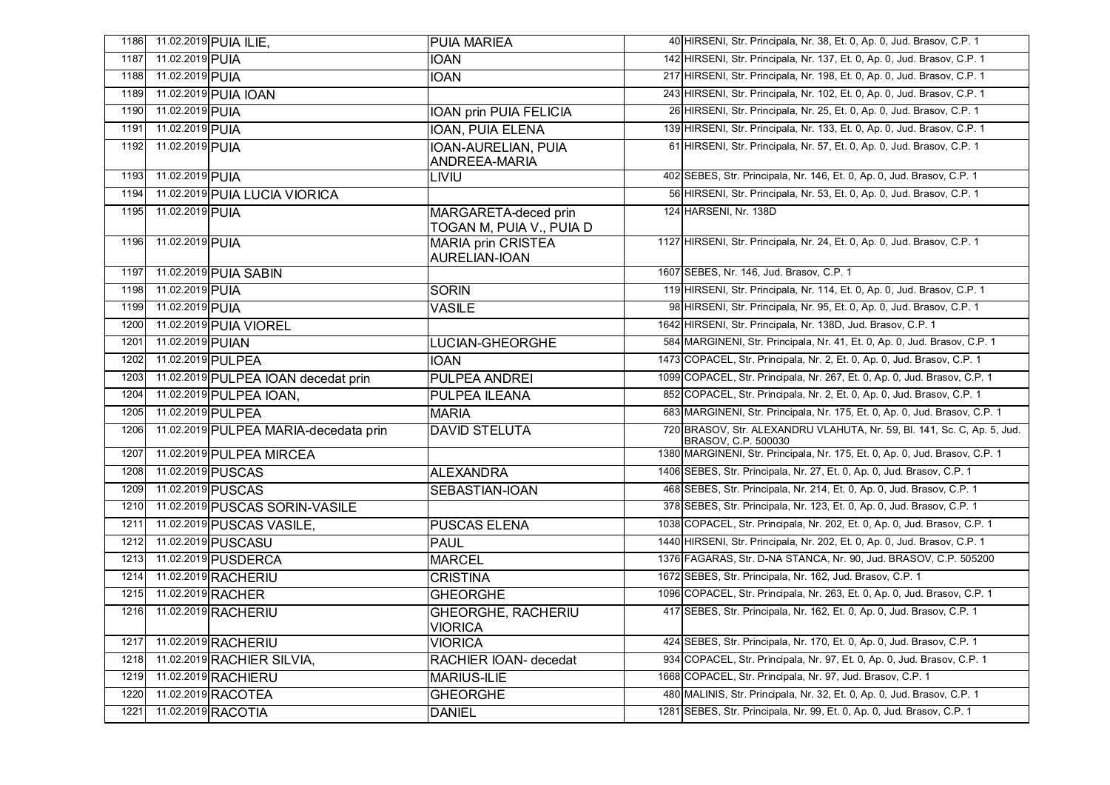| 1186 |                  | 11.02.2019 PUIA ILIE,                 | <b>PUIA MARIEA</b>                               | 40 HIRSENI, Str. Principala, Nr. 38, Et. 0, Ap. 0, Jud. Brasov, C.P. 1                         |
|------|------------------|---------------------------------------|--------------------------------------------------|------------------------------------------------------------------------------------------------|
| 1187 | 11.02.2019 PUIA  |                                       | <b>IOAN</b>                                      | 142 HIRSENI, Str. Principala, Nr. 137, Et. 0, Ap. 0, Jud. Brasov, C.P. 1                       |
| 1188 | 11.02.2019 PUIA  |                                       | <b>IOAN</b>                                      | 217 HIRSENI, Str. Principala, Nr. 198, Et. 0, Ap. 0, Jud. Brasov, C.P. 1                       |
| 1189 |                  | 11.02.2019 PUIA IOAN                  |                                                  | 243 HIRSENI, Str. Principala, Nr. 102, Et. 0, Ap. 0, Jud. Brasov, C.P. 1                       |
| 1190 | 11.02.2019 PUIA  |                                       | <b>IOAN prin PUIA FELICIA</b>                    | 26 HIRSENI, Str. Principala, Nr. 25, Et. 0, Ap. 0, Jud. Brasov, C.P. 1                         |
| 1191 | 11.02.2019 PUIA  |                                       | <b>IOAN, PUIA ELENA</b>                          | 139 HIRSENI, Str. Principala, Nr. 133, Et. 0, Ap. 0, Jud. Brasov, C.P. 1                       |
| 1192 | 11.02.2019 PUIA  |                                       | <b>IOAN-AURELIAN, PUIA</b>                       | 61 HIRSENI, Str. Principala, Nr. 57, Et. 0, Ap. 0, Jud. Brasov, C.P. 1                         |
|      |                  |                                       | ANDREEA-MARIA                                    |                                                                                                |
| 1193 | 11.02.2019 PUIA  |                                       | LIVIU                                            | 402 SEBES, Str. Principala, Nr. 146, Et. 0, Ap. 0, Jud. Brasov, C.P. 1                         |
| 1194 |                  | 11.02.2019 PUIA LUCIA VIORICA         |                                                  | 56 HIRSENI, Str. Principala, Nr. 53, Et. 0, Ap. 0, Jud. Brasov, C.P. 1                         |
| 1195 | 11.02.2019 PUIA  |                                       | MARGARETA-deced prin<br>TOGAN M, PUIA V., PUIA D | 124 HARSENI, Nr. 138D                                                                          |
| 1196 | 11.02.2019 PUIA  |                                       | <b>MARIA prin CRISTEA</b>                        | 1127 HIRSENI, Str. Principala, Nr. 24, Et. 0, Ap. 0, Jud. Brasov, C.P. 1                       |
|      |                  |                                       | AURELIAN-IOAN                                    |                                                                                                |
| 1197 |                  | 11.02.2019 PUIA SABIN                 |                                                  | 1607 SEBES, Nr. 146, Jud. Brasov, C.P. 1                                                       |
| 1198 | 11.02.2019 PUIA  |                                       | <b>SORIN</b>                                     | 119 HIRSENI, Str. Principala, Nr. 114, Et. 0, Ap. 0, Jud. Brasov, C.P. 1                       |
| 1199 | 11.02.2019 PUIA  |                                       | <b>VASILE</b>                                    | 98 HIRSENI, Str. Principala, Nr. 95, Et. 0, Ap. 0, Jud. Brasov, C.P. 1                         |
| 1200 |                  | 11.02.2019 PUIA VIOREL                |                                                  | 1642 HIRSENI, Str. Principala, Nr. 138D, Jud. Brasov, C.P. 1                                   |
| 1201 | 11.02.2019 PUIAN |                                       | LUCIAN-GHEORGHE                                  | 584 MARGINENI, Str. Principala, Nr. 41, Et. 0, Ap. 0, Jud. Brasov, C.P. 1                      |
| 1202 |                  | 11.02.2019 PULPEA                     | IOAN                                             | 1473 COPACEL, Str. Principala, Nr. 2, Et. 0, Ap. 0, Jud. Brasov, C.P. 1                        |
| 1203 |                  | 11.02.2019 PULPEA IOAN decedat prin   | PULPEA ANDREI                                    | 1099 COPACEL, Str. Principala, Nr. 267, Et. 0, Ap. 0, Jud. Brasov, C.P. 1                      |
| 1204 |                  | 11.02.2019 PULPEA IOAN,               | <b>PULPEA ILEANA</b>                             | 852 COPACEL, Str. Principala, Nr. 2, Et. 0, Ap. 0, Jud. Brasov, C.P. 1                         |
| 1205 |                  | 11.02.2019 PULPEA                     | <b>MARIA</b>                                     | 683 MARGINENI, Str. Principala, Nr. 175, Et. 0, Ap. 0, Jud. Brasov, C.P. 1                     |
| 1206 |                  | 11.02.2019 PULPEA MARIA-decedata prin | <b>DAVID STELUTA</b>                             | 720 BRASOV, Str. ALEXANDRU VLAHUTA, Nr. 59, Bl. 141, Sc. C, Ap. 5, Jud.<br>BRASOV, C.P. 500030 |
| 1207 |                  | 11.02.2019 PULPEA MIRCEA              |                                                  | 1380 MARGINENI, Str. Principala, Nr. 175, Et. 0, Ap. 0, Jud. Brasov, C.P. 1                    |
| 1208 |                  | 11.02.2019 PUSCAS                     | <b>ALEXANDRA</b>                                 | 1406 SEBES, Str. Principala, Nr. 27, Et. 0, Ap. 0, Jud. Brasov, C.P. 1                         |
| 1209 |                  | 11.02.2019 PUSCAS                     | SEBASTIAN-IOAN                                   | 468 SEBES, Str. Principala, Nr. 214, Et. 0, Ap. 0, Jud. Brasov, C.P. 1                         |
| 1210 |                  | 11.02.2019 PUSCAS SORIN-VASILE        |                                                  | 378 SEBES, Str. Principala, Nr. 123, Et. 0, Ap. 0, Jud. Brasov, C.P. 1                         |
| 1211 |                  | 11.02.2019 PUSCAS VASILE,             | <b>PUSCAS ELENA</b>                              | 1038 COPACEL, Str. Principala, Nr. 202, Et. 0, Ap. 0, Jud. Brasov, C.P. 1                      |
| 1212 |                  | 11.02.2019 PUSCASU                    | <b>PAUL</b>                                      | 1440 HIRSENI, Str. Principala, Nr. 202, Et. 0, Ap. 0, Jud. Brasov, C.P. 1                      |
| 1213 |                  | 11.02.2019 PUSDERCA                   | <b>MARCEL</b>                                    | 1376 FAGARAS, Str. D-NA STANCA, Nr. 90, Jud. BRASOV, C.P. 505200                               |
| 1214 |                  | 11.02.2019 RACHERIU                   | <b>CRISTINA</b>                                  | 1672 SEBES, Str. Principala, Nr. 162, Jud. Brasov, C.P. 1                                      |
| 1215 |                  | 11.02.2019 RACHER                     | <b>GHEORGHE</b>                                  | 1096 COPACEL, Str. Principala, Nr. 263, Et. 0, Ap. 0, Jud. Brasov, C.P. 1                      |
| 1216 |                  | 11.02.2019 RACHERIU                   | <b>GHEORGHE, RACHERIU</b><br>VIORICA             | 417 SEBES, Str. Principala, Nr. 162, Et. 0, Ap. 0, Jud. Brasov, C.P. 1                         |
| 1217 |                  | 11.02.2019 RACHERIU                   | VIORICA                                          | 424 SEBES, Str. Principala, Nr. 170, Et. 0, Ap. 0, Jud. Brasov, C.P. 1                         |
| 1218 |                  | 11.02.2019 RACHIER SILVIA,            | RACHIER IOAN- decedat                            | 934 COPACEL, Str. Principala, Nr. 97, Et. 0, Ap. 0, Jud. Brasov, C.P. 1                        |
| 1219 |                  | 11.02.2019 RACHIERU                   | <b>MARIUS-ILIE</b>                               | 1668 COPACEL, Str. Principala, Nr. 97, Jud. Brasov, C.P. 1                                     |
| 1220 |                  | 11.02.2019 RACOTEA                    | <b>GHEORGHE</b>                                  | 480 MALINIS, Str. Principala, Nr. 32, Et. 0, Ap. 0, Jud. Brasov, C.P. 1                        |
| 1221 |                  | 11.02.2019 RACOTIA                    | <b>DANIEL</b>                                    | 1281 SEBES, Str. Principala, Nr. 99, Et. 0, Ap. 0, Jud. Brasov, C.P. 1                         |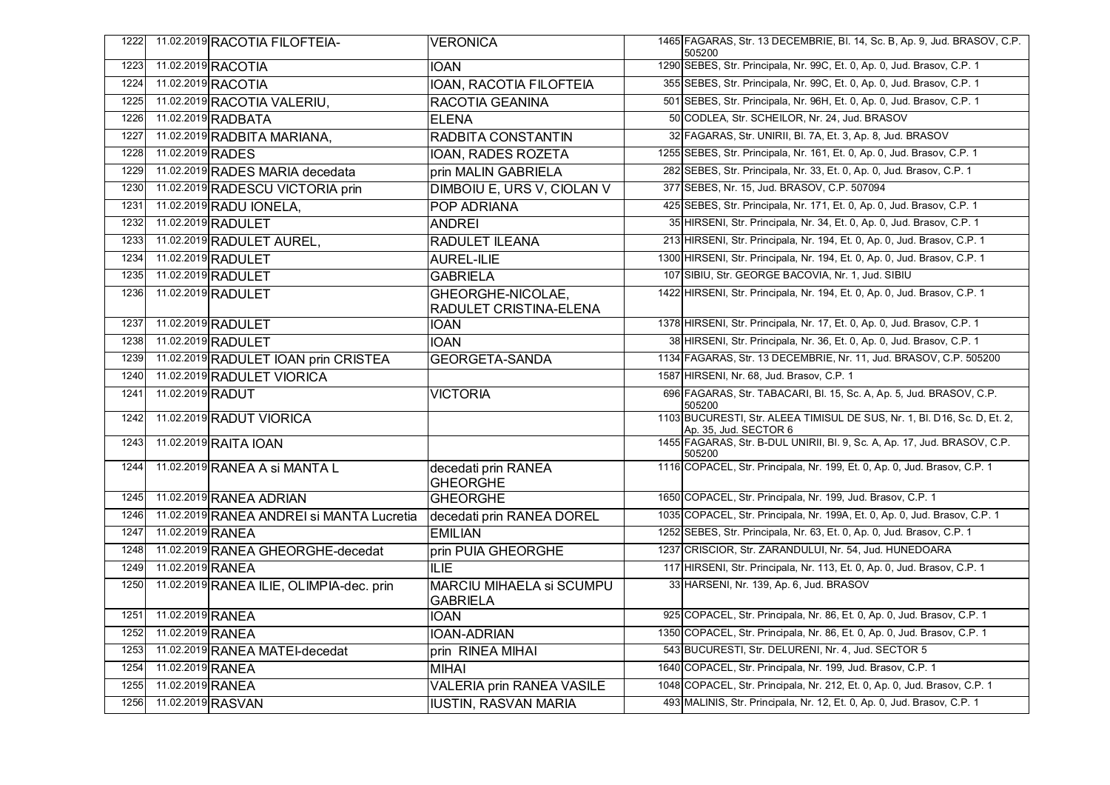| 1222 | 11.02.2019 RACOTIA FILOFTEIA-             | <b>VERONICA</b>                                    | 1465 FAGARAS, Str. 13 DECEMBRIE, Bl. 14, Sc. B, Ap. 9, Jud. BRASOV, C.P.<br>505200                |
|------|-------------------------------------------|----------------------------------------------------|---------------------------------------------------------------------------------------------------|
| 1223 | 11.02.2019 RACOTIA                        | <b>IOAN</b>                                        | 1290 SEBES, Str. Principala, Nr. 99C, Et. 0, Ap. 0, Jud. Brasov, C.P. 1                           |
| 1224 | 11.02.2019 RACOTIA                        | IOAN, RACOTIA FILOFTEIA                            | 355 SEBES, Str. Principala, Nr. 99C, Et. 0, Ap. 0, Jud. Brasov, C.P. 1                            |
| 1225 | 11.02.2019 RACOTIA VALERIU,               | RACOTIA GEANINA                                    | 501 SEBES, Str. Principala, Nr. 96H, Et. 0, Ap. 0, Jud. Brasov, C.P. 1                            |
| 1226 | 11.02.2019 RADBATA                        | <b>ELENA</b>                                       | 50 CODLEA, Str. SCHEILOR, Nr. 24, Jud. BRASOV                                                     |
| 1227 | 11.02.2019 RADBITA MARIANA,               | <b>RADBITA CONSTANTIN</b>                          | 32 FAGARAS, Str. UNIRII, Bl. 7A, Et. 3, Ap. 8, Jud. BRASOV                                        |
| 1228 | 11.02.2019 RADES                          | IOAN, RADES ROZETA                                 | 1255 SEBES, Str. Principala, Nr. 161, Et. 0, Ap. 0, Jud. Brasov, C.P. 1                           |
| 1229 | 11.02.2019 RADES MARIA decedata           | prin MALIN GABRIELA                                | 282 SEBES, Str. Principala, Nr. 33, Et. 0, Ap. 0, Jud. Brasov, C.P. 1                             |
| 1230 | 11.02.2019 RADESCU VICTORIA prin          | DIMBOIU E, URS V, CIOLAN V                         | 377 SEBES, Nr. 15, Jud. BRASOV, C.P. 507094                                                       |
| 1231 | 11.02.2019 RADU IONELA,                   | POP ADRIANA                                        | 425 SEBES, Str. Principala, Nr. 171, Et. 0, Ap. 0, Jud. Brasov, C.P. 1                            |
| 1232 | 11.02.2019 RADULET                        | <b>ANDREI</b>                                      | 35 HIRSENI, Str. Principala, Nr. 34, Et. 0, Ap. 0, Jud. Brasov, C.P. 1                            |
| 1233 | 11.02.2019 RADULET AUREL,                 | RADULET ILEANA                                     | 213 HIRSENI, Str. Principala, Nr. 194, Et. 0, Ap. 0, Jud. Brasov, C.P. 1                          |
| 1234 | 11.02.2019 RADULET                        | <b>AUREL-ILIE</b>                                  | 1300 HIRSENI, Str. Principala, Nr. 194, Et. 0, Ap. 0, Jud. Brasov, C.P. 1                         |
| 1235 | 11.02.2019 RADULET                        | <b>GABRIELA</b>                                    | 107 SIBIU, Str. GEORGE BACOVIA, Nr. 1, Jud. SIBIU                                                 |
| 1236 | 11.02.2019 RADULET                        | GHEORGHE-NICOLAE,<br><b>RADULET CRISTINA-ELENA</b> | 1422 HIRSENI, Str. Principala, Nr. 194, Et. 0, Ap. 0, Jud. Brasov, C.P. 1                         |
| 1237 | 11.02.2019 RADULET                        | IOAN                                               | 1378 HIRSENI, Str. Principala, Nr. 17, Et. 0, Ap. 0, Jud. Brasov, C.P. 1                          |
| 1238 | 11.02.2019 RADULET                        | <b>IOAN</b>                                        | 38 HIRSENI, Str. Principala, Nr. 36, Et. 0, Ap. 0, Jud. Brasov, C.P. 1                            |
| 1239 | 11.02.2019 RADULET IOAN prin CRISTEA      | <b>GEORGETA-SANDA</b>                              | 1134 FAGARAS, Str. 13 DECEMBRIE, Nr. 11, Jud. BRASOV, C.P. 505200                                 |
| 1240 | 11.02.2019 RADULET VIORICA                |                                                    | 1587 HIRSENI, Nr. 68, Jud. Brasov, C.P. 1                                                         |
| 1241 | 11.02.2019 RADUT                          | <b>VICTORIA</b>                                    | 696 FAGARAS, Str. TABACARI, Bl. 15, Sc. A, Ap. 5, Jud. BRASOV, C.P.<br>505200                     |
| 1242 | 11.02.2019 RADUT VIORICA                  |                                                    | 1103 BUCURESTI, Str. ALEEA TIMISUL DE SUS, Nr. 1, Bl. D16, Sc. D, Et. 2,<br>Ap. 35, Jud. SECTOR 6 |
| 1243 | 11.02.2019 RAITA IOAN                     |                                                    | 1455 FAGARAS, Str. B-DUL UNIRII, Bl. 9, Sc. A, Ap. 17, Jud. BRASOV, C.P.<br>505200                |
| 1244 | 11.02.2019 RANEA A si MANTA L             | decedati prin RANEA<br><b>GHEORGHE</b>             | 1116 COPACEL, Str. Principala, Nr. 199, Et. 0, Ap. 0, Jud. Brasov, C.P. 1                         |
| 1245 | 11.02.2019 RANEA ADRIAN                   | <b>GHEORGHE</b>                                    | 1650 COPACEL, Str. Principala, Nr. 199, Jud. Brasov, C.P. 1                                       |
| 1246 | 11.02.2019 RANEA ANDREI si MANTA Lucretia | decedati prin RANEA DOREL                          | 1035 COPACEL, Str. Principala, Nr. 199A, Et. 0, Ap. 0, Jud. Brasov, C.P. 1                        |
| 1247 | 11.02.2019 RANEA                          | <b>EMILIAN</b>                                     | 1252 SEBES, Str. Principala, Nr. 63, Et. 0, Ap. 0, Jud. Brasov, C.P. 1                            |
| 1248 | 11.02.2019 RANEA GHEORGHE-decedat         | prin PUIA GHEORGHE                                 | 1237 CRISCIOR, Str. ZARANDULUI, Nr. 54, Jud. HUNEDOARA                                            |
| 1249 | 11.02.2019 RANEA                          | <b>ILIE</b>                                        | 117 HIRSENI, Str. Principala, Nr. 113, Et. 0, Ap. 0, Jud. Brasov, C.P. 1                          |
| 1250 | 11.02.2019 RANEA ILIE, OLIMPIA-dec. prin  | <b>MARCIU MIHAELA si SCUMPU</b><br><b>GABRIELA</b> | 33 HARSENI, Nr. 139, Ap. 6, Jud. BRASOV                                                           |
| 1251 | 11.02.2019 RANEA                          | <b>IOAN</b>                                        | 925 COPACEL, Str. Principala, Nr. 86, Et. 0, Ap. 0, Jud. Brasov, C.P. 1                           |
| 1252 | 11.02.2019 RANEA                          | <b>IOAN-ADRIAN</b>                                 | 1350 COPACEL, Str. Principala, Nr. 86, Et. 0, Ap. 0, Jud. Brasov, C.P. 1                          |
| 1253 | 11.02.2019 RANEA MATEI-decedat            | prin RINEA MIHAI                                   | 543 BUCURESTI, Str. DELURENI, Nr. 4, Jud. SECTOR 5                                                |
| 1254 | 11.02.2019 RANEA                          | <b>MIHAI</b>                                       | 1640 COPACEL, Str. Principala, Nr. 199, Jud. Brasov, C.P. 1                                       |
| 1255 | 11.02.2019 RANEA                          | <b>VALERIA prin RANEA VASILE</b>                   | 1048 COPACEL, Str. Principala, Nr. 212, Et. 0, Ap. 0, Jud. Brasov, C.P. 1                         |
| 1256 | 11.02.2019 RASVAN                         | <b>IUSTIN, RASVAN MARIA</b>                        | 493 MALINIS, Str. Principala, Nr. 12, Et. 0, Ap. 0, Jud. Brasov, C.P. 1                           |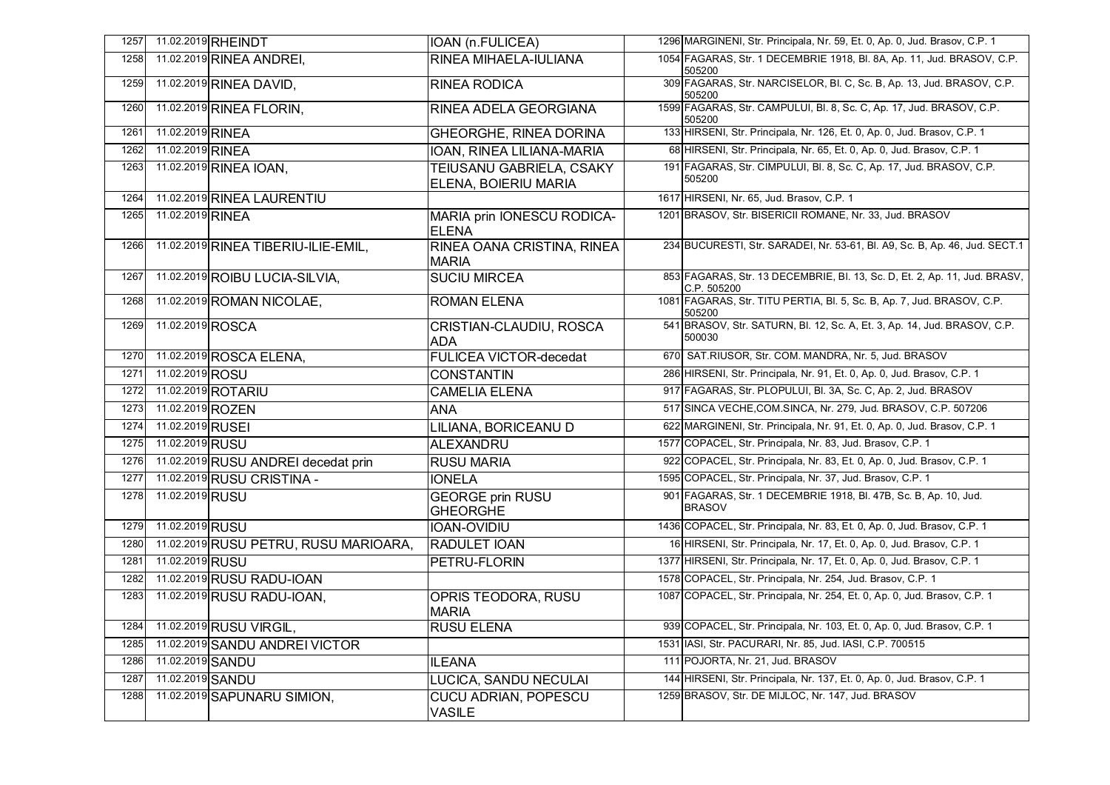| 1258<br>1259<br>1260<br>1261 |                  | 11.02.2019 RINEA ANDREI,<br>11.02.2019 RINEA DAVID, | RINEA MIHAELA-IULIANA                                          | 1054 FAGARAS, Str. 1 DECEMBRIE 1918, Bl. 8A, Ap. 11, Jud. BRASOV, C.P.<br>505200         |
|------------------------------|------------------|-----------------------------------------------------|----------------------------------------------------------------|------------------------------------------------------------------------------------------|
|                              |                  |                                                     |                                                                |                                                                                          |
|                              |                  |                                                     | <b>RINEA RODICA</b>                                            | 309 FAGARAS, Str. NARCISELOR, Bl. C, Sc. B, Ap. 13, Jud. BRASOV, C.P.<br>505200          |
|                              |                  | 11.02.2019 RINEA FLORIN,                            | <b>RINEA ADELA GEORGIANA</b>                                   | 1599 FAGARAS, Str. CAMPULUI, Bl. 8, Sc. C, Ap. 17, Jud. BRASOV, C.P.<br>505200           |
|                              | 11.02.2019 RINEA |                                                     | <b>GHEORGHE, RINEA DORINA</b>                                  | 133 HIRSENI, Str. Principala, Nr. 126, Et. 0, Ap. 0, Jud. Brasov, C.P. 1                 |
| 1262                         | 11.02.2019 RINEA |                                                     | IOAN, RINEA LILIANA-MARIA                                      | 68 HIRSENI, Str. Principala, Nr. 65, Et. 0, Ap. 0, Jud. Brasov, C.P. 1                   |
| 1263                         |                  | 11.02.2019 RINEA IOAN,                              | <b>TEIUSANU GABRIELA, CSAKY</b><br><b>ELENA, BOIERIU MARIA</b> | 191 FAGARAS, Str. CIMPULUI, Bl. 8, Sc. C, Ap. 17, Jud. BRASOV, C.P.<br>505200            |
| 1264                         |                  | 11.02.2019 RINEA LAURENTIU                          |                                                                | 1617 HIRSENI, Nr. 65, Jud. Brasov, C.P. 1                                                |
| 1265                         | 11.02.2019 RINEA |                                                     | MARIA prin IONESCU RODICA-<br><b>ELENA</b>                     | 1201 BRASOV, Str. BISERICII ROMANE, Nr. 33, Jud. BRASOV                                  |
| 1266                         |                  | 11.02.2019 RINEA TIBERIU-ILIE-EMIL,                 | RINEA OANA CRISTINA, RINEA<br><b>MARIA</b>                     | 234 BUCURESTI, Str. SARADEI, Nr. 53-61, Bl. A9, Sc. B, Ap. 46, Jud. SECT.1               |
| 1267                         |                  | 11.02.2019 ROIBU LUCIA-SILVIA,                      | <b>SUCIU MIRCEA</b>                                            | 853 FAGARAS, Str. 13 DECEMBRIE, Bl. 13, Sc. D, Et. 2, Ap. 11, Jud. BRASV,<br>C.P. 505200 |
| 1268                         |                  | 11.02.2019 ROMAN NICOLAE,                           | <b>ROMAN ELENA</b>                                             | 1081 FAGARAS, Str. TITU PERTIA, Bl. 5, Sc. B, Ap. 7, Jud. BRASOV, C.P.<br>505200         |
| 1269                         | 11.02.2019 ROSCA |                                                     | CRISTIAN-CLAUDIU, ROSCA<br>ADA                                 | 541 BRASOV, Str. SATURN, Bl. 12, Sc. A, Et. 3, Ap. 14, Jud. BRASOV, C.P.<br>500030       |
| 1270                         |                  | 11.02.2019 ROSCA ELENA,                             | <b>FULICEA VICTOR-decedat</b>                                  | 670 SAT.RIUSOR, Str. COM. MANDRA, Nr. 5, Jud. BRASOV                                     |
| 1271                         | 11.02.2019 ROSU  |                                                     | CONSTANTIN                                                     | 286 HIRSENI, Str. Principala, Nr. 91, Et. 0, Ap. 0, Jud. Brasov, C.P. 1                  |
| 1272                         |                  | 11.02.2019 ROTARIU                                  | <b>CAMELIA ELENA</b>                                           | 917 FAGARAS, Str. PLOPULUI, Bl. 3A, Sc. C, Ap. 2, Jud. BRASOV                            |
| 1273                         | 11.02.2019 ROZEN |                                                     | <b>ANA</b>                                                     | 517 SINCA VECHE, COM.SINCA, Nr. 279, Jud. BRASOV, C.P. 507206                            |
| 1274                         | 11.02.2019 RUSEI |                                                     | LILIANA, BORICEANU D                                           | 622 MARGINENI, Str. Principala, Nr. 91, Et. 0, Ap. 0, Jud. Brasov, C.P. 1                |
| 1275                         | 11.02.2019 RUSU  |                                                     | ALEXANDRU                                                      | 1577 COPACEL, Str. Principala, Nr. 83, Jud. Brasov, C.P. 1                               |
| 1276                         |                  | 11.02.2019 RUSU ANDREI decedat prin                 | <b>RUSU MARIA</b>                                              | 922 COPACEL, Str. Principala, Nr. 83, Et. 0, Ap. 0, Jud. Brasov, C.P. 1                  |
| 1277                         |                  | 11.02.2019 RUSU CRISTINA -                          | <b>IONELA</b>                                                  | 1595 COPACEL, Str. Principala, Nr. 37, Jud. Brasov, C.P. 1                               |
| 1278                         | 11.02.2019 RUSU  |                                                     | <b>GEORGE prin RUSU</b><br><b>GHEORGHE</b>                     | 901 FAGARAS, Str. 1 DECEMBRIE 1918, Bl. 47B, Sc. B, Ap. 10, Jud.<br><b>BRASOV</b>        |
| 1279                         | 11.02.2019 RUSU  |                                                     | <b>IOAN-OVIDIU</b>                                             | 1436 COPACEL, Str. Principala, Nr. 83, Et. 0, Ap. 0, Jud. Brasov, C.P. 1                 |
| 1280                         |                  | 11.02.2019 RUSU PETRU, RUSU MARIOARA,               | <b>RADULET IOAN</b>                                            | 16 HIRSENI, Str. Principala, Nr. 17, Et. 0, Ap. 0, Jud. Brasov, C.P. 1                   |
| 1281                         | 11.02.2019 RUSU  |                                                     | <b>PETRU-FLORIN</b>                                            | 1377 HIRSENI, Str. Principala, Nr. 17, Et. 0, Ap. 0, Jud. Brasov, C.P. 1                 |
| 1282                         |                  | 11.02.2019 RUSU RADU-IOAN                           |                                                                | 1578 COPACEL, Str. Principala, Nr. 254, Jud. Brasov, C.P. 1                              |
| 1283                         |                  | 11.02.2019 RUSU RADU-IOAN,                          | OPRIS TEODORA, RUSU<br><b>MARIA</b>                            | 1087 COPACEL, Str. Principala, Nr. 254, Et. 0, Ap. 0, Jud. Brasov, C.P. 1                |
| 1284                         |                  | 11.02.2019 RUSU VIRGIL,                             | <b>RUSU ELENA</b>                                              | 939 COPACEL, Str. Principala, Nr. 103, Et. 0, Ap. 0, Jud. Brasov, C.P. 1                 |
| 1285                         |                  | 11.02.2019 SANDU ANDREI VICTOR                      |                                                                | 1531 IASI, Str. PACURARI, Nr. 85, Jud. IASI, C.P. 700515                                 |
| 1286                         | 11.02.2019 SANDU |                                                     | <b>ILEANA</b>                                                  | 111 POJORTA, Nr. 21, Jud. BRASOV                                                         |
| 1287                         | 11.02.2019 SANDU |                                                     | LUCICA, SANDU NECULAI                                          | 144 HIRSENI, Str. Principala, Nr. 137, Et. 0, Ap. 0, Jud. Brasov, C.P. 1                 |
| 1288                         |                  | 11.02.2019 SAPUNARU SIMION,                         | <b>CUCU ADRIAN, POPESCU</b><br><b>VASILE</b>                   | 1259 BRASOV, Str. DE MIJLOC, Nr. 147, Jud. BRASOV                                        |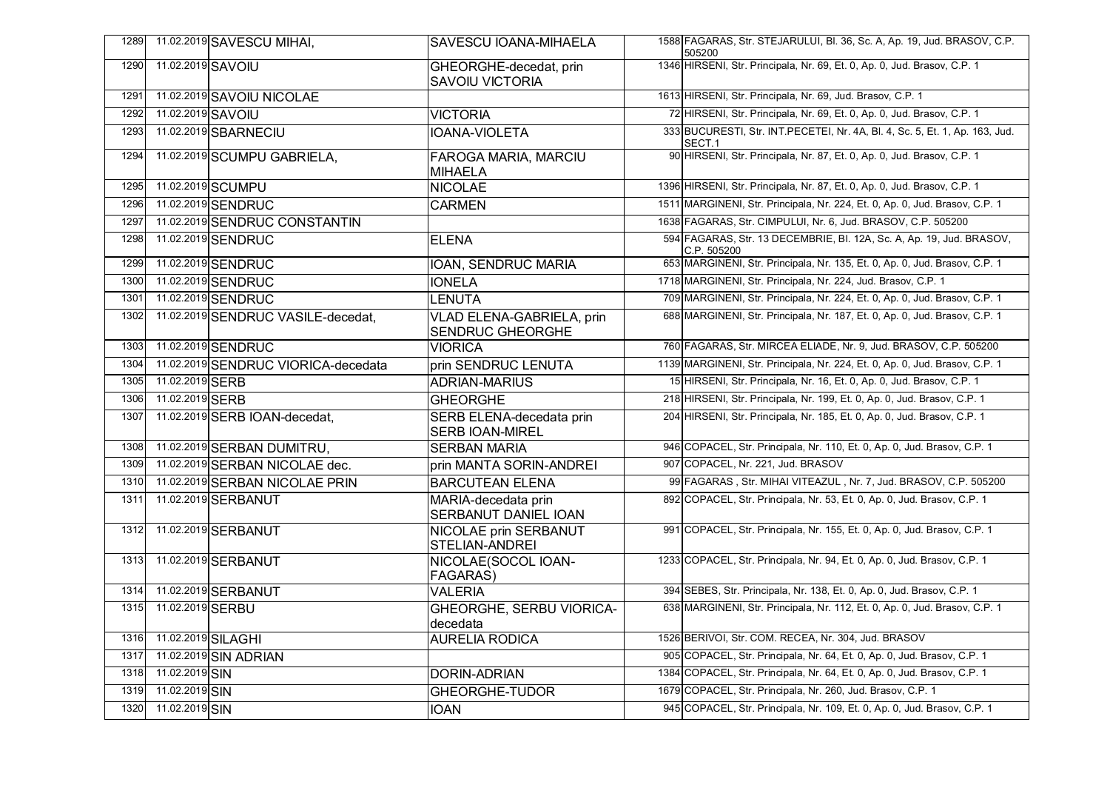| 1289 |                    | 11.02.2019 SAVESCU MIHAI,           | SAVESCU IOANA-MIHAELA                                       | 1588 FAGARAS, Str. STEJARULUI, Bl. 36, Sc. A, Ap. 19, Jud. BRASOV, C.P.<br>505200     |
|------|--------------------|-------------------------------------|-------------------------------------------------------------|---------------------------------------------------------------------------------------|
| 1290 |                    | 11.02.2019 SAVOIU                   | GHEORGHE-decedat, prin<br><b>SAVOIU VICTORIA</b>            | 1346 HIRSENI, Str. Principala, Nr. 69, Et. 0, Ap. 0, Jud. Brasov, C.P. 1              |
| 1291 |                    | 11.02.2019 SAVOIU NICOLAE           |                                                             | 1613 HIRSENI, Str. Principala, Nr. 69, Jud. Brasov, C.P. 1                            |
| 1292 | 11.02.2019 SAVOIU  |                                     | <b>VICTORIA</b>                                             | 72 HIRSENI, Str. Principala, Nr. 69, Et. 0, Ap. 0, Jud. Brasov, C.P. 1                |
| 1293 |                    | 11.02.2019 SBARNECIU                | <b>IOANA-VIOLETA</b>                                        | 333 BUCURESTI, Str. INT.PECETEI, Nr. 4A, Bl. 4, Sc. 5, Et. 1, Ap. 163, Jud.<br>SECT.1 |
| 1294 |                    | 11.02.2019 SCUMPU GABRIELA,         | FAROGA MARIA, MARCIU<br><b>MIHAELA</b>                      | 90 HIRSENI, Str. Principala, Nr. 87, Et. 0, Ap. 0, Jud. Brasov, C.P. 1                |
| 1295 |                    | 11.02.2019 SCUMPU                   | <b>NICOLAE</b>                                              | 1396 HIRSENI, Str. Principala, Nr. 87, Et. 0, Ap. 0, Jud. Brasov, C.P. 1              |
| 1296 |                    | 11.02.2019 SENDRUC                  | <b>CARMEN</b>                                               | 1511 MARGINENI, Str. Principala, Nr. 224, Et. 0, Ap. 0, Jud. Brasov, C.P. 1           |
| 1297 |                    | 11.02.2019 SENDRUC CONSTANTIN       |                                                             | 1638 FAGARAS, Str. CIMPULUI, Nr. 6, Jud. BRASOV, C.P. 505200                          |
| 1298 |                    | 11.02.2019 SENDRUC                  | <b>ELENA</b>                                                | 594 FAGARAS, Str. 13 DECEMBRIE, Bl. 12A, Sc. A, Ap. 19, Jud. BRASOV,<br>C.P. 505200   |
| 1299 |                    | 11.02.2019 SENDRUC                  | <b>IOAN, SENDRUC MARIA</b>                                  | 653 MARGINENI, Str. Principala, Nr. 135, Et. 0, Ap. 0, Jud. Brasov, C.P. 1            |
| 1300 |                    | 11.02.2019 SENDRUC                  | <b>IONELA</b>                                               | 1718 MARGINENI, Str. Principala, Nr. 224, Jud. Brasov, C.P. 1                         |
| 1301 |                    | 11.02.2019 SENDRUC                  | LENUTA                                                      | 709 MARGINENI, Str. Principala, Nr. 224, Et. 0, Ap. 0, Jud. Brasov, C.P. 1            |
| 1302 |                    | 11.02.2019 SENDRUC VASILE-decedat,  | <b>VLAD ELENA-GABRIELA, prin</b><br><b>SENDRUC GHEORGHE</b> | 688 MARGINENI, Str. Principala, Nr. 187, Et. 0, Ap. 0, Jud. Brasov, C.P. 1            |
| 1303 |                    | 11.02.2019 SENDRUC                  | <b>VIORICA</b>                                              | 760 FAGARAS, Str. MIRCEA ELIADE, Nr. 9, Jud. BRASOV, C.P. 505200                      |
| 1304 |                    | 11.02.2019 SENDRUC VIORICA-decedata | prin SENDRUC LENUTA                                         | 1139 MARGINENI, Str. Principala, Nr. 224, Et. 0, Ap. 0, Jud. Brasov, C.P. 1           |
| 1305 | 11.02.2019 SERB    |                                     | <b>ADRIAN-MARIUS</b>                                        | 15 HIRSENI, Str. Principala, Nr. 16, Et. 0, Ap. 0, Jud. Brasov, C.P. 1                |
| 1306 | 11.02.2019 SERB    |                                     | <b>GHEORGHE</b>                                             | 218 HIRSENI, Str. Principala, Nr. 199, Et. 0, Ap. 0, Jud. Brasov, C.P. 1              |
| 1307 |                    | 11.02.2019 SERB IOAN-decedat,       | SERB ELENA-decedata prin<br><b>SERB IOAN-MIREL</b>          | 204 HIRSENI, Str. Principala, Nr. 185, Et. 0, Ap. 0, Jud. Brasov, C.P. 1              |
| 1308 |                    | 11.02.2019 SERBAN DUMITRU,          | <b>SERBAN MARIA</b>                                         | 946 COPACEL, Str. Principala, Nr. 110, Et. 0, Ap. 0, Jud. Brasov, C.P. 1              |
| 1309 |                    | 11.02.2019 SERBAN NICOLAE dec.      | prin MANTA SORIN-ANDREI                                     | 907 COPACEL, Nr. 221, Jud. BRASOV                                                     |
| 1310 |                    | 11.02.2019 SERBAN NICOLAE PRIN      | <b>BARCUTEAN ELENA</b>                                      | 99 FAGARAS, Str. MIHAI VITEAZUL, Nr. 7, Jud. BRASOV, C.P. 505200                      |
| 1311 |                    | 11.02.2019 SERBANUT                 | MARIA-decedata prin<br>SERBANUT DANIEL IOAN                 | 892 COPACEL, Str. Principala, Nr. 53, Et. 0, Ap. 0, Jud. Brasov, C.P. 1               |
| 1312 |                    | 11.02.2019 SERBANUT                 | <b>NICOLAE prin SERBANUT</b><br>STELIAN-ANDREI              | 991 COPACEL, Str. Principala, Nr. 155, Et. 0, Ap. 0, Jud. Brasov, C.P. 1              |
| 1313 |                    | 11.02.2019 SERBANUT                 | NICOLAE(SOCOL IOAN-<br><b>FAGARAS)</b>                      | 1233 COPACEL, Str. Principala, Nr. 94, Et. 0, Ap. 0, Jud. Brasov, C.P. 1              |
| 1314 |                    | 11.02.2019 SERBANUT                 | <b>VALERIA</b>                                              | 394 SEBES, Str. Principala, Nr. 138, Et. 0, Ap. 0, Jud. Brasov, C.P. 1                |
| 1315 | 11.02.2019 SERBU   |                                     | GHEORGHE, SERBU VIORICA-<br>decedata                        | 638 MARGINENI, Str. Principala, Nr. 112, Et. 0, Ap. 0, Jud. Brasov, C.P. 1            |
| 1316 | 11.02.2019 SILAGHI |                                     | <b>AURELIA RODICA</b>                                       | 1526 BERIVOI, Str. COM. RECEA, Nr. 304, Jud. BRASOV                                   |
| 1317 |                    | 11.02.2019 SIN ADRIAN               |                                                             | 905 COPACEL, Str. Principala, Nr. 64, Et. 0, Ap. 0, Jud. Brasov, C.P. 1               |
| 1318 | 11.02.2019 SIN     |                                     | <b>DORIN-ADRIAN</b>                                         | 1384 COPACEL, Str. Principala, Nr. 64, Et. 0, Ap. 0, Jud. Brasov, C.P. 1              |
| 1319 | 11.02.2019 SIN     |                                     | <b>GHEORGHE-TUDOR</b>                                       | 1679 COPACEL, Str. Principala, Nr. 260, Jud. Brasov, C.P. 1                           |
| 1320 | 11.02.2019 SIN     |                                     | <b>IOAN</b>                                                 | 945 COPACEL, Str. Principala, Nr. 109, Et. 0, Ap. 0, Jud. Brasov, C.P. 1              |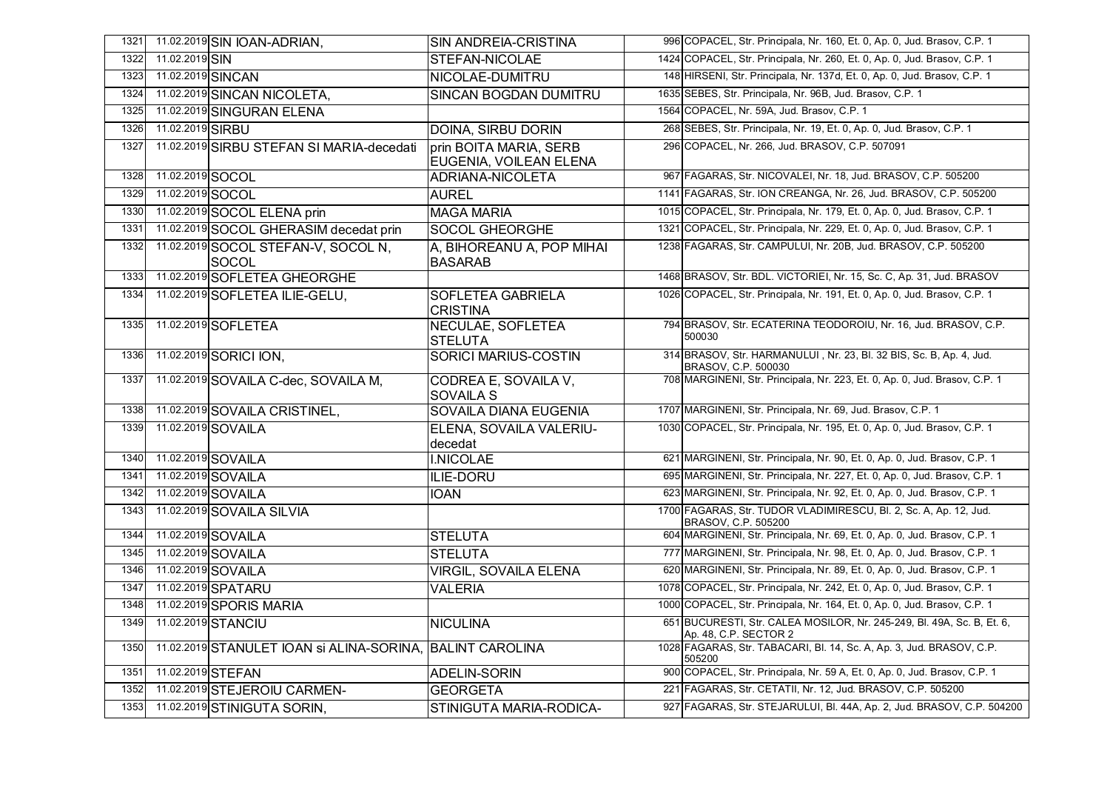| 1321 |                   | 11.02.2019 SIN IOAN-ADRIAN,                               | <b>SIN ANDREIA-CRISTINA</b>                      | 996 COPACEL, Str. Principala, Nr. 160, Et. 0, Ap. 0, Jud. Brasov, C.P. 1                        |
|------|-------------------|-----------------------------------------------------------|--------------------------------------------------|-------------------------------------------------------------------------------------------------|
| 1322 | 11.02.2019 SIN    |                                                           | STEFAN-NICOLAE                                   | 1424 COPACEL, Str. Principala, Nr. 260, Et. 0, Ap. 0, Jud. Brasov, C.P. 1                       |
| 1323 | 11.02.2019 SINCAN |                                                           | NICOLAE-DUMITRU                                  | 148 HIRSENI, Str. Principala, Nr. 137d, Et. 0, Ap. 0, Jud. Brasov, C.P. 1                       |
| 1324 |                   | 11.02.2019 SINCAN NICOLETA,                               | <b>SINCAN BOGDAN DUMITRU</b>                     | 1635 SEBES, Str. Principala, Nr. 96B, Jud. Brasov, C.P. 1                                       |
| 1325 |                   | 11.02.2019 SINGURAN ELENA                                 |                                                  | 1564 COPACEL, Nr. 59A, Jud. Brasov, C.P. 1                                                      |
| 1326 | 11.02.2019 SIRBU  |                                                           | <b>DOINA, SIRBU DORIN</b>                        | 268 SEBES, Str. Principala, Nr. 19, Et. 0, Ap. 0, Jud. Brasov, C.P. 1                           |
| 1327 |                   | 11.02.2019 SIRBU STEFAN SI MARIA-decedati                 | prin BOITA MARIA, SERB<br>EUGENIA, VOILEAN ELENA | 296 COPACEL, Nr. 266, Jud. BRASOV, C.P. 507091                                                  |
| 1328 | 11.02.2019 SOCOL  |                                                           | <b>ADRIANA-NICOLETA</b>                          | 967 FAGARAS, Str. NICOVALEI, Nr. 18, Jud. BRASOV, C.P. 505200                                   |
| 1329 | 11.02.2019 SOCOL  |                                                           | <b>AUREL</b>                                     | 1141 FAGARAS, Str. ION CREANGA, Nr. 26, Jud. BRASOV, C.P. 505200                                |
| 1330 |                   | 11.02.2019 SOCOL ELENA prin                               | <b>MAGA MARIA</b>                                | 1015 COPACEL, Str. Principala, Nr. 179, Et. 0, Ap. 0, Jud. Brasov, C.P. 1                       |
| 1331 |                   | 11.02.2019 SOCOL GHERASIM decedat prin                    | <b>SOCOL GHEORGHE</b>                            | 1321 COPACEL, Str. Principala, Nr. 229, Et. 0, Ap. 0, Jud. Brasov, C.P. 1                       |
| 1332 |                   | 11.02.2019 SOCOL STEFAN-V, SOCOL N,<br>SOCOL              | A, BIHOREANU A, POP MIHAI<br><b>BASARAB</b>      | 1238 FAGARAS, Str. CAMPULUI, Nr. 20B, Jud. BRASOV, C.P. 505200                                  |
| 1333 |                   | 11.02.2019 SOFLETEA GHEORGHE                              |                                                  | 1468 BRASOV, Str. BDL. VICTORIEI, Nr. 15, Sc. C, Ap. 31, Jud. BRASOV                            |
| 1334 |                   | 11.02.2019 SOFLETEA ILIE-GELU,                            | <b>SOFLETEA GABRIELA</b><br><b>CRISTINA</b>      | 1026 COPACEL, Str. Principala, Nr. 191, Et. 0, Ap. 0, Jud. Brasov, C.P. 1                       |
| 1335 |                   | 11.02.2019 SOFLETEA                                       | <b>NECULAE, SOFLETEA</b><br><b>STELUTA</b>       | 794 BRASOV, Str. ECATERINA TEODOROIU, Nr. 16, Jud. BRASOV, C.P.<br>500030                       |
| 1336 |                   | 11.02.2019 SORICI ION,                                    | <b>SORICI MARIUS-COSTIN</b>                      | 314 BRASOV, Str. HARMANULUI, Nr. 23, Bl. 32 BIS, Sc. B, Ap. 4, Jud.<br>BRASOV, C.P. 500030      |
| 1337 |                   | 11.02.2019 SOVAILA C-dec, SOVAILA M,                      | CODREA E, SOVAILA V,<br><b>SOVAILA S</b>         | 708 MARGINENI, Str. Principala, Nr. 223, Et. 0, Ap. 0, Jud. Brasov, C.P. 1                      |
| 1338 |                   | 11.02.2019 SOVAILA CRISTINEL,                             | <b>SOVAILA DIANA EUGENIA</b>                     | 1707 MARGINENI, Str. Principala, Nr. 69, Jud. Brasov, C.P. 1                                    |
| 1339 |                   | 11.02.2019 SOVAILA                                        | ELENA, SOVAILA VALERIU-<br>decedat               | 1030 COPACEL, Str. Principala, Nr. 195, Et. 0, Ap. 0, Jud. Brasov, C.P. 1                       |
| 1340 |                   | 11.02.2019 SOVAILA                                        | <b>I.NICOLAE</b>                                 | 621 MARGINENI, Str. Principala, Nr. 90, Et. 0, Ap. 0, Jud. Brasov, C.P. 1                       |
| 1341 |                   | 11.02.2019 SOVAILA                                        | ILIE-DORU                                        | 695 MARGINENI, Str. Principala, Nr. 227, Et. 0, Ap. 0, Jud. Brasov, C.P. 1                      |
| 1342 |                   | 11.02.2019 SOVAILA                                        | <b>IOAN</b>                                      | 623 MARGINENI, Str. Principala, Nr. 92, Et. 0, Ap. 0, Jud. Brasov, C.P. 1                       |
| 1343 |                   | 11.02.2019 SOVAILA SILVIA                                 |                                                  | 1700 FAGARAS, Str. TUDOR VLADIMIRESCU, Bl. 2, Sc. A, Ap. 12, Jud.<br>BRASOV, C.P. 505200        |
| 1344 |                   | 11.02.2019 SOVAILA                                        | <b>STELUTA</b>                                   | 604 MARGINENI, Str. Principala, Nr. 69, Et. 0, Ap. 0, Jud. Brasov, C.P. 1                       |
| 1345 |                   | 11.02.2019 SOVAILA                                        | <b>STELUTA</b>                                   | 777 MARGINENI, Str. Principala, Nr. 98, Et. 0, Ap. 0, Jud. Brasov, C.P. 1                       |
| 1346 |                   | 11.02.2019 SOVAILA                                        | VIRGIL, SOVAILA ELENA                            | 620 MARGINENI, Str. Principala, Nr. 89, Et. 0, Ap. 0, Jud. Brasov, C.P. 1                       |
| 1347 |                   | 11.02.2019 SPATARU                                        | <b>VALERIA</b>                                   | 1078 COPACEL, Str. Principala, Nr. 242, Et. 0, Ap. 0, Jud. Brasov, C.P. 1                       |
| 1348 |                   | 11.02.2019 SPORIS MARIA                                   |                                                  | 1000 COPACEL, Str. Principala, Nr. 164, Et. 0, Ap. 0, Jud. Brasov, C.P. 1                       |
| 1349 |                   | 11.02.2019 STANCIU                                        | <b>NICULINA</b>                                  | 651 BUCURESTI, Str. CALEA MOSILOR, Nr. 245-249, Bl. 49A, Sc. B, Et. 6,<br>Ap. 48, C.P. SECTOR 2 |
| 1350 |                   | 11.02.2019 STANULET IOAN SI ALINA-SORINA, BALINT CAROLINA |                                                  | 1028 FAGARAS, Str. TABACARI, Bl. 14, Sc. A, Ap. 3, Jud. BRASOV, C.P.<br>505200                  |
| 1351 | 11.02.2019 STEFAN |                                                           | <b>ADELIN-SORIN</b>                              | 900 COPACEL, Str. Principala, Nr. 59 A, Et. 0, Ap. 0, Jud. Brasov, C.P. 1                       |
| 1352 |                   | 11.02.2019 STEJEROIU CARMEN-                              | <b>GEORGETA</b>                                  | 221 FAGARAS, Str. CETATII, Nr. 12, Jud. BRASOV, C.P. 505200                                     |
| 1353 |                   | 11.02.2019 STINIGUTA SORIN,                               | STINIGUTA MARIA-RODICA-                          | 927 FAGARAS, Str. STEJARULUI, Bl. 44A, Ap. 2, Jud. BRASOV, C.P. 504200                          |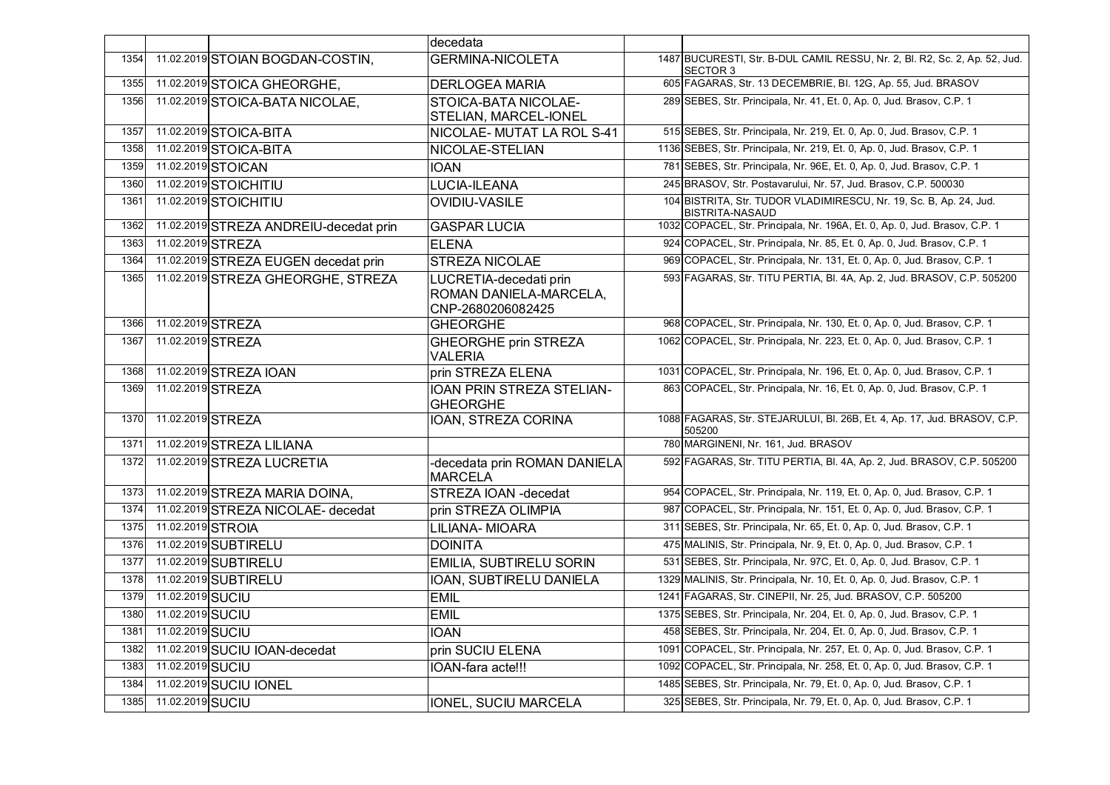|      |                   |                                        | decedata                                                              |                                                                                        |
|------|-------------------|----------------------------------------|-----------------------------------------------------------------------|----------------------------------------------------------------------------------------|
| 1354 |                   | 11.02.2019 STOIAN BOGDAN-COSTIN,       | <b>GERMINA-NICOLETA</b>                                               | 1487 BUCURESTI, Str. B-DUL CAMIL RESSU, Nr. 2, Bl. R2, Sc. 2, Ap. 52, Jud.<br>SECTOR 3 |
| 1355 |                   | 11.02.2019 STOICA GHEORGHE.            | <b>DERLOGEA MARIA</b>                                                 | 605 FAGARAS, Str. 13 DECEMBRIE, Bl. 12G, Ap. 55, Jud. BRASOV                           |
| 1356 |                   | 11.02.2019 STOICA-BATA NICOLAE,        | STOICA-BATA NICOLAE-<br>STELIAN, MARCEL-IONEL                         | 289 SEBES, Str. Principala, Nr. 41, Et. 0, Ap. 0, Jud. Brasov, C.P. 1                  |
| 1357 |                   | 11.02.2019 STOICA-BITA                 | NICOLAE- MUTAT LA ROL S-41                                            | 515 SEBES, Str. Principala, Nr. 219, Et. 0, Ap. 0, Jud. Brasov, C.P. 1                 |
| 1358 |                   | 11.02.2019 STOICA-BITA                 | NICOLAE-STELIAN                                                       | 1136 SEBES, Str. Principala, Nr. 219, Et. 0, Ap. 0, Jud. Brasov, C.P. 1                |
| 1359 |                   | 11.02.2019 STOICAN                     | <b>IOAN</b>                                                           | 781 SEBES, Str. Principala, Nr. 96E, Et. 0, Ap. 0, Jud. Brasov, C.P. 1                 |
| 1360 |                   | 11.02.2019 STOICHITIU                  | <b>LUCIA-ILEANA</b>                                                   | 245 BRASOV, Str. Postavarului, Nr. 57, Jud. Brasov, C.P. 500030                        |
| 1361 |                   | 11.02.2019 STOICHITIU                  | <b>OVIDIU-VASILE</b>                                                  | 104 BISTRITA, Str. TUDOR VLADIMIRESCU, Nr. 19, Sc. B, Ap. 24, Jud.<br>BISTRITA-NASAUD  |
| 1362 |                   | 11.02.2019 STREZA ANDREIU-decedat prin | <b>GASPAR LUCIA</b>                                                   | 1032 COPACEL, Str. Principala, Nr. 196A, Et. 0, Ap. 0, Jud. Brasov, C.P. 1             |
| 1363 |                   | 11.02.2019 STREZA                      | <b>ELENA</b>                                                          | 924 COPACEL, Str. Principala, Nr. 85, Et. 0, Ap. 0, Jud. Brasov, C.P. 1                |
| 1364 |                   | 11.02.2019 STREZA EUGEN decedat prin   | <b>STREZA NICOLAE</b>                                                 | 969 COPACEL, Str. Principala, Nr. 131, Et. 0, Ap. 0, Jud. Brasov, C.P. 1               |
| 1365 |                   | 11.02.2019 STREZA GHEORGHE, STREZA     | LUCRETIA-decedati prin<br>ROMAN DANIELA-MARCELA,<br>CNP-2680206082425 | 593 FAGARAS, Str. TITU PERTIA, Bl. 4A, Ap. 2, Jud. BRASOV, C.P. 505200                 |
| 1366 |                   | 11.02.2019 STREZA                      | <b>GHEORGHE</b>                                                       | 968 COPACEL, Str. Principala, Nr. 130, Et. 0, Ap. 0, Jud. Brasov, C.P. 1               |
| 1367 |                   | 11.02.2019 STREZA                      | <b>GHEORGHE prin STREZA</b><br><b>VALERIA</b>                         | 1062 COPACEL, Str. Principala, Nr. 223, Et. 0, Ap. 0, Jud. Brasov, C.P. 1              |
| 1368 |                   | 11.02.2019 STREZA IOAN                 | prin STREZA ELENA                                                     | 1031 COPACEL, Str. Principala, Nr. 196, Et. 0, Ap. 0, Jud. Brasov, C.P. 1              |
| 1369 |                   | 11.02.2019 STREZA                      | IOAN PRIN STREZA STELIAN-<br><b>GHEORGHE</b>                          | 863 COPACEL, Str. Principala, Nr. 16, Et. 0, Ap. 0, Jud. Brasov, C.P. 1                |
| 1370 |                   | 11.02.2019 STREZA                      | IOAN, STREZA CORINA                                                   | 1088 FAGARAS, Str. STEJARULUI, Bl. 26B, Et. 4, Ap. 17, Jud. BRASOV, C.P.<br>505200     |
| 1371 |                   | 11.02.2019 STREZA LILIANA              |                                                                       | 780 MARGINENI, Nr. 161, Jud. BRASOV                                                    |
| 1372 |                   | 11.02.2019 STREZA LUCRETIA             | -decedata prin ROMAN DANIELA<br>MARCELA                               | 592 FAGARAS, Str. TITU PERTIA, Bl. 4A, Ap. 2, Jud. BRASOV, C.P. 505200                 |
| 1373 |                   | 11.02.2019 STREZA MARIA DOINA,         | STREZA IOAN - decedat                                                 | 954 COPACEL, Str. Principala, Nr. 119, Et. 0, Ap. 0, Jud. Brasov, C.P. 1               |
| 1374 |                   | 11.02.2019 STREZA NICOLAE- decedat     | prin STREZA OLIMPIA                                                   | 987 COPACEL, Str. Principala, Nr. 151, Et. 0, Ap. 0, Jud. Brasov, C.P. 1               |
| 1375 | 11.02.2019 STROIA |                                        | <b>LILIANA-MIOARA</b>                                                 | 311 SEBES, Str. Principala, Nr. 65, Et. 0, Ap. 0, Jud. Brasov, C.P. 1                  |
| 1376 |                   | 11.02.2019 SUBTIRELU                   | <b>DOINITA</b>                                                        | 475 MALINIS, Str. Principala, Nr. 9, Et. 0, Ap. 0, Jud. Brasov, C.P. 1                 |
| 1377 |                   | 11.02.2019 SUBTIRELU                   | <b>EMILIA, SUBTIRELU SORIN</b>                                        | 531 SEBES, Str. Principala, Nr. 97C, Et. 0, Ap. 0, Jud. Brasov, C.P. 1                 |
| 1378 |                   | 11.02.2019 SUBTIRELU                   | IOAN, SUBTIRELU DANIELA                                               | 1329 MALINIS, Str. Principala, Nr. 10, Et. 0, Ap. 0, Jud. Brasov, C.P. 1               |
| 1379 | 11.02.2019 SUCIU  |                                        | <b>EMIL</b>                                                           | 1241 FAGARAS, Str. CINEPII, Nr. 25, Jud. BRASOV, C.P. 505200                           |
| 1380 | 11.02.2019 SUCIU  |                                        | <b>EMIL</b>                                                           | 1375 SEBES, Str. Principala, Nr. 204, Et. 0, Ap. 0, Jud. Brasov, C.P. 1                |
| 1381 | 11.02.2019 SUCIU  |                                        | <b>IOAN</b>                                                           | 458 SEBES, Str. Principala, Nr. 204, Et. 0, Ap. 0, Jud. Brasov, C.P. 1                 |
| 1382 |                   | 11.02.2019 SUCIU IOAN-decedat          | prin SUCIU ELENA                                                      | 1091 COPACEL, Str. Principala, Nr. 257, Et. 0, Ap. 0, Jud. Brasov, C.P. 1              |
| 1383 | 11.02.2019 SUCIU  |                                        | IOAN-fara acte!!!                                                     | 1092 COPACEL, Str. Principala, Nr. 258, Et. 0, Ap. 0, Jud. Brasov, C.P. 1              |
| 1384 |                   | 11.02.2019 SUCIU IONEL                 |                                                                       | 1485 SEBES, Str. Principala, Nr. 79, Et. 0, Ap. 0, Jud. Brasov, C.P. 1                 |
| 1385 | 11.02.2019 SUCIU  |                                        | <b>IONEL, SUCIU MARCELA</b>                                           | 325 SEBES, Str. Principala, Nr. 79, Et. 0, Ap. 0, Jud. Brasov, C.P. 1                  |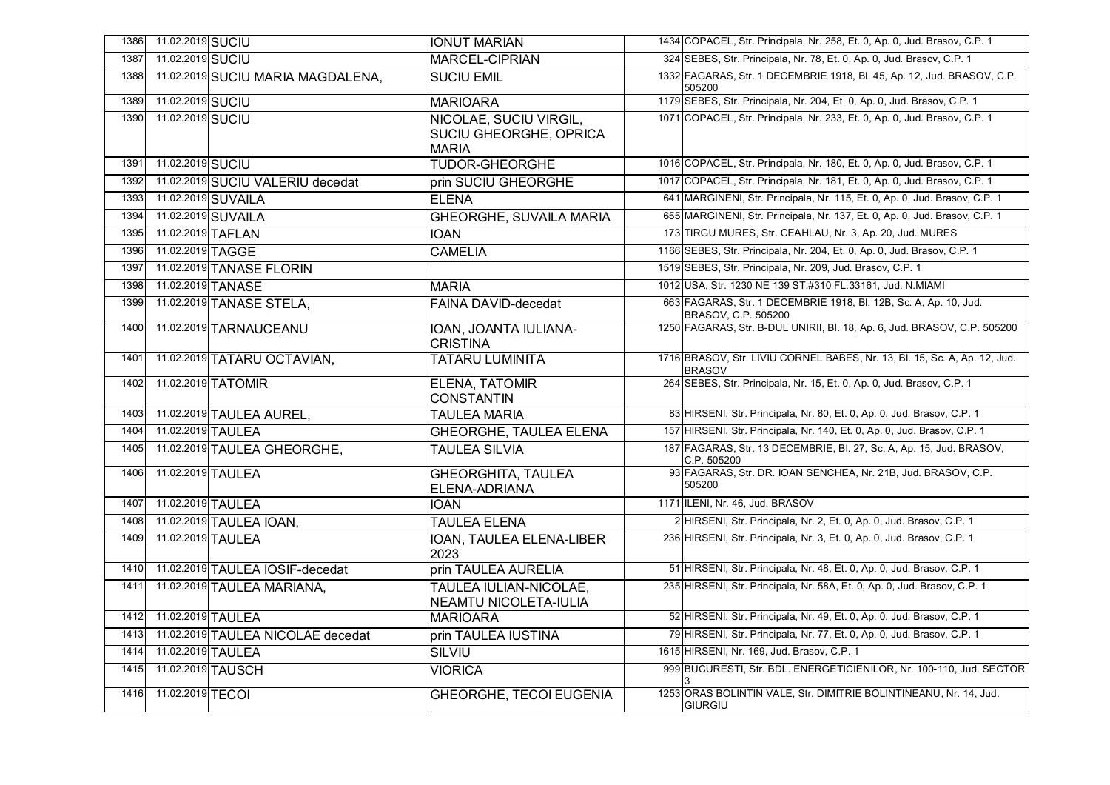| 1386 | 11.02.2019 SUCIU  |                                   | <b>IONUT MARIAN</b>                                                     | 1434 COPACEL, Str. Principala, Nr. 258, Et. 0, Ap. 0, Jud. Brasov, C.P. 1                  |
|------|-------------------|-----------------------------------|-------------------------------------------------------------------------|--------------------------------------------------------------------------------------------|
| 1387 | 11.02.2019 SUCIU  |                                   | <b>MARCEL-CIPRIAN</b>                                                   | 324 SEBES, Str. Principala, Nr. 78, Et. 0, Ap. 0, Jud. Brasov, C.P. 1                      |
| 1388 |                   | 11.02.2019 SUCIU MARIA MAGDALENA, | <b>SUCIU EMIL</b>                                                       | 1332 FAGARAS, Str. 1 DECEMBRIE 1918, Bl. 45, Ap. 12, Jud. BRASOV, C.P.<br>505200           |
| 1389 | 11.02.2019 SUCIU  |                                   | <b>MARIOARA</b>                                                         | 1179 SEBES, Str. Principala, Nr. 204, Et. 0, Ap. 0, Jud. Brasov, C.P. 1                    |
| 1390 | 11.02.2019 SUCIU  |                                   | NICOLAE, SUCIU VIRGIL,<br><b>SUCIU GHEORGHE, OPRICA</b><br><b>MARIA</b> | 1071 COPACEL, Str. Principala, Nr. 233, Et. 0, Ap. 0, Jud. Brasov, C.P. 1                  |
| 1391 | 11.02.2019 SUCIU  |                                   | <b>TUDOR-GHEORGHE</b>                                                   | 1016 COPACEL, Str. Principala, Nr. 180, Et. 0, Ap. 0, Jud. Brasov, C.P. 1                  |
| 1392 |                   | 11.02.2019 SUCIU VALERIU decedat  | prin SUCIU GHEORGHE                                                     | 1017 COPACEL, Str. Principala, Nr. 181, Et. 0, Ap. 0, Jud. Brasov, C.P. 1                  |
| 1393 |                   | 11.02.2019 SUVAILA                | <b>ELENA</b>                                                            | 641 MARGINENI, Str. Principala, Nr. 115, Et. 0, Ap. 0, Jud. Brasov, C.P. 1                 |
| 1394 |                   | 11.02.2019 SUVAILA                | <b>GHEORGHE, SUVAILA MARIA</b>                                          | 655 MARGINENI, Str. Principala, Nr. 137, Et. 0, Ap. 0, Jud. Brasov, C.P. 1                 |
| 1395 | 11.02.2019 TAFLAN |                                   | <b>IOAN</b>                                                             | 173 TIRGU MURES, Str. CEAHLAU, Nr. 3, Ap. 20, Jud. MURES                                   |
| 1396 | 11.02.2019 TAGGE  |                                   | <b>CAMELIA</b>                                                          | 1166 SEBES, Str. Principala, Nr. 204, Et. 0, Ap. 0, Jud. Brasov, C.P. 1                    |
| 1397 |                   | 11.02.2019 TANASE FLORIN          |                                                                         | 1519 SEBES, Str. Principala, Nr. 209, Jud. Brasov, C.P. 1                                  |
| 1398 |                   | 11.02.2019 TANASE                 | <b>MARIA</b>                                                            | 1012 USA, Str. 1230 NE 139 ST.#310 FL.33161, Jud. N.MIAMI                                  |
| 1399 |                   | 11.02.2019 TANASE STELA,          | <b>FAINA DAVID-decedat</b>                                              | 663 FAGARAS, Str. 1 DECEMBRIE 1918, Bl. 12B, Sc. A, Ap. 10, Jud.<br>BRASOV, C.P. 505200    |
| 1400 |                   | 11.02.2019 TARNAUCEANU            | IOAN, JOANTA IULIANA-<br><b>CRISTINA</b>                                | 1250 FAGARAS, Str. B-DUL UNIRII, Bl. 18, Ap. 6, Jud. BRASOV, C.P. 505200                   |
| 1401 |                   | 11.02.2019 TATARU OCTAVIAN,       | <b>TATARU LUMINITA</b>                                                  | 1716 BRASOV, Str. LIVIU CORNEL BABES, Nr. 13, Bl. 15, Sc. A, Ap. 12, Jud.<br><b>BRASOV</b> |
| 1402 |                   | 11.02.2019 TATOMIR                | <b>ELENA, TATOMIR</b><br><b>CONSTANTIN</b>                              | 264 SEBES, Str. Principala, Nr. 15, Et. 0, Ap. 0, Jud. Brasov, C.P. 1                      |
| 1403 |                   | 11.02.2019 TAULEA AUREL,          | <b>TAULEA MARIA</b>                                                     | 83 HIRSENI, Str. Principala, Nr. 80, Et. 0, Ap. 0, Jud. Brasov, C.P. 1                     |
| 1404 | 11.02.2019 TAULEA |                                   | <b>GHEORGHE, TAULEA ELENA</b>                                           | 157 HIRSENI, Str. Principala, Nr. 140, Et. 0, Ap. 0, Jud. Brasov, C.P. 1                   |
| 1405 |                   | 11.02.2019 TAULEA GHEORGHE,       | <b>TAULEA SILVIA</b>                                                    | 187 FAGARAS, Str. 13 DECEMBRIE, Bl. 27, Sc. A, Ap. 15, Jud. BRASOV,<br>C.P. 505200         |
| 1406 | 11.02.2019 TAULEA |                                   | <b>GHEORGHITA, TAULEA</b><br>ELENA-ADRIANA                              | 93 FAGARAS, Str. DR. IOAN SENCHEA, Nr. 21B, Jud. BRASOV, C.P.<br>505200                    |
| 1407 | 11.02.2019 TAULEA |                                   | <b>IOAN</b>                                                             | 1171 ILENI, Nr. 46, Jud. BRASOV                                                            |
| 1408 |                   | 11.02.2019 TAULEA IOAN,           | <b>TAULEA ELENA</b>                                                     | 2 HIRSENI, Str. Principala, Nr. 2, Et. 0, Ap. 0, Jud. Brasov, C.P. 1                       |
| 1409 | 11.02.2019 TAULEA |                                   | IOAN, TAULEA ELENA-LIBER<br>2023                                        | 236 HIRSENI, Str. Principala, Nr. 3, Et. 0, Ap. 0, Jud. Brasov, C.P. 1                     |
| 1410 |                   | 11.02.2019 TAULEA IOSIF-decedat   | prin TAULEA AURELIA                                                     | 51 HIRSENI, Str. Principala, Nr. 48, Et. 0, Ap. 0, Jud. Brasov, C.P. 1                     |
| 1411 |                   | 11.02.2019 TAULEA MARIANA,        | TAULEA IULIAN-NICOLAE,<br><b>NEAMTU NICOLETA-IULIA</b>                  | 235 HIRSENI, Str. Principala, Nr. 58A, Et. 0, Ap. 0, Jud. Brasov, C.P. 1                   |
| 1412 | 11.02.2019 TAULEA |                                   | <b>MARIOARA</b>                                                         | 52 HIRSENI, Str. Principala, Nr. 49, Et. 0, Ap. 0, Jud. Brasov, C.P. 1                     |
| 1413 |                   | 11.02.2019 TAULEA NICOLAE decedat | prin TAULEA IUSTINA                                                     | 79 HIRSENI, Str. Principala, Nr. 77, Et. 0, Ap. 0, Jud. Brasov, C.P. 1                     |
| 1414 | 11.02.2019 TAULEA |                                   | SILVIU                                                                  | 1615 HIRSENI, Nr. 169, Jud. Brasov, C.P. 1                                                 |
| 1415 |                   | 11.02.2019 TAUSCH                 | <b>VIORICA</b>                                                          | 999 BUCURESTI, Str. BDL. ENERGETICIENILOR, Nr. 100-110, Jud. SECTOR                        |
| 1416 | 11.02.2019 TECOL  |                                   | <b>GHEORGHE, TECOI EUGENIA</b>                                          | 1253 ORAS BOLINTIN VALE, Str. DIMITRIE BOLINTINEANU, Nr. 14, Jud.<br><b>GIURGIU</b>        |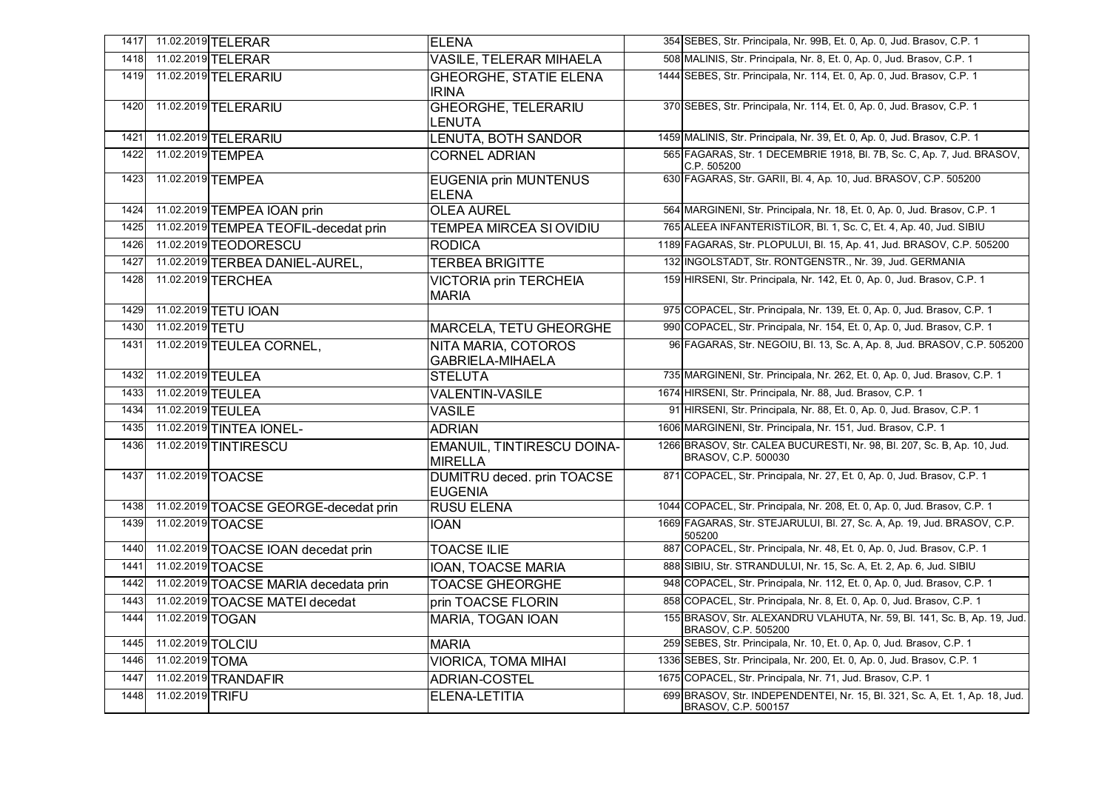| 1417 |                   | 11.02.2019 TELERAR                    | <b>ELENA</b>                                   | 354 SEBES, Str. Principala, Nr. 99B, Et. 0, Ap. 0, Jud. Brasov, C.P. 1                             |
|------|-------------------|---------------------------------------|------------------------------------------------|----------------------------------------------------------------------------------------------------|
| 1418 |                   | 11.02.2019 TELERAR                    | <b>VASILE, TELERAR MIHAELA</b>                 | 508 MALINIS, Str. Principala, Nr. 8, Et. 0, Ap. 0, Jud. Brasov, C.P. 1                             |
| 1419 |                   | 11.02.2019 TELERARIU                  | <b>GHEORGHE, STATIE ELENA</b><br><b>IRINA</b>  | 1444 SEBES, Str. Principala, Nr. 114, Et. 0, Ap. 0, Jud. Brasov, C.P. 1                            |
| 1420 |                   | 11.02.2019 TELERARIU                  | <b>GHEORGHE, TELERARIU</b><br>LENUTA           | 370 SEBES, Str. Principala, Nr. 114, Et. 0, Ap. 0, Jud. Brasov, C.P. 1                             |
| 1421 |                   | 11.02.2019 TELERARIU                  | <b>LENUTA, BOTH SANDOR</b>                     | 1459 MALINIS, Str. Principala, Nr. 39, Et. 0, Ap. 0, Jud. Brasov, C.P. 1                           |
| 1422 |                   | 11.02.2019 TEMPEA                     | <b>CORNEL ADRIAN</b>                           | 565 FAGARAS, Str. 1 DECEMBRIE 1918, Bl. 7B, Sc. C, Ap. 7, Jud. BRASOV,<br>C.P. 505200              |
| 1423 |                   | 11.02.2019 TEMPEA                     | <b>EUGENIA prin MUNTENUS</b><br><b>ELENA</b>   | 630 FAGARAS, Str. GARII, Bl. 4, Ap. 10, Jud. BRASOV, C.P. 505200                                   |
| 1424 |                   | 11.02.2019 TEMPEA IOAN prin           | <b>OLEA AUREL</b>                              | 564 MARGINENI, Str. Principala, Nr. 18, Et. 0, Ap. 0, Jud. Brasov, C.P. 1                          |
| 1425 |                   | 11.02.2019 TEMPEA TEOFIL-decedat prin | <b>TEMPEA MIRCEA SI OVIDIU</b>                 | 765 ALEEA INFANTERISTILOR, Bl. 1, Sc. C, Et. 4, Ap. 40, Jud. SIBIU                                 |
| 1426 |                   | 11.02.2019 TEODORESCU                 | <b>RODICA</b>                                  | 1189 FAGARAS, Str. PLOPULUI, Bl. 15, Ap. 41, Jud. BRASOV, C.P. 505200                              |
| 1427 |                   | 11.02.2019 TERBEA DANIEL-AUREL,       | <b>TERBEA BRIGITTE</b>                         | 132 INGOLSTADT, Str. RONTGENSTR., Nr. 39, Jud. GERMANIA                                            |
| 1428 |                   | 11.02.2019 TERCHEA                    | <b>VICTORIA prin TERCHEIA</b><br><b>MARIA</b>  | 159 HIRSENI, Str. Principala, Nr. 142, Et. 0, Ap. 0, Jud. Brasov, C.P. 1                           |
| 1429 |                   | 11.02.2019 TETU IOAN                  |                                                | 975 COPACEL, Str. Principala, Nr. 139, Et. 0, Ap. 0, Jud. Brasov, C.P. 1                           |
| 1430 | 11.02.2019 TETU   |                                       | <b>MARCELA, TETU GHEORGHE</b>                  | 990 COPACEL, Str. Principala, Nr. 154, Et. 0, Ap. 0, Jud. Brasov, C.P. 1                           |
| 1431 |                   | 11.02.2019 TEULEA CORNEL,             | NITA MARIA, COTOROS<br><b>GABRIELA-MIHAELA</b> | 96 FAGARAS, Str. NEGOIU, Bl. 13, Sc. A, Ap. 8, Jud. BRASOV, C.P. 505200                            |
| 1432 | 11.02.2019 TEULEA |                                       | <b>STELUTA</b>                                 | 735 MARGINENI, Str. Principala, Nr. 262, Et. 0, Ap. 0, Jud. Brasov, C.P. 1                         |
| 1433 | 11.02.2019 TEULEA |                                       | <b>VALENTIN-VASILE</b>                         | 1674 HIRSENI, Str. Principala, Nr. 88, Jud. Brasov, C.P. 1                                         |
| 1434 | 11.02.2019 TEULEA |                                       | <b>VASILE</b>                                  | 91 HIRSENI, Str. Principala, Nr. 88, Et. 0, Ap. 0, Jud. Brasov, C.P. 1                             |
| 1435 |                   | 11.02.2019 TINTEA IONEL-              | <b>ADRIAN</b>                                  | 1606 MARGINENI, Str. Principala, Nr. 151, Jud. Brasov, C.P. 1                                      |
| 1436 |                   | 11.02.2019 TINTIRESCU                 | <b>EMANUIL, TINTIRESCU DOINA-</b><br>MIRELLA   | 1266 BRASOV, Str. CALEA BUCURESTI, Nr. 98, Bl. 207, Sc. B, Ap. 10, Jud.<br>BRASOV, C.P. 500030     |
| 1437 |                   | 11.02.2019 TOACSE                     | DUMITRU deced. prin TOACSE<br><b>EUGENIA</b>   | 871 COPACEL, Str. Principala, Nr. 27, Et. 0, Ap. 0, Jud. Brasov, C.P. 1                            |
| 1438 |                   | 11.02.2019 TOACSE GEORGE-decedat prin | <b>RUSU ELENA</b>                              | 1044 COPACEL, Str. Principala, Nr. 208, Et. 0, Ap. 0, Jud. Brasov, C.P. 1                          |
| 1439 |                   | 11.02.2019 TOACSE                     | <b>IOAN</b>                                    | 1669 FAGARAS, Str. STEJARULUI, Bl. 27, Sc. A, Ap. 19, Jud. BRASOV, C.P.<br>505200                  |
| 1440 |                   | 11.02.2019 TOACSE IOAN decedat prin   | <b>TOACSE ILIE</b>                             | 887 COPACEL, Str. Principala, Nr. 48, Et. 0, Ap. 0, Jud. Brasov, C.P. 1                            |
| 1441 |                   | 11.02.2019 TOACSE                     | <b>IOAN, TOACSE MARIA</b>                      | 888 SIBIU, Str. STRANDULUI, Nr. 15, Sc. A, Et. 2, Ap. 6, Jud. SIBIU                                |
| 1442 |                   | 11.02.2019 TOACSE MARIA decedata prin | <b>TOACSE GHEORGHE</b>                         | 948 COPACEL, Str. Principala, Nr. 112, Et. 0, Ap. 0, Jud. Brasov, C.P. 1                           |
| 1443 |                   | 11.02.2019 TOACSE MATEI decedat       | prin TOACSE FLORIN                             | 858 COPACEL, Str. Principala, Nr. 8, Et. 0, Ap. 0, Jud. Brasov, C.P. 1                             |
| 1444 | 11.02.2019 TOGAN  |                                       | MARIA, TOGAN IOAN                              | 155 BRASOV, Str. ALEXANDRU VLAHUTA, Nr. 59, Bl. 141, Sc. B, Ap. 19, Jud.<br>BRASOV, C.P. 505200    |
| 1445 | 11.02.2019 TOLCIU |                                       | <b>MARIA</b>                                   | 259 SEBES, Str. Principala, Nr. 10, Et. 0, Ap. 0, Jud. Brasov, C.P. 1                              |
| 1446 | 11.02.2019 TOMA   |                                       | <b>VIORICA, TOMA MIHAI</b>                     | 1336 SEBES, Str. Principala, Nr. 200, Et. 0, Ap. 0, Jud. Brasov, C.P. 1                            |
| 1447 |                   | 11.02.2019 TRANDAFIR                  | <b>ADRIAN-COSTEL</b>                           | 1675 COPACEL, Str. Principala, Nr. 71, Jud. Brasov, C.P. 1                                         |
| 1448 | 11.02.2019 TRIFU  |                                       | ELENA-LETITIA                                  | 699 BRASOV, Str. INDEPENDENTEI, Nr. 15, Bl. 321, Sc. A, Et. 1, Ap. 18, Jud.<br>BRASOV, C.P. 500157 |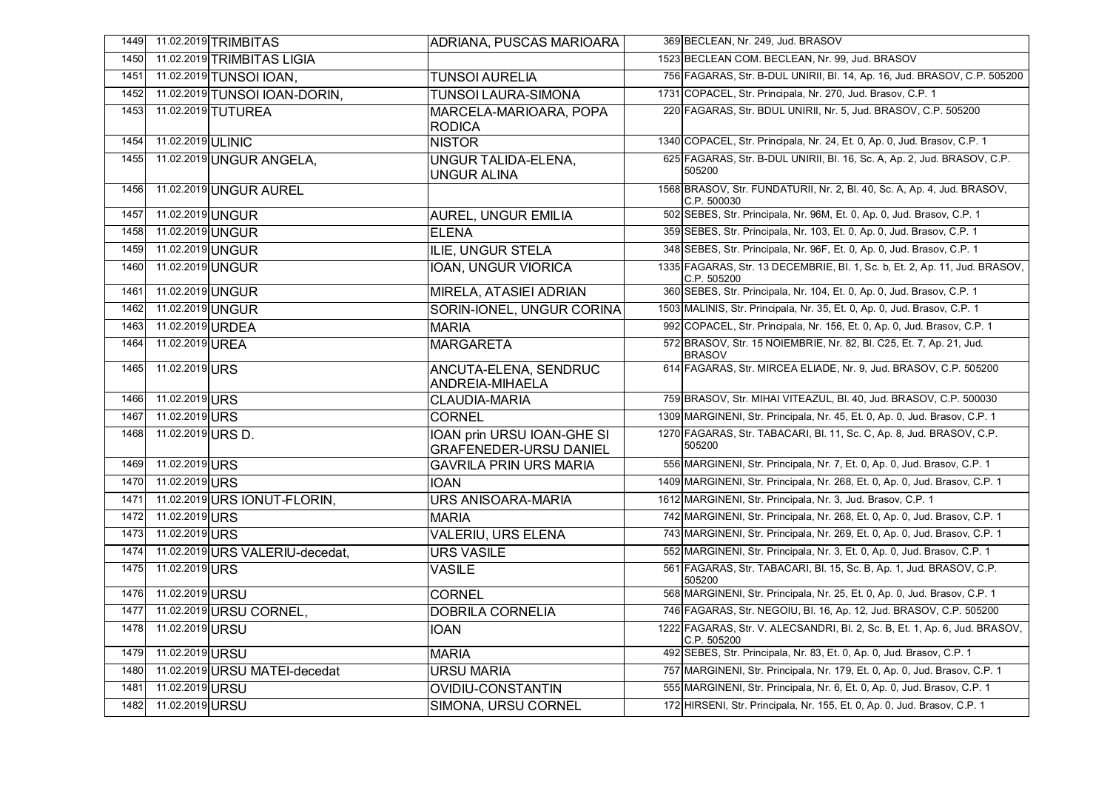| 1449 | 11.02.2019 TRIMBITAS            | <b>ADRIANA, PUSCAS MARIOARA</b>                             | 369 BECLEAN, Nr. 249, Jud. BRASOV                                                         |
|------|---------------------------------|-------------------------------------------------------------|-------------------------------------------------------------------------------------------|
| 1450 | 11.02.2019 TRIMBITAS LIGIA      |                                                             | 1523 BECLEAN COM, BECLEAN, Nr. 99, Jud. BRASOV                                            |
| 1451 | 11.02.2019 TUNSOI IOAN,         | <b>TUNSOI AURELIA</b>                                       | 756 FAGARAS, Str. B-DUL UNIRII, Bl. 14, Ap. 16, Jud. BRASOV, C.P. 505200                  |
| 1452 | 11.02.2019 TUNSOI IOAN-DORIN,   | <b>TUNSOI LAURA-SIMONA</b>                                  | 1731 COPACEL, Str. Principala, Nr. 270, Jud. Brasov, C.P. 1                               |
| 1453 | 11.02.2019 TUTUREA              | MARCELA-MARIOARA, POPA<br><b>RODICA</b>                     | 220 FAGARAS, Str. BDUL UNIRII, Nr. 5, Jud. BRASOV, C.P. 505200                            |
| 1454 | 11.02.2019 ULINIC               | <b>NISTOR</b>                                               | 1340 COPACEL, Str. Principala, Nr. 24, Et. 0, Ap. 0, Jud. Brasov, C.P. 1                  |
| 1455 | 11.02.2019 UNGUR ANGELA,        | UNGUR TALIDA-ELENA,<br><b>UNGUR ALINA</b>                   | 625 FAGARAS, Str. B-DUL UNIRII, BI. 16, Sc. A, Ap. 2, Jud. BRASOV, C.P.<br>505200         |
| 1456 | 11.02.2019 UNGUR AUREL          |                                                             | 1568 BRASOV, Str. FUNDATURII, Nr. 2, Bl. 40, Sc. A, Ap. 4, Jud. BRASOV,<br>C.P. 500030    |
| 1457 | 11.02.2019 UNGUR                | <b>AUREL, UNGUR EMILIA</b>                                  | 502 SEBES, Str. Principala, Nr. 96M, Et. 0, Ap. 0, Jud. Brasov, C.P. 1                    |
| 1458 | 11.02.2019 UNGUR                | <b>ELENA</b>                                                | 359 SEBES, Str. Principala, Nr. 103, Et. 0, Ap. 0, Jud. Brasov, C.P. 1                    |
| 1459 | 11.02.2019 UNGUR                | ILIE, UNGUR STELA                                           | 348 SEBES, Str. Principala, Nr. 96F, Et. 0, Ap. 0, Jud. Brasov, C.P. 1                    |
| 1460 | 11.02.2019 UNGUR                | IOAN, UNGUR VIORICA                                         | 1335 FAGARAS, Str. 13 DECEMBRIE, Bl. 1, Sc. b, Et. 2, Ap. 11, Jud. BRASOV,<br>C.P. 505200 |
| 1461 | 11.02.2019 UNGUR                | MIRELA, ATASIEI ADRIAN                                      | 360 SEBES, Str. Principala, Nr. 104, Et. 0, Ap. 0, Jud. Brasov, C.P. 1                    |
| 1462 | 11.02.2019 UNGUR                | SORIN-IONEL, UNGUR CORINA                                   | 1503 MALINIS, Str. Principala, Nr. 35, Et. 0, Ap. 0, Jud. Brasov, C.P. 1                  |
| 1463 | 11.02.2019 URDEA                | <b>MARIA</b>                                                | 992 COPACEL, Str. Principala, Nr. 156, Et. 0, Ap. 0, Jud. Brasov, C.P. 1                  |
| 1464 | 11.02.2019 UREA                 | <b>MARGARETA</b>                                            | 572 BRASOV, Str. 15 NOIEMBRIE, Nr. 82, BI. C25, Et. 7, Ap. 21, Jud.<br><b>BRASOV</b>      |
| 1465 | 11.02.2019 URS                  | ANCUTA-ELENA, SENDRUC<br>ANDREIA-MIHAELA                    | 614 FAGARAS, Str. MIRCEA ELIADE, Nr. 9, Jud. BRASOV, C.P. 505200                          |
| 1466 | 11.02.2019 URS                  | <b>CLAUDIA-MARIA</b>                                        | 759 BRASOV, Str. MIHAI VITEAZUL, BI. 40, Jud. BRASOV, C.P. 500030                         |
| 1467 | 11.02.2019 URS                  | <b>CORNEL</b>                                               | 1309 MARGINENI, Str. Principala, Nr. 45, Et. 0, Ap. 0, Jud. Brasov, C.P. 1                |
| 1468 | 11.02.2019 URS D.               | IOAN prin URSU IOAN-GHE SI<br><b>GRAFENEDER-URSU DANIEL</b> | 1270 FAGARAS, Str. TABACARI, Bl. 11, Sc. C, Ap. 8, Jud. BRASOV, C.P.<br>505200            |
| 1469 | 11.02.2019 URS                  | <b>GAVRILA PRIN URS MARIA</b>                               | 556 MARGINENI, Str. Principala, Nr. 7, Et. 0, Ap. 0, Jud. Brasov, C.P. 1                  |
| 1470 | 11.02.2019 URS                  | <b>IOAN</b>                                                 | 1409 MARGINENI, Str. Principala, Nr. 268, Et. 0, Ap. 0, Jud. Brasov, C.P. 1               |
| 1471 | 11.02.2019 URS IONUT-FLORIN,    | <b>URS ANISOARA-MARIA</b>                                   | 1612 MARGINENI, Str. Principala, Nr. 3, Jud. Brasov, C.P. 1                               |
| 1472 | 11.02.2019 URS                  | <b>MARIA</b>                                                | 742 MARGINENI, Str. Principala, Nr. 268, Et. 0, Ap. 0, Jud. Brasov, C.P. 1                |
| 1473 | 11.02.2019 URS                  | <b>VALERIU, URS ELENA</b>                                   | 743 MARGINENI, Str. Principala, Nr. 269, Et. 0, Ap. 0, Jud. Brasov, C.P. 1                |
| 1474 | 11.02.2019 URS VALERIU-decedat, | <b>URS VASILE</b>                                           | 552 MARGINENI, Str. Principala, Nr. 3, Et. 0, Ap. 0, Jud. Brasov, C.P. 1                  |
| 1475 | 11.02.2019 URS                  | <b>VASILE</b>                                               | 561 FAGARAS, Str. TABACARI, Bl. 15, Sc. B, Ap. 1, Jud. BRASOV, C.P.<br>505200             |
| 1476 | 11.02.2019 URSU                 | <b>CORNEL</b>                                               | 568 MARGINENI, Str. Principala, Nr. 25, Et. 0, Ap. 0, Jud. Brasov, C.P. 1                 |
| 1477 | 11.02.2019 URSU CORNEL,         | <b>DOBRILA CORNELIA</b>                                     | 746 FAGARAS, Str. NEGOIU, Bl. 16, Ap. 12, Jud. BRASOV, C.P. 505200                        |
| 1478 | 11.02.2019 URSU                 | <b>IOAN</b>                                                 | 1222 FAGARAS, Str. V. ALECSANDRI, Bl. 2, Sc. B, Et. 1, Ap. 6, Jud. BRASOV,<br>C.P. 505200 |
| 1479 | 11.02.2019 URSU                 | <b>MARIA</b>                                                | 492 SEBES, Str. Principala, Nr. 83, Et. 0, Ap. 0, Jud. Brasov, C.P. 1                     |
| 1480 | 11.02.2019 URSU MATEI-decedat   | <b>URSU MARIA</b>                                           | 757 MARGINENI, Str. Principala, Nr. 179, Et. 0, Ap. 0, Jud. Brasov, C.P. 1                |
| 1481 | 11.02.2019 URSU                 | OVIDIU-CONSTANTIN                                           | 555 MARGINENI, Str. Principala, Nr. 6, Et. 0, Ap. 0, Jud. Brasov, C.P. 1                  |
| 1482 | 11.02.2019 URSU                 | SIMONA, URSU CORNEL                                         | 172 HIRSENI, Str. Principala, Nr. 155, Et. 0, Ap. 0, Jud. Brasov, C.P. 1                  |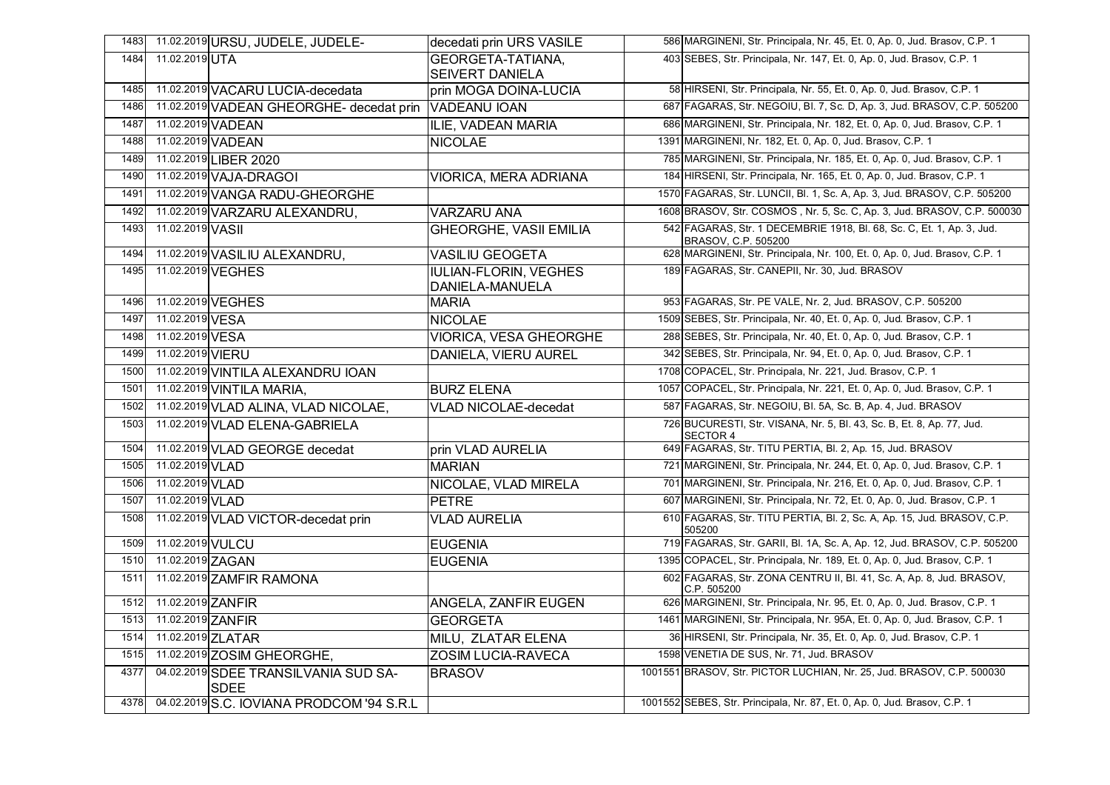| 1483 |                   | 11.02.2019 URSU, JUDELE, JUDELE-             | decedati prin URS VASILE                        | 586 MARGINENI, Str. Principala, Nr. 45, Et. 0, Ap. 0, Jud. Brasov, C.P. 1                    |
|------|-------------------|----------------------------------------------|-------------------------------------------------|----------------------------------------------------------------------------------------------|
| 1484 | 11.02.2019 UTA    |                                              | <b>GEORGETA-TATIANA.</b>                        | 403 SEBES, Str. Principala, Nr. 147, Et. 0, Ap. 0, Jud. Brasov, C.P. 1                       |
|      |                   |                                              | <b>SEIVERT DANIELA</b>                          |                                                                                              |
| 1485 |                   | 11.02.2019 VACARU LUCIA-decedata             | prin MOGA DOINA-LUCIA                           | 58 HIRSENI, Str. Principala, Nr. 55, Et. 0, Ap. 0, Jud. Brasov, C.P. 1                       |
| 1486 |                   | 11.02.2019 VADEAN GHEORGHE- decedat prin     | <b>VADEANU IOAN</b>                             | 687 FAGARAS, Str. NEGOIU, Bl. 7, Sc. D, Ap. 3, Jud. BRASOV, C.P. 505200                      |
| 1487 | 11.02.2019 VADEAN |                                              | ILIE, VADEAN MARIA                              | 686 MARGINENI, Str. Principala, Nr. 182, Et. 0, Ap. 0, Jud. Brasov, C.P. 1                   |
| 1488 | 11.02.2019 VADEAN |                                              | <b>NICOLAE</b>                                  | 1391 MARGINENI, Nr. 182, Et. 0, Ap. 0, Jud. Brasov, C.P. 1                                   |
| 1489 |                   | 11.02.2019 LIBER 2020                        |                                                 | 785 MARGINENI, Str. Principala, Nr. 185, Et. 0, Ap. 0, Jud. Brasov, C.P. 1                   |
| 1490 |                   | 11.02.2019 VAJA-DRAGOI                       | <b>VIORICA, MERA ADRIANA</b>                    | 184 HIRSENI, Str. Principala, Nr. 165, Et. 0, Ap. 0, Jud. Brasov, C.P. 1                     |
| 1491 |                   | 11.02.2019 VANGA RADU-GHEORGHE               |                                                 | 1570 FAGARAS, Str. LUNCII, Bl. 1, Sc. A, Ap. 3, Jud. BRASOV, C.P. 505200                     |
| 1492 |                   | 11.02.2019 VARZARU ALEXANDRU,                | <b>VARZARU ANA</b>                              | 1608 BRASOV, Str. COSMOS, Nr. 5, Sc. C, Ap. 3, Jud. BRASOV, C.P. 500030                      |
| 1493 | 11.02.2019 VASII  |                                              | <b>GHEORGHE, VASII EMILIA</b>                   | 542 FAGARAS, Str. 1 DECEMBRIE 1918, BI. 68, Sc. C, Et. 1, Ap. 3, Jud.<br>BRASOV, C.P. 505200 |
| 1494 |                   | 11.02.2019 VASILIU ALEXANDRU,                | <b>VASILIU GEOGETA</b>                          | 628 MARGINENI, Str. Principala, Nr. 100, Et. 0, Ap. 0, Jud. Brasov, C.P. 1                   |
| 1495 |                   | 11.02.2019 VEGHES                            | <b>IULIAN-FLORIN, VEGHES</b><br>DANIELA-MANUELA | 189 FAGARAS, Str. CANEPII, Nr. 30, Jud. BRASOV                                               |
| 1496 | 11.02.2019 VEGHES |                                              | <b>MARIA</b>                                    | 953 FAGARAS, Str. PE VALE, Nr. 2, Jud. BRASOV, C.P. 505200                                   |
| 1497 | 11.02.2019 VESA   |                                              | <b>NICOLAE</b>                                  | 1509 SEBES, Str. Principala, Nr. 40, Et. 0, Ap. 0, Jud. Brasov, C.P. 1                       |
| 1498 | 11.02.2019 VESA   |                                              | <b>VIORICA, VESA GHEORGHE</b>                   | 288 SEBES, Str. Principala, Nr. 40, Et. 0, Ap. 0, Jud. Brasov, C.P. 1                        |
| 1499 | 11.02.2019 VIERU  |                                              | DANIELA, VIERU AUREL                            | 342 SEBES, Str. Principala, Nr. 94, Et. 0, Ap. 0, Jud. Brasov, C.P. 1                        |
| 1500 |                   | 11.02.2019 VINTILA ALEXANDRU IOAN            |                                                 | 1708 COPACEL, Str. Principala, Nr. 221, Jud. Brasov, C.P. 1                                  |
| 1501 |                   | 11.02.2019 VINTILA MARIA,                    | <b>BURZ ELENA</b>                               | 1057 COPACEL, Str. Principala, Nr. 221, Et. 0, Ap. 0, Jud. Brasov, C.P. 1                    |
| 1502 |                   | 11.02.2019 VLAD ALINA, VLAD NICOLAE,         | <b>VLAD NICOLAE-decedat</b>                     | 587 FAGARAS, Str. NEGOIU, Bl. 5A, Sc. B, Ap. 4, Jud. BRASOV                                  |
| 1503 |                   | 11.02.2019 VLAD ELENA-GABRIELA               |                                                 | 726 BUCURESTI, Str. VISANA, Nr. 5, Bl. 43, Sc. B, Et. 8, Ap. 77, Jud.<br>SECTOR 4            |
| 1504 |                   | 11.02.2019 VLAD GEORGE decedat               | prin VLAD AURELIA                               | 649 FAGARAS, Str. TITU PERTIA, Bl. 2, Ap. 15, Jud. BRASOV                                    |
| 1505 | 11.02.2019 VLAD   |                                              | <b>MARIAN</b>                                   | 721 MARGINENI, Str. Principala, Nr. 244, Et. 0, Ap. 0, Jud. Brasov, C.P. 1                   |
| 1506 | 11.02.2019 VLAD   |                                              | NICOLAE, VLAD MIRELA                            | 701 MARGINENI, Str. Principala, Nr. 216, Et. 0, Ap. 0, Jud. Brasov, C.P. 1                   |
| 1507 | 11.02.2019 VLAD   |                                              | <b>PETRE</b>                                    | 607 MARGINENI, Str. Principala, Nr. 72, Et. 0, Ap. 0, Jud. Brasov, C.P. 1                    |
| 1508 |                   | 11.02.2019 VLAD VICTOR-decedat prin          | <b>VLAD AURELIA</b>                             | 610 FAGARAS, Str. TITU PERTIA, Bl. 2, Sc. A, Ap. 15, Jud. BRASOV, C.P.<br>505200             |
| 1509 | 11.02.2019 VULCU  |                                              | <b>EUGENIA</b>                                  | 719 FAGARAS, Str. GARII, Bl. 1A, Sc. A, Ap. 12, Jud. BRASOV, C.P. 505200                     |
| 1510 | 11.02.2019 ZAGAN  |                                              | <b>EUGENIA</b>                                  | 1395 COPACEL, Str. Principala, Nr. 189, Et. 0, Ap. 0, Jud. Brasov, C.P. 1                    |
| 1511 |                   | 11.02.2019 ZAMFIR RAMONA                     |                                                 | 602 FAGARAS, Str. ZONA CENTRU II, Bl. 41, Sc. A, Ap. 8, Jud. BRASOV,<br>C.P. 505200          |
| 1512 | 11.02.2019 ZANFIR |                                              | <b>ANGELA, ZANFIR EUGEN</b>                     | 626 MARGINENI, Str. Principala, Nr. 95, Et. 0, Ap. 0, Jud. Brasov, C.P. 1                    |
| 1513 | 11.02.2019 ZANFIR |                                              | <b>GEORGETA</b>                                 | 1461 MARGINENI, Str. Principala, Nr. 95A, Et. 0, Ap. 0, Jud. Brasov, C.P. 1                  |
| 1514 | 11.02.2019 ZLATAR |                                              | MILU, ZLATAR ELENA                              | 36 HIRSENI, Str. Principala, Nr. 35, Et. 0, Ap. 0, Jud. Brasov, C.P. 1                       |
| 1515 |                   | 11.02.2019 ZOSIM GHEORGHE,                   | <b>ZOSIM LUCIA-RAVECA</b>                       | 1598 VENETIA DE SUS, Nr. 71, Jud. BRASOV                                                     |
| 4377 |                   | 04.02.2019 SDEE TRANSILVANIA SUD SA-<br>SDEE | <b>BRASOV</b>                                   | 1001551 BRASOV, Str. PICTOR LUCHIAN, Nr. 25, Jud. BRASOV, C.P. 500030                        |
| 4378 |                   | 04.02.2019 S.C. IOVIANA PRODCOM '94 S.R.L    |                                                 | 1001552 SEBES, Str. Principala, Nr. 87, Et. 0, Ap. 0, Jud. Brasov, C.P. 1                    |